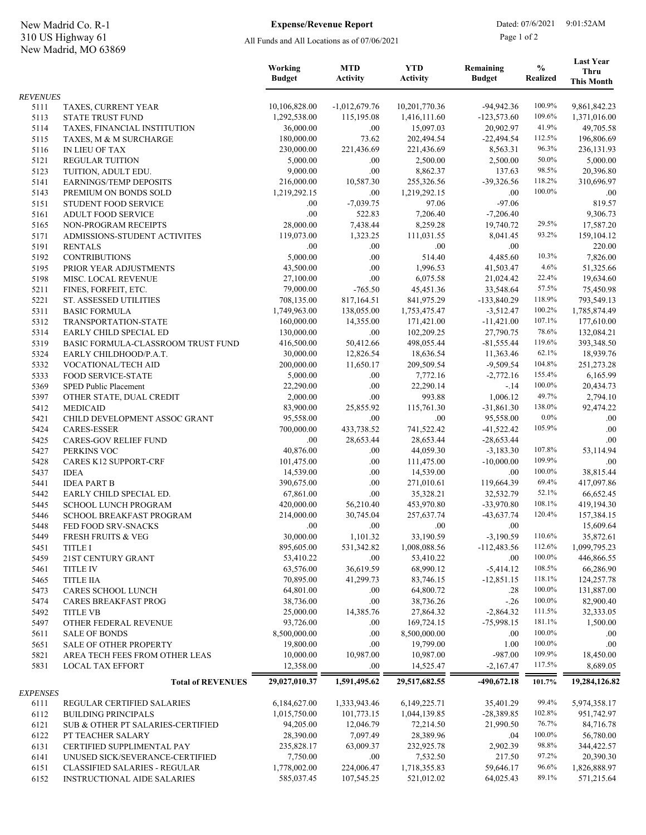All Funds and All Locations as of 07/06/2021

**Expense/Revenue Report** Dated: 07/6/2021 9:01:52AM **Expense/Revenue Report** Dated: 07/6/2021 9:01:52AM

| ٠ |  | ٠ |
|---|--|---|
|---|--|---|

|                 |                                                | Working<br><b>Budget</b> | <b>MTD</b><br><b>Activity</b> | <b>YTD</b><br><b>Activity</b> | Remaining<br><b>Budget</b> | $\frac{0}{0}$<br><b>Realized</b> | <b>Last Year</b><br><b>Thru</b><br><b>This Month</b> |
|-----------------|------------------------------------------------|--------------------------|-------------------------------|-------------------------------|----------------------------|----------------------------------|------------------------------------------------------|
| <b>REVENUES</b> |                                                |                          |                               |                               |                            |                                  |                                                      |
| 5111            | TAXES, CURRENT YEAR                            | 10,106,828.00            | $-1,012,679.76$               | 10,201,770.36                 | $-94,942.36$               | 100.9%                           | 9,861,842.23                                         |
| 5113            | <b>STATE TRUST FUND</b>                        | 1,292,538.00             | 115,195.08                    | 1,416,111.60                  | $-123,573.60$              | 109.6%                           | 1,371,016.00                                         |
| 5114            | TAXES, FINANCIAL INSTITUTION                   | 36,000.00                | .00.                          | 15,097.03                     | 20,902.97                  | 41.9%                            | 49,705.58                                            |
| 5115            | TAXES, M & M SURCHARGE                         | 180,000.00               | 73.62                         | 202,494.54                    | $-22,494.54$               | 112.5%                           | 196,806.69                                           |
| 5116            | IN LIEU OF TAX                                 | 230,000.00               | 221,436.69                    | 221,436.69                    | 8,563.31                   | 96.3%                            | 236,131.93                                           |
| 5121            | <b>REGULAR TUITION</b>                         | 5,000.00                 | .00                           | 2,500.00                      | 2,500.00                   | 50.0%                            | 5,000.00                                             |
| 5123            | TUITION, ADULT EDU.                            | 9,000.00                 | .00.                          | 8,862.37                      | 137.63                     | 98.5%                            | 20,396.80                                            |
| 5141            | <b>EARNINGS/TEMP DEPOSITS</b>                  | 216,000.00               | 10,587.30                     | 255,326.56                    | $-39,326.56$               | 118.2%                           | 310,696.97                                           |
| 5143            | PREMIUM ON BONDS SOLD                          | 1,219,292.15             | .00                           | 1,219,292.15                  | .00.                       | 100.0%                           | .00                                                  |
| 5151            | <b>STUDENT FOOD SERVICE</b>                    | .00.                     | $-7,039.75$                   | 97.06                         | $-97.06$                   |                                  | 819.57                                               |
| 5161            | ADULT FOOD SERVICE                             | $.00\,$<br>28,000.00     | 522.83<br>7,438.44            | 7,206.40                      | $-7,206.40$<br>19,740.72   | 29.5%                            | 9,306.73<br>17,587.20                                |
| 5165<br>5171    | NON-PROGRAM RECEIPTS                           | 119,073.00               | 1,323.25                      | 8,259.28<br>111,031.55        | 8,041.45                   | 93.2%                            | 159,104.12                                           |
| 5191            | ADMISSIONS-STUDENT ACTIVITES<br><b>RENTALS</b> | .00.                     | .00.                          | .00                           | .00                        |                                  | 220.00                                               |
| 5192            | <b>CONTRIBUTIONS</b>                           | 5,000.00                 | .00.                          | 514.40                        | 4,485.60                   | 10.3%                            | 7,826.00                                             |
| 5195            | PRIOR YEAR ADJUSTMENTS                         | 43,500.00                | .00.                          | 1,996.53                      | 41,503.47                  | 4.6%                             | 51,325.66                                            |
| 5198            | MISC. LOCAL REVENUE                            | 27,100.00                | .00.                          | 6,075.58                      | 21,024.42                  | 22.4%                            | 19,634.60                                            |
| 5211            | FINES, FORFEIT, ETC.                           | 79,000.00                | $-765.50$                     | 45,451.36                     | 33,548.64                  | 57.5%                            | 75,450.98                                            |
| 5221            | ST. ASSESSED UTILITIES                         | 708,135.00               | 817,164.51                    | 841,975.29                    | $-133,840.29$              | 118.9%                           | 793,549.13                                           |
| 5311            | <b>BASIC FORMULA</b>                           | 1,749,963.00             | 138,055.00                    | 1,753,475.47                  | $-3,512.47$                | 100.2%                           | 1,785,874.49                                         |
| 5312            | TRANSPORTATION-STATE                           | 160,000.00               | 14,355.00                     | 171,421.00                    | $-11,421.00$               | 107.1%                           | 177,610.00                                           |
| 5314            | EARLY CHILD SPECIAL ED                         | 130,000.00               | .00.                          | 102,209.25                    | 27,790.75                  | 78.6%                            | 132,084.21                                           |
| 5319            | BASIC FORMULA-CLASSROOM TRUST FUND             | 416,500.00               | 50,412.66                     | 498,055.44                    | $-81,555.44$               | 119.6%                           | 393,348.50                                           |
| 5324            | EARLY CHILDHOOD/P.A.T.                         | 30,000.00                | 12,826.54                     | 18,636.54                     | 11,363.46                  | 62.1%                            | 18,939.76                                            |
| 5332            | VOCATIONAL/TECH AID                            | 200,000.00               | 11,650.17                     | 209,509.54                    | $-9,509.54$                | 104.8%                           | 251,273.28                                           |
| 5333            | <b>FOOD SERVICE-STATE</b>                      | 5,000.00                 | .00.                          | 7,772.16                      | $-2,772.16$                | 155.4%                           | 6,165.99                                             |
| 5369            | SPED Public Placement                          | 22,290.00                | .00.                          | 22,290.14                     | $-.14$                     | 100.0%                           | 20,434.73                                            |
| 5397            | OTHER STATE, DUAL CREDIT                       | 2,000.00                 | .00                           | 993.88                        | 1,006.12                   | 49.7%                            | 2,794.10                                             |
| 5412            | <b>MEDICAID</b>                                | 83,900.00                | 25,855.92                     | 115,761.30                    | $-31,861.30$               | 138.0%                           | 92,474.22                                            |
| 5421            | CHILD DEVELOPMENT ASSOC GRANT                  | 95,558.00                | $.00\,$                       | .00                           | 95,558.00                  | $0.0\%$                          | .00                                                  |
| 5424            | <b>CARES-ESSER</b>                             | 700,000.00               | 433,738.52                    | 741,522.42                    | $-41,522.42$               | 105.9%                           | $.00\,$                                              |
| 5425            | <b>CARES-GOV RELIEF FUND</b>                   | .00.                     | 28,653.44                     | 28,653.44                     | $-28,653.44$               |                                  | .00                                                  |
| 5427            | PERKINS VOC                                    | 40,876.00                | .00.                          | 44,059.30                     | $-3,183.30$                | 107.8%                           | 53,114.94                                            |
| 5428            | <b>CARES K12 SUPPORT-CRF</b>                   | 101,475.00               | .00.                          | 111,475.00                    | $-10,000.00$               | 109.9%                           | .00                                                  |
| 5437            | <b>IDEA</b>                                    | 14,539.00                | .00.                          | 14,539.00                     | .00.                       | 100.0%                           | 38,815.44                                            |
| 5441            | <b>IDEA PART B</b>                             | 390,675.00               | .00                           | 271,010.61                    | 119,664.39                 | 69.4%                            | 417,097.86                                           |
| 5442            | EARLY CHILD SPECIAL ED.                        | 67,861.00                | .00.                          | 35,328.21                     | 32,532.79                  | 52.1%                            | 66,652.45                                            |
| 5445            | <b>SCHOOL LUNCH PROGRAM</b>                    | 420,000.00               | 56,210.40                     | 453,970.80                    | $-33,970.80$               | 108.1%                           | 419,194.30                                           |
| 5446            | SCHOOL BREAKFAST PROGRAM                       | 214,000.00               | 30,745.04                     | 257,637.74                    | $-43,637.74$               | 120.4%                           | 157,384.15                                           |
| 5448            | <b>FED FOOD SRV-SNACKS</b>                     | .00                      | .00                           | .00                           | .00                        |                                  | 15,609.64                                            |
| 5449            | <b>FRESH FRUITS &amp; VEG</b>                  | 30,000.00                | 1,101.32                      | 33,190.59                     | $-3,190.59$                | 110.6%                           | 35,872.61                                            |
| 5451            | <b>TITLE I</b>                                 | 895,605.00               | 531,342.82                    | 1,008,088.56                  | $-112,483.56$              | 112.6%<br>100.0%                 | 1,099,795.23                                         |
| 5459<br>5461    | 21ST CENTURY GRANT                             | 53,410.22<br>63,576.00   | .00.<br>36,619.59             | 53,410.22<br>68,990.12        | .00<br>$-5,414.12$         | 108.5%                           | 446,866.55<br>66,286.90                              |
|                 | <b>TITLE IV</b>                                | 70,895.00                | 41,299.73                     | 83,746.15                     | $-12,851.15$               | 118.1%                           | 124,257.78                                           |
| 5465<br>5473    | <b>TITLE IIA</b><br><b>CARES SCHOOL LUNCH</b>  | 64,801.00                | .00.                          | 64,800.72                     | .28                        | 100.0%                           | 131,887.00                                           |
| 5474            | <b>CARES BREAKFAST PROG</b>                    | 38,736.00                | .00.                          | 38,736.26                     | $-.26$                     | 100.0%                           | 82,900.40                                            |
| 5492            | <b>TITLE VB</b>                                | 25,000.00                | 14,385.76                     | 27,864.32                     | $-2,864.32$                | 111.5%                           | 32,333.05                                            |
| 5497            | OTHER FEDERAL REVENUE                          | 93,726.00                | .00.                          | 169,724.15                    | $-75,998.15$               | 181.1%                           | 1,500.00                                             |
| 5611            | <b>SALE OF BONDS</b>                           | 8,500,000.00             | .00.                          | 8,500,000.00                  | .00                        | 100.0%                           | .00.                                                 |
| 5651            | <b>SALE OF OTHER PROPERTY</b>                  | 19,800.00                | .00.                          | 19,799.00                     | 1.00                       | 100.0%                           | .00                                                  |
| 5821            | AREA TECH FEES FROM OTHER LEAS                 | 10,000.00                | 10,987.00                     | 10,987.00                     | $-987.00$                  | 109.9%                           | 18,450.00                                            |
| 5831            | <b>LOCAL TAX EFFORT</b>                        | 12,358.00                | .00                           | 14,525.47                     | $-2,167.47$                | 117.5%                           | 8,689.05                                             |
|                 |                                                |                          |                               |                               |                            |                                  |                                                      |
| <b>EXPENSES</b> | <b>Total of REVENUES</b>                       | 29,027,010.37            | 1,591,495.62                  | 29,517,682.55                 | $-490,672.18$              | 101.7%                           | 19,284,126.82                                        |
| 6111            | REGULAR CERTIFIED SALARIES                     | 6,184,627.00             | 1,333,943.46                  | 6,149,225.71                  | 35,401.29                  | 99.4%                            | 5,974,358.17                                         |
| 6112            | <b>BUILDING PRINCIPALS</b>                     | 1,015,750.00             | 101,773.15                    | 1,044,139.85                  | $-28,389.85$               | 102.8%                           | 951,742.97                                           |
| 6121            | SUB & OTHER PT SALARIES-CERTIFIED              | 94,205.00                | 12,046.79                     | 72,214.50                     | 21,990.50                  | 76.7%                            | 84,716.78                                            |
| 6122            | PT TEACHER SALARY                              | 28,390.00                | 7,097.49                      | 28,389.96                     | .04                        | 100.0%                           | 56,780.00                                            |
| 6131            | CERTIFIED SUPPLIMENTAL PAY                     | 235,828.17               | 63,009.37                     | 232,925.78                    | 2,902.39                   | 98.8%                            | 344,422.57                                           |
| 6141            | UNUSED SICK/SEVERANCE-CERTIFIED                | 7,750.00                 | .00.                          | 7,532.50                      | 217.50                     | 97.2%                            | 20,390.30                                            |
| 6151            | <b>CLASSIFIED SALARIES - REGULAR</b>           | 1,778,002.00             | 224,006.47                    | 1,718,355.83                  | 59,646.17                  | 96.6%                            | 1,826,888.97                                         |
| 6152            | <b>INSTRUCTIONAL AIDE SALARIES</b>             | 585,037.45               | 107,545.25                    | 521,012.02                    | 64,025.43                  | 89.1%                            | 571,215.64                                           |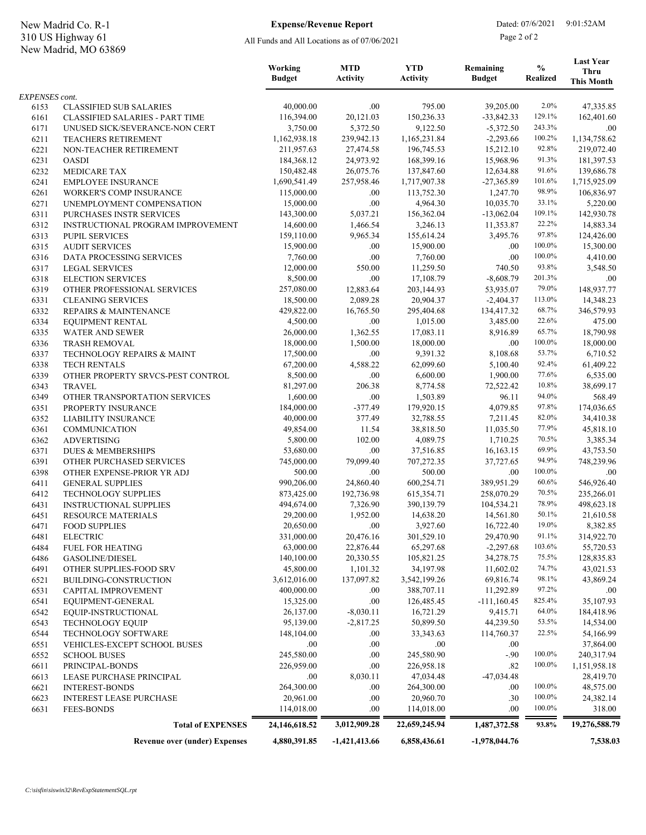All Funds and All Locations as of 07/06/2021

**Expense/Revenue Report** Dated: 07/6/2021 9:01:52AM **Expense/Revenue Report** Dated: 07/6/2021 9:01:52AM

Page 2 of 2

|                       |                                                            | Working<br><b>Budget</b> | <b>MTD</b><br><b>Activity</b> | <b>YTD</b><br>Activity | Remaining<br><b>Budget</b> | $\frac{0}{0}$<br><b>Realized</b> | <b>Last Year</b><br><b>Thru</b><br><b>This Month</b> |
|-----------------------|------------------------------------------------------------|--------------------------|-------------------------------|------------------------|----------------------------|----------------------------------|------------------------------------------------------|
| <b>EXPENSES</b> cont. |                                                            |                          |                               |                        |                            |                                  |                                                      |
| 6153                  | <b>CLASSIFIED SUB SALARIES</b>                             | 40,000.00                | .00.                          | 795.00                 | 39,205.00                  | 2.0%                             | 47,335.85                                            |
| 6161                  | <b>CLASSIFIED SALARIES - PART TIME</b>                     | 116,394.00               | 20,121.03                     | 150,236.33             | $-33,842.33$               | 129.1%                           | 162,401.60                                           |
| 6171                  | UNUSED SICK/SEVERANCE-NON CERT                             | 3,750.00                 | 5,372.50                      | 9,122.50               | $-5,372.50$                | 243.3%                           | .00                                                  |
| 6211                  | TEACHERS RETIREMENT                                        | 1,162,938.18             | 239,942.13                    | 1,165,231.84           | $-2,293.66$                | 100.2%                           | 1,134,758.62                                         |
| 6221                  | NON-TEACHER RETIREMENT                                     | 211,957.63               | 27,474.58                     | 196,745.53             | 15,212.10                  | 92.8%                            | 219,072.40                                           |
| 6231                  | <b>OASDI</b>                                               | 184,368.12               | 24,973.92                     | 168,399.16             | 15,968.96                  | 91.3%                            | 181,397.53                                           |
| 6232                  | MEDICARE TAX                                               | 150,482.48               | 26,075.76                     | 137,847.60             | 12,634.88                  | 91.6%<br>101.6%                  | 139,686.78                                           |
| 6241                  | <b>EMPLOYEE INSURANCE</b>                                  | 1,690,541.49             | 257,958.46                    | 1,717,907.38           | $-27,365.89$               | 98.9%                            | 1,715,925.09                                         |
| 6261                  | <b>WORKER'S COMP INSURANCE</b>                             | 115,000.00               | .00.                          | 113,752.30             | 1,247.70<br>10.035.70      | 33.1%                            | 106,836.97                                           |
| 6271                  | UNEMPLOYMENT COMPENSATION                                  | 15,000.00<br>143,300.00  | .00<br>5,037.21               | 4,964.30<br>156,362.04 | $-13,062.04$               | 109.1%                           | 5,220.00<br>142,930.78                               |
| 6311<br>6312          | PURCHASES INSTR SERVICES                                   | 14,600.00                | 1,466.54                      | 3,246.13               | 11,353.87                  | 22.2%                            | 14,883.34                                            |
| 6313                  | INSTRUCTIONAL PROGRAM IMPROVEMENT<br><b>PUPIL SERVICES</b> | 159,110.00               | 9,965.34                      | 155,614.24             | 3,495.76                   | 97.8%                            | 124,426.00                                           |
| 6315                  | <b>AUDIT SERVICES</b>                                      | 15,900.00                | .00                           | 15,900.00              | .00                        | 100.0%                           | 15,300.00                                            |
| 6316                  | DATA PROCESSING SERVICES                                   | 7,760.00                 | .00                           | 7,760.00               | .00                        | 100.0%                           | 4,410.00                                             |
| 6317                  | <b>LEGAL SERVICES</b>                                      | 12,000.00                | 550.00                        | 11.259.50              | 740.50                     | 93.8%                            | 3,548.50                                             |
| 6318                  | <b>ELECTION SERVICES</b>                                   | 8,500.00                 | .00                           | 17,108.79              | $-8,608.79$                | 201.3%                           | .00                                                  |
| 6319                  | OTHER PROFESSIONAL SERVICES                                | 257,080.00               | 12,883.64                     | 203,144.93             | 53,935.07                  | 79.0%                            | 148,937.77                                           |
| 6331                  | <b>CLEANING SERVICES</b>                                   | 18,500.00                | 2,089.28                      | 20,904.37              | $-2,404.37$                | 113.0%                           | 14,348.23                                            |
| 6332                  | REPAIRS & MAINTENANCE                                      | 429,822.00               | 16,765.50                     | 295,404.68             | 134,417.32                 | 68.7%                            | 346,579.93                                           |
| 6334                  | <b>EQUIPMENT RENTAL</b>                                    | 4,500.00                 | .00                           | 1,015.00               | 3,485.00                   | 22.6%                            | 475.00                                               |
| 6335                  | <b>WATER AND SEWER</b>                                     | 26,000.00                | 1,362.55                      | 17,083.11              | 8,916.89                   | 65.7%                            | 18,790.98                                            |
| 6336                  | <b>TRASH REMOVAL</b>                                       | 18,000.00                | 1,500.00                      | 18,000.00              | .00                        | 100.0%                           | 18,000.00                                            |
| 6337                  | TECHNOLOGY REPAIRS & MAINT                                 | 17,500.00                | .00                           | 9,391.32               | 8,108.68                   | 53.7%                            | 6,710.52                                             |
| 6338                  | <b>TECH RENTALS</b>                                        | 67,200.00                | 4,588.22                      | 62,099.60              | 5,100.40                   | 92.4%                            | 61,409.22                                            |
| 6339                  | OTHER PROPERTY SRVCS-PEST CONTROL                          | 8,500.00                 | .00                           | 6,600.00               | 1,900.00                   | 77.6%                            | 6,535.00                                             |
| 6343                  | <b>TRAVEL</b>                                              | 81,297.00                | 206.38                        | 8,774.58               | 72,522.42                  | 10.8%                            | 38,699.17                                            |
| 6349                  | OTHER TRANSPORTATION SERVICES                              | 1,600.00                 | .00                           | 1,503.89               | 96.11                      | 94.0%                            | 568.49                                               |
| 6351                  | PROPERTY INSURANCE                                         | 184,000.00               | $-377.49$                     | 179,920.15             | 4,079.85                   | 97.8%                            | 174,036.65                                           |
| 6352                  | <b>LIABILITY INSURANCE</b>                                 | 40,000.00                | 377.49                        | 32,788.55              | 7,211.45                   | 82.0%                            | 34,410.38                                            |
| 6361                  | <b>COMMUNICATION</b>                                       | 49,854.00                | 11.54                         | 38,818.50              | 11,035.50                  | 77.9%                            | 45,818.10                                            |
| 6362                  | <b>ADVERTISING</b>                                         | 5,800.00                 | 102.00                        | 4,089.75               | 1,710.25                   | 70.5%                            | 3,385.34                                             |
| 6371                  | <b>DUES &amp; MEMBERSHIPS</b>                              | 53,680.00                | .00                           | 37,516.85              | 16,163.15                  | 69.9%                            | 43,753.50                                            |
| 6391                  | OTHER PURCHASED SERVICES                                   | 745,000.00               | 79,099.40                     | 707,272.35             | 37,727.65                  | 94.9%                            | 748,239.96                                           |
| 6398                  | OTHER EXPENSE-PRIOR YR ADJ                                 | 500.00                   | .00                           | 500.00                 | .00.                       | 100.0%                           | .00                                                  |
| 6411                  | <b>GENERAL SUPPLIES</b>                                    | 990,206.00               | 24,860.40                     | 600,254.71             | 389,951.29                 | 60.6%                            | 546,926.40                                           |
| 6412                  | <b>TECHNOLOGY SUPPLIES</b>                                 | 873,425.00               | 192,736.98                    | 615,354.71             | 258,070.29                 | 70.5%                            | 235,266.01                                           |
| 6431                  | <b>INSTRUCTIONAL SUPPLIES</b>                              | 494,674.00               | 7,326.90                      | 390,139.79             | 104,534.21                 | 78.9%                            | 498,623.18                                           |
| 6451                  | <b>RESOURCE MATERIALS</b>                                  | 29,200.00                | 1,952.00                      | 14,638.20              | 14,561.80                  | 50.1%                            | 21,610.58                                            |
| 6471                  | <b>FOOD SUPPLIES</b>                                       | 20,650.00                | .00                           | 3,927.60               | 16,722.40                  | 19.0%                            | 8,382.85                                             |
| 6481                  | <b>ELECTRIC</b>                                            | 331,000.00               | 20,476.16                     | 301,529.10             | 29,470.90                  | 91.1%                            | 314,922.70                                           |
| 6484                  | <b>FUEL FOR HEATING</b>                                    | 63,000.00                | 22,876.44                     | 65,297.68              | $-2,297.68$                | 103.6%                           | 55,720.53                                            |
| 6486                  | GASOLINE/DIESEL                                            | 140,100.00               | 20,330.55                     | 105,821.25             | 34,278.75                  | 75.5%                            | 128,835.83                                           |
| 6491                  | OTHER SUPPLIES-FOOD SRV                                    | 45,800.00                | 1,101.32                      | 34,197.98              | 11,602.02                  | 74.7%                            | 43,021.53                                            |
| 6521                  | BUILDING-CONSTRUCTION                                      | 3,612,016.00             | 137,097.82                    | 3,542,199.26           | 69,816.74                  | 98.1%                            | 43,869.24                                            |
| 6531                  | CAPITAL IMPROVEMENT                                        | 400,000.00               | .00                           | 388,707.11             | 11,292.89                  | 97.2%                            | .00.                                                 |
| 6541                  | EQUIPMENT-GENERAL                                          | 15,325.00                | .00                           | 126,485.45             | $-111,160.45$              | 825.4%                           | 35,107.93                                            |
| 6542                  | EQUIP-INSTRUCTIONAL                                        | 26,137.00                | $-8,030.11$                   | 16,721.29              | 9,415.71                   | 64.0%                            | 184,418.96                                           |
| 6543                  | TECHNOLOGY EQUIP                                           | 95,139.00                | $-2,817.25$                   | 50,899.50              | 44,239.50                  | 53.5%                            | 14,534.00                                            |
| 6544                  | TECHNOLOGY SOFTWARE                                        | 148,104.00               | .00.                          | 33, 343. 63            | 114,760.37                 | 22.5%                            | 54,166.99                                            |
| 6551                  | VEHICLES-EXCEPT SCHOOL BUSES                               | .00.                     | .00                           | .00                    | .00.                       |                                  | 37,864.00                                            |
| 6552                  | <b>SCHOOL BUSES</b>                                        | 245,580.00               | .00                           | 245,580.90             | $-.90$                     | 100.0%                           | 240,317.94                                           |
| 6611                  | PRINCIPAL-BONDS                                            | 226,959.00               | .00                           | 226,958.18             | .82                        | 100.0%                           | 1,151,958.18                                         |
| 6613                  | LEASE PURCHASE PRINCIPAL                                   | .00                      | 8,030.11                      | 47,034.48              | $-47,034.48$               |                                  | 28,419.70                                            |
| 6621                  | <b>INTEREST-BONDS</b>                                      | 264,300.00               | .00                           | 264,300.00             | .00.                       | 100.0%                           | 48,575.00                                            |
| 6623                  | <b>INTEREST LEASE PURCHASE</b>                             | 20,961.00                | .00                           | 20,960.70              | .30                        | 100.0%                           | 24,382.14                                            |
| 6631                  | <b>FEES-BONDS</b>                                          | 114,018.00               | .00                           | 114,018.00             | .00.                       | 100.0%                           | 318.00                                               |
|                       | <b>Total of EXPENSES</b>                                   | 24,146,618.52            | 3,012,909.28                  | 22,659,245.94          | 1,487,372.58               | 93.8%                            | 19,276,588.79                                        |
|                       | <b>Revenue over (under) Expenses</b>                       | 4,880,391.85             | $-1,421,413.66$               | 6,858,436.61           | $-1,978,044.76$            |                                  | 7,538.03                                             |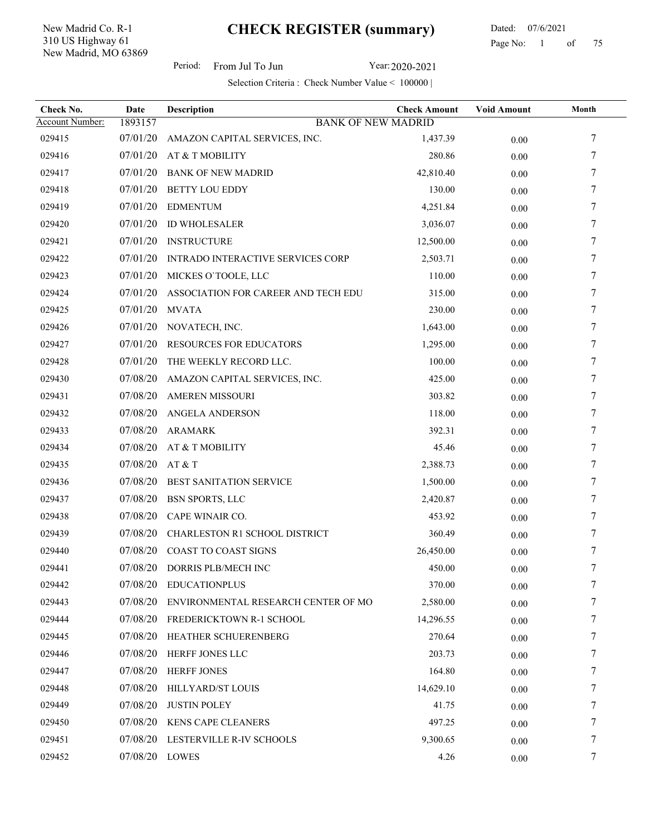New Madrid, MO 63869 310 US Highway 61 New Madrid Co. R-1

 Page No: 1 of

Period: From Jul To Jun Year: 2020-2021

Selection Criteria : Check Number Value < 100000 |

| Check No.       | Date           | <b>Description</b>                   | <b>Check Amount</b> | <b>Void Amount</b> | Month |
|-----------------|----------------|--------------------------------------|---------------------|--------------------|-------|
| Account Number: | 1893157        | <b>BANK OF NEW MADRID</b>            |                     |                    |       |
| 029415          | 07/01/20       | AMAZON CAPITAL SERVICES, INC.        | 1,437.39            | 0.00               | 7     |
| 029416          | 07/01/20       | AT & T MOBILITY                      | 280.86              | 0.00               | 7     |
| 029417          | 07/01/20       | <b>BANK OF NEW MADRID</b>            | 42,810.40           | 0.00               | 7     |
| 029418          | 07/01/20       | BETTY LOU EDDY                       | 130.00              | 0.00               | 7     |
| 029419          | 07/01/20       | <b>EDMENTUM</b>                      | 4,251.84            | 0.00               | 7     |
| 029420          | 07/01/20       | <b>ID WHOLESALER</b>                 | 3,036.07            | 0.00               | 7     |
| 029421          | 07/01/20       | <b>INSTRUCTURE</b>                   | 12,500.00           | 0.00               | 7     |
| 029422          | 07/01/20       | INTRADO INTERACTIVE SERVICES CORP    | 2,503.71            | 0.00               | 7     |
| 029423          | 07/01/20       | MICKES O'TOOLE, LLC                  | 110.00              | 0.00               | 7     |
| 029424          | 07/01/20       | ASSOCIATION FOR CAREER AND TECH EDU  | 315.00              | 0.00               | 7     |
| 029425          | 07/01/20       | <b>MVATA</b>                         | 230.00              | 0.00               | 7     |
| 029426          | 07/01/20       | NOVATECH, INC.                       | 1,643.00            | 0.00               | 7     |
| 029427          | 07/01/20       | <b>RESOURCES FOR EDUCATORS</b>       | 1,295.00            | 0.00               | 7     |
| 029428          | 07/01/20       | THE WEEKLY RECORD LLC.               | 100.00              | 0.00               | 7     |
| 029430          | 07/08/20       | AMAZON CAPITAL SERVICES, INC.        | 425.00              | 0.00               | 7     |
| 029431          | 07/08/20       | <b>AMEREN MISSOURI</b>               | 303.82              | 0.00               | 7     |
| 029432          | 07/08/20       | ANGELA ANDERSON                      | 118.00              | 0.00               | 7     |
| 029433          | 07/08/20       | <b>ARAMARK</b>                       | 392.31              | 0.00               | 7     |
| 029434          | 07/08/20       | AT & T MOBILITY                      | 45.46               | 0.00               | 7     |
| 029435          | 07/08/20       | AT & T                               | 2,388.73            | 0.00               | 7     |
| 029436          | 07/08/20       | <b>BEST SANITATION SERVICE</b>       | 1,500.00            | 0.00               | 7     |
| 029437          | 07/08/20       | <b>BSN SPORTS, LLC</b>               | 2,420.87            | 0.00               | 7     |
| 029438          | 07/08/20       | CAPE WINAIR CO.                      | 453.92              | 0.00               | 7     |
| 029439          | 07/08/20       | <b>CHARLESTON R1 SCHOOL DISTRICT</b> | 360.49              | 0.00               | 7     |
| 029440          | 07/08/20       | <b>COAST TO COAST SIGNS</b>          | 26,450.00           | 0.00               | 7     |
| 029441          | 07/08/20       | DORRIS PLB/MECH INC                  | 450.00              | 0.00               | 7     |
| 029442          | 07/08/20       | <b>EDUCATIONPLUS</b>                 | 370.00              | 0.00               | 7     |
| 029443          | 07/08/20       | ENVIRONMENTAL RESEARCH CENTER OF MO  | 2,580.00            | 0.00               | 7     |
| 029444          | 07/08/20       | FREDERICKTOWN R-1 SCHOOL             | 14,296.55           | 0.00               | 7     |
| 029445          | 07/08/20       | HEATHER SCHUERENBERG                 | 270.64              | 0.00               | 7     |
| 029446          | 07/08/20       | HERFF JONES LLC                      | 203.73              | 0.00               | 7     |
| 029447          | 07/08/20       | <b>HERFF JONES</b>                   | 164.80              | 0.00               |       |
| 029448          | 07/08/20       | HILLYARD/ST LOUIS                    | 14,629.10           | 0.00               | 7     |
| 029449          | 07/08/20       | <b>JUSTIN POLEY</b>                  | 41.75               | 0.00               | 7     |
| 029450          | 07/08/20       | KENS CAPE CLEANERS                   | 497.25              | 0.00               |       |
| 029451          | 07/08/20       | LESTERVILLE R-IV SCHOOLS             | 9,300.65            | 0.00               | 7     |
| 029452          | 07/08/20 LOWES |                                      | 4.26                | 0.00               | 7     |

Dated: 07/6/2021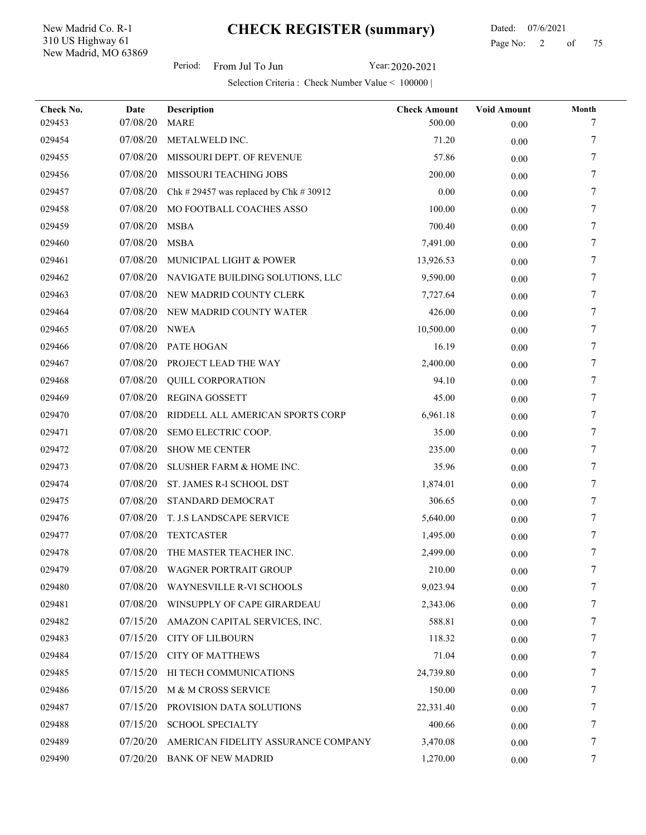New Madrid, MO 63869 310 US Highway 61 New Madrid Co. R-1

l,

### Dated: 07/6/2021 Page No: 2 of

Period: From Jul To Jun Year: 2020-2021

| Check No. | Date     | Description                             | <b>Check Amount</b> | <b>Void Amount</b> | Month |
|-----------|----------|-----------------------------------------|---------------------|--------------------|-------|
| 029453    | 07/08/20 | <b>MARE</b>                             | 500.00              | 0.00               |       |
| 029454    | 07/08/20 | METALWELD INC.                          | 71.20               | 0.00               | 7     |
| 029455    | 07/08/20 | MISSOURI DEPT. OF REVENUE               | 57.86               | 0.00               | 7     |
| 029456    | 07/08/20 | MISSOURI TEACHING JOBS                  | 200.00              | 0.00               | 7     |
| 029457    | 07/08/20 | Chk # 29457 was replaced by Chk # 30912 | 0.00                | 0.00               | 7     |
| 029458    | 07/08/20 | MO FOOTBALL COACHES ASSO                | 100.00              | $0.00\,$           | 7     |
| 029459    | 07/08/20 | <b>MSBA</b>                             | 700.40              | $0.00\,$           | 7     |
| 029460    | 07/08/20 | <b>MSBA</b>                             | 7,491.00            | 0.00               | 7     |
| 029461    | 07/08/20 | MUNICIPAL LIGHT & POWER                 | 13,926.53           | $0.00\,$           | 7     |
| 029462    | 07/08/20 | NAVIGATE BUILDING SOLUTIONS, LLC        | 9,590.00            | 0.00               | 7     |
| 029463    | 07/08/20 | NEW MADRID COUNTY CLERK                 | 7,727.64            | 0.00               | 7     |
| 029464    | 07/08/20 | NEW MADRID COUNTY WATER                 | 426.00              | 0.00               | 7     |
| 029465    | 07/08/20 | <b>NWEA</b>                             | 10,500.00           | 0.00               | 7     |
| 029466    | 07/08/20 | PATE HOGAN                              | 16.19               | 0.00               | 7     |
| 029467    | 07/08/20 | PROJECT LEAD THE WAY                    | 2,400.00            | $0.00\,$           | 7     |
| 029468    | 07/08/20 | <b>QUILL CORPORATION</b>                | 94.10               | 0.00               | 7     |
| 029469    | 07/08/20 | <b>REGINA GOSSETT</b>                   | 45.00               | $0.00\,$           | 7     |
| 029470    | 07/08/20 | RIDDELL ALL AMERICAN SPORTS CORP        | 6,961.18            | 0.00               | 7     |
| 029471    | 07/08/20 | SEMO ELECTRIC COOP.                     | 35.00               | 0.00               | 7     |
| 029472    | 07/08/20 | <b>SHOW ME CENTER</b>                   | 235.00              | 0.00               | 7     |
| 029473    | 07/08/20 | SLUSHER FARM & HOME INC.                | 35.96               | $0.00\,$           | 7     |
| 029474    | 07/08/20 | ST. JAMES R-I SCHOOL DST                | 1,874.01            | 0.00               | 7     |
| 029475    | 07/08/20 | STANDARD DEMOCRAT                       | 306.65              | $0.00\,$           | 7     |
| 029476    | 07/08/20 | T. J.S LANDSCAPE SERVICE                | 5,640.00            | $0.00\,$           | 7     |
| 029477    | 07/08/20 | <b>TEXTCASTER</b>                       | 1,495.00            | 0.00               | 7     |
| 029478    | 07/08/20 | THE MASTER TEACHER INC.                 | 2,499.00            | 0.00               | 7     |
| 029479    | 07/08/20 | WAGNER PORTRAIT GROUP                   | 210.00              | $0.00\,$           | 7     |
| 029480    | 07/08/20 | WAYNESVILLE R-VI SCHOOLS                | 9,023.94            | 0.00               | 7     |
| 029481    | 07/08/20 | WINSUPPLY OF CAPE GIRARDEAU             | 2,343.06            | 0.00               | 7     |
| 029482    | 07/15/20 | AMAZON CAPITAL SERVICES, INC.           | 588.81              | $0.00\,$           | 7     |
| 029483    | 07/15/20 | <b>CITY OF LILBOURN</b>                 | 118.32              | 0.00               | 7     |
| 029484    | 07/15/20 | <b>CITY OF MATTHEWS</b>                 | 71.04               | 0.00               |       |
| 029485    | 07/15/20 | HI TECH COMMUNICATIONS                  | 24,739.80           | 0.00               | 7     |
| 029486    | 07/15/20 | M & M CROSS SERVICE                     | 150.00              | 0.00               | 7     |
| 029487    | 07/15/20 | PROVISION DATA SOLUTIONS                | 22,331.40           | 0.00               |       |
| 029488    | 07/15/20 | <b>SCHOOL SPECIALTY</b>                 | 400.66              | 0.00               | 7     |
| 029489    | 07/20/20 | AMERICAN FIDELITY ASSURANCE COMPANY     | 3,470.08            | $0.00\,$           | 7     |
| 029490    | 07/20/20 | <b>BANK OF NEW MADRID</b>               | 1,270.00            | $0.00\,$           | 7     |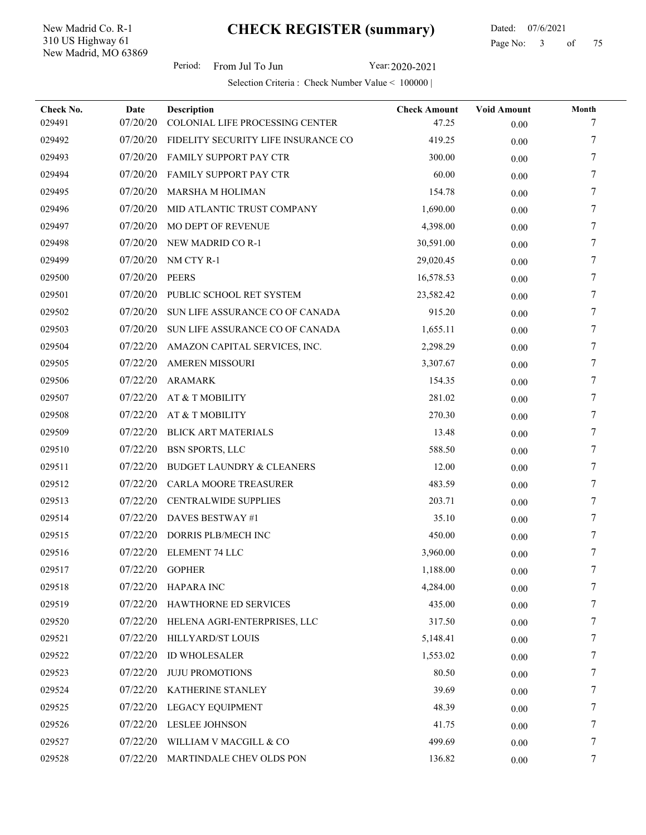New Madrid, MO 63869 310 US Highway 61 New Madrid Co. R-1

l,

 Dated: 07/6/2021 Page No: 3 of

Period: From Jul To Jun Year: 2020-2021

| Check No. | Date     | Description                          | <b>Check Amount</b> | <b>Void Amount</b> | Month |
|-----------|----------|--------------------------------------|---------------------|--------------------|-------|
| 029491    | 07/20/20 | COLONIAL LIFE PROCESSING CENTER      | 47.25               | 0.00               |       |
| 029492    | 07/20/20 | FIDELITY SECURITY LIFE INSURANCE CO  | 419.25              | 0.00               | 7     |
| 029493    | 07/20/20 | FAMILY SUPPORT PAY CTR               | 300.00              | 0.00               | 7     |
| 029494    | 07/20/20 | FAMILY SUPPORT PAY CTR               | 60.00               | 0.00               | 7     |
| 029495    | 07/20/20 | <b>MARSHA M HOLIMAN</b>              | 154.78              | 0.00               | 7     |
| 029496    | 07/20/20 | MID ATLANTIC TRUST COMPANY           | 1,690.00            | 0.00               | 7     |
| 029497    | 07/20/20 | <b>MO DEPT OF REVENUE</b>            | 4,398.00            | 0.00               | 7     |
| 029498    | 07/20/20 | NEW MADRID CO R-1                    | 30,591.00           | 0.00               | 7     |
| 029499    | 07/20/20 | NM CTY R-1                           | 29,020.45           | 0.00               | 7     |
| 029500    | 07/20/20 | <b>PEERS</b>                         | 16,578.53           | 0.00               | 7     |
| 029501    | 07/20/20 | PUBLIC SCHOOL RET SYSTEM             | 23,582.42           | 0.00               | 7     |
| 029502    | 07/20/20 | SUN LIFE ASSURANCE CO OF CANADA      | 915.20              | 0.00               | 7     |
| 029503    | 07/20/20 | SUN LIFE ASSURANCE CO OF CANADA      | 1,655.11            | 0.00               | 7     |
| 029504    | 07/22/20 | AMAZON CAPITAL SERVICES, INC.        | 2,298.29            | 0.00               | 7     |
| 029505    | 07/22/20 | <b>AMEREN MISSOURI</b>               | 3,307.67            | 0.00               | 7     |
| 029506    | 07/22/20 | <b>ARAMARK</b>                       | 154.35              | 0.00               | 7     |
| 029507    | 07/22/20 | AT & T MOBILITY                      | 281.02              | 0.00               | 7     |
| 029508    | 07/22/20 | AT & T MOBILITY                      | 270.30              | 0.00               | 7     |
| 029509    | 07/22/20 | <b>BLICK ART MATERIALS</b>           | 13.48               | 0.00               | 7     |
| 029510    | 07/22/20 | <b>BSN SPORTS, LLC</b>               | 588.50              | 0.00               | 7     |
| 029511    | 07/22/20 | <b>BUDGET LAUNDRY &amp; CLEANERS</b> | 12.00               | 0.00               | 7     |
| 029512    | 07/22/20 | <b>CARLA MOORE TREASURER</b>         | 483.59              | 0.00               | 7     |
| 029513    | 07/22/20 | CENTRALWIDE SUPPLIES                 | 203.71              | 0.00               | 7     |
| 029514    | 07/22/20 | DAVES BESTWAY #1                     | 35.10               | 0.00               | 7     |
| 029515    | 07/22/20 | DORRIS PLB/MECH INC                  | 450.00              | 0.00               | 7     |
| 029516    | 07/22/20 | ELEMENT 74 LLC                       | 3,960.00            | 0.00               | 7     |
| 029517    | 07/22/20 | <b>GOPHER</b>                        | 1,188.00            | 0.00               |       |
| 029518    | 07/22/20 | HAPARA INC                           | 4,284.00            | 0.00               | 7     |
| 029519    | 07/22/20 | HAWTHORNE ED SERVICES                | 435.00              | 0.00               | 7     |
| 029520    | 07/22/20 | HELENA AGRI-ENTERPRISES, LLC         | 317.50              | 0.00               | 7     |
| 029521    | 07/22/20 | HILLYARD/ST LOUIS                    | 5,148.41            | $0.00\,$           | 7     |
| 029522    | 07/22/20 | ID WHOLESALER                        | 1,553.02            | $0.00\,$           | 7     |
| 029523    | 07/22/20 | <b>JUJU PROMOTIONS</b>               | 80.50               | $0.00\,$           | 7     |
| 029524    | 07/22/20 | KATHERINE STANLEY                    | 39.69               | $0.00\,$           | 7     |
| 029525    | 07/22/20 | LEGACY EQUIPMENT                     | 48.39               | 0.00               |       |
| 029526    | 07/22/20 | LESLEE JOHNSON                       | 41.75               | $0.00\,$           | 7     |
| 029527    | 07/22/20 | WILLIAM V MACGILL & CO               | 499.69              | 0.00               | 7     |
| 029528    | 07/22/20 | MARTINDALE CHEV OLDS PON             | 136.82              | $0.00\,$           | 7     |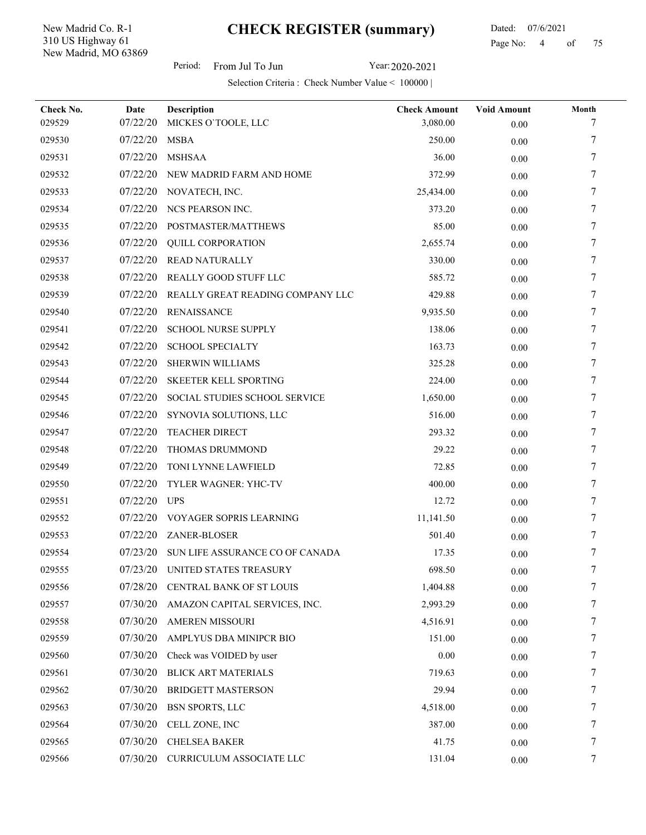New Madrid, MO 63869 310 US Highway 61 New Madrid Co. R-1

l,

 Dated: 07/6/2021 Page No: 4 of

Period: From Jul To Jun Year: 2020-2021

| Check No. | Date     | Description                      | <b>Check Amount</b> | <b>Void Amount</b> | Month |
|-----------|----------|----------------------------------|---------------------|--------------------|-------|
| 029529    | 07/22/20 | MICKES O'TOOLE, LLC              | 3,080.00            | 0.00               |       |
| 029530    | 07/22/20 | <b>MSBA</b>                      | 250.00              | 0.00               | 7     |
| 029531    | 07/22/20 | <b>MSHSAA</b>                    | 36.00               | 0.00               | 7     |
| 029532    | 07/22/20 | NEW MADRID FARM AND HOME         | 372.99              | $0.00\,$           | 7     |
| 029533    | 07/22/20 | NOVATECH, INC.                   | 25,434.00           | 0.00               | 7     |
| 029534    | 07/22/20 | NCS PEARSON INC.                 | 373.20              | 0.00               | 7     |
| 029535    | 07/22/20 | POSTMASTER/MATTHEWS              | 85.00               | 0.00               | 7     |
| 029536    | 07/22/20 | <b>QUILL CORPORATION</b>         | 2,655.74            | 0.00               | 7     |
| 029537    | 07/22/20 | <b>READ NATURALLY</b>            | 330.00              | 0.00               | 7     |
| 029538    | 07/22/20 | REALLY GOOD STUFF LLC            | 585.72              | $0.00\,$           | 7     |
| 029539    | 07/22/20 | REALLY GREAT READING COMPANY LLC | 429.88              | 0.00               | 7     |
| 029540    | 07/22/20 | <b>RENAISSANCE</b>               | 9,935.50            | 0.00               | 7     |
| 029541    | 07/22/20 | <b>SCHOOL NURSE SUPPLY</b>       | 138.06              | 0.00               | 7     |
| 029542    | 07/22/20 | <b>SCHOOL SPECIALTY</b>          | 163.73              | 0.00               | 7     |
| 029543    | 07/22/20 | <b>SHERWIN WILLIAMS</b>          | 325.28              | 0.00               | 7     |
| 029544    | 07/22/20 | SKEETER KELL SPORTING            | 224.00              | 0.00               | 7     |
| 029545    | 07/22/20 | SOCIAL STUDIES SCHOOL SERVICE    | 1,650.00            | 0.00               | 7     |
| 029546    | 07/22/20 | SYNOVIA SOLUTIONS, LLC           | 516.00              | $0.00\,$           | 7     |
| 029547    | 07/22/20 | <b>TEACHER DIRECT</b>            | 293.32              | 0.00               | 7     |
| 029548    | 07/22/20 | THOMAS DRUMMOND                  | 29.22               | 0.00               | 7     |
| 029549    | 07/22/20 | TONI LYNNE LAWFIELD              | 72.85               | 0.00               | 7     |
| 029550    | 07/22/20 | TYLER WAGNER: YHC-TV             | 400.00              | 0.00               | 7     |
| 029551    | 07/22/20 | <b>UPS</b>                       | 12.72               | 0.00               | 7     |
| 029552    | 07/22/20 | VOYAGER SOPRIS LEARNING          | 11,141.50           | 0.00               | 7     |
| 029553    | 07/22/20 | ZANER-BLOSER                     | 501.40              | 0.00               | 7     |
| 029554    | 07/23/20 | SUN LIFE ASSURANCE CO OF CANADA  | 17.35               | 0.00               | 7     |
| 029555    | 07/23/20 | UNITED STATES TREASURY           | 698.50              | $0.00\,$           | 7     |
| 029556    | 07/28/20 | CENTRAL BANK OF ST LOUIS         | 1,404.88            | $0.00\,$           | 7     |
| 029557    | 07/30/20 | AMAZON CAPITAL SERVICES, INC.    | 2,993.29            | 0.00               | 7     |
| 029558    | 07/30/20 | <b>AMEREN MISSOURI</b>           | 4,516.91            | 0.00               |       |
| 029559    | 07/30/20 | AMPLYUS DBA MINIPCR BIO          | 151.00              | $0.00\,$           | 7     |
| 029560    | 07/30/20 | Check was VOIDED by user         | 0.00                | 0.00               | 7     |
| 029561    | 07/30/20 | <b>BLICK ART MATERIALS</b>       | 719.63              | $0.00\,$           | 7     |
| 029562    | 07/30/20 | <b>BRIDGETT MASTERSON</b>        | 29.94               | $0.00\,$           | 7     |
| 029563    | 07/30/20 | <b>BSN SPORTS, LLC</b>           | 4,518.00            | $0.00\,$           | 7     |
| 029564    | 07/30/20 | CELL ZONE, INC                   | 387.00              | 0.00               | 7     |
| 029565    | 07/30/20 | <b>CHELSEA BAKER</b>             | 41.75               | $0.00\,$           | 7     |
| 029566    | 07/30/20 | CURRICULUM ASSOCIATE LLC         | 131.04              | $0.00\,$           | 7     |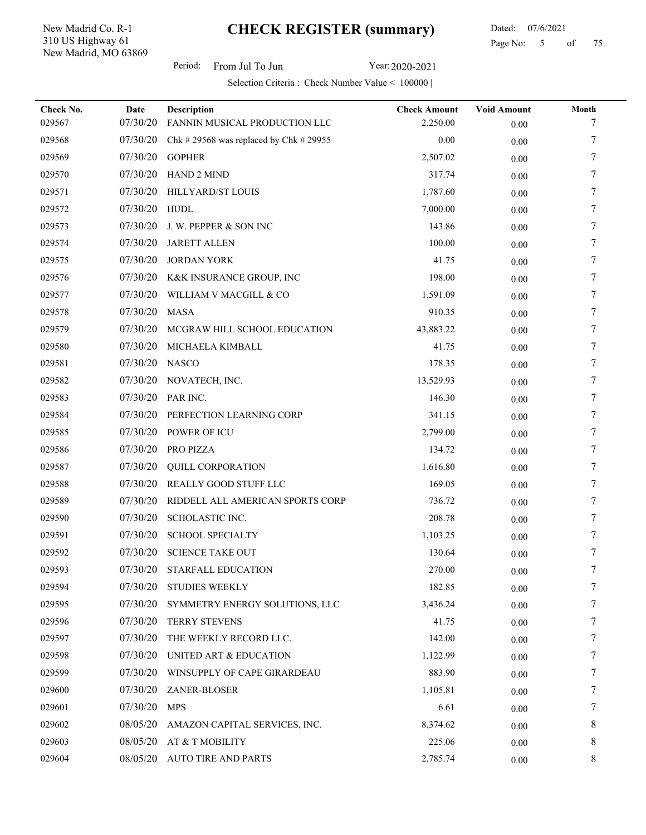New Madrid, MO 63869 310 US Highway 61 New Madrid Co. R-1

 Dated: 07/6/2021 Page No: 5 of

Period: From Jul To Jun Year: 2020-2021

| Check No.<br>029567 | Date<br>07/30/20 | Description<br>FANNIN MUSICAL PRODUCTION LLC | <b>Check Amount</b><br>2,250.00 | <b>Void Amount</b><br>0.00 | Month<br>7 |
|---------------------|------------------|----------------------------------------------|---------------------------------|----------------------------|------------|
| 029568              | 07/30/20         | Chk # 29568 was replaced by Chk # 29955      | 0.00                            | 0.00                       | 7          |
| 029569              | 07/30/20         | <b>GOPHER</b>                                | 2,507.02                        | 0.00                       | 7          |
| 029570              | 07/30/20         | <b>HAND 2 MIND</b>                           | 317.74                          | 0.00                       | 7          |
| 029571              | 07/30/20         | HILLYARD/ST LOUIS                            | 1,787.60                        | 0.00                       | 7          |
| 029572              | 07/30/20         | HUDL                                         | 7,000.00                        | $0.00\,$                   | 7          |
| 029573              | 07/30/20         | J. W. PEPPER & SON INC                       | 143.86                          | 0.00                       | 7          |
| 029574              | 07/30/20         | <b>JARETT ALLEN</b>                          | 100.00                          | 0.00                       | 7          |
| 029575              | 07/30/20         | <b>JORDAN YORK</b>                           | 41.75                           | 0.00                       | 7          |
| 029576              | 07/30/20         | K&K INSURANCE GROUP, INC                     | 198.00                          | 0.00                       | 7          |
| 029577              | 07/30/20         | WILLIAM V MACGILL & CO                       | 1,591.09                        | 0.00                       | 7          |
| 029578              | 07/30/20         | <b>MASA</b>                                  | 910.35                          | 0.00                       | 7          |
| 029579              | 07/30/20         | MCGRAW HILL SCHOOL EDUCATION                 | 43,883.22                       | 0.00                       | 7          |
| 029580              | 07/30/20         | MICHAELA KIMBALL                             | 41.75                           | $0.00\,$                   | 7          |
| 029581              | 07/30/20         | <b>NASCO</b>                                 | 178.35                          | 0.00                       | 7          |
| 029582              | 07/30/20         | NOVATECH, INC.                               | 13,529.93                       | 0.00                       | 7          |
| 029583              | 07/30/20         | PAR INC.                                     | 146.30                          | $0.00\,$                   | 7          |
| 029584              | 07/30/20         | PERFECTION LEARNING CORP                     | 341.15                          | 0.00                       | 7          |
| 029585              | 07/30/20         | POWER OF ICU                                 | 2,799.00                        | 0.00                       | 7          |
| 029586              | 07/30/20         | PRO PIZZA                                    | 134.72                          | 0.00                       | 7          |
| 029587              | 07/30/20         | <b>QUILL CORPORATION</b>                     | 1,616.80                        | 0.00                       | 7          |
| 029588              | 07/30/20         | REALLY GOOD STUFF LLC                        | 169.05                          | $0.00\,$                   | 7          |
| 029589              | 07/30/20         | RIDDELL ALL AMERICAN SPORTS CORP             | 736.72                          | 0.00                       | 7          |
| 029590              | 07/30/20         | SCHOLASTIC INC.                              | 208.78                          | 0.00                       | 7          |
| 029591              | 07/30/20         | <b>SCHOOL SPECIALTY</b>                      | 1,103.25                        | 0.00                       | 7          |
| 029592              | 07/30/20         | <b>SCIENCE TAKE OUT</b>                      | 130.64                          | $0.00\,$                   | 7          |
| 029593              |                  | 07/30/20 STARFALL EDUCATION                  | 270.00                          | 0.00                       |            |
| 029594              | 07/30/20         | <b>STUDIES WEEKLY</b>                        | 182.85                          | $0.00\,$                   | 7          |
| 029595              | 07/30/20         | SYMMETRY ENERGY SOLUTIONS, LLC               | 3,436.24                        | $0.00\,$                   | 7          |
| 029596              | 07/30/20         | TERRY STEVENS                                | 41.75                           | 0.00                       | 7          |
| 029597              | 07/30/20         | THE WEEKLY RECORD LLC.                       | 142.00                          | 0.00                       | 7          |
| 029598              | 07/30/20         | UNITED ART & EDUCATION                       | 1,122.99                        | $0.00\,$                   | 7          |
| 029599              | 07/30/20         | WINSUPPLY OF CAPE GIRARDEAU                  | 883.90                          | $0.00\,$                   | 7          |
| 029600              | 07/30/20         | <b>ZANER-BLOSER</b>                          | 1,105.81                        | 0.00                       |            |
| 029601              | 07/30/20         | <b>MPS</b>                                   | 6.61                            | $0.00\,$                   | 7          |
| 029602              | 08/05/20         | AMAZON CAPITAL SERVICES, INC.                | 8,374.62                        | $0.00\,$                   | 8          |
| 029603              | 08/05/20         | AT & T MOBILITY                              | 225.06                          | $0.00\,$                   | 8          |
| 029604              | 08/05/20         | <b>AUTO TIRE AND PARTS</b>                   | 2,785.74                        | $0.00\,$                   | 8          |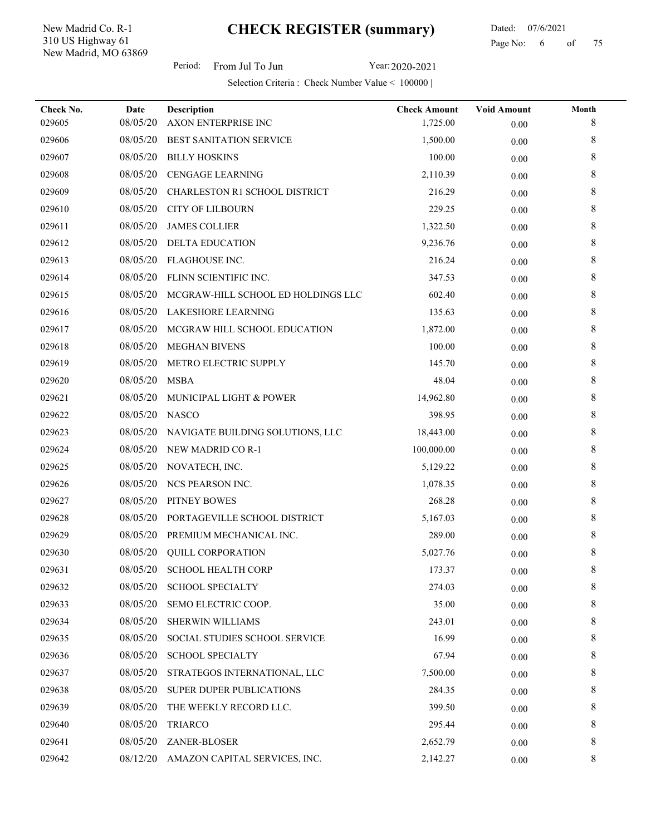New Madrid, MO 63869 310 US Highway 61 New Madrid Co. R-1

### Dated: 07/6/2021 Page No: 6 of

Period: From Jul To Jun Year: 2020-2021

| Check No. | Date     | Description                          | <b>Check Amount</b> | <b>Void Amount</b> | Month |
|-----------|----------|--------------------------------------|---------------------|--------------------|-------|
| 029605    | 08/05/20 | AXON ENTERPRISE INC                  | 1,725.00            | 0.00               | 8     |
| 029606    | 08/05/20 | <b>BEST SANITATION SERVICE</b>       | 1,500.00            | 0.00               | 8     |
| 029607    | 08/05/20 | <b>BILLY HOSKINS</b>                 | 100.00              | 0.00               | 8     |
| 029608    | 08/05/20 | <b>CENGAGE LEARNING</b>              | 2,110.39            | 0.00               | 8     |
| 029609    | 08/05/20 | <b>CHARLESTON R1 SCHOOL DISTRICT</b> | 216.29              | 0.00               | 8     |
| 029610    | 08/05/20 | <b>CITY OF LILBOURN</b>              | 229.25              | $0.00\,$           | 8     |
| 029611    | 08/05/20 | <b>JAMES COLLIER</b>                 | 1,322.50            | 0.00               | 8     |
| 029612    | 08/05/20 | <b>DELTA EDUCATION</b>               | 9,236.76            | 0.00               | 8     |
| 029613    | 08/05/20 | FLAGHOUSE INC.                       | 216.24              | $0.00\,$           | 8     |
| 029614    | 08/05/20 | FLINN SCIENTIFIC INC.                | 347.53              | 0.00               | 8     |
| 029615    | 08/05/20 | MCGRAW-HILL SCHOOL ED HOLDINGS LLC   | 602.40              | 0.00               | 8     |
| 029616    | 08/05/20 | LAKESHORE LEARNING                   | 135.63              | 0.00               | 8     |
| 029617    | 08/05/20 | MCGRAW HILL SCHOOL EDUCATION         | 1,872.00            | 0.00               | 8     |
| 029618    | 08/05/20 | <b>MEGHAN BIVENS</b>                 | 100.00              | $0.00\,$           | 8     |
| 029619    | 08/05/20 | METRO ELECTRIC SUPPLY                | 145.70              | 0.00               | 8     |
| 029620    | 08/05/20 | <b>MSBA</b>                          | 48.04               | 0.00               | 8     |
| 029621    | 08/05/20 | MUNICIPAL LIGHT & POWER              | 14,962.80           | $0.00\,$           | 8     |
| 029622    | 08/05/20 | <b>NASCO</b>                         | 398.95              | 0.00               | 8     |
| 029623    | 08/05/20 | NAVIGATE BUILDING SOLUTIONS, LLC     | 18,443.00           | 0.00               | 8     |
| 029624    | 08/05/20 | NEW MADRID CO R-1                    | 100,000.00          | 0.00               | 8     |
| 029625    | 08/05/20 | NOVATECH, INC.                       | 5,129.22            | 0.00               | 8     |
| 029626    | 08/05/20 | NCS PEARSON INC.                     | 1,078.35            | 0.00               | 8     |
| 029627    | 08/05/20 | PITNEY BOWES                         | 268.28              | 0.00               | 8     |
| 029628    | 08/05/20 | PORTAGEVILLE SCHOOL DISTRICT         | 5,167.03            | 0.00               | 8     |
| 029629    | 08/05/20 | PREMIUM MECHANICAL INC.              | 289.00              | 0.00               | 8     |
| 029630    | 08/05/20 | <b>QUILL CORPORATION</b>             | 5,027.76            | $0.00\,$           | 8     |
| 029631    |          | 08/05/20 SCHOOL HEALTH CORP          | 173.37              | 0.00               | 8     |
| 029632    | 08/05/20 | <b>SCHOOL SPECIALTY</b>              | 274.03              | 0.00               | 8     |
| 029633    | 08/05/20 | SEMO ELECTRIC COOP.                  | 35.00               | $0.00\,$           | 8     |
| 029634    | 08/05/20 | SHERWIN WILLIAMS                     | 243.01              | 0.00               | 8     |
| 029635    | 08/05/20 | SOCIAL STUDIES SCHOOL SERVICE        | 16.99               | 0.00               | 8     |
| 029636    | 08/05/20 | <b>SCHOOL SPECIALTY</b>              | 67.94               | 0.00               | 8     |
| 029637    | 08/05/20 | STRATEGOS INTERNATIONAL, LLC         | 7,500.00            | 0.00               | 8     |
| 029638    | 08/05/20 | SUPER DUPER PUBLICATIONS             | 284.35              | 0.00               | 8     |
| 029639    | 08/05/20 | THE WEEKLY RECORD LLC.               | 399.50              | $0.00\,$           | 8     |
| 029640    | 08/05/20 | <b>TRIARCO</b>                       | 295.44              | 0.00               | 8     |
| 029641    | 08/05/20 | ZANER-BLOSER                         | 2,652.79            | $0.00\,$           | 8     |
| 029642    | 08/12/20 | AMAZON CAPITAL SERVICES, INC.        | 2,142.27            | $0.00\,$           | 8     |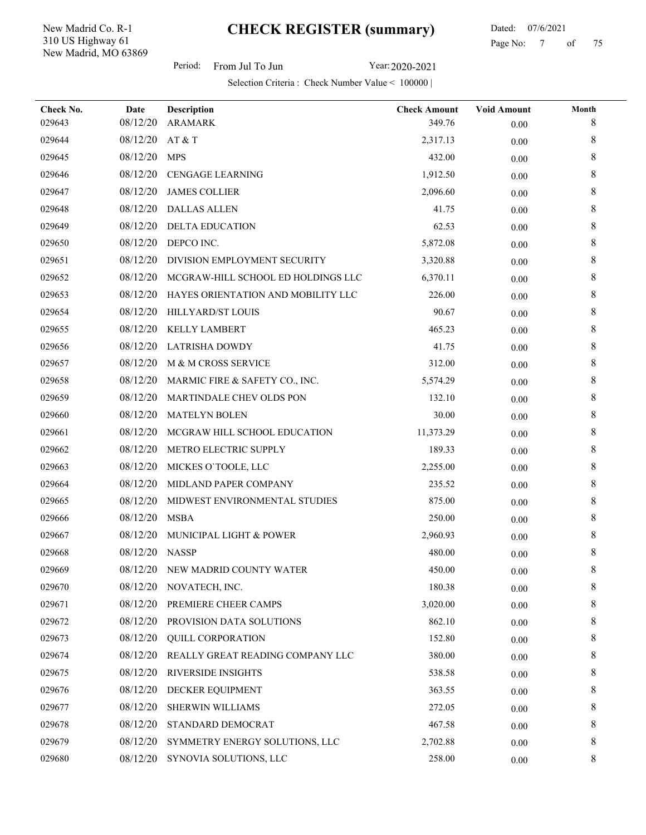New Madrid, MO 63869 310 US Highway 61 New Madrid Co. R-1

### Dated: 07/6/2021 Page No: 7 of

Period: From Jul To Jun Year: 2020-2021

| Check No. | Date     | Description                        | <b>Check Amount</b> | <b>Void Amount</b> | Month   |
|-----------|----------|------------------------------------|---------------------|--------------------|---------|
| 029643    | 08/12/20 | <b>ARAMARK</b>                     | 349.76              | 0.00               | 8       |
| 029644    | 08/12/20 | AT & T                             | 2,317.13            | 0.00               | 8       |
| 029645    | 08/12/20 | <b>MPS</b>                         | 432.00              | 0.00               | 8       |
| 029646    | 08/12/20 | <b>CENGAGE LEARNING</b>            | 1,912.50            | 0.00               | 8       |
| 029647    | 08/12/20 | <b>JAMES COLLIER</b>               | 2,096.60            | 0.00               | 8       |
| 029648    | 08/12/20 | <b>DALLAS ALLEN</b>                | 41.75               | 0.00               | 8       |
| 029649    | 08/12/20 | DELTA EDUCATION                    | 62.53               | 0.00               | 8       |
| 029650    | 08/12/20 | DEPCO INC.                         | 5,872.08            | 0.00               | 8       |
| 029651    | 08/12/20 | DIVISION EMPLOYMENT SECURITY       | 3,320.88            | 0.00               | 8       |
| 029652    | 08/12/20 | MCGRAW-HILL SCHOOL ED HOLDINGS LLC | 6,370.11            | 0.00               | 8       |
| 029653    | 08/12/20 | HAYES ORIENTATION AND MOBILITY LLC | 226.00              | 0.00               | 8       |
| 029654    | 08/12/20 | <b>HILLYARD/ST LOUIS</b>           | 90.67               | 0.00               | 8       |
| 029655    | 08/12/20 | <b>KELLY LAMBERT</b>               | 465.23              | 0.00               | 8       |
| 029656    | 08/12/20 | <b>LATRISHA DOWDY</b>              | 41.75               | 0.00               | 8       |
| 029657    | 08/12/20 | M & M CROSS SERVICE                | 312.00              | 0.00               | 8       |
| 029658    | 08/12/20 | MARMIC FIRE & SAFETY CO., INC.     | 5,574.29            | 0.00               | 8       |
| 029659    | 08/12/20 | MARTINDALE CHEV OLDS PON           | 132.10              | 0.00               | 8       |
| 029660    | 08/12/20 | <b>MATELYN BOLEN</b>               | 30.00               | $0.00\,$           | 8       |
| 029661    | 08/12/20 | MCGRAW HILL SCHOOL EDUCATION       | 11,373.29           | 0.00               | 8       |
| 029662    | 08/12/20 | METRO ELECTRIC SUPPLY              | 189.33              | 0.00               | 8       |
| 029663    | 08/12/20 | MICKES O'TOOLE, LLC                | 2,255.00            | 0.00               | 8       |
| 029664    | 08/12/20 | MIDLAND PAPER COMPANY              | 235.52              | 0.00               | 8       |
| 029665    | 08/12/20 | MIDWEST ENVIRONMENTAL STUDIES      | 875.00              | 0.00               | 8       |
| 029666    | 08/12/20 | <b>MSBA</b>                        | 250.00              | 0.00               | 8       |
| 029667    | 08/12/20 | MUNICIPAL LIGHT & POWER            | 2,960.93            | 0.00               | 8       |
| 029668    | 08/12/20 | <b>NASSP</b>                       | 480.00              | 0.00               | 8       |
| 029669    | 08/12/20 | NEW MADRID COUNTY WATER            | 450.00              | 0.00               | $\,8\,$ |
| 029670    |          | 08/12/20 NOVATECH, INC.            | 180.38              | 0.00               | 8       |
| 029671    | 08/12/20 | PREMIERE CHEER CAMPS               | 3,020.00            | 0.00               | 8       |
| 029672    | 08/12/20 | PROVISION DATA SOLUTIONS           | 862.10              | 0.00               | 8       |
| 029673    | 08/12/20 | <b>QUILL CORPORATION</b>           | 152.80              | 0.00               | 8       |
| 029674    | 08/12/20 | REALLY GREAT READING COMPANY LLC   | 380.00              | 0.00               | 8       |
| 029675    | 08/12/20 | <b>RIVERSIDE INSIGHTS</b>          | 538.58              | 0.00               | 8       |
| 029676    | 08/12/20 | DECKER EQUIPMENT                   | 363.55              | 0.00               | 8       |
| 029677    | 08/12/20 | SHERWIN WILLIAMS                   | 272.05              | 0.00               | 8       |
| 029678    | 08/12/20 | STANDARD DEMOCRAT                  | 467.58              | 0.00               | 8       |
| 029679    | 08/12/20 | SYMMETRY ENERGY SOLUTIONS, LLC     | 2,702.88            | 0.00               | 8       |
| 029680    | 08/12/20 | SYNOVIA SOLUTIONS, LLC             | 258.00              | 0.00               | 8       |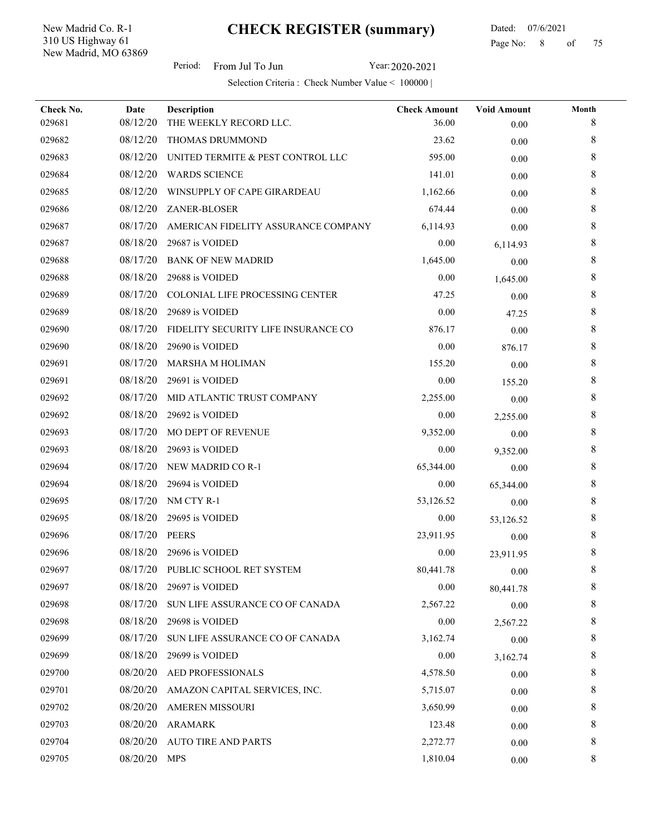New Madrid, MO 63869 310 US Highway 61 New Madrid Co. R-1

l,

 Dated: 07/6/2021 Page No: 8 of

Period: From Jul To Jun Year: 2020-2021

| Check No. | Date     | Description                         | <b>Check Amount</b> | <b>Void Amount</b> | Month |
|-----------|----------|-------------------------------------|---------------------|--------------------|-------|
| 029681    | 08/12/20 | THE WEEKLY RECORD LLC.              | 36.00               | 0.00               | 8     |
| 029682    | 08/12/20 | THOMAS DRUMMOND                     | 23.62               | 0.00               | 8     |
| 029683    | 08/12/20 | UNITED TERMITE & PEST CONTROL LLC   | 595.00              | 0.00               | 8     |
| 029684    | 08/12/20 | <b>WARDS SCIENCE</b>                | 141.01              | 0.00               | 8     |
| 029685    | 08/12/20 | WINSUPPLY OF CAPE GIRARDEAU         | 1,162.66            | 0.00               | 8     |
| 029686    | 08/12/20 | ZANER-BLOSER                        | 674.44              | 0.00               | 8     |
| 029687    | 08/17/20 | AMERICAN FIDELITY ASSURANCE COMPANY | 6,114.93            | 0.00               | 8     |
| 029687    | 08/18/20 | 29687 is VOIDED                     | 0.00                | 6,114.93           | 8     |
| 029688    | 08/17/20 | <b>BANK OF NEW MADRID</b>           | 1,645.00            | 0.00               | 8     |
| 029688    | 08/18/20 | 29688 is VOIDED                     | 0.00                | 1,645.00           | $8\,$ |
| 029689    | 08/17/20 | COLONIAL LIFE PROCESSING CENTER     | 47.25               | 0.00               | 8     |
| 029689    | 08/18/20 | 29689 is VOIDED                     | 0.00                | 47.25              | 8     |
| 029690    | 08/17/20 | FIDELITY SECURITY LIFE INSURANCE CO | 876.17              | 0.00               | 8     |
| 029690    | 08/18/20 | 29690 is VOIDED                     | 0.00                | 876.17             | 8     |
| 029691    | 08/17/20 | <b>MARSHA M HOLIMAN</b>             | 155.20              | 0.00               | 8     |
| 029691    | 08/18/20 | 29691 is VOIDED                     | 0.00                | 155.20             | 8     |
| 029692    | 08/17/20 | MID ATLANTIC TRUST COMPANY          | 2,255.00            | 0.00               | 8     |
| 029692    | 08/18/20 | 29692 is VOIDED                     | 0.00                | 2,255.00           | 8     |
| 029693    | 08/17/20 | MO DEPT OF REVENUE                  | 9,352.00            | 0.00               | 8     |
| 029693    | 08/18/20 | 29693 is VOIDED                     | 0.00                | 9,352.00           | 8     |
| 029694    | 08/17/20 | NEW MADRID CO R-1                   | 65,344.00           | $0.00\,$           | 8     |
| 029694    | 08/18/20 | 29694 is VOIDED                     | 0.00                | 65,344.00          | 8     |
| 029695    | 08/17/20 | NM CTY R-1                          | 53,126.52           | $0.00\,$           | 8     |
| 029695    | 08/18/20 | 29695 is VOIDED                     | 0.00                | 53,126.52          | 8     |
| 029696    | 08/17/20 | <b>PEERS</b>                        | 23,911.95           | 0.00               | 8     |
| 029696    | 08/18/20 | 29696 is VOIDED                     | 0.00                | 23,911.95          | 8     |
| 029697    | 08/17/20 | PUBLIC SCHOOL RET SYSTEM            | 80,441.78           | 0.00               | 8     |
| 029697    | 08/18/20 | 29697 is VOIDED                     | 0.00                | 80,441.78          | 8     |
| 029698    | 08/17/20 | SUN LIFE ASSURANCE CO OF CANADA     | 2,567.22            | $0.00\,$           | 8     |
| 029698    | 08/18/20 | 29698 is VOIDED                     | 0.00                | 2,567.22           | 8     |
| 029699    | 08/17/20 | SUN LIFE ASSURANCE CO OF CANADA     | 3,162.74            | 0.00               | 8     |
| 029699    | 08/18/20 | 29699 is VOIDED                     | 0.00                | 3,162.74           | 8     |
| 029700    | 08/20/20 | AED PROFESSIONALS                   | 4,578.50            | 0.00               | 8     |
| 029701    | 08/20/20 | AMAZON CAPITAL SERVICES, INC.       | 5,715.07            | 0.00               | 8     |
| 029702    | 08/20/20 | AMEREN MISSOURI                     | 3,650.99            | 0.00               | 8     |
| 029703    | 08/20/20 | <b>ARAMARK</b>                      | 123.48              | 0.00               | 8     |
| 029704    | 08/20/20 | <b>AUTO TIRE AND PARTS</b>          | 2,272.77            | $0.00\,$           | 8     |
| 029705    | 08/20/20 | <b>MPS</b>                          | 1,810.04            | $0.00\,$           | 8     |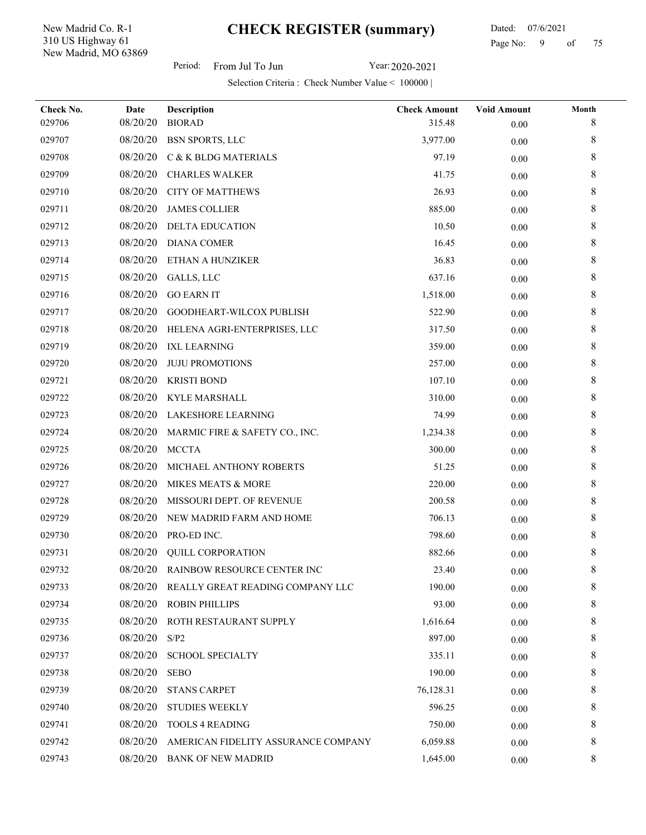New Madrid, MO 63869 310 US Highway 61 New Madrid Co. R-1

l,

Period: From Jul To Jun Year: 2020-2021

| Check No. | Date     | Description                          | <b>Check Amount</b> | <b>Void Amount</b> | Month |
|-----------|----------|--------------------------------------|---------------------|--------------------|-------|
| 029706    | 08/20/20 | <b>BIORAD</b>                        | 315.48              | 0.00               | 8     |
| 029707    | 08/20/20 | <b>BSN SPORTS, LLC</b>               | 3,977.00            | 0.00               | 8     |
| 029708    | 08/20/20 | C & K BLDG MATERIALS                 | 97.19               | 0.00               | 8     |
| 029709    | 08/20/20 | <b>CHARLES WALKER</b>                | 41.75               | $0.00\,$           | 8     |
| 029710    | 08/20/20 | <b>CITY OF MATTHEWS</b>              | 26.93               | 0.00               | 8     |
| 029711    | 08/20/20 | <b>JAMES COLLIER</b>                 | 885.00              | 0.00               | 8     |
| 029712    | 08/20/20 | <b>DELTA EDUCATION</b>               | 10.50               | 0.00               | 8     |
| 029713    | 08/20/20 | <b>DIANA COMER</b>                   | 16.45               | 0.00               | 8     |
| 029714    | 08/20/20 | ETHAN A HUNZIKER                     | 36.83               | 0.00               | 8     |
| 029715    | 08/20/20 | GALLS, LLC                           | 637.16              | 0.00               | 8     |
| 029716    | 08/20/20 | <b>GO EARN IT</b>                    | 1,518.00            | 0.00               | 8     |
| 029717    | 08/20/20 | GOODHEART-WILCOX PUBLISH             | 522.90              | 0.00               | 8     |
| 029718    | 08/20/20 | HELENA AGRI-ENTERPRISES, LLC         | 317.50              | 0.00               | 8     |
| 029719    | 08/20/20 | <b>IXL LEARNING</b>                  | 359.00              | 0.00               | 8     |
| 029720    | 08/20/20 | <b>JUJU PROMOTIONS</b>               | 257.00              | 0.00               | 8     |
| 029721    | 08/20/20 | <b>KRISTI BOND</b>                   | 107.10              | 0.00               | 8     |
| 029722    | 08/20/20 | KYLE MARSHALL                        | 310.00              | 0.00               | 8     |
| 029723    | 08/20/20 | LAKESHORE LEARNING                   | 74.99               | 0.00               | 8     |
| 029724    | 08/20/20 | MARMIC FIRE & SAFETY CO., INC.       | 1,234.38            | 0.00               | 8     |
| 029725    | 08/20/20 | <b>MCCTA</b>                         | 300.00              | 0.00               | 8     |
| 029726    | 08/20/20 | MICHAEL ANTHONY ROBERTS              | 51.25               | 0.00               | 8     |
| 029727    | 08/20/20 | MIKES MEATS & MORE                   | 220.00              | 0.00               | 8     |
| 029728    | 08/20/20 | MISSOURI DEPT. OF REVENUE            | 200.58              | 0.00               | 8     |
| 029729    | 08/20/20 | NEW MADRID FARM AND HOME             | 706.13              | 0.00               | 8     |
| 029730    | 08/20/20 | PRO-ED INC.                          | 798.60              | 0.00               | 8     |
| 029731    | 08/20/20 | <b>QUILL CORPORATION</b>             | 882.66              | $0.00\,$           | 8     |
| 029732    |          | 08/20/20 RAINBOW RESOURCE CENTER INC | 23.40               | 0.00               | 8     |
| 029733    | 08/20/20 | REALLY GREAT READING COMPANY LLC     | 190.00              | 0.00               | 8     |
| 029734    | 08/20/20 | <b>ROBIN PHILLIPS</b>                | 93.00               | 0.00               | 8     |
| 029735    | 08/20/20 | ROTH RESTAURANT SUPPLY               | 1,616.64            | 0.00               | 8     |
| 029736    | 08/20/20 | S/P2                                 | 897.00              | 0.00               | 8     |
| 029737    | 08/20/20 | <b>SCHOOL SPECIALTY</b>              | 335.11              | 0.00               | 8     |
| 029738    | 08/20/20 | <b>SEBO</b>                          | 190.00              | 0.00               | 8     |
| 029739    | 08/20/20 | <b>STANS CARPET</b>                  | 76,128.31           | 0.00               | 8     |
| 029740    | 08/20/20 | <b>STUDIES WEEKLY</b>                | 596.25              | 0.00               | 8     |
| 029741    | 08/20/20 | <b>TOOLS 4 READING</b>               | 750.00              | 0.00               | 8     |
| 029742    | 08/20/20 | AMERICAN FIDELITY ASSURANCE COMPANY  | 6,059.88            | 0.00               | 8     |
| 029743    | 08/20/20 | <b>BANK OF NEW MADRID</b>            | 1,645.00            | $0.00\,$           | 8     |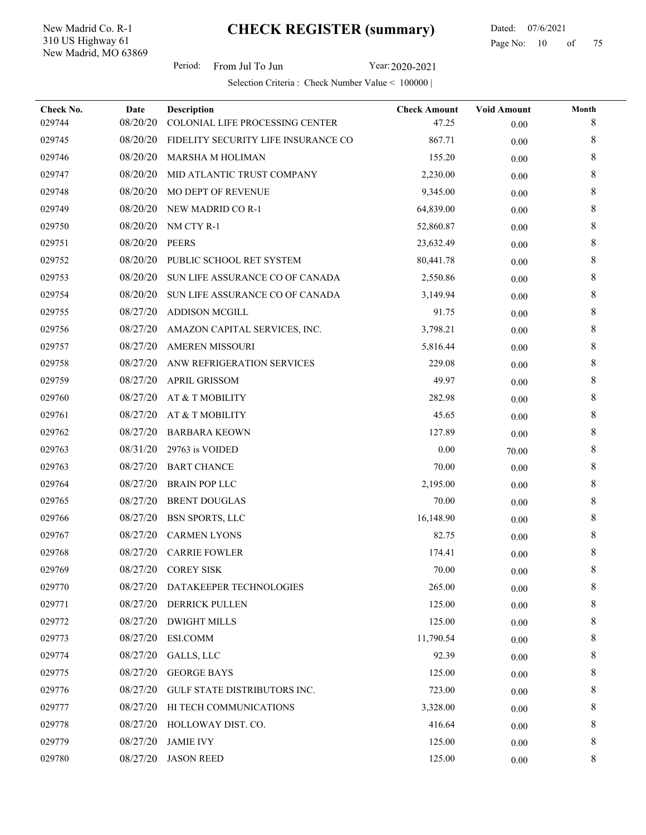New Madrid, MO 63869 310 US Highway 61 New Madrid Co. R-1

l,

 Dated: 07/6/2021 Page No: 10 of

Period: From Jul To Jun Year: 2020-2021

| Check No. | Date     | Description                         | <b>Check Amount</b> | <b>Void Amount</b> | Month       |
|-----------|----------|-------------------------------------|---------------------|--------------------|-------------|
| 029744    | 08/20/20 | COLONIAL LIFE PROCESSING CENTER     | 47.25               | 0.00               | 8           |
| 029745    | 08/20/20 | FIDELITY SECURITY LIFE INSURANCE CO | 867.71              | 0.00               | 8           |
| 029746    | 08/20/20 | <b>MARSHA M HOLIMAN</b>             | 155.20              | 0.00               | 8           |
| 029747    | 08/20/20 | MID ATLANTIC TRUST COMPANY          | 2,230.00            | 0.00               | 8           |
| 029748    | 08/20/20 | MO DEPT OF REVENUE                  | 9,345.00            | 0.00               | 8           |
| 029749    | 08/20/20 | NEW MADRID CO R-1                   | 64,839.00           | 0.00               | 8           |
| 029750    | 08/20/20 | NM CTY R-1                          | 52,860.87           | 0.00               | 8           |
| 029751    | 08/20/20 | <b>PEERS</b>                        | 23,632.49           | 0.00               | 8           |
| 029752    | 08/20/20 | PUBLIC SCHOOL RET SYSTEM            | 80,441.78           | 0.00               | 8           |
| 029753    | 08/20/20 | SUN LIFE ASSURANCE CO OF CANADA     | 2,550.86            | 0.00               | 8           |
| 029754    | 08/20/20 | SUN LIFE ASSURANCE CO OF CANADA     | 3,149.94            | 0.00               | 8           |
| 029755    | 08/27/20 | ADDISON MCGILL                      | 91.75               | 0.00               | 8           |
| 029756    | 08/27/20 | AMAZON CAPITAL SERVICES, INC.       | 3,798.21            | 0.00               | 8           |
| 029757    | 08/27/20 | <b>AMEREN MISSOURI</b>              | 5,816.44            | 0.00               | 8           |
| 029758    | 08/27/20 | ANW REFRIGERATION SERVICES          | 229.08              | 0.00               | 8           |
| 029759    | 08/27/20 | APRIL GRISSOM                       | 49.97               | 0.00               | 8           |
| 029760    | 08/27/20 | AT & T MOBILITY                     | 282.98              | 0.00               | 8           |
| 029761    | 08/27/20 | AT & T MOBILITY                     | 45.65               | 0.00               | 8           |
| 029762    | 08/27/20 | <b>BARBARA KEOWN</b>                | 127.89              | 0.00               | 8           |
| 029763    | 08/31/20 | 29763 is VOIDED                     | 0.00                | 70.00              | 8           |
| 029763    | 08/27/20 | <b>BART CHANCE</b>                  | 70.00               | 0.00               | 8           |
| 029764    | 08/27/20 | <b>BRAIN POP LLC</b>                | 2,195.00            | 0.00               | 8           |
| 029765    | 08/27/20 | <b>BRENT DOUGLAS</b>                | 70.00               | 0.00               | 8           |
| 029766    | 08/27/20 | <b>BSN SPORTS, LLC</b>              | 16,148.90           | 0.00               | 8           |
| 029767    | 08/27/20 | <b>CARMEN LYONS</b>                 | 82.75               | 0.00               | 8           |
| 029768    | 08/27/20 | <b>CARRIE FOWLER</b>                | 174.41              | 0.00               | $\,$ 8 $\,$ |
| 029769    |          | 08/27/20 COREY SISK                 | 70.00               | 0.00               | 8           |
| 029770    |          | 08/27/20 DATAKEEPER TECHNOLOGIES    | 265.00              | 0.00               | 8           |
| 029771    | 08/27/20 | <b>DERRICK PULLEN</b>               | 125.00              | 0.00               | 8           |
| 029772    | 08/27/20 | <b>DWIGHT MILLS</b>                 | 125.00              | 0.00               | 8           |
| 029773    | 08/27/20 | ESI.COMM                            | 11,790.54           | 0.00               | 8           |
| 029774    | 08/27/20 | GALLS, LLC                          | 92.39               | 0.00               | 8           |
| 029775    | 08/27/20 | <b>GEORGE BAYS</b>                  | 125.00              | 0.00               | 8           |
| 029776    | 08/27/20 | <b>GULF STATE DISTRIBUTORS INC.</b> | 723.00              | 0.00               | 8           |
| 029777    | 08/27/20 | HI TECH COMMUNICATIONS              | 3,328.00            | 0.00               | 8           |
| 029778    | 08/27/20 | HOLLOWAY DIST. CO.                  | 416.64              | 0.00               | 8           |
| 029779    | 08/27/20 | <b>JAMIE IVY</b>                    | 125.00              | 0.00               | 8           |
| 029780    | 08/27/20 | <b>JASON REED</b>                   | 125.00              | 0.00               | 8           |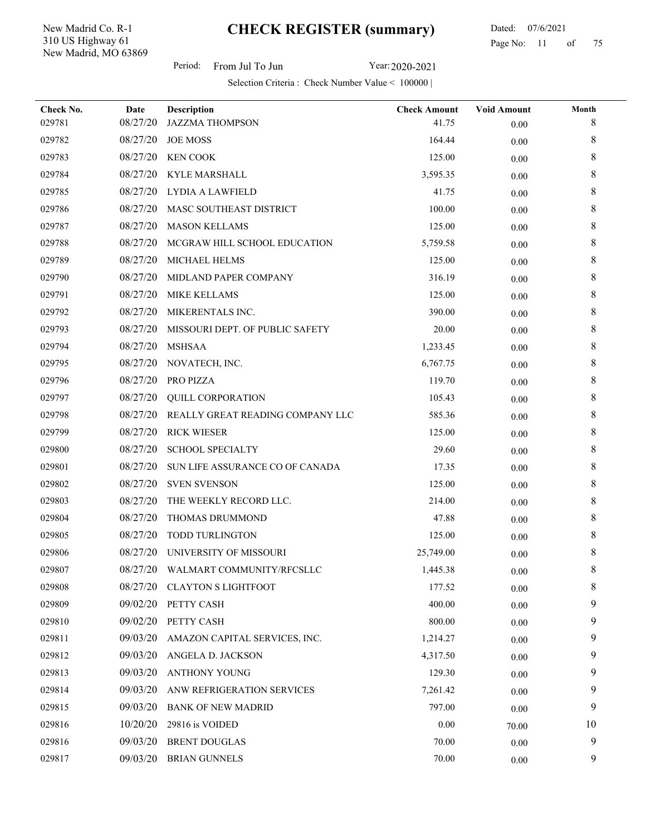New Madrid, MO 63869 310 US Highway 61 New Madrid Co. R-1

l,

### Dated: 07/6/2021 Page No: 11 of

Period: From Jul To Jun Year: 2020-2021

| Check No. | Date     | Description                        | <b>Check Amount</b> | <b>Void Amount</b> | Month |
|-----------|----------|------------------------------------|---------------------|--------------------|-------|
| 029781    | 08/27/20 | <b>JAZZMA THOMPSON</b>             | 41.75               | 0.00               | 8     |
| 029782    | 08/27/20 | <b>JOE MOSS</b>                    | 164.44              | 0.00               | 8     |
| 029783    | 08/27/20 | <b>KEN COOK</b>                    | 125.00              | 0.00               | 8     |
| 029784    | 08/27/20 | KYLE MARSHALL                      | 3,595.35            | 0.00               | 8     |
| 029785    | 08/27/20 | LYDIA A LAWFIELD                   | 41.75               | 0.00               | 8     |
| 029786    | 08/27/20 | MASC SOUTHEAST DISTRICT            | 100.00              | 0.00               | 8     |
| 029787    | 08/27/20 | <b>MASON KELLAMS</b>               | 125.00              | 0.00               | 8     |
| 029788    | 08/27/20 | MCGRAW HILL SCHOOL EDUCATION       | 5,759.58            | 0.00               | 8     |
| 029789    | 08/27/20 | <b>MICHAEL HELMS</b>               | 125.00              | 0.00               | 8     |
| 029790    | 08/27/20 | MIDLAND PAPER COMPANY              | 316.19              | 0.00               | 8     |
| 029791    | 08/27/20 | <b>MIKE KELLAMS</b>                | 125.00              | 0.00               | 8     |
| 029792    | 08/27/20 | MIKERENTALS INC.                   | 390.00              | 0.00               | 8     |
| 029793    | 08/27/20 | MISSOURI DEPT. OF PUBLIC SAFETY    | 20.00               | 0.00               | 8     |
| 029794    | 08/27/20 | <b>MSHSAA</b>                      | 1,233.45            | 0.00               | 8     |
| 029795    | 08/27/20 | NOVATECH, INC.                     | 6,767.75            | 0.00               | 8     |
| 029796    | 08/27/20 | PRO PIZZA                          | 119.70              | 0.00               | 8     |
| 029797    | 08/27/20 | <b>QUILL CORPORATION</b>           | 105.43              | 0.00               | 8     |
| 029798    | 08/27/20 | REALLY GREAT READING COMPANY LLC   | 585.36              | 0.00               | 8     |
| 029799    | 08/27/20 | <b>RICK WIESER</b>                 | 125.00              | 0.00               | 8     |
| 029800    | 08/27/20 | <b>SCHOOL SPECIALTY</b>            | 29.60               | 0.00               | 8     |
| 029801    | 08/27/20 | SUN LIFE ASSURANCE CO OF CANADA    | 17.35               | 0.00               | 8     |
| 029802    | 08/27/20 | <b>SVEN SVENSON</b>                | 125.00              | 0.00               | 8     |
| 029803    | 08/27/20 | THE WEEKLY RECORD LLC.             | 214.00              | 0.00               | 8     |
| 029804    | 08/27/20 | THOMAS DRUMMOND                    | 47.88               | 0.00               | 8     |
| 029805    | 08/27/20 | <b>TODD TURLINGTON</b>             | 125.00              | 0.00               | 8     |
| 029806    | 08/27/20 | UNIVERSITY OF MISSOURI             | 25,749.00           | 0.00               | 8     |
| 029807    |          | 08/27/20 WALMART COMMUNITY/RFCSLLC | 1,445.38            | 0.00               | 8     |
| 029808    | 08/27/20 | <b>CLAYTON S LIGHTFOOT</b>         | 177.52              | 0.00               | 8     |
| 029809    | 09/02/20 | PETTY CASH                         | 400.00              | 0.00               | 9     |
| 029810    | 09/02/20 | PETTY CASH                         | 800.00              | 0.00               | 9     |
| 029811    | 09/03/20 | AMAZON CAPITAL SERVICES, INC.      | 1,214.27            | 0.00               | 9     |
| 029812    | 09/03/20 | ANGELA D. JACKSON                  | 4,317.50            | 0.00               |       |
| 029813    | 09/03/20 | ANTHONY YOUNG                      | 129.30              | 0.00               | 9     |
| 029814    | 09/03/20 | ANW REFRIGERATION SERVICES         | 7,261.42            | 0.00               | 9     |
| 029815    | 09/03/20 | <b>BANK OF NEW MADRID</b>          | 797.00              | 0.00               | 9     |
| 029816    | 10/20/20 | 29816 is VOIDED                    | 0.00                | 70.00              | 10    |
| 029816    | 09/03/20 | <b>BRENT DOUGLAS</b>               | 70.00               | 0.00               | 9     |
| 029817    | 09/03/20 | <b>BRIAN GUNNELS</b>               | 70.00               | $0.00\,$           | 9     |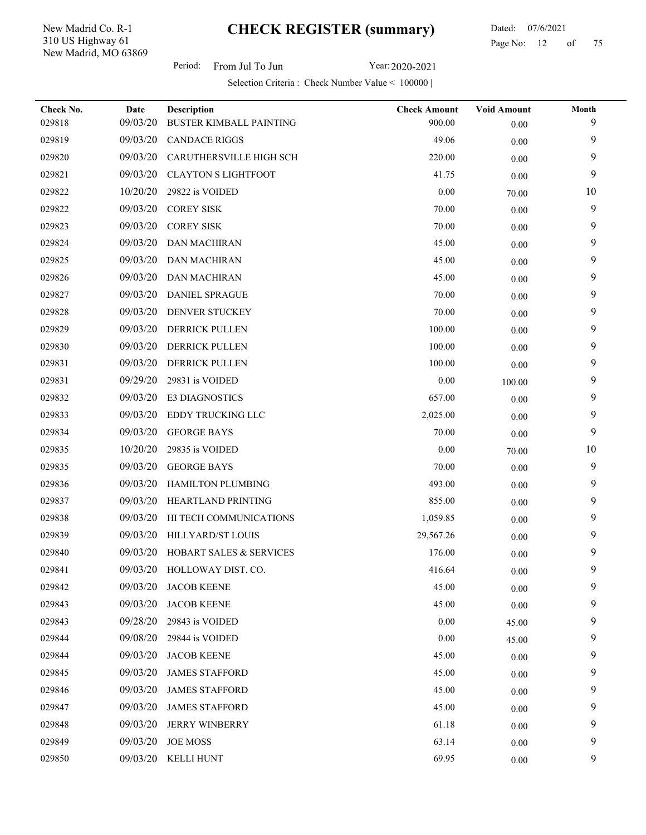New Madrid, MO 63869 310 US Highway 61 New Madrid Co. R-1

Period: From Jul To Jun Year: 2020-2021

| Check No. | Date     | Description                        | <b>Check Amount</b> | <b>Void Amount</b> | Month |
|-----------|----------|------------------------------------|---------------------|--------------------|-------|
| 029818    | 09/03/20 | <b>BUSTER KIMBALL PAINTING</b>     | 900.00              | 0.00               | 9     |
| 029819    | 09/03/20 | <b>CANDACE RIGGS</b>               | 49.06               | $0.00\,$           | 9     |
| 029820    | 09/03/20 | CARUTHERSVILLE HIGH SCH            | 220.00              | 0.00               | 9     |
| 029821    | 09/03/20 | <b>CLAYTON S LIGHTFOOT</b>         | 41.75               | 0.00               | 9     |
| 029822    | 10/20/20 | 29822 is VOIDED                    | 0.00                | 70.00              | 10    |
| 029822    | 09/03/20 | <b>COREY SISK</b>                  | 70.00               | $0.00\,$           | 9     |
| 029823    | 09/03/20 | <b>COREY SISK</b>                  | 70.00               | 0.00               | 9     |
| 029824    | 09/03/20 | <b>DAN MACHIRAN</b>                | 45.00               | $0.00\,$           | 9     |
| 029825    | 09/03/20 | <b>DAN MACHIRAN</b>                | 45.00               | $0.00\,$           | 9     |
| 029826    | 09/03/20 | <b>DAN MACHIRAN</b>                | 45.00               | 0.00               | 9     |
| 029827    | 09/03/20 | <b>DANIEL SPRAGUE</b>              | 70.00               | 0.00               | 9     |
| 029828    | 09/03/20 | <b>DENVER STUCKEY</b>              | 70.00               | 0.00               | 9     |
| 029829    | 09/03/20 | <b>DERRICK PULLEN</b>              | 100.00              | 0.00               | 9     |
| 029830    | 09/03/20 | <b>DERRICK PULLEN</b>              | 100.00              | $0.00\,$           | 9     |
| 029831    | 09/03/20 | <b>DERRICK PULLEN</b>              | 100.00              | 0.00               | 9     |
| 029831    | 09/29/20 | 29831 is VOIDED                    | 0.00                | 100.00             | 9     |
| 029832    | 09/03/20 | E3 DIAGNOSTICS                     | 657.00              | $0.00\,$           | 9     |
| 029833    | 09/03/20 | EDDY TRUCKING LLC                  | 2,025.00            | 0.00               | 9     |
| 029834    | 09/03/20 | <b>GEORGE BAYS</b>                 | 70.00               | 0.00               | 9     |
| 029835    | 10/20/20 | 29835 is VOIDED                    | 0.00                | 70.00              | 10    |
| 029835    | 09/03/20 | <b>GEORGE BAYS</b>                 | 70.00               | $0.00\,$           | 9     |
| 029836    | 09/03/20 | HAMILTON PLUMBING                  | 493.00              | $0.00\,$           | 9     |
| 029837    | 09/03/20 | HEARTLAND PRINTING                 | 855.00              | $0.00\,$           | 9     |
| 029838    | 09/03/20 | HI TECH COMMUNICATIONS             | 1,059.85            | 0.00               | 9     |
| 029839    | 09/03/20 | HILLYARD/ST LOUIS                  | 29,567.26           | $0.00\,$           | 9     |
| 029840    | 09/03/20 | <b>HOBART SALES &amp; SERVICES</b> | 176.00              | $0.00\,$           | 9     |
| 029841    |          | 09/03/20 HOLLOWAY DIST. CO.        | 416.64              | $0.00\,$           | 9     |
| 029842    | 09/03/20 | <b>JACOB KEENE</b>                 | 45.00               | $0.00\,$           | 9     |
| 029843    | 09/03/20 | <b>JACOB KEENE</b>                 | 45.00               | $0.00\,$           | 9     |
| 029843    | 09/28/20 | 29843 is VOIDED                    | 0.00                | 45.00              | 9     |
| 029844    | 09/08/20 | 29844 is VOIDED                    | 0.00                | 45.00              | 9     |
| 029844    | 09/03/20 | <b>JACOB KEENE</b>                 | 45.00               | $0.00\,$           | 9     |
| 029845    | 09/03/20 | <b>JAMES STAFFORD</b>              | 45.00               | $0.00\,$           | 9     |
| 029846    | 09/03/20 | <b>JAMES STAFFORD</b>              | 45.00               | 0.00               | 9     |
| 029847    | 09/03/20 | <b>JAMES STAFFORD</b>              | 45.00               | $0.00\,$           | 9     |
| 029848    | 09/03/20 | <b>JERRY WINBERRY</b>              | 61.18               | $0.00\,$           | 9     |
| 029849    | 09/03/20 | <b>JOE MOSS</b>                    | 63.14               | $0.00\,$           | 9     |
| 029850    | 09/03/20 | <b>KELLI HUNT</b>                  | 69.95               | $0.00\,$           | 9     |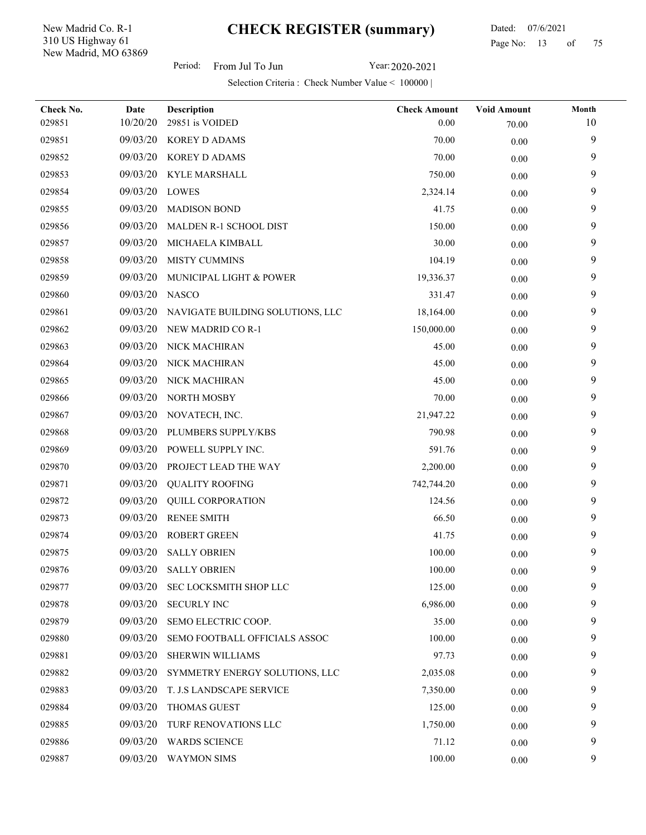New Madrid, MO 63869 310 US Highway 61 New Madrid Co. R-1

l,

Period: From Jul To Jun Year: 2020-2021

| Check No. | Date     | Description                      | <b>Check Amount</b> | <b>Void Amount</b> | Month |
|-----------|----------|----------------------------------|---------------------|--------------------|-------|
| 029851    | 10/20/20 | 29851 is VOIDED                  | 0.00                | 70.00              | 10    |
| 029851    | 09/03/20 | KOREY D ADAMS                    | 70.00               | 0.00               | 9     |
| 029852    | 09/03/20 | KOREY D ADAMS                    | 70.00               | 0.00               | 9     |
| 029853    | 09/03/20 | KYLE MARSHALL                    | 750.00              | $0.00\,$           | 9     |
| 029854    | 09/03/20 | LOWES                            | 2,324.14            | 0.00               | 9     |
| 029855    | 09/03/20 | <b>MADISON BOND</b>              | 41.75               | 0.00               | 9     |
| 029856    | 09/03/20 | MALDEN R-1 SCHOOL DIST           | 150.00              | 0.00               | 9     |
| 029857    | 09/03/20 | MICHAELA KIMBALL                 | 30.00               | 0.00               | 9     |
| 029858    | 09/03/20 | MISTY CUMMINS                    | 104.19              | $0.00\,$           | 9     |
| 029859    | 09/03/20 | MUNICIPAL LIGHT & POWER          | 19,336.37           | 0.00               | 9     |
| 029860    | 09/03/20 | <b>NASCO</b>                     | 331.47              | 0.00               | 9     |
| 029861    | 09/03/20 | NAVIGATE BUILDING SOLUTIONS, LLC | 18,164.00           | 0.00               | 9     |
| 029862    | 09/03/20 | NEW MADRID CO R-1                | 150,000.00          | 0.00               | 9     |
| 029863    | 09/03/20 | NICK MACHIRAN                    | 45.00               | 0.00               | 9     |
| 029864    | 09/03/20 | NICK MACHIRAN                    | 45.00               | $0.00\,$           | 9     |
| 029865    | 09/03/20 | NICK MACHIRAN                    | 45.00               | $0.00\,$           | 9     |
| 029866    | 09/03/20 | NORTH MOSBY                      | 70.00               | $0.00\,$           | 9     |
| 029867    | 09/03/20 | NOVATECH, INC.                   | 21,947.22           | 0.00               | 9     |
| 029868    | 09/03/20 | PLUMBERS SUPPLY/KBS              | 790.98              | 0.00               | 9     |
| 029869    | 09/03/20 | POWELL SUPPLY INC.               | 591.76              | $0.00\,$           | 9     |
| 029870    | 09/03/20 | PROJECT LEAD THE WAY             | 2,200.00            | 0.00               | 9     |
| 029871    | 09/03/20 | <b>QUALITY ROOFING</b>           | 742,744.20          | 0.00               | 9     |
| 029872    | 09/03/20 | <b>QUILL CORPORATION</b>         | 124.56              | 0.00               | 9     |
| 029873    | 09/03/20 | <b>RENEE SMITH</b>               | 66.50               | $0.00\,$           | 9     |
| 029874    | 09/03/20 | <b>ROBERT GREEN</b>              | 41.75               | 0.00               | 9     |
| 029875    | 09/03/20 | <b>SALLY OBRIEN</b>              | 100.00              | $0.00\,$           | 9     |
| 029876    | 09/03/20 | <b>SALLY OBRIEN</b>              | 100.00              | $0.00\,$           | 9     |
| 029877    | 09/03/20 | SEC LOCKSMITH SHOP LLC           | 125.00              | 0.00               | 9     |
| 029878    | 09/03/20 | <b>SECURLY INC</b>               | 6,986.00            | 0.00               | 9     |
| 029879    | 09/03/20 | SEMO ELECTRIC COOP.              | 35.00               | 0.00               | 9     |
| 029880    | 09/03/20 | SEMO FOOTBALL OFFICIALS ASSOC    | 100.00              | $0.00\,$           | 9     |
| 029881    | 09/03/20 | <b>SHERWIN WILLIAMS</b>          | 97.73               | $0.00\,$           | 9     |
| 029882    | 09/03/20 | SYMMETRY ENERGY SOLUTIONS, LLC   | 2,035.08            | 0.00               | 9     |
| 029883    | 09/03/20 | T. J.S LANDSCAPE SERVICE         | 7,350.00            | 0.00               | 9     |
| 029884    | 09/03/20 | THOMAS GUEST                     | 125.00              | 0.00               | 9     |
| 029885    | 09/03/20 | TURF RENOVATIONS LLC             | 1,750.00            | $0.00\,$           | 9     |
| 029886    | 09/03/20 | <b>WARDS SCIENCE</b>             | 71.12               | 0.00               | 9     |
| 029887    | 09/03/20 | <b>WAYMON SIMS</b>               | 100.00              | $0.00\,$           | 9     |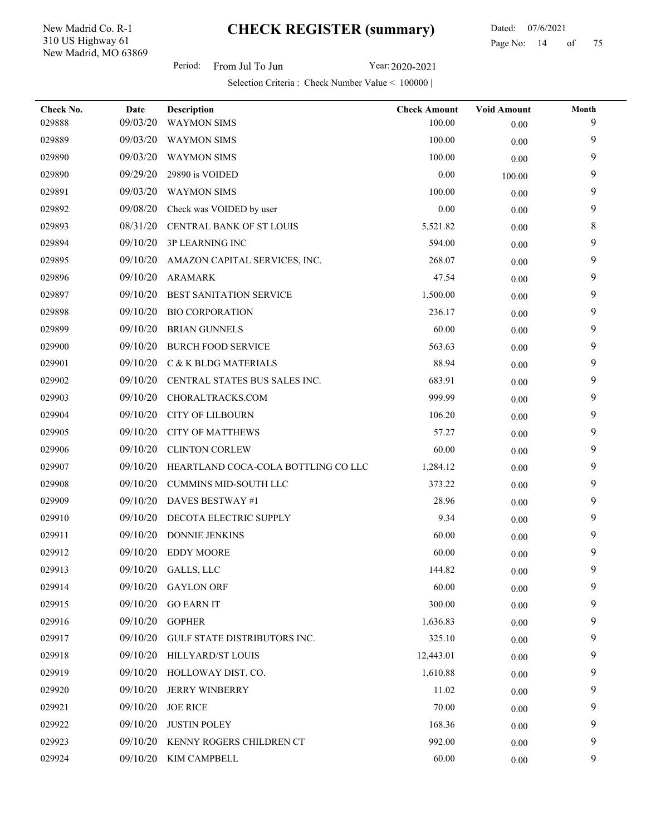New Madrid, MO 63869 310 US Highway 61 New Madrid Co. R-1

l,

Period: From Jul To Jun Year: 2020-2021

| Check No. | Date     | Description                         | <b>Check Amount</b> | <b>Void Amount</b> | Month |
|-----------|----------|-------------------------------------|---------------------|--------------------|-------|
| 029888    | 09/03/20 | <b>WAYMON SIMS</b>                  | 100.00              | 0.00               | 9     |
| 029889    | 09/03/20 | <b>WAYMON SIMS</b>                  | 100.00              | 0.00               | 9     |
| 029890    | 09/03/20 | <b>WAYMON SIMS</b>                  | 100.00              | 0.00               | 9     |
| 029890    | 09/29/20 | 29890 is VOIDED                     | 0.00                | 100.00             | 9     |
| 029891    | 09/03/20 | <b>WAYMON SIMS</b>                  | 100.00              | 0.00               | 9     |
| 029892    | 09/08/20 | Check was VOIDED by user            | 0.00                | 0.00               | 9     |
| 029893    | 08/31/20 | CENTRAL BANK OF ST LOUIS            | 5,521.82            | 0.00               | 8     |
| 029894    | 09/10/20 | 3P LEARNING INC                     | 594.00              | 0.00               | 9     |
| 029895    | 09/10/20 | AMAZON CAPITAL SERVICES, INC.       | 268.07              | 0.00               | 9     |
| 029896    | 09/10/20 | <b>ARAMARK</b>                      | 47.54               | 0.00               | 9     |
| 029897    | 09/10/20 | BEST SANITATION SERVICE             | 1,500.00            | 0.00               | 9     |
| 029898    | 09/10/20 | <b>BIO CORPORATION</b>              | 236.17              | 0.00               | 9     |
| 029899    | 09/10/20 | <b>BRIAN GUNNELS</b>                | 60.00               | 0.00               | 9     |
| 029900    | 09/10/20 | <b>BURCH FOOD SERVICE</b>           | 563.63              | 0.00               | 9     |
| 029901    | 09/10/20 | C & K BLDG MATERIALS                | 88.94               | 0.00               | 9     |
| 029902    | 09/10/20 | CENTRAL STATES BUS SALES INC.       | 683.91              | 0.00               | 9     |
| 029903    | 09/10/20 | CHORALTRACKS.COM                    | 999.99              | $0.00\,$           | 9     |
| 029904    | 09/10/20 | <b>CITY OF LILBOURN</b>             | 106.20              | $0.00\,$           | 9     |
| 029905    | 09/10/20 | <b>CITY OF MATTHEWS</b>             | 57.27               | 0.00               | 9     |
| 029906    | 09/10/20 | <b>CLINTON CORLEW</b>               | 60.00               | 0.00               | 9     |
| 029907    | 09/10/20 | HEARTLAND COCA-COLA BOTTLING CO LLC | 1,284.12            | 0.00               | 9     |
| 029908    | 09/10/20 | <b>CUMMINS MID-SOUTH LLC</b>        | 373.22              | 0.00               | 9     |
| 029909    | 09/10/20 | DAVES BESTWAY #1                    | 28.96               | 0.00               | 9     |
| 029910    | 09/10/20 | DECOTA ELECTRIC SUPPLY              | 9.34                | $0.00\,$           | 9     |
| 029911    | 09/10/20 | DONNIE JENKINS                      | 60.00               | $0.00\,$           | 9     |
| 029912    | 09/10/20 | <b>EDDY MOORE</b>                   | 60.00               | $0.00\,$           | 9     |
| 029913    |          | 09/10/20 GALLS, LLC                 | 144.82              | $0.00\,$           | 9     |
| 029914    | 09/10/20 | <b>GAYLON ORF</b>                   | 60.00               | 0.00               | 9     |
| 029915    | 09/10/20 | <b>GO EARN IT</b>                   | 300.00              | 0.00               | 9     |
| 029916    | 09/10/20 | <b>GOPHER</b>                       | 1,636.83            | 0.00               | 9     |
| 029917    | 09/10/20 | GULF STATE DISTRIBUTORS INC.        | 325.10              | $0.00\,$           | 9     |
| 029918    | 09/10/20 | HILLYARD/ST LOUIS                   | 12,443.01           | $0.00\,$           | 9     |
| 029919    | 09/10/20 | HOLLOWAY DIST. CO.                  | 1,610.88            | $0.00\,$           | 9     |
| 029920    | 09/10/20 | <b>JERRY WINBERRY</b>               | 11.02               | $0.00\,$           | 9     |
| 029921    | 09/10/20 | <b>JOE RICE</b>                     | 70.00               | $0.00\,$           | 9     |
| 029922    | 09/10/20 | <b>JUSTIN POLEY</b>                 | 168.36              | $0.00\,$           | 9     |
| 029923    | 09/10/20 | KENNY ROGERS CHILDREN CT            | 992.00              | 0.00               | 9     |
| 029924    | 09/10/20 | KIM CAMPBELL                        | 60.00               | $0.00\,$           | 9     |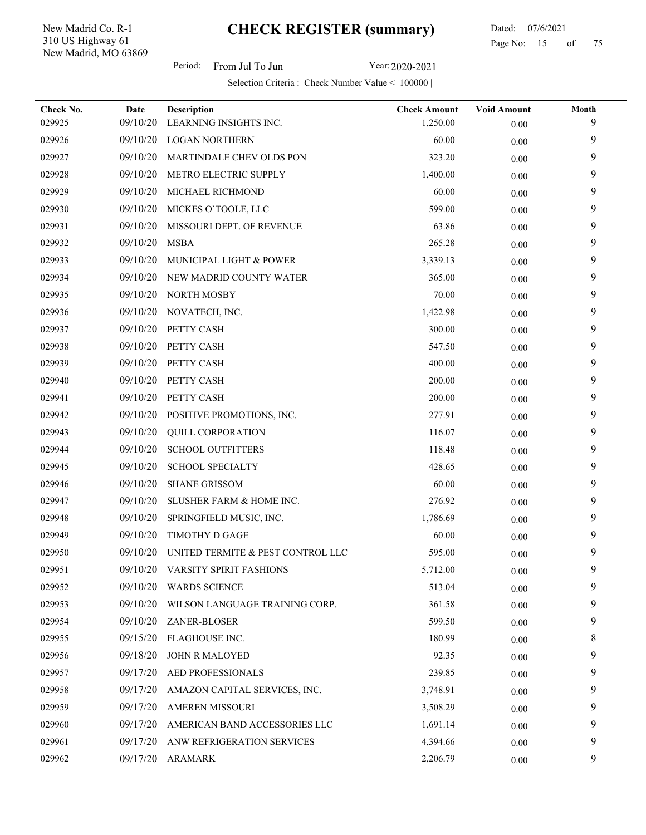New Madrid, MO 63869 310 US Highway 61 New Madrid Co. R-1

l,

 Dated: 07/6/2021 Page No: 15 of

Period: From Jul To Jun Year: 2020-2021

| Check No. | <b>Date</b> | Description                       | <b>Check Amount</b> | <b>Void Amount</b> | Month |
|-----------|-------------|-----------------------------------|---------------------|--------------------|-------|
| 029925    | 09/10/20    | LEARNING INSIGHTS INC.            | 1,250.00            | $0.00\,$           | 9     |
| 029926    | 09/10/20    | <b>LOGAN NORTHERN</b>             | 60.00               | 0.00               | 9     |
| 029927    | 09/10/20    | MARTINDALE CHEV OLDS PON          | 323.20              | 0.00               | 9     |
| 029928    | 09/10/20    | METRO ELECTRIC SUPPLY             | 1,400.00            | 0.00               | 9     |
| 029929    | 09/10/20    | MICHAEL RICHMOND                  | 60.00               | 0.00               | 9     |
| 029930    | 09/10/20    | MICKES O'TOOLE, LLC               | 599.00              | 0.00               | 9     |
| 029931    | 09/10/20    | MISSOURI DEPT. OF REVENUE         | 63.86               | 0.00               | 9     |
| 029932    | 09/10/20    | <b>MSBA</b>                       | 265.28              | 0.00               | 9     |
| 029933    | 09/10/20    | MUNICIPAL LIGHT & POWER           | 3,339.13            | 0.00               | 9     |
| 029934    | 09/10/20    | NEW MADRID COUNTY WATER           | 365.00              | 0.00               | 9     |
| 029935    | 09/10/20    | NORTH MOSBY                       | 70.00               | 0.00               | 9     |
| 029936    | 09/10/20    | NOVATECH, INC.                    | 1,422.98            | $0.00\,$           | 9     |
| 029937    | 09/10/20    | PETTY CASH                        | 300.00              | 0.00               | 9     |
| 029938    | 09/10/20    | PETTY CASH                        | 547.50              | 0.00               | 9     |
| 029939    | 09/10/20    | PETTY CASH                        | 400.00              | 0.00               | 9     |
| 029940    | 09/10/20    | PETTY CASH                        | 200.00              | 0.00               | 9     |
| 029941    | 09/10/20    | PETTY CASH                        | 200.00              | 0.00               | 9     |
| 029942    | 09/10/20    | POSITIVE PROMOTIONS, INC.         | 277.91              | 0.00               | 9     |
| 029943    | 09/10/20    | <b>QUILL CORPORATION</b>          | 116.07              | 0.00               | 9     |
| 029944    | 09/10/20    | <b>SCHOOL OUTFITTERS</b>          | 118.48              | 0.00               | 9     |
| 029945    | 09/10/20    | <b>SCHOOL SPECIALTY</b>           | 428.65              | 0.00               | 9     |
| 029946    | 09/10/20    | <b>SHANE GRISSOM</b>              | 60.00               | 0.00               | 9     |
| 029947    | 09/10/20    | SLUSHER FARM & HOME INC.          | 276.92              | 0.00               | 9     |
| 029948    | 09/10/20    | SPRINGFIELD MUSIC, INC.           | 1,786.69            | 0.00               | 9     |
| 029949    | 09/10/20    | <b>TIMOTHY D GAGE</b>             | 60.00               | 0.00               | 9     |
| 029950    | 09/10/20    | UNITED TERMITE & PEST CONTROL LLC | 595.00              | 0.00               | 9     |
| 029951    |             | 09/10/20 VARSITY SPIRIT FASHIONS  | 5,712.00            | 0.00               | 9     |
| 029952    | 09/10/20    | <b>WARDS SCIENCE</b>              | 513.04              | 0.00               | 9     |
| 029953    | 09/10/20    | WILSON LANGUAGE TRAINING CORP.    | 361.58              | $0.00\,$           | 9     |
| 029954    | 09/10/20    | ZANER-BLOSER                      | 599.50              | 0.00               | 9     |
| 029955    | 09/15/20    | FLAGHOUSE INC.                    | 180.99              | 0.00               | 8     |
| 029956    | 09/18/20    | <b>JOHN R MALOYED</b>             | 92.35               | 0.00               | 9     |
| 029957    | 09/17/20    | AED PROFESSIONALS                 | 239.85              | 0.00               | 9     |
| 029958    | 09/17/20    | AMAZON CAPITAL SERVICES, INC.     | 3,748.91            | 0.00               | 9     |
| 029959    | 09/17/20    | AMEREN MISSOURI                   | 3,508.29            | 0.00               | 9     |
| 029960    | 09/17/20    | AMERICAN BAND ACCESSORIES LLC     | 1,691.14            | 0.00               | 9     |
| 029961    | 09/17/20    | ANW REFRIGERATION SERVICES        | 4,394.66            | 0.00               | 9     |
| 029962    | 09/17/20    | ARAMARK                           | 2,206.79            | $0.00\,$           | 9     |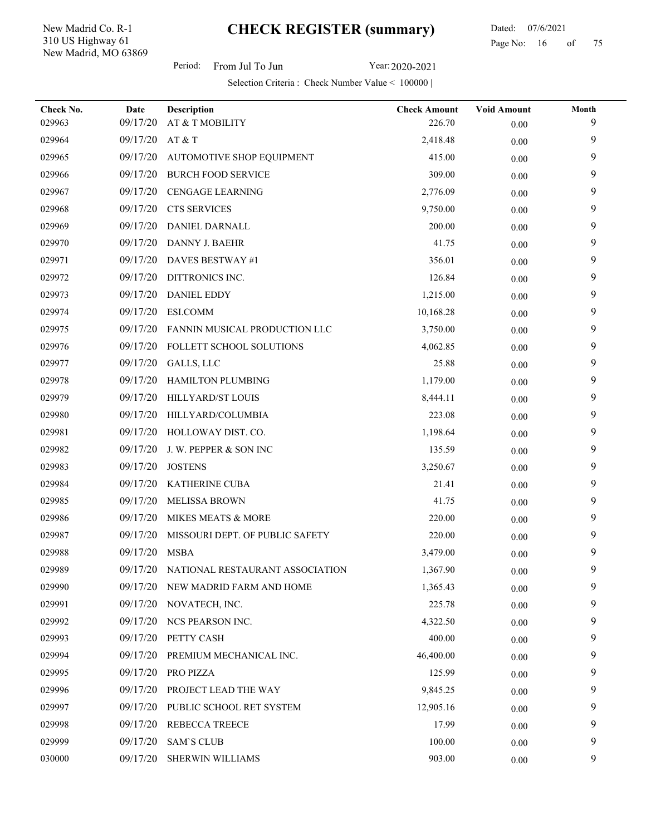New Madrid, MO 63869 310 US Highway 61 New Madrid Co. R-1

l,

 Dated: 07/6/2021 Page No: 16 of

Period: From Jul To Jun Year: 2020-2021

| Check No. | Date     | Description                     | <b>Check Amount</b> | <b>Void Amount</b> | Month |
|-----------|----------|---------------------------------|---------------------|--------------------|-------|
| 029963    | 09/17/20 | AT & T MOBILITY                 | 226.70              | 0.00               | 9     |
| 029964    | 09/17/20 | AT & T                          | 2,418.48            | 0.00               | 9     |
| 029965    | 09/17/20 | AUTOMOTIVE SHOP EQUIPMENT       | 415.00              | 0.00               | 9     |
| 029966    | 09/17/20 | <b>BURCH FOOD SERVICE</b>       | 309.00              | 0.00               | 9     |
| 029967    | 09/17/20 | CENGAGE LEARNING                | 2,776.09            | 0.00               | 9     |
| 029968    | 09/17/20 | <b>CTS SERVICES</b>             | 9,750.00            | $0.00\,$           | 9     |
| 029969    | 09/17/20 | DANIEL DARNALL                  | 200.00              | $0.00\,$           | 9     |
| 029970    | 09/17/20 | DANNY J. BAEHR                  | 41.75               | 0.00               | 9     |
| 029971    | 09/17/20 | DAVES BESTWAY #1                | 356.01              | $0.00\,$           | 9     |
| 029972    | 09/17/20 | DITTRONICS INC.                 | 126.84              | 0.00               | 9     |
| 029973    | 09/17/20 | DANIEL EDDY                     | 1,215.00            | 0.00               | 9     |
| 029974    | 09/17/20 | ESI.COMM                        | 10,168.28           | 0.00               | 9     |
| 029975    | 09/17/20 | FANNIN MUSICAL PRODUCTION LLC   | 3,750.00            | 0.00               | 9     |
| 029976    | 09/17/20 | FOLLETT SCHOOL SOLUTIONS        | 4,062.85            | $0.00\,$           | 9     |
| 029977    | 09/17/20 | GALLS, LLC                      | 25.88               | $0.00\,$           | 9     |
| 029978    | 09/17/20 | HAMILTON PLUMBING               | 1,179.00            | 0.00               | 9     |
| 029979    | 09/17/20 | HILLYARD/ST LOUIS               | 8,444.11            | 0.00               | 9     |
| 029980    | 09/17/20 | HILLYARD/COLUMBIA               | 223.08              | 0.00               | 9     |
| 029981    | 09/17/20 | HOLLOWAY DIST. CO.              | 1,198.64            | 0.00               | 9     |
| 029982    | 09/17/20 | J. W. PEPPER & SON INC          | 135.59              | 0.00               | 9     |
| 029983    | 09/17/20 | <b>JOSTENS</b>                  | 3,250.67            | $0.00\,$           | 9     |
| 029984    | 09/17/20 | KATHERINE CUBA                  | 21.41               | 0.00               | 9     |
| 029985    | 09/17/20 | <b>MELISSA BROWN</b>            | 41.75               | $0.00\,$           | 9     |
| 029986    | 09/17/20 | <b>MIKES MEATS &amp; MORE</b>   | 220.00              | 0.00               | 9     |
| 029987    | 09/17/20 | MISSOURI DEPT. OF PUBLIC SAFETY | 220.00              | 0.00               | 9     |
| 029988    | 09/17/20 | <b>MSBA</b>                     | 3,479.00            | 0.00               | 9     |
| 029989    | 09/17/20 | NATIONAL RESTAURANT ASSOCIATION | 1,367.90            | 0.00               | 9     |
| 029990    | 09/17/20 | NEW MADRID FARM AND HOME        | 1,365.43            | 0.00               | 9     |
| 029991    | 09/17/20 | NOVATECH, INC.                  | 225.78              | 0.00               | 9     |
| 029992    | 09/17/20 | NCS PEARSON INC.                | 4,322.50            | $0.00\,$           | 9     |
| 029993    | 09/17/20 | PETTY CASH                      | 400.00              | 0.00               | 9     |
| 029994    | 09/17/20 | PREMIUM MECHANICAL INC.         | 46,400.00           | 0.00               | 9     |
| 029995    | 09/17/20 | PRO PIZZA                       | 125.99              | 0.00               | 9     |
| 029996    | 09/17/20 | PROJECT LEAD THE WAY            | 9,845.25            | 0.00               | 9     |
| 029997    | 09/17/20 | PUBLIC SCHOOL RET SYSTEM        | 12,905.16           | 0.00               | 9     |
| 029998    | 09/17/20 | <b>REBECCA TREECE</b>           | 17.99               | $0.00\,$           | 9     |
| 029999    | 09/17/20 | <b>SAM'S CLUB</b>               | 100.00              | $0.00\,$           | 9     |
| 030000    | 09/17/20 | SHERWIN WILLIAMS                | 903.00              | $0.00\,$           | 9     |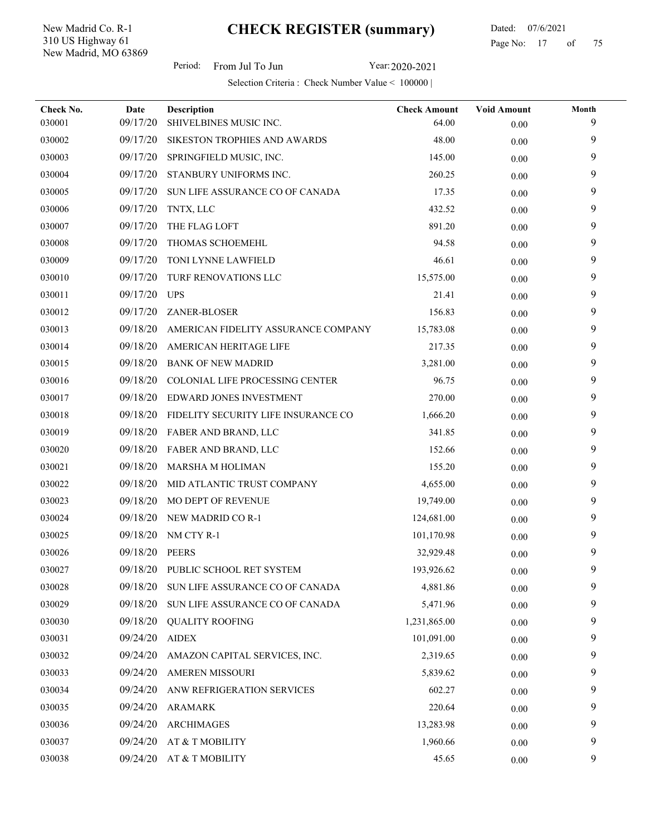New Madrid, MO 63869 310 US Highway 61 New Madrid Co. R-1

l,

 Dated: 07/6/2021 Page No: 17 of

Period: From Jul To Jun Year: 2020-2021

| Check No. | Date     | Description                         | <b>Check Amount</b> | <b>Void Amount</b> | Month |
|-----------|----------|-------------------------------------|---------------------|--------------------|-------|
| 030001    | 09/17/20 | SHIVELBINES MUSIC INC.              | 64.00               | 0.00               | 9     |
| 030002    | 09/17/20 | SIKESTON TROPHIES AND AWARDS        | 48.00               | 0.00               | 9     |
| 030003    | 09/17/20 | SPRINGFIELD MUSIC, INC.             | 145.00              | 0.00               | 9     |
| 030004    | 09/17/20 | STANBURY UNIFORMS INC.              | 260.25              | 0.00               | 9     |
| 030005    | 09/17/20 | SUN LIFE ASSURANCE CO OF CANADA     | 17.35               | 0.00               | 9     |
| 030006    | 09/17/20 | TNTX, LLC                           | 432.52              | 0.00               | 9     |
| 030007    | 09/17/20 | THE FLAG LOFT                       | 891.20              | 0.00               | 9     |
| 030008    | 09/17/20 | THOMAS SCHOEMEHL                    | 94.58               | 0.00               | 9     |
| 030009    | 09/17/20 | TONI LYNNE LAWFIELD                 | 46.61               | 0.00               | 9     |
| 030010    | 09/17/20 | TURF RENOVATIONS LLC                | 15,575.00           | 0.00               | 9     |
| 030011    | 09/17/20 | <b>UPS</b>                          | 21.41               | 0.00               | 9     |
| 030012    | 09/17/20 | ZANER-BLOSER                        | 156.83              | 0.00               | 9     |
| 030013    | 09/18/20 | AMERICAN FIDELITY ASSURANCE COMPANY | 15,783.08           | 0.00               | 9     |
| 030014    | 09/18/20 | AMERICAN HERITAGE LIFE              | 217.35              | 0.00               | 9     |
| 030015    | 09/18/20 | <b>BANK OF NEW MADRID</b>           | 3,281.00            | 0.00               | 9     |
| 030016    | 09/18/20 | COLONIAL LIFE PROCESSING CENTER     | 96.75               | 0.00               | 9     |
| 030017    | 09/18/20 | EDWARD JONES INVESTMENT             | 270.00              | 0.00               | 9     |
| 030018    | 09/18/20 | FIDELITY SECURITY LIFE INSURANCE CO | 1,666.20            | 0.00               | 9     |
| 030019    | 09/18/20 | FABER AND BRAND, LLC                | 341.85              | 0.00               | 9     |
| 030020    | 09/18/20 | FABER AND BRAND, LLC                | 152.66              | 0.00               | 9     |
| 030021    | 09/18/20 | <b>MARSHA M HOLIMAN</b>             | 155.20              | 0.00               | 9     |
| 030022    | 09/18/20 | MID ATLANTIC TRUST COMPANY          | 4,655.00            | 0.00               | 9     |
| 030023    | 09/18/20 | <b>MO DEPT OF REVENUE</b>           | 19,749.00           | 0.00               | 9     |
| 030024    | 09/18/20 | NEW MADRID CO R-1                   | 124,681.00          | 0.00               | 9     |
| 030025    | 09/18/20 | NM CTY R-1                          | 101,170.98          | 0.00               | 9     |
| 030026    | 09/18/20 | <b>PEERS</b>                        | 32,929.48           | 0.00               | 9     |
| 030027    | 09/18/20 | PUBLIC SCHOOL RET SYSTEM            | 193,926.62          | 0.00               | 9     |
| 030028    | 09/18/20 | SUN LIFE ASSURANCE CO OF CANADA     | 4,881.86            | $0.00\,$           | 9     |
| 030029    | 09/18/20 | SUN LIFE ASSURANCE CO OF CANADA     | 5,471.96            | 0.00               | 9     |
| 030030    | 09/18/20 | <b>QUALITY ROOFING</b>              | 1,231,865.00        | $0.00\,$           | 9     |
| 030031    | 09/24/20 | AIDEX                               | 101,091.00          | 0.00               | 9     |
| 030032    | 09/24/20 | AMAZON CAPITAL SERVICES, INC.       | 2,319.65            | 0.00               | 9     |
| 030033    | 09/24/20 | AMEREN MISSOURI                     | 5,839.62            | 0.00               | 9     |
| 030034    | 09/24/20 | ANW REFRIGERATION SERVICES          | 602.27              | 0.00               | 9     |
| 030035    | 09/24/20 | <b>ARAMARK</b>                      | 220.64              | $0.00\,$           | 9     |
| 030036    | 09/24/20 | <b>ARCHIMAGES</b>                   | 13,283.98           | 0.00               | 9     |
| 030037    | 09/24/20 | AT & T MOBILITY                     | 1,960.66            | $0.00\,$           | 9     |
| 030038    | 09/24/20 | AT & T MOBILITY                     | 45.65               | 0.00               | 9     |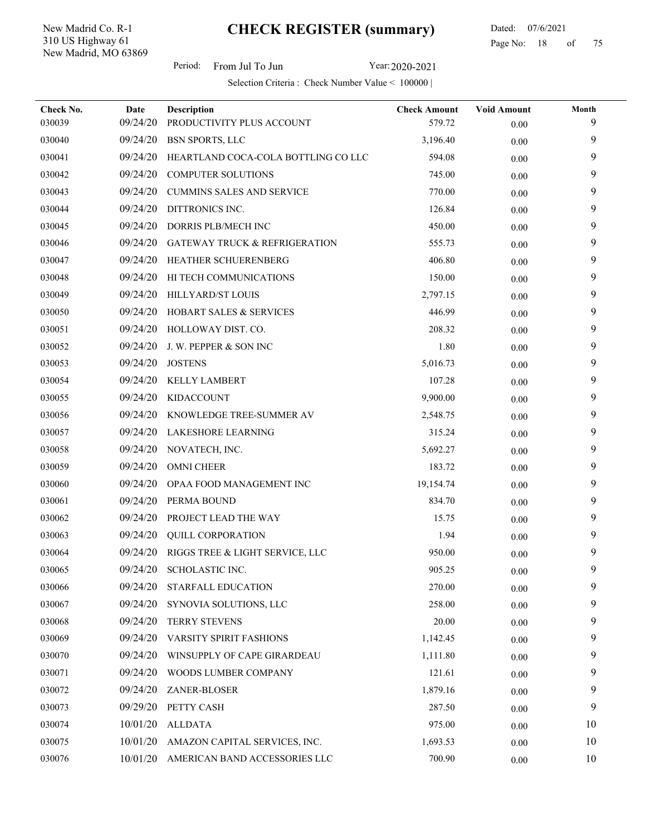New Madrid, MO 63869 310 US Highway 61 New Madrid Co. R-1

 Dated: 07/6/2021 Page No: 18 of

Period: From Jul To Jun Year: 2020-2021

| Check No.<br>030039 | Date<br>09/24/20 | Description<br>PRODUCTIVITY PLUS ACCOUNT | <b>Check Amount</b><br>579.72 | <b>Void Amount</b><br>0.00 | Month<br>9 |
|---------------------|------------------|------------------------------------------|-------------------------------|----------------------------|------------|
| 030040              | 09/24/20         | <b>BSN SPORTS, LLC</b>                   | 3,196.40                      | 0.00                       | 9          |
| 030041              | 09/24/20         | HEARTLAND COCA-COLA BOTTLING CO LLC      | 594.08                        | 0.00                       | 9          |
| 030042              | 09/24/20         | <b>COMPUTER SOLUTIONS</b>                | 745.00                        | 0.00                       | 9          |
| 030043              | 09/24/20         | <b>CUMMINS SALES AND SERVICE</b>         | 770.00                        | 0.00                       | 9          |
| 030044              | 09/24/20         | DITTRONICS INC.                          | 126.84                        | 0.00                       | 9          |
| 030045              | 09/24/20         | DORRIS PLB/MECH INC                      | 450.00                        | 0.00                       | 9          |
| 030046              | 09/24/20         | <b>GATEWAY TRUCK &amp; REFRIGERATION</b> | 555.73                        | 0.00                       | 9          |
| 030047              | 09/24/20         | HEATHER SCHUERENBERG                     | 406.80                        | 0.00                       | 9          |
| 030048              | 09/24/20         | HI TECH COMMUNICATIONS                   | 150.00                        | 0.00                       | 9          |
| 030049              | 09/24/20         | <b>HILLYARD/ST LOUIS</b>                 | 2,797.15                      | 0.00                       | 9          |
| 030050              | 09/24/20         | <b>HOBART SALES &amp; SERVICES</b>       | 446.99                        | 0.00                       | 9          |
| 030051              | 09/24/20         | HOLLOWAY DIST. CO.                       | 208.32                        | 0.00                       | 9          |
| 030052              | 09/24/20         | J. W. PEPPER & SON INC                   | 1.80                          | 0.00                       | 9          |
| 030053              | 09/24/20         | <b>JOSTENS</b>                           | 5,016.73                      | 0.00                       | 9          |
| 030054              | 09/24/20         | <b>KELLY LAMBERT</b>                     | 107.28                        | 0.00                       | 9          |
| 030055              | 09/24/20         | <b>KIDACCOUNT</b>                        | 9,900.00                      | 0.00                       | 9          |
| 030056              | 09/24/20         | KNOWLEDGE TREE-SUMMER AV                 | 2,548.75                      | 0.00                       | 9          |
| 030057              | 09/24/20         | LAKESHORE LEARNING                       | 315.24                        | 0.00                       | 9          |
| 030058              | 09/24/20         | NOVATECH, INC.                           | 5,692.27                      | 0.00                       | 9          |
| 030059              | 09/24/20         | <b>OMNI CHEER</b>                        | 183.72                        | 0.00                       | 9          |
| 030060              | 09/24/20         | OPAA FOOD MANAGEMENT INC                 | 19,154.74                     | 0.00                       | 9          |
| 030061              | 09/24/20         | PERMA BOUND                              | 834.70                        | 0.00                       | 9          |
| 030062              | 09/24/20         | PROJECT LEAD THE WAY                     | 15.75                         | 0.00                       | 9          |
| 030063              | 09/24/20         | <b>QUILL CORPORATION</b>                 | 1.94                          | $0.00\,$                   | 9          |
| 030064              | 09/24/20         | RIGGS TREE & LIGHT SERVICE, LLC          | 950.00                        | 0.00                       | 9          |
| 030065              |                  | 09/24/20 SCHOLASTIC INC.                 | 905.25                        | $0.00\,$                   | 9          |
| 030066              | 09/24/20         | STARFALL EDUCATION                       | 270.00                        | $0.00\,$                   | 9          |
| 030067              | 09/24/20         | SYNOVIA SOLUTIONS, LLC                   | 258.00                        | $0.00\,$                   | 9          |
| 030068              | 09/24/20         | <b>TERRY STEVENS</b>                     | 20.00                         | 0.00                       | 9          |
| 030069              | 09/24/20         | VARSITY SPIRIT FASHIONS                  | 1,142.45                      | 0.00                       | 9          |
| 030070              | 09/24/20         | WINSUPPLY OF CAPE GIRARDEAU              | 1,111.80                      | 0.00                       | 9          |
| 030071              | 09/24/20         | WOODS LUMBER COMPANY                     | 121.61                        | 0.00                       | 9          |
| 030072              | 09/24/20         | ZANER-BLOSER                             | 1,879.16                      | 0.00                       | 9          |
| 030073              | 09/29/20         | PETTY CASH                               | 287.50                        | 0.00                       | 9          |
| 030074              | 10/01/20         | <b>ALLDATA</b>                           | 975.00                        | 0.00                       | 10         |
| 030075              | 10/01/20         | AMAZON CAPITAL SERVICES, INC.            | 1,693.53                      | 0.00                       | 10         |
| 030076              | 10/01/20         | AMERICAN BAND ACCESSORIES LLC            | 700.90                        | $0.00\,$                   | 10         |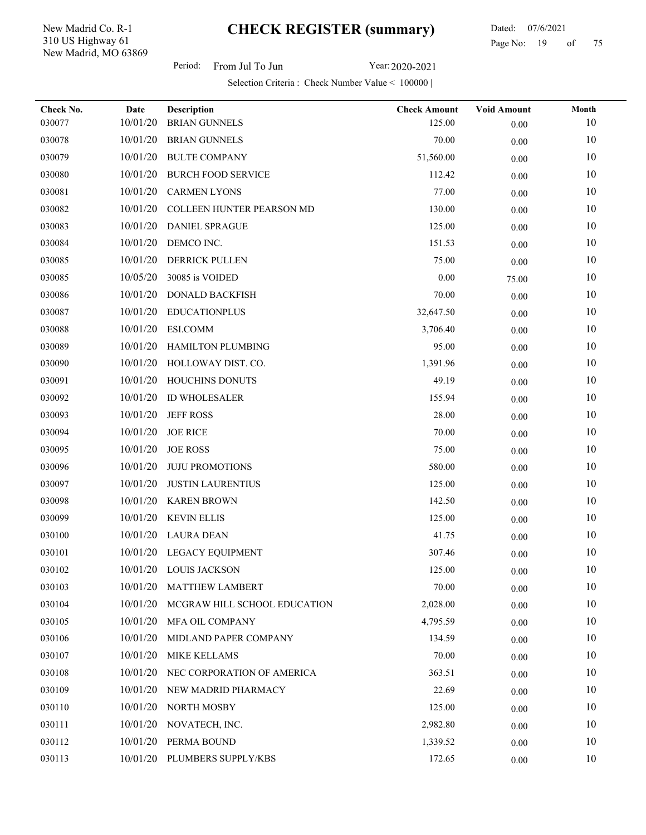New Madrid, MO 63869 310 US Highway 61 New Madrid Co. R-1

l,

Period: From Jul To Jun Year: 2020-2021

| Check No. | Date     | Description                  | <b>Check Amount</b> | <b>Void Amount</b> | Month |
|-----------|----------|------------------------------|---------------------|--------------------|-------|
| 030077    | 10/01/20 | <b>BRIAN GUNNELS</b>         | 125.00              | 0.00               | 10    |
| 030078    | 10/01/20 | <b>BRIAN GUNNELS</b>         | 70.00               | 0.00               | 10    |
| 030079    | 10/01/20 | <b>BULTE COMPANY</b>         | 51,560.00           | 0.00               | 10    |
| 030080    | 10/01/20 | <b>BURCH FOOD SERVICE</b>    | 112.42              | 0.00               | 10    |
| 030081    | 10/01/20 | <b>CARMEN LYONS</b>          | 77.00               | 0.00               | 10    |
| 030082    | 10/01/20 | COLLEEN HUNTER PEARSON MD    | 130.00              | $0.00\,$           | 10    |
| 030083    | 10/01/20 | <b>DANIEL SPRAGUE</b>        | 125.00              | $0.00\,$           | 10    |
| 030084    | 10/01/20 | DEMCO INC.                   | 151.53              | $0.00\,$           | 10    |
| 030085    | 10/01/20 | DERRICK PULLEN               | 75.00               | $0.00\,$           | 10    |
| 030085    | 10/05/20 | 30085 is VOIDED              | $0.00\,$            | 75.00              | 10    |
| 030086    | 10/01/20 | DONALD BACKFISH              | 70.00               | 0.00               | 10    |
| 030087    | 10/01/20 | <b>EDUCATIONPLUS</b>         | 32,647.50           | 0.00               | 10    |
| 030088    | 10/01/20 | <b>ESI.COMM</b>              | 3,706.40            | 0.00               | 10    |
| 030089    | 10/01/20 | HAMILTON PLUMBING            | 95.00               | $0.00\,$           | 10    |
| 030090    | 10/01/20 | HOLLOWAY DIST. CO.           | 1,391.96            | $0.00\,$           | 10    |
| 030091    | 10/01/20 | HOUCHINS DONUTS              | 49.19               | 0.00               | 10    |
| 030092    | 10/01/20 | <b>ID WHOLESALER</b>         | 155.94              | $0.00\,$           | 10    |
| 030093    | 10/01/20 | <b>JEFF ROSS</b>             | 28.00               | 0.00               | 10    |
| 030094    | 10/01/20 | <b>JOE RICE</b>              | 70.00               | 0.00               | 10    |
| 030095    | 10/01/20 | <b>JOE ROSS</b>              | 75.00               | 0.00               | 10    |
| 030096    | 10/01/20 | <b>JUJU PROMOTIONS</b>       | 580.00              | $0.00\,$           | 10    |
| 030097    | 10/01/20 | <b>JUSTIN LAURENTIUS</b>     | 125.00              | 0.00               | 10    |
| 030098    | 10/01/20 | <b>KAREN BROWN</b>           | 142.50              | $0.00\,$           | 10    |
| 030099    | 10/01/20 | <b>KEVIN ELLIS</b>           | 125.00              | 0.00               | 10    |
| 030100    | 10/01/20 | <b>LAURA DEAN</b>            | 41.75               | 0.00               | 10    |
| 030101    |          | 10/01/20 LEGACY EQUIPMENT    | 307.46              | 0.00               | 10    |
| 030102    |          | 10/01/20 LOUIS JACKSON       | 125.00              | $0.00\,$           | 10    |
| 030103    | 10/01/20 | <b>MATTHEW LAMBERT</b>       | 70.00               | 0.00               | 10    |
| 030104    | 10/01/20 | MCGRAW HILL SCHOOL EDUCATION | 2,028.00            | $0.00\,$           | 10    |
| 030105    | 10/01/20 | MFA OIL COMPANY              | 4,795.59            | 0.00               | 10    |
| 030106    | 10/01/20 | MIDLAND PAPER COMPANY        | 134.59              | $0.00\,$           | 10    |
| 030107    | 10/01/20 | MIKE KELLAMS                 | 70.00               | $0.00\,$           | 10    |
| 030108    | 10/01/20 | NEC CORPORATION OF AMERICA   | 363.51              | 0.00               | 10    |
| 030109    | 10/01/20 | NEW MADRID PHARMACY          | 22.69               | 0.00               | 10    |
| 030110    | 10/01/20 | NORTH MOSBY                  | 125.00              | 0.00               | 10    |
| 030111    | 10/01/20 | NOVATECH, INC.               | 2,982.80            | 0.00               | 10    |
| 030112    | 10/01/20 | PERMA BOUND                  | 1,339.52            | $0.00\,$           | 10    |
| 030113    | 10/01/20 | PLUMBERS SUPPLY/KBS          | 172.65              | $0.00\,$           | 10    |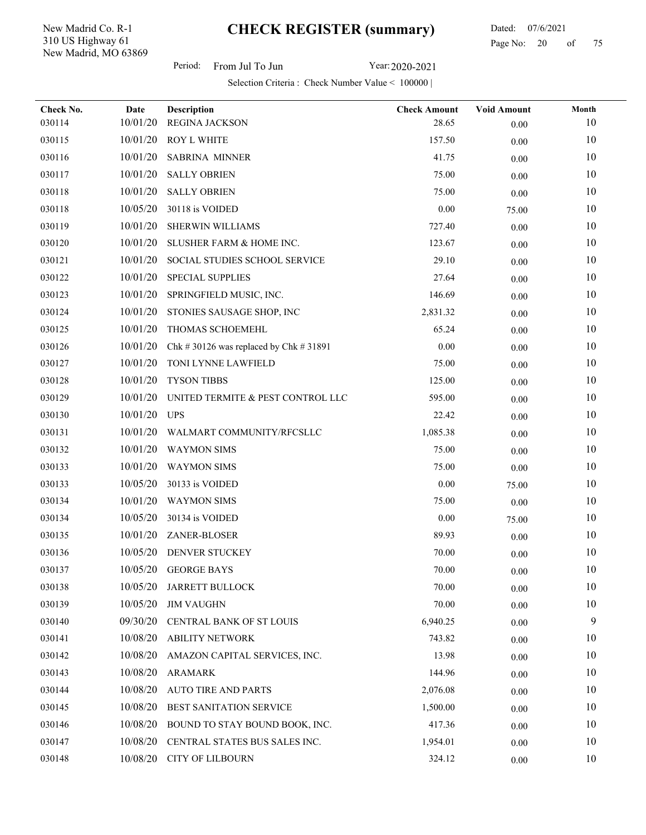New Madrid, MO 63869 310 US Highway 61 New Madrid Co. R-1

Period: From Jul To Jun Year: 2020-2021

| Check No. | Date     | Description                             | <b>Check Amount</b> | <b>Void Amount</b> | Month  |
|-----------|----------|-----------------------------------------|---------------------|--------------------|--------|
| 030114    | 10/01/20 | REGINA JACKSON                          | 28.65               | 0.00               | 10     |
| 030115    | 10/01/20 | ROY L WHITE                             | 157.50              | 0.00               | 10     |
| 030116    | 10/01/20 | <b>SABRINA MINNER</b>                   | 41.75               | 0.00               | 10     |
| 030117    | 10/01/20 | <b>SALLY OBRIEN</b>                     | 75.00               | 0.00               | 10     |
| 030118    | 10/01/20 | <b>SALLY OBRIEN</b>                     | 75.00               | 0.00               | 10     |
| 030118    | 10/05/20 | 30118 is VOIDED                         | 0.00                | 75.00              | 10     |
| 030119    | 10/01/20 | SHERWIN WILLIAMS                        | 727.40              | 0.00               | 10     |
| 030120    | 10/01/20 | SLUSHER FARM & HOME INC.                | 123.67              | 0.00               | 10     |
| 030121    | 10/01/20 | SOCIAL STUDIES SCHOOL SERVICE           | 29.10               | 0.00               | $10\,$ |
| 030122    | 10/01/20 | SPECIAL SUPPLIES                        | 27.64               | 0.00               | 10     |
| 030123    | 10/01/20 | SPRINGFIELD MUSIC, INC.                 | 146.69              | 0.00               | 10     |
| 030124    | 10/01/20 | STONIES SAUSAGE SHOP, INC               | 2,831.32            | 0.00               | 10     |
| 030125    | 10/01/20 | THOMAS SCHOEMEHL                        | 65.24               | 0.00               | 10     |
| 030126    | 10/01/20 | Chk # 30126 was replaced by Chk # 31891 | 0.00                | $0.00\,$           | 10     |
| 030127    | 10/01/20 | TONI LYNNE LAWFIELD                     | 75.00               | 0.00               | 10     |
| 030128    | 10/01/20 | <b>TYSON TIBBS</b>                      | 125.00              | 0.00               | 10     |
| 030129    | 10/01/20 | UNITED TERMITE & PEST CONTROL LLC       | 595.00              | $0.00\,$           | 10     |
| 030130    | 10/01/20 | <b>UPS</b>                              | 22.42               | 0.00               | 10     |
| 030131    | 10/01/20 | WALMART COMMUNITY/RFCSLLC               | 1,085.38            | 0.00               | 10     |
| 030132    | 10/01/20 | <b>WAYMON SIMS</b>                      | 75.00               | 0.00               | 10     |
| 030133    | 10/01/20 | <b>WAYMON SIMS</b>                      | 75.00               | 0.00               | 10     |
| 030133    | 10/05/20 | 30133 is VOIDED                         | 0.00                | 75.00              | 10     |
| 030134    | 10/01/20 | <b>WAYMON SIMS</b>                      | 75.00               | 0.00               | 10     |
| 030134    | 10/05/20 | 30134 is VOIDED                         | 0.00                | 75.00              | 10     |
| 030135    | 10/01/20 | ZANER-BLOSER                            | 89.93               | 0.00               | 10     |
| 030136    | 10/05/20 | <b>DENVER STUCKEY</b>                   | 70.00               | 0.00               | 10     |
| 030137    |          | 10/05/20 GEORGE BAYS                    | 70.00               | $0.00\,$           | $10\,$ |
| 030138    | 10/05/20 | <b>JARRETT BULLOCK</b>                  | 70.00               | $0.00\,$           | 10     |
| 030139    | 10/05/20 | <b>JIM VAUGHN</b>                       | 70.00               | $0.00\,$           | 10     |
| 030140    | 09/30/20 | <b>CENTRAL BANK OF ST LOUIS</b>         | 6,940.25            | 0.00               | 9      |
| 030141    | 10/08/20 | <b>ABILITY NETWORK</b>                  | 743.82              | 0.00               | 10     |
| 030142    | 10/08/20 | AMAZON CAPITAL SERVICES, INC.           | 13.98               | 0.00               | 10     |
| 030143    | 10/08/20 | <b>ARAMARK</b>                          | 144.96              | 0.00               | 10     |
| 030144    | 10/08/20 | <b>AUTO TIRE AND PARTS</b>              | 2,076.08            | 0.00               | 10     |
| 030145    | 10/08/20 | <b>BEST SANITATION SERVICE</b>          | 1,500.00            | 0.00               | 10     |
| 030146    | 10/08/20 | BOUND TO STAY BOUND BOOK, INC.          | 417.36              | $0.00\,$           | 10     |
| 030147    | 10/08/20 | CENTRAL STATES BUS SALES INC.           | 1,954.01            | 0.00               | 10     |
| 030148    | 10/08/20 | <b>CITY OF LILBOURN</b>                 | 324.12              | $0.00\,$           | 10     |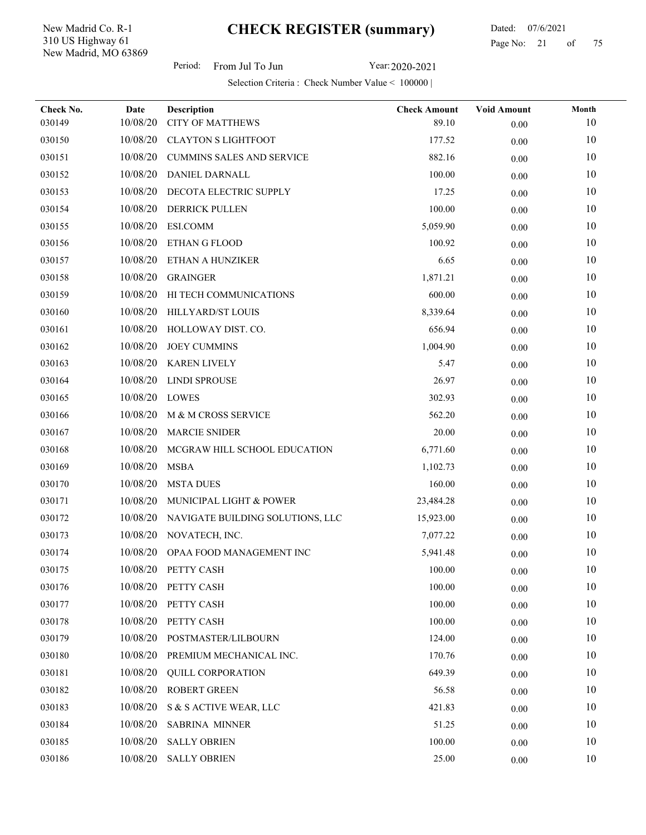New Madrid, MO 63869 310 US Highway 61 New Madrid Co. R-1

Period: From Jul To Jun Year: 2020-2021

| Check No. | Date     | <b>Description</b>               | <b>Check Amount</b> | <b>Void Amount</b> | Month |
|-----------|----------|----------------------------------|---------------------|--------------------|-------|
| 030149    | 10/08/20 | <b>CITY OF MATTHEWS</b>          | 89.10               | 0.00               | 10    |
| 030150    | 10/08/20 | <b>CLAYTON S LIGHTFOOT</b>       | 177.52              | 0.00               | 10    |
| 030151    | 10/08/20 | <b>CUMMINS SALES AND SERVICE</b> | 882.16              | 0.00               | 10    |
| 030152    | 10/08/20 | <b>DANIEL DARNALL</b>            | 100.00              | 0.00               | 10    |
| 030153    | 10/08/20 | DECOTA ELECTRIC SUPPLY           | 17.25               | 0.00               | 10    |
| 030154    | 10/08/20 | <b>DERRICK PULLEN</b>            | 100.00              | 0.00               | 10    |
| 030155    | 10/08/20 | <b>ESI.COMM</b>                  | 5,059.90            | 0.00               | 10    |
| 030156    | 10/08/20 | ETHAN G FLOOD                    | 100.92              | 0.00               | 10    |
| 030157    | 10/08/20 | ETHAN A HUNZIKER                 | 6.65                | 0.00               | 10    |
| 030158    | 10/08/20 | <b>GRAINGER</b>                  | 1,871.21            | 0.00               | 10    |
| 030159    | 10/08/20 | HI TECH COMMUNICATIONS           | 600.00              | 0.00               | 10    |
| 030160    | 10/08/20 | HILLYARD/ST LOUIS                | 8,339.64            | 0.00               | 10    |
| 030161    | 10/08/20 | HOLLOWAY DIST. CO.               | 656.94              | 0.00               | 10    |
| 030162    | 10/08/20 | <b>JOEY CUMMINS</b>              | 1,004.90            | $0.00\,$           | 10    |
| 030163    | 10/08/20 | <b>KAREN LIVELY</b>              | 5.47                | 0.00               | 10    |
| 030164    | 10/08/20 | <b>LINDI SPROUSE</b>             | 26.97               | 0.00               | 10    |
| 030165    | 10/08/20 | LOWES                            | 302.93              | 0.00               | 10    |
| 030166    | 10/08/20 | M & M CROSS SERVICE              | 562.20              | 0.00               | 10    |
| 030167    | 10/08/20 | <b>MARCIE SNIDER</b>             | 20.00               | 0.00               | 10    |
| 030168    | 10/08/20 | MCGRAW HILL SCHOOL EDUCATION     | 6,771.60            | 0.00               | 10    |
| 030169    | 10/08/20 | <b>MSBA</b>                      | 1,102.73            | 0.00               | 10    |
| 030170    | 10/08/20 | <b>MSTA DUES</b>                 | 160.00              | $0.00\,$           | 10    |
| 030171    | 10/08/20 | MUNICIPAL LIGHT & POWER          | 23,484.28           | 0.00               | 10    |
| 030172    | 10/08/20 | NAVIGATE BUILDING SOLUTIONS, LLC | 15,923.00           | 0.00               | 10    |
| 030173    | 10/08/20 | NOVATECH, INC.                   | 7,077.22            | 0.00               | 10    |
| 030174    | 10/08/20 | OPAA FOOD MANAGEMENT INC         | 5,941.48            | 0.00               | 10    |
| 030175    |          | 10/08/20 PETTY CASH              | 100.00              | $0.00\,$           | 10    |
| 030176    | 10/08/20 | PETTY CASH                       | 100.00              | $0.00\,$           | 10    |
| 030177    | 10/08/20 | PETTY CASH                       | 100.00              | $0.00\,$           | 10    |
| 030178    | 10/08/20 | PETTY CASH                       | 100.00              | 0.00               | 10    |
| 030179    | 10/08/20 | POSTMASTER/LILBOURN              | 124.00              | $0.00\,$           | 10    |
| 030180    | 10/08/20 | PREMIUM MECHANICAL INC.          | 170.76              | 0.00               | 10    |
| 030181    | 10/08/20 | <b>QUILL CORPORATION</b>         | 649.39              | 0.00               | 10    |
| 030182    | 10/08/20 | <b>ROBERT GREEN</b>              | 56.58               | 0.00               | 10    |
| 030183    | 10/08/20 | S & S ACTIVE WEAR, LLC           | 421.83              | 0.00               | 10    |
| 030184    | 10/08/20 | <b>SABRINA MINNER</b>            | 51.25               | $0.00\,$           | 10    |
| 030185    | 10/08/20 | <b>SALLY OBRIEN</b>              | 100.00              | 0.00               | 10    |
| 030186    | 10/08/20 | <b>SALLY OBRIEN</b>              | 25.00               | $0.00\,$           | 10    |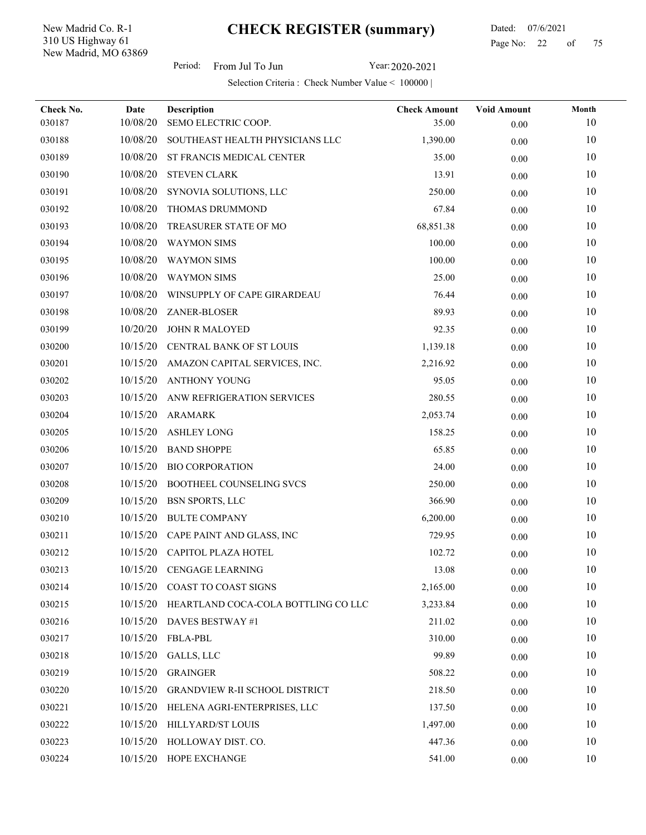New Madrid, MO 63869 310 US Highway 61 New Madrid Co. R-1

 Dated: 07/6/2021 Page No: 22 of

Period: From Jul To Jun Year: 2020-2021

| Check No. | Date     | Description                           | <b>Check Amount</b> | <b>Void Amount</b> | Month  |
|-----------|----------|---------------------------------------|---------------------|--------------------|--------|
| 030187    | 10/08/20 | SEMO ELECTRIC COOP.                   | 35.00               | 0.00               | 10     |
| 030188    | 10/08/20 | SOUTHEAST HEALTH PHYSICIANS LLC       | 1,390.00            | $0.00\,$           | 10     |
| 030189    | 10/08/20 | ST FRANCIS MEDICAL CENTER             | 35.00               | 0.00               | 10     |
| 030190    | 10/08/20 | <b>STEVEN CLARK</b>                   | 13.91               | 0.00               | 10     |
| 030191    | 10/08/20 | SYNOVIA SOLUTIONS, LLC                | 250.00              | 0.00               | 10     |
| 030192    | 10/08/20 | THOMAS DRUMMOND                       | 67.84               | $0.00\,$           | 10     |
| 030193    | 10/08/20 | TREASURER STATE OF MO                 | 68,851.38           | 0.00               | 10     |
| 030194    | 10/08/20 | <b>WAYMON SIMS</b>                    | 100.00              | 0.00               | 10     |
| 030195    | 10/08/20 | <b>WAYMON SIMS</b>                    | 100.00              | 0.00               | 10     |
| 030196    | 10/08/20 | <b>WAYMON SIMS</b>                    | 25.00               | 0.00               | 10     |
| 030197    | 10/08/20 | WINSUPPLY OF CAPE GIRARDEAU           | 76.44               | 0.00               | 10     |
| 030198    | 10/08/20 | ZANER-BLOSER                          | 89.93               | 0.00               | 10     |
| 030199    | 10/20/20 | JOHN R MALOYED                        | 92.35               | 0.00               | 10     |
| 030200    | 10/15/20 | CENTRAL BANK OF ST LOUIS              | 1,139.18            | 0.00               | 10     |
| 030201    | 10/15/20 | AMAZON CAPITAL SERVICES, INC.         | 2,216.92            | 0.00               | 10     |
| 030202    | 10/15/20 | ANTHONY YOUNG                         | 95.05               | 0.00               | $10\,$ |
| 030203    | 10/15/20 | ANW REFRIGERATION SERVICES            | 280.55              | $0.00\,$           | 10     |
| 030204    | 10/15/20 | ARAMARK                               | 2,053.74            | 0.00               | 10     |
| 030205    | 10/15/20 | <b>ASHLEY LONG</b>                    | 158.25              | 0.00               | 10     |
| 030206    | 10/15/20 | <b>BAND SHOPPE</b>                    | 65.85               | 0.00               | 10     |
| 030207    | 10/15/20 | <b>BIO CORPORATION</b>                | 24.00               | 0.00               | 10     |
| 030208    | 10/15/20 | BOOTHEEL COUNSELING SVCS              | 250.00              | $0.00\,$           | 10     |
| 030209    | 10/15/20 | <b>BSN SPORTS, LLC</b>                | 366.90              | 0.00               | 10     |
| 030210    | 10/15/20 | <b>BULTE COMPANY</b>                  | 6,200.00            | $0.00\,$           | 10     |
| 030211    | 10/15/20 | CAPE PAINT AND GLASS, INC             | 729.95              | 0.00               | 10     |
| 030212    |          | 10/15/20 CAPITOL PLAZA HOTEL          | 102.72              | $0.00\,$           | 10     |
| 030213    |          | 10/15/20 CENGAGE LEARNING             | 13.08               | 0.00               | 10     |
| 030214    | 10/15/20 | <b>COAST TO COAST SIGNS</b>           | 2,165.00            | $0.00\,$           | 10     |
| 030215    | 10/15/20 | HEARTLAND COCA-COLA BOTTLING CO LLC   | 3,233.84            | 0.00               | 10     |
| 030216    | 10/15/20 | DAVES BESTWAY #1                      | 211.02              | 0.00               | 10     |
| 030217    | 10/15/20 | <b>FBLA-PBL</b>                       | 310.00              | 0.00               | 10     |
| 030218    | 10/15/20 | GALLS, LLC                            | 99.89               | 0.00               | 10     |
| 030219    | 10/15/20 | <b>GRAINGER</b>                       | 508.22              | 0.00               | 10     |
| 030220    | 10/15/20 | <b>GRANDVIEW R-II SCHOOL DISTRICT</b> | 218.50              | 0.00               | 10     |
| 030221    | 10/15/20 | HELENA AGRI-ENTERPRISES, LLC          | 137.50              | 0.00               | 10     |
| 030222    | 10/15/20 | HILLYARD/ST LOUIS                     | 1,497.00            | 0.00               | 10     |
| 030223    | 10/15/20 | HOLLOWAY DIST. CO.                    | 447.36              | 0.00               | 10     |
| 030224    | 10/15/20 | HOPE EXCHANGE                         | 541.00              | $0.00\,$           | $10\,$ |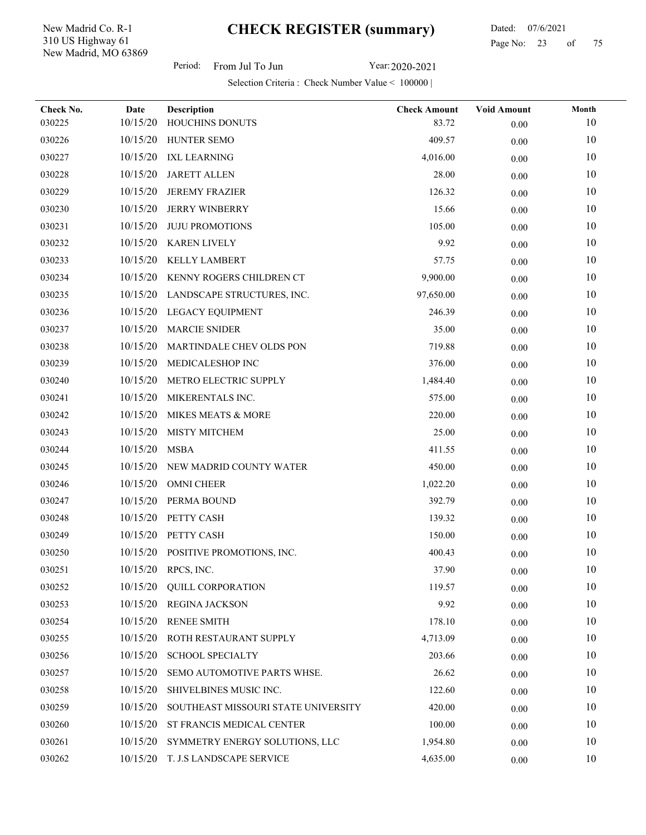New Madrid, MO 63869 310 US Highway 61 New Madrid Co. R-1

Period: From Jul To Jun Year: 2020-2021

| Check No. | Date     | <b>Description</b>                  | <b>Check Amount</b> | <b>Void Amount</b> | Month |
|-----------|----------|-------------------------------------|---------------------|--------------------|-------|
| 030225    | 10/15/20 | HOUCHINS DONUTS                     | 83.72               | $0.00\,$           | 10    |
| 030226    | 10/15/20 | HUNTER SEMO                         | 409.57              | $0.00\,$           | 10    |
| 030227    | 10/15/20 | <b>IXL LEARNING</b>                 | 4,016.00            | $0.00\,$           | 10    |
| 030228    | 10/15/20 | <b>JARETT ALLEN</b>                 | 28.00               | 0.00               | 10    |
| 030229    | 10/15/20 | <b>JEREMY FRAZIER</b>               | 126.32              | 0.00               | 10    |
| 030230    | 10/15/20 | <b>JERRY WINBERRY</b>               | 15.66               | $0.00\,$           | 10    |
| 030231    | 10/15/20 | <b>JUJU PROMOTIONS</b>              | 105.00              | $0.00\,$           | 10    |
| 030232    | 10/15/20 | <b>KAREN LIVELY</b>                 | 9.92                | $0.00\,$           | 10    |
| 030233    | 10/15/20 | <b>KELLY LAMBERT</b>                | 57.75               | $0.00\,$           | 10    |
| 030234    | 10/15/20 | KENNY ROGERS CHILDREN CT            | 9,900.00            | $0.00\,$           | 10    |
| 030235    | 10/15/20 | LANDSCAPE STRUCTURES, INC.          | 97,650.00           | $0.00\,$           | 10    |
| 030236    | 10/15/20 | LEGACY EQUIPMENT                    | 246.39              | 0.00               | 10    |
| 030237    | 10/15/20 | <b>MARCIE SNIDER</b>                | 35.00               | 0.00               | 10    |
| 030238    | 10/15/20 | MARTINDALE CHEV OLDS PON            | 719.88              | $0.00\,$           | 10    |
| 030239    | 10/15/20 | MEDICALESHOP INC                    | 376.00              | 0.00               | 10    |
| 030240    | 10/15/20 | METRO ELECTRIC SUPPLY               | 1,484.40            | $0.00\,$           | 10    |
| 030241    | 10/15/20 | MIKERENTALS INC.                    | 575.00              | $0.00\,$           | 10    |
| 030242    | 10/15/20 | <b>MIKES MEATS &amp; MORE</b>       | 220.00              | 0.00               | 10    |
| 030243    | 10/15/20 | MISTY MITCHEM                       | 25.00               | 0.00               | 10    |
| 030244    | 10/15/20 | <b>MSBA</b>                         | 411.55              | 0.00               | 10    |
| 030245    | 10/15/20 | NEW MADRID COUNTY WATER             | 450.00              | $0.00\,$           | 10    |
| 030246    | 10/15/20 | <b>OMNI CHEER</b>                   | 1,022.20            | $0.00\,$           | 10    |
| 030247    | 10/15/20 | PERMA BOUND                         | 392.79              | $0.00\,$           | 10    |
| 030248    | 10/15/20 | PETTY CASH                          | 139.32              | $0.00\,$           | 10    |
| 030249    | 10/15/20 | PETTY CASH                          | 150.00              | $0.00\,$           | 10    |
| 030250    |          | 10/15/20 POSITIVE PROMOTIONS, INC.  | 400.43              | $0.00\,$           | 10    |
| 030251    |          | 10/15/20 RPCS, INC.                 | 37.90               | 0.00               | 10    |
| 030252    | 10/15/20 | <b>QUILL CORPORATION</b>            | 119.57              | 0.00               | 10    |
| 030253    | 10/15/20 | <b>REGINA JACKSON</b>               | 9.92                | 0.00               | 10    |
| 030254    | 10/15/20 | <b>RENEE SMITH</b>                  | 178.10              | 0.00               | 10    |
| 030255    | 10/15/20 | ROTH RESTAURANT SUPPLY              | 4,713.09            | $0.00\,$           | 10    |
| 030256    | 10/15/20 | <b>SCHOOL SPECIALTY</b>             | 203.66              | 0.00               | 10    |
| 030257    | 10/15/20 | SEMO AUTOMOTIVE PARTS WHSE.         | 26.62               | 0.00               | 10    |
| 030258    | 10/15/20 | SHIVELBINES MUSIC INC.              | 122.60              | 0.00               | 10    |
| 030259    | 10/15/20 | SOUTHEAST MISSOURI STATE UNIVERSITY | 420.00              | 0.00               | 10    |
| 030260    | 10/15/20 | ST FRANCIS MEDICAL CENTER           | 100.00              | 0.00               | 10    |
| 030261    | 10/15/20 | SYMMETRY ENERGY SOLUTIONS, LLC      | 1,954.80            | $0.00\,$           | 10    |
| 030262    | 10/15/20 | T. J.S LANDSCAPE SERVICE            | 4,635.00            | $0.00\,$           | 10    |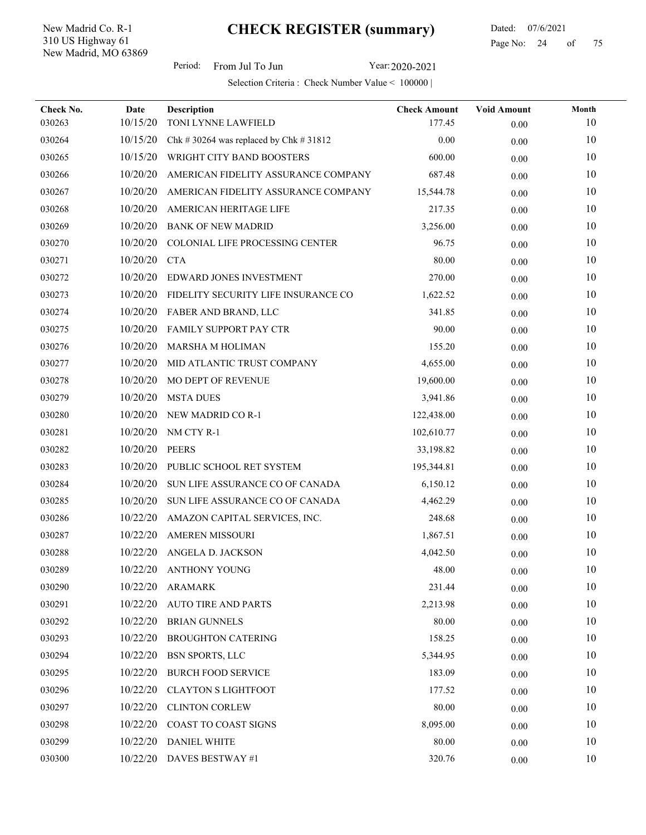New Madrid, MO 63869 310 US Highway 61 New Madrid Co. R-1

 Dated: 07/6/2021 Page No: 24 of

Period: From Jul To Jun Year: 2020-2021

| Check No.<br>030263 | Date<br>10/15/20 | <b>Description</b><br>TONI LYNNE LAWFIELD | <b>Check Amount</b><br>177.45 | <b>Void Amount</b><br>0.00 | Month<br>10 |
|---------------------|------------------|-------------------------------------------|-------------------------------|----------------------------|-------------|
| 030264              | 10/15/20         | Chk # 30264 was replaced by Chk # 31812   | 0.00                          | 0.00                       | 10          |
| 030265              | 10/15/20         | WRIGHT CITY BAND BOOSTERS                 | 600.00                        | 0.00                       | 10          |
| 030266              | 10/20/20         | AMERICAN FIDELITY ASSURANCE COMPANY       | 687.48                        | 0.00                       | 10          |
| 030267              | 10/20/20         | AMERICAN FIDELITY ASSURANCE COMPANY       | 15,544.78                     | 0.00                       | 10          |
| 030268              | 10/20/20         | AMERICAN HERITAGE LIFE                    | 217.35                        | 0.00                       | 10          |
| 030269              | 10/20/20         | <b>BANK OF NEW MADRID</b>                 | 3,256.00                      | 0.00                       | 10          |
| 030270              | 10/20/20         | COLONIAL LIFE PROCESSING CENTER           | 96.75                         | 0.00                       | 10          |
| 030271              | 10/20/20         | <b>CTA</b>                                | 80.00                         | 0.00                       | 10          |
| 030272              | 10/20/20         | EDWARD JONES INVESTMENT                   | 270.00                        | 0.00                       | 10          |
| 030273              | 10/20/20         | FIDELITY SECURITY LIFE INSURANCE CO       | 1,622.52                      | 0.00                       | 10          |
| 030274              | 10/20/20         | FABER AND BRAND, LLC                      | 341.85                        | 0.00                       | 10          |
| 030275              | 10/20/20         | FAMILY SUPPORT PAY CTR                    | 90.00                         | 0.00                       | 10          |
| 030276              | 10/20/20         | MARSHA M HOLIMAN                          | 155.20                        | $0.00\,$                   | 10          |
| 030277              | 10/20/20         | MID ATLANTIC TRUST COMPANY                | 4,655.00                      | 0.00                       | 10          |
| 030278              | 10/20/20         | MO DEPT OF REVENUE                        | 19,600.00                     | 0.00                       | 10          |
| 030279              | 10/20/20         | <b>MSTA DUES</b>                          | 3,941.86                      | 0.00                       | 10          |
| 030280              | 10/20/20         | NEW MADRID CO R-1                         | 122,438.00                    | 0.00                       | 10          |
| 030281              | 10/20/20         | NM CTY R-1                                | 102,610.77                    | 0.00                       | 10          |
| 030282              | 10/20/20         | <b>PEERS</b>                              | 33,198.82                     | 0.00                       | 10          |
| 030283              | 10/20/20         | PUBLIC SCHOOL RET SYSTEM                  | 195,344.81                    | 0.00                       | 10          |
| 030284              | 10/20/20         | SUN LIFE ASSURANCE CO OF CANADA           | 6,150.12                      | $0.00\,$                   | 10          |
| 030285              | 10/20/20         | SUN LIFE ASSURANCE CO OF CANADA           | 4,462.29                      | 0.00                       | 10          |
| 030286              | 10/22/20         | AMAZON CAPITAL SERVICES, INC.             | 248.68                        | 0.00                       | 10          |
| 030287              | 10/22/20         | <b>AMEREN MISSOURI</b>                    | 1,867.51                      | 0.00                       | 10          |
| 030288              | 10/22/20         | ANGELA D. JACKSON                         | 4,042.50                      | 0.00                       | 10          |
| 030289              |                  | 10/22/20 ANTHONY YOUNG                    | 48.00                         | $0.00\,$                   | 10          |
| 030290              | 10/22/20         | <b>ARAMARK</b>                            | 231.44                        | $0.00\,$                   | 10          |
| 030291              | 10/22/20         | <b>AUTO TIRE AND PARTS</b>                | 2,213.98                      | $0.00\,$                   | 10          |
| 030292              | 10/22/20         | <b>BRIAN GUNNELS</b>                      | 80.00                         | 0.00                       | 10          |
| 030293              | 10/22/20         | <b>BROUGHTON CATERING</b>                 | 158.25                        | $0.00\,$                   | $10\,$      |
| 030294              | 10/22/20         | <b>BSN SPORTS, LLC</b>                    | 5,344.95                      | 0.00                       | 10          |
| 030295              | 10/22/20         | <b>BURCH FOOD SERVICE</b>                 | 183.09                        | 0.00                       | 10          |
| 030296              | 10/22/20         | <b>CLAYTON S LIGHTFOOT</b>                | 177.52                        | 0.00                       | 10          |
| 030297              | 10/22/20         | <b>CLINTON CORLEW</b>                     | 80.00                         | $0.00\,$                   | 10          |
| 030298              | 10/22/20         | <b>COAST TO COAST SIGNS</b>               | 8,095.00                      | $0.00\,$                   | 10          |
| 030299              | 10/22/20         | <b>DANIEL WHITE</b>                       | 80.00                         | $0.00\,$                   | 10          |
| 030300              | 10/22/20         | DAVES BESTWAY #1                          | 320.76                        | $0.00\,$                   | $10\,$      |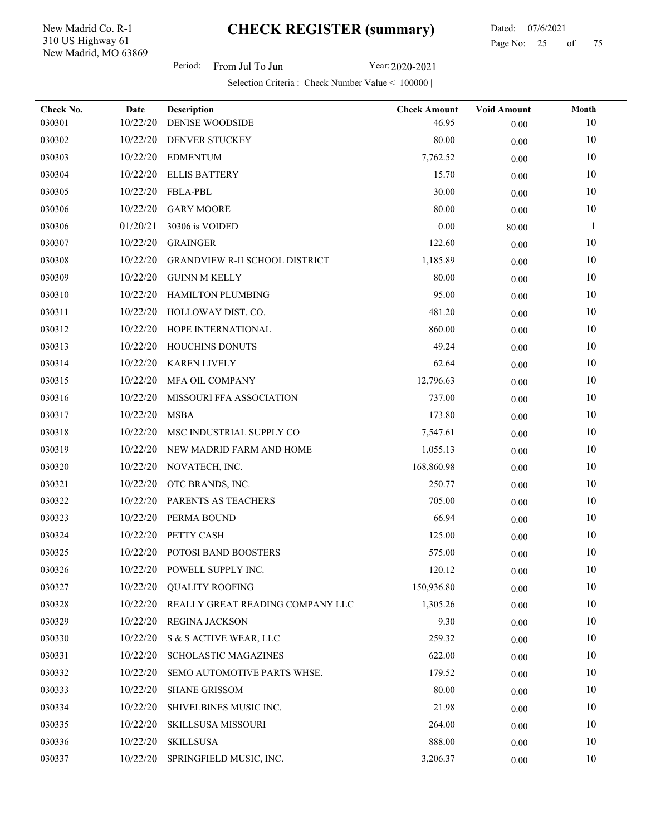New Madrid, MO 63869 310 US Highway 61 New Madrid Co. R-1

l,

Period: From Jul To Jun Year: 2020-2021

| Check No. | Date     | <b>Description</b>                    | <b>Check Amount</b> | <b>Void Amount</b> | Month        |
|-----------|----------|---------------------------------------|---------------------|--------------------|--------------|
| 030301    | 10/22/20 | <b>DENISE WOODSIDE</b>                | 46.95               | 0.00               | 10           |
| 030302    | 10/22/20 | DENVER STUCKEY                        | 80.00               | 0.00               | 10           |
| 030303    | 10/22/20 | <b>EDMENTUM</b>                       | 7,762.52            | 0.00               | 10           |
| 030304    | 10/22/20 | <b>ELLIS BATTERY</b>                  | 15.70               | $0.00\,$           | $10\,$       |
| 030305    | 10/22/20 | <b>FBLA-PBL</b>                       | 30.00               | 0.00               | 10           |
| 030306    | 10/22/20 | <b>GARY MOORE</b>                     | 80.00               | 0.00               | 10           |
| 030306    | 01/20/21 | 30306 is VOIDED                       | $0.00\,$            | 80.00              | $\mathbf{1}$ |
| 030307    | 10/22/20 | <b>GRAINGER</b>                       | 122.60              | 0.00               | 10           |
| 030308    | 10/22/20 | <b>GRANDVIEW R-II SCHOOL DISTRICT</b> | 1,185.89            | 0.00               | 10           |
| 030309    | 10/22/20 | <b>GUINN M KELLY</b>                  | 80.00               | 0.00               | 10           |
| 030310    | 10/22/20 | HAMILTON PLUMBING                     | 95.00               | $0.00\,$           | 10           |
| 030311    | 10/22/20 | HOLLOWAY DIST. CO.                    | 481.20              | 0.00               | 10           |
| 030312    | 10/22/20 | HOPE INTERNATIONAL                    | 860.00              | 0.00               | 10           |
| 030313    | 10/22/20 | HOUCHINS DONUTS                       | 49.24               | 0.00               | 10           |
| 030314    | 10/22/20 | <b>KAREN LIVELY</b>                   | 62.64               | 0.00               | 10           |
| 030315    | 10/22/20 | <b>MFA OIL COMPANY</b>                | 12,796.63           | 0.00               | 10           |
| 030316    | 10/22/20 | MISSOURI FFA ASSOCIATION              | 737.00              | 0.00               | 10           |
| 030317    | 10/22/20 | <b>MSBA</b>                           | 173.80              | $0.00\,$           | $10\,$       |
| 030318    | 10/22/20 | MSC INDUSTRIAL SUPPLY CO              | 7,547.61            | 0.00               | 10           |
| 030319    | 10/22/20 | NEW MADRID FARM AND HOME              | 1,055.13            | 0.00               | 10           |
| 030320    | 10/22/20 | NOVATECH, INC.                        | 168,860.98          | 0.00               | $10\,$       |
| 030321    | 10/22/20 | OTC BRANDS, INC.                      | 250.77              | 0.00               | 10           |
| 030322    | 10/22/20 | PARENTS AS TEACHERS                   | 705.00              | 0.00               | 10           |
| 030323    | 10/22/20 | PERMA BOUND                           | 66.94               | 0.00               | 10           |
| 030324    | 10/22/20 | PETTY CASH                            | 125.00              | $0.00\,$           | 10           |
| 030325    | 10/22/20 | POTOSI BAND BOOSTERS                  | 575.00              | 0.00               | 10           |
| 030326    |          | 10/22/20 POWELL SUPPLY INC.           | 120.12              | 0.00               | 10           |
| 030327    | 10/22/20 | <b>QUALITY ROOFING</b>                | 150,936.80          | 0.00               | 10           |
| 030328    | 10/22/20 | REALLY GREAT READING COMPANY LLC      | 1,305.26            | 0.00               | 10           |
| 030329    | 10/22/20 | REGINA JACKSON                        | 9.30                | 0.00               | 10           |
| 030330    | 10/22/20 | S & S ACTIVE WEAR, LLC                | 259.32              | 0.00               | 10           |
| 030331    | 10/22/20 | SCHOLASTIC MAGAZINES                  | 622.00              | 0.00               | 10           |
| 030332    | 10/22/20 | SEMO AUTOMOTIVE PARTS WHSE.           | 179.52              | $0.00\,$           | 10           |
| 030333    | 10/22/20 | <b>SHANE GRISSOM</b>                  | 80.00               | 0.00               | 10           |
| 030334    | 10/22/20 | SHIVELBINES MUSIC INC.                | 21.98               | 0.00               | 10           |
| 030335    | 10/22/20 | SKILLSUSA MISSOURI                    | 264.00              | $0.00\,$           | 10           |
| 030336    | 10/22/20 | <b>SKILLSUSA</b>                      | 888.00              | 0.00               | 10           |
| 030337    | 10/22/20 | SPRINGFIELD MUSIC, INC.               | 3,206.37            | $0.00\,$           | 10           |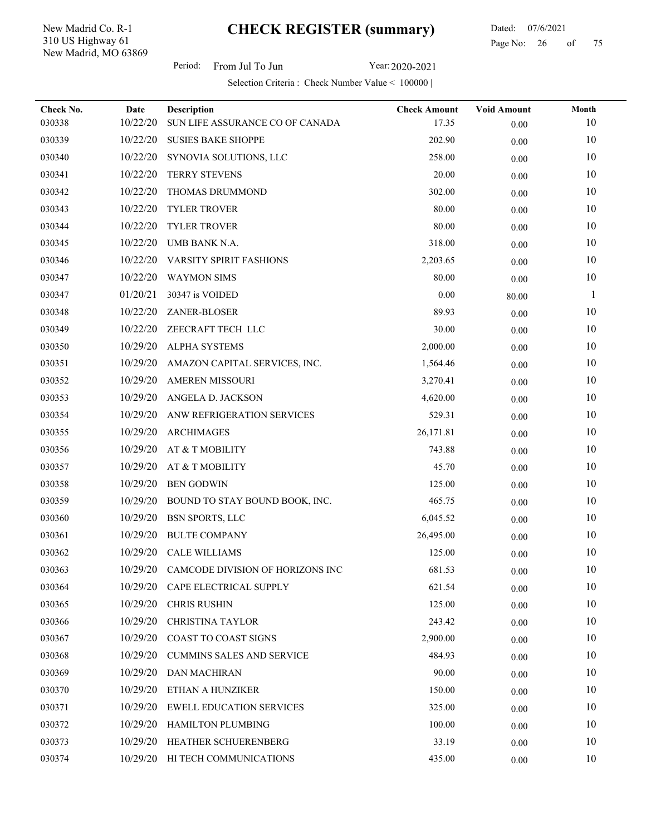New Madrid, MO 63869 310 US Highway 61 New Madrid Co. R-1

 Dated: 07/6/2021 Page No: 26 of

Period: From Jul To Jun Year: 2020-2021

| Check No. | Date     | <b>Description</b>                        | <b>Check Amount</b> | <b>Void Amount</b> | Month<br>10 |
|-----------|----------|-------------------------------------------|---------------------|--------------------|-------------|
| 030338    | 10/22/20 | SUN LIFE ASSURANCE CO OF CANADA           | 17.35               | 0.00               |             |
| 030339    | 10/22/20 | <b>SUSIES BAKE SHOPPE</b>                 | 202.90              | 0.00               | 10          |
| 030340    | 10/22/20 | SYNOVIA SOLUTIONS, LLC                    | 258.00              | 0.00               | 10          |
| 030341    | 10/22/20 | <b>TERRY STEVENS</b>                      | 20.00               | 0.00               | 10          |
| 030342    | 10/22/20 | THOMAS DRUMMOND                           | 302.00              | 0.00               | 10          |
| 030343    | 10/22/20 | <b>TYLER TROVER</b>                       | 80.00               | $0.00\,$           | 10          |
| 030344    | 10/22/20 | <b>TYLER TROVER</b>                       | 80.00               | 0.00               | 10          |
| 030345    | 10/22/20 | UMB BANK N.A.                             | 318.00              | 0.00               | 10          |
| 030346    | 10/22/20 | VARSITY SPIRIT FASHIONS                   | 2,203.65            | 0.00               | 10          |
| 030347    | 10/22/20 | <b>WAYMON SIMS</b>                        | 80.00               | 0.00               | 10          |
| 030347    | 01/20/21 | 30347 is VOIDED                           | 0.00                | 80.00              | -1          |
| 030348    | 10/22/20 | ZANER-BLOSER                              | 89.93               | 0.00               | 10          |
| 030349    | 10/22/20 | ZEECRAFT TECH LLC                         | 30.00               | 0.00               | 10          |
| 030350    | 10/29/20 | ALPHA SYSTEMS                             | 2,000.00            | $0.00\,$           | 10          |
| 030351    | 10/29/20 | AMAZON CAPITAL SERVICES, INC.             | 1,564.46            | 0.00               | 10          |
| 030352    | 10/29/20 | <b>AMEREN MISSOURI</b>                    | 3,270.41            | 0.00               | 10          |
| 030353    | 10/29/20 | ANGELA D. JACKSON                         | 4,620.00            | 0.00               | 10          |
| 030354    | 10/29/20 | ANW REFRIGERATION SERVICES                | 529.31              | 0.00               | 10          |
| 030355    | 10/29/20 | <b>ARCHIMAGES</b>                         | 26,171.81           | 0.00               | 10          |
| 030356    | 10/29/20 | AT & T MOBILITY                           | 743.88              | 0.00               | 10          |
| 030357    | 10/29/20 | AT & T MOBILITY                           | 45.70               | 0.00               | 10          |
| 030358    | 10/29/20 | <b>BEN GODWIN</b>                         | 125.00              | $0.00\,$           | 10          |
| 030359    | 10/29/20 | BOUND TO STAY BOUND BOOK, INC.            | 465.75              | 0.00               | 10          |
| 030360    | 10/29/20 | <b>BSN SPORTS, LLC</b>                    | 6,045.52            | 0.00               | 10          |
| 030361    | 10/29/20 | <b>BULTE COMPANY</b>                      | 26,495.00           | 0.00               | 10          |
| 030362    |          | 10/29/20 CALE WILLIAMS                    | 125.00              | 0.00               | 10          |
| 030363    |          | 10/29/20 CAMCODE DIVISION OF HORIZONS INC | 681.53              | 0.00               | 10          |
| 030364    | 10/29/20 | CAPE ELECTRICAL SUPPLY                    | 621.54              | 0.00               | 10          |
| 030365    | 10/29/20 | <b>CHRIS RUSHIN</b>                       | 125.00              | $0.00\,$           | 10          |
| 030366    | 10/29/20 | CHRISTINA TAYLOR                          | 243.42              | 0.00               | 10          |
| 030367    | 10/29/20 | COAST TO COAST SIGNS                      | 2,900.00            | 0.00               | 10          |
| 030368    | 10/29/20 | <b>CUMMINS SALES AND SERVICE</b>          | 484.93              | 0.00               | 10          |
| 030369    | 10/29/20 | <b>DAN MACHIRAN</b>                       | 90.00               | 0.00               | 10          |
| 030370    | 10/29/20 | ETHAN A HUNZIKER                          | 150.00              | 0.00               | 10          |
| 030371    | 10/29/20 | <b>EWELL EDUCATION SERVICES</b>           | 325.00              | 0.00               | 10          |
| 030372    | 10/29/20 | <b>HAMILTON PLUMBING</b>                  | 100.00              | 0.00               | 10          |
| 030373    | 10/29/20 | HEATHER SCHUERENBERG                      | 33.19               | 0.00               | 10          |
| 030374    | 10/29/20 | HI TECH COMMUNICATIONS                    | 435.00              | $0.00\,$           | 10          |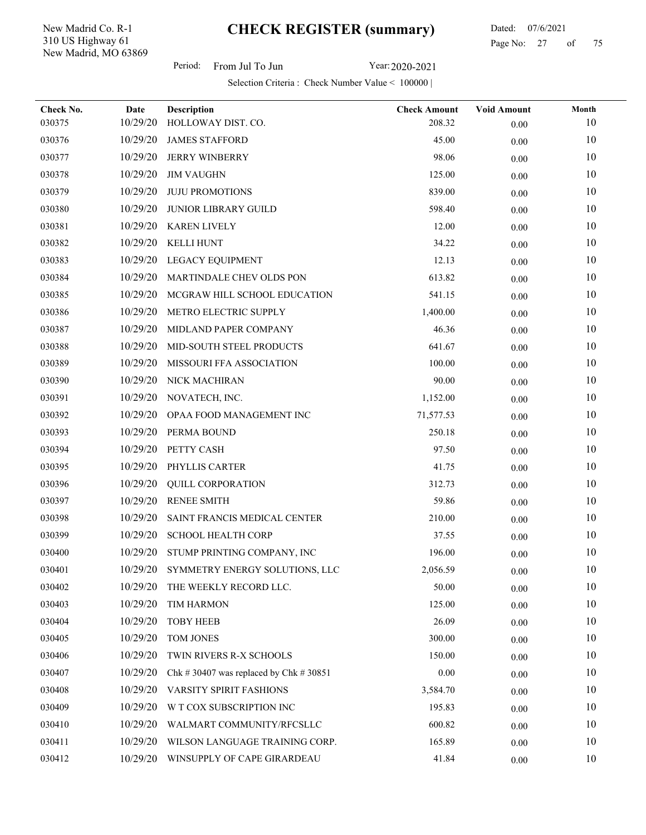New Madrid, MO 63869 310 US Highway 61 New Madrid Co. R-1

l,

 Dated: 07/6/2021 Page No: 27 of

Period: From Jul To Jun Year: 2020-2021

| Check No. | Date     | <b>Description</b>                    | <b>Check Amount</b> | <b>Void Amount</b> | Month |
|-----------|----------|---------------------------------------|---------------------|--------------------|-------|
| 030375    | 10/29/20 | HOLLOWAY DIST. CO.                    | 208.32              | 0.00               | 10    |
| 030376    | 10/29/20 | <b>JAMES STAFFORD</b>                 | 45.00               | 0.00               | 10    |
| 030377    | 10/29/20 | <b>JERRY WINBERRY</b>                 | 98.06               | $0.00\,$           | 10    |
| 030378    | 10/29/20 | <b>JIM VAUGHN</b>                     | 125.00              | $0.00\,$           | 10    |
| 030379    | 10/29/20 | <b>JUJU PROMOTIONS</b>                | 839.00              | 0.00               | 10    |
| 030380    | 10/29/20 | <b>JUNIOR LIBRARY GUILD</b>           | 598.40              | 0.00               | 10    |
| 030381    | 10/29/20 | <b>KAREN LIVELY</b>                   | 12.00               | 0.00               | 10    |
| 030382    | 10/29/20 | <b>KELLI HUNT</b>                     | 34.22               | 0.00               | 10    |
| 030383    | 10/29/20 | LEGACY EQUIPMENT                      | 12.13               | 0.00               | 10    |
| 030384    | 10/29/20 | MARTINDALE CHEV OLDS PON              | 613.82              | $0.00\,$           | 10    |
| 030385    | 10/29/20 | MCGRAW HILL SCHOOL EDUCATION          | 541.15              | 0.00               | 10    |
| 030386    | 10/29/20 | METRO ELECTRIC SUPPLY                 | 1,400.00            | $0.00\,$           | 10    |
| 030387    | 10/29/20 | MIDLAND PAPER COMPANY                 | 46.36               | 0.00               | 10    |
| 030388    | 10/29/20 | MID-SOUTH STEEL PRODUCTS              | 641.67              | 0.00               | 10    |
| 030389    | 10/29/20 | MISSOURI FFA ASSOCIATION              | 100.00              | 0.00               | 10    |
| 030390    | 10/29/20 | NICK MACHIRAN                         | 90.00               | 0.00               | 10    |
| 030391    | 10/29/20 | NOVATECH, INC.                        | 1,152.00            | 0.00               | 10    |
| 030392    | 10/29/20 | OPAA FOOD MANAGEMENT INC              | 71,577.53           | $0.00\,$           | 10    |
| 030393    | 10/29/20 | PERMA BOUND                           | 250.18              | 0.00               | 10    |
| 030394    | 10/29/20 | PETTY CASH                            | 97.50               | 0.00               | 10    |
| 030395    | 10/29/20 | PHYLLIS CARTER                        | 41.75               | 0.00               | 10    |
| 030396    | 10/29/20 | <b>QUILL CORPORATION</b>              | 312.73              | 0.00               | 10    |
| 030397    | 10/29/20 | <b>RENEE SMITH</b>                    | 59.86               | 0.00               | 10    |
| 030398    | 10/29/20 | SAINT FRANCIS MEDICAL CENTER          | 210.00              | 0.00               | 10    |
| 030399    | 10/29/20 | <b>SCHOOL HEALTH CORP</b>             | 37.55               | $0.00\,$           | 10    |
| 030400    | 10/29/20 | STUMP PRINTING COMPANY, INC           | 196.00              | $0.00\,$           | 10    |
| 030401    | 10/29/20 | SYMMETRY ENERGY SOLUTIONS, LLC        | 2,056.59            | 0.00               | 10    |
| 030402    | 10/29/20 | THE WEEKLY RECORD LLC.                | 50.00               | $0.00\,$           | 10    |
| 030403    | 10/29/20 | <b>TIM HARMON</b>                     | 125.00              | 0.00               | 10    |
| 030404    | 10/29/20 | <b>TOBY HEEB</b>                      | 26.09               | 0.00               | 10    |
| 030405    | 10/29/20 | TOM JONES                             | 300.00              | 0.00               | 10    |
| 030406    | 10/29/20 | TWIN RIVERS R-X SCHOOLS               | 150.00              | 0.00               | 10    |
| 030407    | 10/29/20 | Chk #30407 was replaced by Chk #30851 | 0.00                | $0.00\,$           | 10    |
| 030408    | 10/29/20 | VARSITY SPIRIT FASHIONS               | 3,584.70            | $0.00\,$           | 10    |
| 030409    | 10/29/20 | W T COX SUBSCRIPTION INC              | 195.83              | $0.00\,$           | 10    |
| 030410    | 10/29/20 | WALMART COMMUNITY/RFCSLLC             | 600.82              | 0.00               | 10    |
| 030411    | 10/29/20 | WILSON LANGUAGE TRAINING CORP.        | 165.89              | $0.00\,$           | 10    |
| 030412    | 10/29/20 | WINSUPPLY OF CAPE GIRARDEAU           | 41.84               | $0.00\,$           | 10    |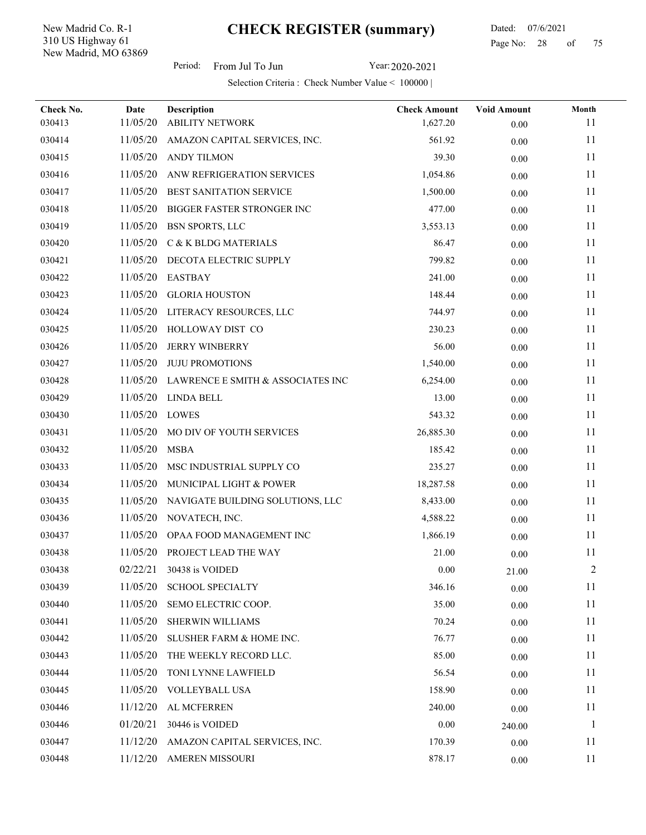New Madrid, MO 63869 310 US Highway 61 New Madrid Co. R-1

l,

Period: From Jul To Jun Year: 2020-2021

| Check No. | Date     | Description                       | <b>Check Amount</b> | <b>Void Amount</b> | Month |
|-----------|----------|-----------------------------------|---------------------|--------------------|-------|
| 030413    | 11/05/20 | <b>ABILITY NETWORK</b>            | 1,627.20            | $0.00\,$           | 11    |
| 030414    | 11/05/20 | AMAZON CAPITAL SERVICES, INC.     | 561.92              | 0.00               | 11    |
| 030415    | 11/05/20 | ANDY TILMON                       | 39.30               | 0.00               | 11    |
| 030416    | 11/05/20 | ANW REFRIGERATION SERVICES        | 1,054.86            | 0.00               | 11    |
| 030417    | 11/05/20 | BEST SANITATION SERVICE           | 1,500.00            | 0.00               | 11    |
| 030418    | 11/05/20 | <b>BIGGER FASTER STRONGER INC</b> | 477.00              | 0.00               | 11    |
| 030419    | 11/05/20 | <b>BSN SPORTS, LLC</b>            | 3,553.13            | 0.00               | 11    |
| 030420    | 11/05/20 | C & K BLDG MATERIALS              | 86.47               | 0.00               | 11    |
| 030421    | 11/05/20 | DECOTA ELECTRIC SUPPLY            | 799.82              | 0.00               | 11    |
| 030422    | 11/05/20 | <b>EASTBAY</b>                    | 241.00              | 0.00               | 11    |
| 030423    | 11/05/20 | <b>GLORIA HOUSTON</b>             | 148.44              | 0.00               | 11    |
| 030424    | 11/05/20 | LITERACY RESOURCES, LLC           | 744.97              | $0.00\,$           | 11    |
| 030425    | 11/05/20 | HOLLOWAY DIST CO                  | 230.23              | 0.00               | 11    |
| 030426    | 11/05/20 | <b>JERRY WINBERRY</b>             | 56.00               | 0.00               | 11    |
| 030427    | 11/05/20 | <b>JUJU PROMOTIONS</b>            | 1,540.00            | 0.00               | 11    |
| 030428    | 11/05/20 | LAWRENCE E SMITH & ASSOCIATES INC | 6,254.00            | 0.00               | 11    |
| 030429    | 11/05/20 | <b>LINDA BELL</b>                 | 13.00               | 0.00               | 11    |
| 030430    | 11/05/20 | LOWES                             | 543.32              | 0.00               | 11    |
| 030431    | 11/05/20 | MO DIV OF YOUTH SERVICES          | 26,885.30           | 0.00               | 11    |
| 030432    | 11/05/20 | <b>MSBA</b>                       | 185.42              | 0.00               | 11    |
| 030433    | 11/05/20 | MSC INDUSTRIAL SUPPLY CO          | 235.27              | 0.00               | 11    |
| 030434    | 11/05/20 | MUNICIPAL LIGHT & POWER           | 18,287.58           | 0.00               | 11    |
| 030435    | 11/05/20 | NAVIGATE BUILDING SOLUTIONS, LLC  | 8,433.00            | 0.00               | 11    |
| 030436    | 11/05/20 | NOVATECH, INC.                    | 4,588.22            | 0.00               | 11    |
| 030437    | 11/05/20 | OPAA FOOD MANAGEMENT INC          | 1,866.19            | 0.00               | 11    |
| 030438    | 11/05/20 | PROJECT LEAD THE WAY              | 21.00               | $0.00\,$           | 11    |
| 030438    | 02/22/21 | 30438 is VOIDED                   | 0.00                | 21.00              | 2     |
| 030439    | 11/05/20 | <b>SCHOOL SPECIALTY</b>           | 346.16              | 0.00               | 11    |
| 030440    | 11/05/20 | SEMO ELECTRIC COOP.               | 35.00               | $0.00\,$           | 11    |
| 030441    | 11/05/20 | SHERWIN WILLIAMS                  | 70.24               | 0.00               | 11    |
| 030442    | 11/05/20 | SLUSHER FARM & HOME INC.          | 76.77               | 0.00               | 11    |
| 030443    | 11/05/20 | THE WEEKLY RECORD LLC.            | 85.00               | 0.00               | 11    |
| 030444    | 11/05/20 | TONI LYNNE LAWFIELD               | 56.54               | 0.00               | 11    |
| 030445    | 11/05/20 | VOLLEYBALL USA                    | 158.90              | 0.00               | 11    |
| 030446    | 11/12/20 | AL MCFERREN                       | 240.00              | $0.00\,$           | 11    |
| 030446    | 01/20/21 | 30446 is VOIDED                   | 0.00                | 240.00             | -1    |
| 030447    | 11/12/20 | AMAZON CAPITAL SERVICES, INC.     | 170.39              | 0.00               | 11    |
| 030448    | 11/12/20 | AMEREN MISSOURI                   | 878.17              | $0.00\,$           | 11    |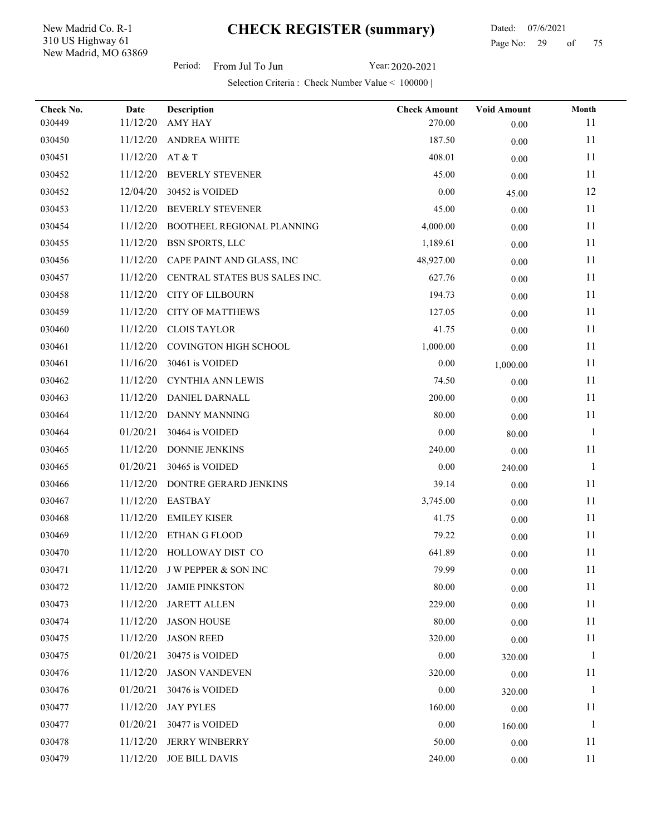New Madrid, MO 63869 310 US Highway 61 New Madrid Co. R-1

### Dated: 07/6/2021 Page No: 29 of

Period: From Jul To Jun Year: 2020-2021

| Check No.<br>030449 | Date<br>11/12/20 | Description<br><b>AMY HAY</b> | <b>Check Amount</b><br>270.00 | <b>Void Amount</b> | Month<br>11  |
|---------------------|------------------|-------------------------------|-------------------------------|--------------------|--------------|
| 030450              | 11/12/20         | <b>ANDREA WHITE</b>           | 187.50                        | 0.00               | 11           |
| 030451              | 11/12/20         | AT & T                        | 408.01                        | 0.00               | 11           |
| 030452              | 11/12/20         | <b>BEVERLY STEVENER</b>       | 45.00                         | 0.00               | 11           |
| 030452              | 12/04/20         | 30452 is VOIDED               | 0.00                          | 0.00               | 12           |
| 030453              | 11/12/20         | <b>BEVERLY STEVENER</b>       | 45.00                         | 45.00              | 11           |
| 030454              | 11/12/20         | BOOTHEEL REGIONAL PLANNING    | 4,000.00                      | $0.00\,$           | 11           |
| 030455              | 11/12/20         | <b>BSN SPORTS, LLC</b>        | 1,189.61                      | 0.00               | 11           |
| 030456              | 11/12/20         | CAPE PAINT AND GLASS, INC     | 48,927.00                     | $0.00\,$           | 11           |
| 030457              | 11/12/20         | CENTRAL STATES BUS SALES INC. | 627.76                        | 0.00               | 11           |
| 030458              | 11/12/20         | <b>CITY OF LILBOURN</b>       | 194.73                        | 0.00               | 11           |
| 030459              | 11/12/20         | <b>CITY OF MATTHEWS</b>       | 127.05                        | 0.00               | 11           |
| 030460              | 11/12/20         | <b>CLOIS TAYLOR</b>           | 41.75                         | 0.00               | 11           |
| 030461              | 11/12/20         | COVINGTON HIGH SCHOOL         | 1,000.00                      | 0.00               | 11           |
| 030461              | 11/16/20         | 30461 is VOIDED               | 0.00                          | $0.00\,$           | 11           |
| 030462              | 11/12/20         | CYNTHIA ANN LEWIS             | 74.50                         | 1,000.00<br>0.00   | 11           |
| 030463              | 11/12/20         | DANIEL DARNALL                | 200.00                        | 0.00               | 11           |
| 030464              | 11/12/20         | <b>DANNY MANNING</b>          | 80.00                         | 0.00               | 11           |
| 030464              | 01/20/21         | 30464 is VOIDED               | 0.00                          | 80.00              | $\mathbf{1}$ |
| 030465              | 11/12/20         | <b>DONNIE JENKINS</b>         | 240.00                        | 0.00               | 11           |
| 030465              | 01/20/21         | 30465 is VOIDED               | 0.00                          | 240.00             | -1           |
| 030466              | 11/12/20         | DONTRE GERARD JENKINS         | 39.14                         | 0.00               | 11           |
| 030467              | 11/12/20         | <b>EASTBAY</b>                | 3,745.00                      | 0.00               | 11           |
| 030468              | 11/12/20         | <b>EMILEY KISER</b>           | 41.75                         | $0.00\,$           | 11           |
| 030469              | 11/12/20         | ETHAN G FLOOD                 | 79.22                         | 0.00               | 11           |
| 030470              | 11/12/20         | HOLLOWAY DIST CO              | 641.89                        | 0.00               | 11           |
| 030471              |                  | 11/12/20 J W PEPPER & SON INC | 79.99                         | $0.00\,$           | 11           |
| 030472              | 11/12/20         | <b>JAMIE PINKSTON</b>         | 80.00                         | $0.00\,$           | 11           |
| 030473              | 11/12/20         | <b>JARETT ALLEN</b>           | 229.00                        | $0.00\,$           | 11           |
| 030474              | 11/12/20         | <b>JASON HOUSE</b>            | 80.00                         | 0.00               | 11           |
| 030475              | 11/12/20         | <b>JASON REED</b>             | 320.00                        | 0.00               | 11           |
| 030475              | 01/20/21         | 30475 is VOIDED               | 0.00                          | 320.00             | 1            |
| 030476              | 11/12/20         | <b>JASON VANDEVEN</b>         | 320.00                        | 0.00               | 11           |
| 030476              | 01/20/21         | 30476 is VOIDED               | 0.00                          | 320.00             | $\mathbf{1}$ |
| 030477              | 11/12/20         | <b>JAY PYLES</b>              | 160.00                        | $0.00\,$           | 11           |
| 030477              | 01/20/21         | 30477 is VOIDED               | 0.00                          | 160.00             | $\mathbf{1}$ |
| 030478              | 11/12/20         | <b>JERRY WINBERRY</b>         | 50.00                         | $0.00\,$           | 11           |
| 030479              | 11/12/20         | <b>JOE BILL DAVIS</b>         | 240.00                        | $0.00\,$           | 11           |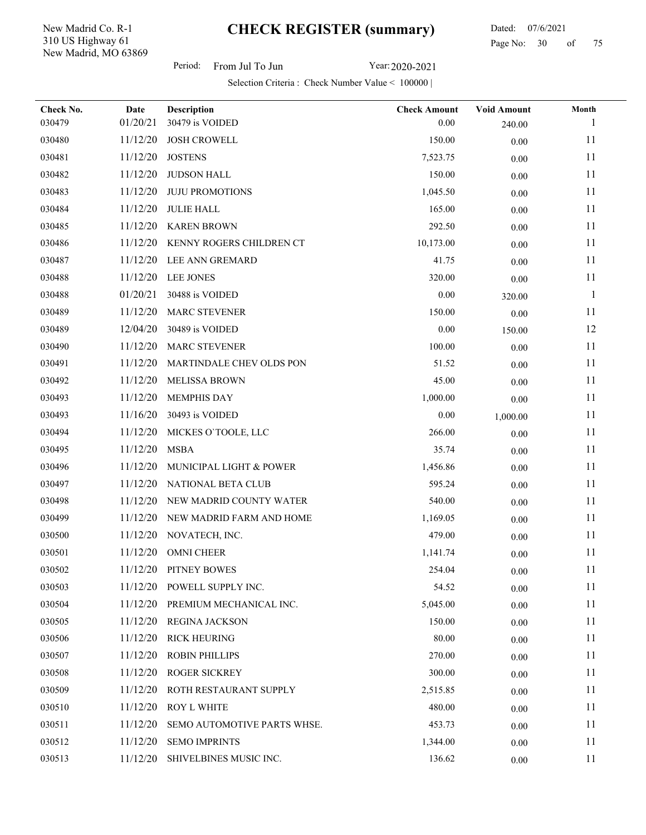New Madrid, MO 63869 310 US Highway 61 New Madrid Co. R-1

l,

 Dated: 07/6/2021 Page No: 30 of

Period: From Jul To Jun Year: 2020-2021

| Check No. | Date     | Description                 | <b>Check Amount</b> | <b>Void Amount</b> | Month |
|-----------|----------|-----------------------------|---------------------|--------------------|-------|
| 030479    | 01/20/21 | 30479 is VOIDED             | 0.00                | 240.00             | 1     |
| 030480    | 11/12/20 | <b>JOSH CROWELL</b>         | 150.00              | 0.00               | 11    |
| 030481    | 11/12/20 | <b>JOSTENS</b>              | 7,523.75            | 0.00               | 11    |
| 030482    | 11/12/20 | <b>JUDSON HALL</b>          | 150.00              | 0.00               | 11    |
| 030483    | 11/12/20 | <b>JUJU PROMOTIONS</b>      | 1,045.50            | 0.00               | 11    |
| 030484    | 11/12/20 | <b>JULIE HALL</b>           | 165.00              | $0.00\,$           | 11    |
| 030485    | 11/12/20 | <b>KAREN BROWN</b>          | 292.50              | $0.00\,$           | 11    |
| 030486    | 11/12/20 | KENNY ROGERS CHILDREN CT    | 10,173.00           | 0.00               | 11    |
| 030487    | 11/12/20 | LEE ANN GREMARD             | 41.75               | 0.00               | 11    |
| 030488    | 11/12/20 | LEE JONES                   | 320.00              | $0.00\,$           | 11    |
| 030488    | 01/20/21 | 30488 is VOIDED             | 0.00                | 320.00             | 1     |
| 030489    | 11/12/20 | <b>MARC STEVENER</b>        | 150.00              | $0.00\,$           | 11    |
| 030489    | 12/04/20 | 30489 is VOIDED             | $0.00\,$            | 150.00             | 12    |
| 030490    | 11/12/20 | <b>MARC STEVENER</b>        | 100.00              | $0.00\,$           | 11    |
| 030491    | 11/12/20 | MARTINDALE CHEV OLDS PON    | 51.52               | 0.00               | 11    |
| 030492    | 11/12/20 | <b>MELISSA BROWN</b>        | 45.00               | 0.00               | 11    |
| 030493    | 11/12/20 | <b>MEMPHIS DAY</b>          | 1,000.00            | $0.00\,$           | 11    |
| 030493    | 11/16/20 | 30493 is VOIDED             | 0.00                | 1,000.00           | 11    |
| 030494    | 11/12/20 | MICKES O'TOOLE, LLC         | 266.00              | 0.00               | 11    |
| 030495    | 11/12/20 | <b>MSBA</b>                 | 35.74               | $0.00\,$           | 11    |
| 030496    | 11/12/20 | MUNICIPAL LIGHT & POWER     | 1,456.86            | $0.00\,$           | 11    |
| 030497    | 11/12/20 | NATIONAL BETA CLUB          | 595.24              | 0.00               | 11    |
| 030498    | 11/12/20 | NEW MADRID COUNTY WATER     | 540.00              | $0.00\,$           | 11    |
| 030499    | 11/12/20 | NEW MADRID FARM AND HOME    | 1,169.05            | 0.00               | 11    |
| 030500    | 11/12/20 | NOVATECH, INC.              | 479.00              | 0.00               | 11    |
| 030501    | 11/12/20 | <b>OMNI CHEER</b>           | 1,141.74            | $0.00\,$           | 11    |
| 030502    | 11/12/20 | PITNEY BOWES                | 254.04              | 0.00               | 11    |
| 030503    |          | 11/12/20 POWELL SUPPLY INC. | 54.52               | $0.00\,$           | 11    |
| 030504    | 11/12/20 | PREMIUM MECHANICAL INC.     | 5,045.00            | 0.00               | 11    |
| 030505    | 11/12/20 | <b>REGINA JACKSON</b>       | 150.00              | 0.00               | 11    |
| 030506    | 11/12/20 | <b>RICK HEURING</b>         | 80.00               | 0.00               | 11    |
| 030507    | 11/12/20 | ROBIN PHILLIPS              | 270.00              | 0.00               | 11    |
| 030508    | 11/12/20 | ROGER SICKREY               | 300.00              | 0.00               | 11    |
| 030509    | 11/12/20 | ROTH RESTAURANT SUPPLY      | 2,515.85            | 0.00               | 11    |
| 030510    | 11/12/20 | ROY L WHITE                 | 480.00              | $0.00\,$           | 11    |
| 030511    | 11/12/20 | SEMO AUTOMOTIVE PARTS WHSE. | 453.73              | $0.00\,$           | 11    |
| 030512    | 11/12/20 | <b>SEMO IMPRINTS</b>        | 1,344.00            | $0.00\,$           | 11    |
| 030513    | 11/12/20 | SHIVELBINES MUSIC INC.      | 136.62              | $0.00\,$           | 11    |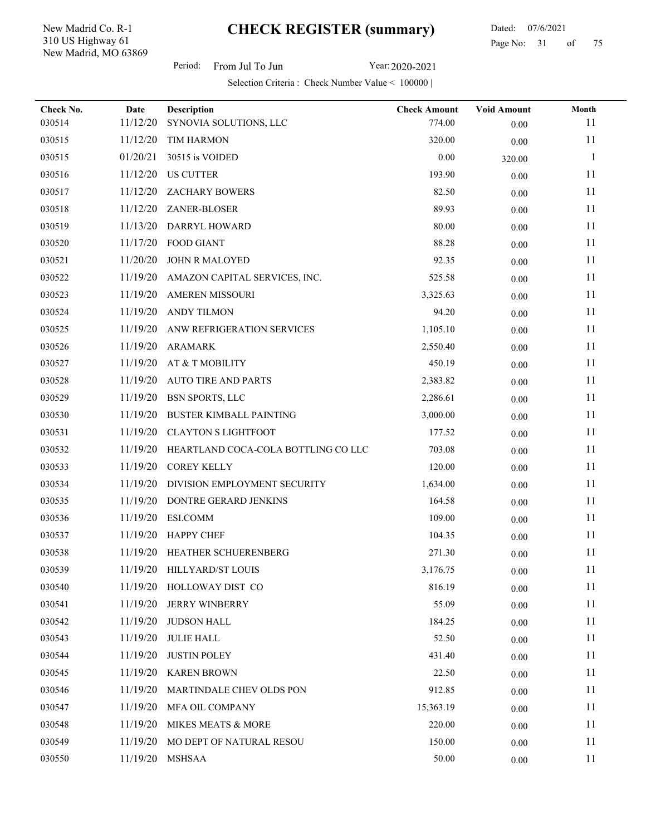New Madrid, MO 63869 310 US Highway 61 New Madrid Co. R-1

l,

 Dated: 07/6/2021 Page No: 31 of

Period: From Jul To Jun Year: 2020-2021

| Check No. | Date     | Description                         | <b>Check Amount</b> | <b>Void Amount</b> | Month        |
|-----------|----------|-------------------------------------|---------------------|--------------------|--------------|
| 030514    | 11/12/20 | SYNOVIA SOLUTIONS, LLC              | 774.00              | 0.00               | 11           |
| 030515    | 11/12/20 | <b>TIM HARMON</b>                   | 320.00              | 0.00               | 11           |
| 030515    | 01/20/21 | 30515 is VOIDED                     | 0.00                | 320.00             | $\mathbf{1}$ |
| 030516    | 11/12/20 | <b>US CUTTER</b>                    | 193.90              | 0.00               | 11           |
| 030517    | 11/12/20 | <b>ZACHARY BOWERS</b>               | 82.50               | 0.00               | 11           |
| 030518    | 11/12/20 | ZANER-BLOSER                        | 89.93               | 0.00               | 11           |
| 030519    | 11/13/20 | DARRYL HOWARD                       | 80.00               | 0.00               | 11           |
| 030520    | 11/17/20 | <b>FOOD GIANT</b>                   | 88.28               | 0.00               | 11           |
| 030521    | 11/20/20 | <b>JOHN R MALOYED</b>               | 92.35               | 0.00               | 11           |
| 030522    | 11/19/20 | AMAZON CAPITAL SERVICES, INC.       | 525.58              | 0.00               | 11           |
| 030523    | 11/19/20 | <b>AMEREN MISSOURI</b>              | 3,325.63            | 0.00               | 11           |
| 030524    | 11/19/20 | <b>ANDY TILMON</b>                  | 94.20               | $0.00\,$           | 11           |
| 030525    | 11/19/20 | ANW REFRIGERATION SERVICES          | 1,105.10            | 0.00               | 11           |
| 030526    | 11/19/20 | <b>ARAMARK</b>                      | 2,550.40            | 0.00               | 11           |
| 030527    | 11/19/20 | AT & T MOBILITY                     | 450.19              | $0.00\,$           | 11           |
| 030528    | 11/19/20 | <b>AUTO TIRE AND PARTS</b>          | 2,383.82            | 0.00               | 11           |
| 030529    | 11/19/20 | <b>BSN SPORTS, LLC</b>              | 2,286.61            | 0.00               | 11           |
| 030530    | 11/19/20 | <b>BUSTER KIMBALL PAINTING</b>      | 3,000.00            | 0.00               | 11           |
| 030531    | 11/19/20 | <b>CLAYTON S LIGHTFOOT</b>          | 177.52              | 0.00               | 11           |
| 030532    | 11/19/20 | HEARTLAND COCA-COLA BOTTLING CO LLC | 703.08              | $0.00\,$           | 11           |
| 030533    | 11/19/20 | <b>COREY KELLY</b>                  | 120.00              | $0.00\,$           | 11           |
| 030534    | 11/19/20 | DIVISION EMPLOYMENT SECURITY        | 1,634.00            | 0.00               | 11           |
| 030535    | 11/19/20 | DONTRE GERARD JENKINS               | 164.58              | 0.00               | 11           |
| 030536    | 11/19/20 | <b>ESI.COMM</b>                     | 109.00              | 0.00               | 11           |
| 030537    | 11/19/20 | <b>HAPPY CHEF</b>                   | 104.35              | 0.00               | 11           |
| 030538    | 11/19/20 | HEATHER SCHUERENBERG                | 271.30              | 0.00               | 11           |
| 030539    | 11/19/20 | HILLYARD/ST LOUIS                   | 3,176.75            | 0.00               | 11           |
| 030540    |          | 11/19/20 HOLLOWAY DIST CO           | 816.19              | $0.00\,$           | 11           |
| 030541    | 11/19/20 | <b>JERRY WINBERRY</b>               | 55.09               | $0.00\,$           | 11           |
| 030542    | 11/19/20 | <b>JUDSON HALL</b>                  | 184.25              | $0.00\,$           | 11           |
| 030543    | 11/19/20 | <b>JULIE HALL</b>                   | 52.50               | 0.00               | 11           |
| 030544    | 11/19/20 | <b>JUSTIN POLEY</b>                 | 431.40              | 0.00               | 11           |
| 030545    | 11/19/20 | <b>KAREN BROWN</b>                  | 22.50               | 0.00               | 11           |
| 030546    | 11/19/20 | MARTINDALE CHEV OLDS PON            | 912.85              | 0.00               | 11           |
| 030547    | 11/19/20 | MFA OIL COMPANY                     | 15,363.19           | $0.00\,$           | 11           |
| 030548    | 11/19/20 | MIKES MEATS & MORE                  | 220.00              | 0.00               | 11           |
| 030549    | 11/19/20 | MO DEPT OF NATURAL RESOU            | 150.00              | $0.00\,$           | 11           |
| 030550    | 11/19/20 | <b>MSHSAA</b>                       | 50.00               | $0.00\,$           | 11           |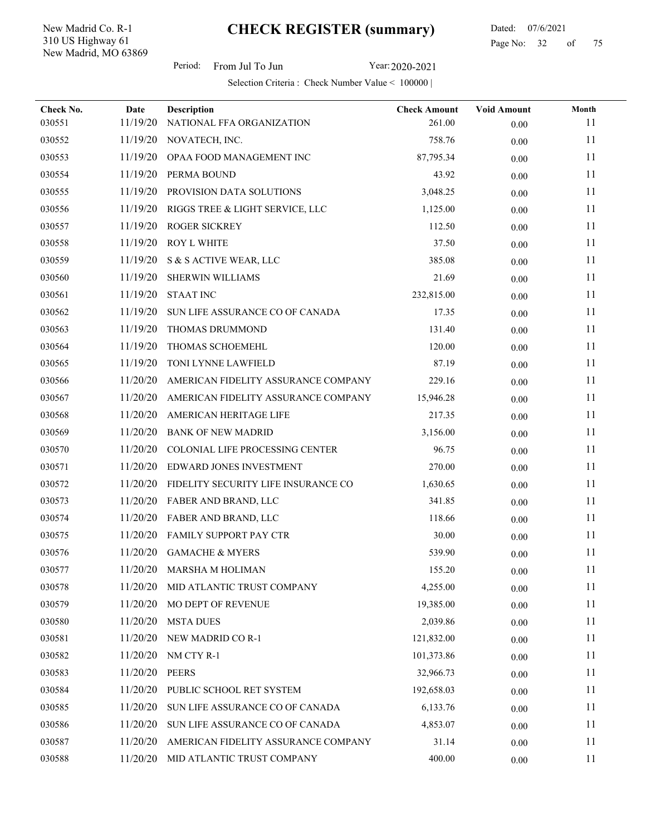New Madrid, MO 63869 310 US Highway 61 New Madrid Co. R-1

l,

Period: From Jul To Jun Year: 2020-2021

| Check No. | Date     | <b>Description</b>                  | <b>Check Amount</b> | <b>Void Amount</b> | Month |
|-----------|----------|-------------------------------------|---------------------|--------------------|-------|
| 030551    | 11/19/20 | NATIONAL FFA ORGANIZATION           | 261.00              | 0.00               | 11    |
| 030552    | 11/19/20 | NOVATECH, INC.                      | 758.76              | 0.00               | 11    |
| 030553    | 11/19/20 | OPAA FOOD MANAGEMENT INC            | 87,795.34           | 0.00               | 11    |
| 030554    | 11/19/20 | PERMA BOUND                         | 43.92               | 0.00               | 11    |
| 030555    | 11/19/20 | PROVISION DATA SOLUTIONS            | 3,048.25            | 0.00               | 11    |
| 030556    | 11/19/20 | RIGGS TREE & LIGHT SERVICE, LLC     | 1,125.00            | 0.00               | 11    |
| 030557    | 11/19/20 | <b>ROGER SICKREY</b>                | 112.50              | 0.00               | 11    |
| 030558    | 11/19/20 | ROY L WHITE                         | 37.50               | 0.00               | 11    |
| 030559    | 11/19/20 | S & S ACTIVE WEAR, LLC              | 385.08              | 0.00               | 11    |
| 030560    | 11/19/20 | SHERWIN WILLIAMS                    | 21.69               | 0.00               | 11    |
| 030561    | 11/19/20 | <b>STAAT INC</b>                    | 232,815.00          | 0.00               | 11    |
| 030562    | 11/19/20 | SUN LIFE ASSURANCE CO OF CANADA     | 17.35               | $0.00\,$           | 11    |
| 030563    | 11/19/20 | THOMAS DRUMMOND                     | 131.40              | 0.00               | 11    |
| 030564    | 11/19/20 | THOMAS SCHOEMEHL                    | 120.00              | 0.00               | 11    |
| 030565    | 11/19/20 | TONI LYNNE LAWFIELD                 | 87.19               | 0.00               | 11    |
| 030566    | 11/20/20 | AMERICAN FIDELITY ASSURANCE COMPANY | 229.16              | 0.00               | 11    |
| 030567    | 11/20/20 | AMERICAN FIDELITY ASSURANCE COMPANY | 15,946.28           | 0.00               | 11    |
| 030568    | 11/20/20 | AMERICAN HERITAGE LIFE              | 217.35              | 0.00               | 11    |
| 030569    | 11/20/20 | <b>BANK OF NEW MADRID</b>           | 3,156.00            | 0.00               | 11    |
| 030570    | 11/20/20 | COLONIAL LIFE PROCESSING CENTER     | 96.75               | 0.00               | 11    |
| 030571    | 11/20/20 | EDWARD JONES INVESTMENT             | 270.00              | 0.00               | 11    |
| 030572    | 11/20/20 | FIDELITY SECURITY LIFE INSURANCE CO | 1,630.65            | 0.00               | 11    |
| 030573    | 11/20/20 | FABER AND BRAND, LLC                | 341.85              | 0.00               | 11    |
| 030574    | 11/20/20 | FABER AND BRAND, LLC                | 118.66              | 0.00               | 11    |
| 030575    | 11/20/20 | <b>FAMILY SUPPORT PAY CTR</b>       | 30.00               | 0.00               | 11    |
| 030576    | 11/20/20 | <b>GAMACHE &amp; MYERS</b>          | 539.90              | 0.00               | 11    |
| 030577    |          | 11/20/20 MARSHA M HOLIMAN           | 155.20              | $0.00\,$           | 11    |
| 030578    | 11/20/20 | MID ATLANTIC TRUST COMPANY          | 4,255.00            | 0.00               | 11    |
| 030579    | 11/20/20 | MO DEPT OF REVENUE                  | 19,385.00           | $0.00\,$           | 11    |
| 030580    | 11/20/20 | <b>MSTA DUES</b>                    | 2,039.86            | $0.00\,$           | 11    |
| 030581    | 11/20/20 | NEW MADRID CO R-1                   | 121,832.00          | 0.00               | 11    |
| 030582    | 11/20/20 | NM CTY R-1                          | 101,373.86          | 0.00               | 11    |
| 030583    | 11/20/20 | <b>PEERS</b>                        | 32,966.73           | 0.00               | 11    |
| 030584    | 11/20/20 | PUBLIC SCHOOL RET SYSTEM            | 192,658.03          | 0.00               | 11    |
| 030585    | 11/20/20 | SUN LIFE ASSURANCE CO OF CANADA     | 6,133.76            | $0.00\,$           | 11    |
| 030586    | 11/20/20 | SUN LIFE ASSURANCE CO OF CANADA     | 4,853.07            | 0.00               | 11    |
| 030587    | 11/20/20 | AMERICAN FIDELITY ASSURANCE COMPANY | 31.14               | $0.00\,$           | 11    |
| 030588    | 11/20/20 | MID ATLANTIC TRUST COMPANY          | 400.00              | $0.00\,$           | 11    |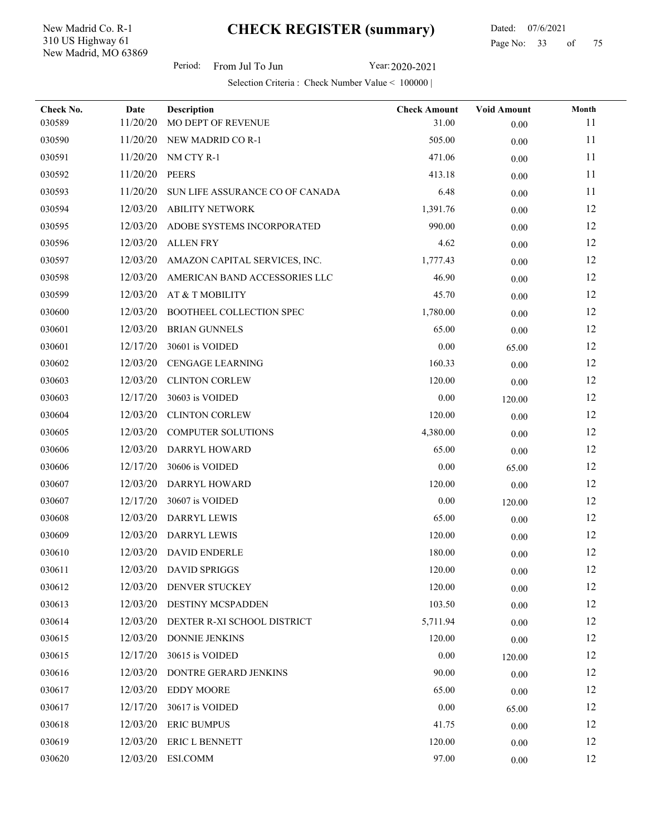New Madrid, MO 63869 310 US Highway 61 New Madrid Co. R-1

l,

 Dated: 07/6/2021 Page No: 33 of

Period: From Jul To Jun Year: 2020-2021

| Check No. | <b>Date</b> | Description                     | <b>Check Amount</b> | <b>Void Amount</b> | Month |
|-----------|-------------|---------------------------------|---------------------|--------------------|-------|
| 030589    | 11/20/20    | MO DEPT OF REVENUE              | 31.00               | 0.00               | 11    |
| 030590    | 11/20/20    | NEW MADRID CO R-1               | 505.00              | 0.00               | 11    |
| 030591    | 11/20/20    | NM CTY R-1                      | 471.06              | 0.00               | 11    |
| 030592    | 11/20/20    | <b>PEERS</b>                    | 413.18              | $0.00\,$           | 11    |
| 030593    | 11/20/20    | SUN LIFE ASSURANCE CO OF CANADA | 6.48                | 0.00               | 11    |
| 030594    | 12/03/20    | <b>ABILITY NETWORK</b>          | 1,391.76            | 0.00               | 12    |
| 030595    | 12/03/20    | ADOBE SYSTEMS INCORPORATED      | 990.00              | 0.00               | 12    |
| 030596    | 12/03/20    | <b>ALLEN FRY</b>                | 4.62                | 0.00               | 12    |
| 030597    | 12/03/20    | AMAZON CAPITAL SERVICES, INC.   | 1,777.43            | $0.00\,$           | 12    |
| 030598    | 12/03/20    | AMERICAN BAND ACCESSORIES LLC   | 46.90               | 0.00               | 12    |
| 030599    | 12/03/20    | AT & T MOBILITY                 | 45.70               | 0.00               | 12    |
| 030600    | 12/03/20    | BOOTHEEL COLLECTION SPEC        | 1,780.00            | 0.00               | 12    |
| 030601    | 12/03/20    | <b>BRIAN GUNNELS</b>            | 65.00               | 0.00               | 12    |
| 030601    | 12/17/20    | 30601 is VOIDED                 | $0.00\,$            | 65.00              | 12    |
| 030602    | 12/03/20    | CENGAGE LEARNING                | 160.33              | 0.00               | 12    |
| 030603    | 12/03/20    | <b>CLINTON CORLEW</b>           | 120.00              | 0.00               | 12    |
| 030603    | 12/17/20    | 30603 is VOIDED                 | $0.00\,$            | 120.00             | 12    |
| 030604    | 12/03/20    | <b>CLINTON CORLEW</b>           | 120.00              | 0.00               | 12    |
| 030605    | 12/03/20    | <b>COMPUTER SOLUTIONS</b>       | 4,380.00            | 0.00               | 12    |
| 030606    | 12/03/20    | DARRYL HOWARD                   | 65.00               | 0.00               | 12    |
| 030606    | 12/17/20    | 30606 is VOIDED                 | $0.00\,$            | 65.00              | 12    |
| 030607    | 12/03/20    | DARRYL HOWARD                   | 120.00              | 0.00               | 12    |
| 030607    | 12/17/20    | 30607 is VOIDED                 | 0.00                | 120.00             | 12    |
| 030608    | 12/03/20    | DARRYL LEWIS                    | 65.00               | 0.00               | 12    |
| 030609    | 12/03/20    | DARRYL LEWIS                    | 120.00              | $0.00\,$           | 12    |
| 030610    | 12/03/20    | <b>DAVID ENDERLE</b>            | 180.00              | $0.00\,$           | 12    |
| 030611    |             | 12/03/20 DAVID SPRIGGS          | 120.00              | $0.00\,$           | 12    |
| 030612    | 12/03/20    | DENVER STUCKEY                  | 120.00              | 0.00               | 12    |
| 030613    | 12/03/20    | DESTINY MCSPADDEN               | 103.50              | 0.00               | 12    |
| 030614    | 12/03/20    | DEXTER R-XI SCHOOL DISTRICT     | 5,711.94            | 0.00               | 12    |
| 030615    | 12/03/20    | DONNIE JENKINS                  | 120.00              | 0.00               | 12    |
| 030615    | 12/17/20    | 30615 is VOIDED                 | 0.00                | 120.00             | 12    |
| 030616    | 12/03/20    | DONTRE GERARD JENKINS           | 90.00               | 0.00               | 12    |
| 030617    | 12/03/20    | <b>EDDY MOORE</b>               | 65.00               | 0.00               | 12    |
| 030617    | 12/17/20    | 30617 is VOIDED                 | 0.00                | 65.00              | 12    |
| 030618    | 12/03/20    | <b>ERIC BUMPUS</b>              | 41.75               | 0.00               | 12    |
| 030619    | 12/03/20    | ERIC L BENNETT                  | 120.00              | 0.00               | 12    |
| 030620    | 12/03/20    | ESI.COMM                        | 97.00               | $0.00\,$           | 12    |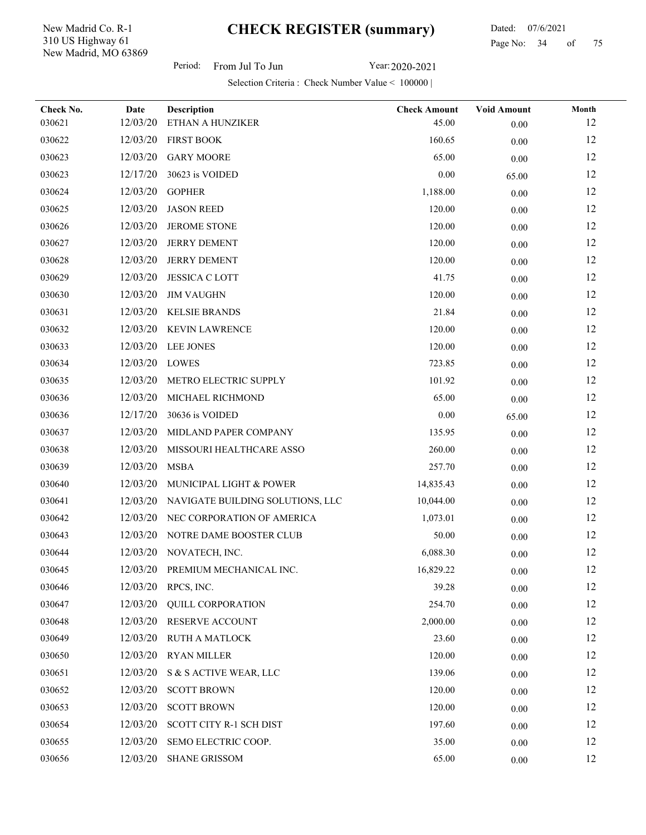New Madrid, MO 63869 310 US Highway 61 New Madrid Co. R-1

Period: From Jul To Jun Year: 2020-2021

| Check No. | Date     | <b>Description</b>               | <b>Check Amount</b> | <b>Void Amount</b> | Month |
|-----------|----------|----------------------------------|---------------------|--------------------|-------|
| 030621    | 12/03/20 | ETHAN A HUNZIKER                 | 45.00               | 0.00               | 12    |
| 030622    | 12/03/20 | <b>FIRST BOOK</b>                | 160.65              | $0.00\,$           | 12    |
| 030623    | 12/03/20 | <b>GARY MOORE</b>                | 65.00               | 0.00               | 12    |
| 030623    | 12/17/20 | 30623 is VOIDED                  | 0.00                | 65.00              | 12    |
| 030624    | 12/03/20 | <b>GOPHER</b>                    | 1,188.00            | 0.00               | 12    |
| 030625    | 12/03/20 | <b>JASON REED</b>                | 120.00              | $0.00\,$           | 12    |
| 030626    | 12/03/20 | JEROME STONE                     | 120.00              | 0.00               | 12    |
| 030627    | 12/03/20 | <b>JERRY DEMENT</b>              | 120.00              | $0.00\,$           | 12    |
| 030628    | 12/03/20 | <b>JERRY DEMENT</b>              | 120.00              | 0.00               | 12    |
| 030629    | 12/03/20 | <b>JESSICA C LOTT</b>            | 41.75               | 0.00               | 12    |
| 030630    | 12/03/20 | <b>JIM VAUGHN</b>                | 120.00              | 0.00               | 12    |
| 030631    | 12/03/20 | <b>KELSIE BRANDS</b>             | 21.84               | 0.00               | 12    |
| 030632    | 12/03/20 | <b>KEVIN LAWRENCE</b>            | 120.00              | 0.00               | 12    |
| 030633    | 12/03/20 | <b>LEE JONES</b>                 | 120.00              | $0.00\,$           | 12    |
| 030634    | 12/03/20 | LOWES                            | 723.85              | 0.00               | 12    |
| 030635    | 12/03/20 | METRO ELECTRIC SUPPLY            | 101.92              | 0.00               | 12    |
| 030636    | 12/03/20 | MICHAEL RICHMOND                 | 65.00               | 0.00               | 12    |
| 030636    | 12/17/20 | 30636 is VOIDED                  | 0.00                | 65.00              | 12    |
| 030637    | 12/03/20 | MIDLAND PAPER COMPANY            | 135.95              | 0.00               | 12    |
| 030638    | 12/03/20 | MISSOURI HEALTHCARE ASSO         | 260.00              | 0.00               | 12    |
| 030639    | 12/03/20 | <b>MSBA</b>                      | 257.70              | $0.00\,$           | 12    |
| 030640    | 12/03/20 | MUNICIPAL LIGHT & POWER          | 14,835.43           | $0.00\,$           | 12    |
| 030641    | 12/03/20 | NAVIGATE BUILDING SOLUTIONS, LLC | 10,044.00           | 0.00               | 12    |
| 030642    | 12/03/20 | NEC CORPORATION OF AMERICA       | 1,073.01            | $0.00\,$           | 12    |
| 030643    | 12/03/20 | NOTRE DAME BOOSTER CLUB          | 50.00               | 0.00               | 12    |
| 030644    |          | 12/03/20 NOVATECH, INC.          | 6,088.30            | 0.00               | 12    |
| 030645    |          | 12/03/20 PREMIUM MECHANICAL INC. | 16,829.22           | $0.00\,$           | 12    |
| 030646    | 12/03/20 | RPCS, INC.                       | 39.28               | $0.00\,$           | 12    |
| 030647    | 12/03/20 | <b>QUILL CORPORATION</b>         | 254.70              | $0.00\,$           | 12    |
| 030648    | 12/03/20 | RESERVE ACCOUNT                  | 2,000.00            | 0.00               | 12    |
| 030649    | 12/03/20 | <b>RUTH A MATLOCK</b>            | 23.60               | $0.00\,$           | 12    |
| 030650    | 12/03/20 | <b>RYAN MILLER</b>               | 120.00              | 0.00               | 12    |
| 030651    | 12/03/20 | S & S ACTIVE WEAR, LLC           | 139.06              | 0.00               | 12    |
| 030652    | 12/03/20 | <b>SCOTT BROWN</b>               | 120.00              | 0.00               | 12    |
| 030653    | 12/03/20 | <b>SCOTT BROWN</b>               | 120.00              | $0.00\,$           | 12    |
| 030654    | 12/03/20 | SCOTT CITY R-1 SCH DIST          | 197.60              | $0.00\,$           | 12    |
| 030655    | 12/03/20 | SEMO ELECTRIC COOP.              | 35.00               | $0.00\,$           | 12    |
| 030656    | 12/03/20 | <b>SHANE GRISSOM</b>             | 65.00               | $0.00\,$           | 12    |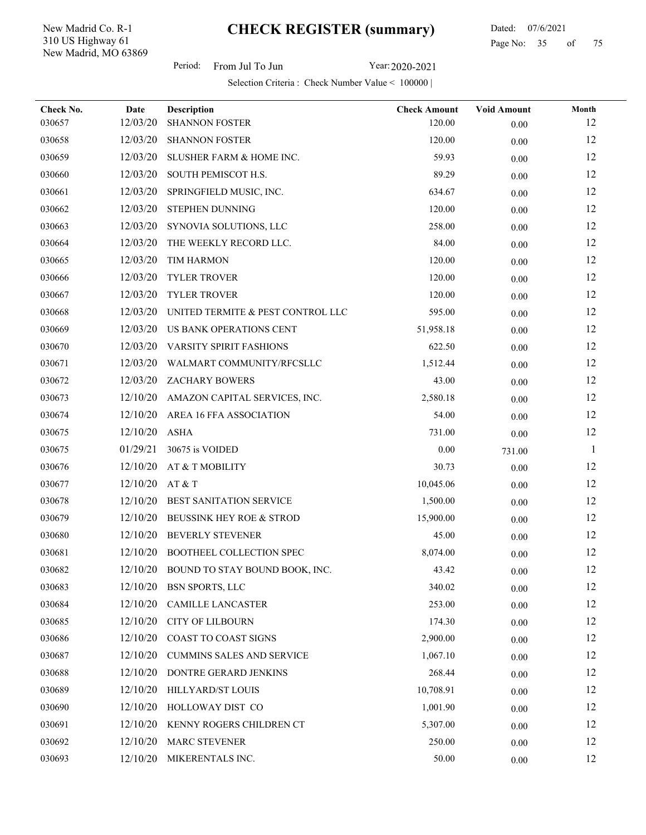New Madrid, MO 63869 310 US Highway 61 New Madrid Co. R-1

l,

Period: From Jul To Jun Year: 2020-2021

| Check No. | <b>Date</b> | Description                             | <b>Check Amount</b> | <b>Void Amount</b> | $\bf{Month}$ |
|-----------|-------------|-----------------------------------------|---------------------|--------------------|--------------|
| 030657    | 12/03/20    | <b>SHANNON FOSTER</b>                   | 120.00              | 0.00               | 12           |
| 030658    | 12/03/20    | <b>SHANNON FOSTER</b>                   | 120.00              | 0.00               | 12           |
| 030659    | 12/03/20    | SLUSHER FARM & HOME INC.                | 59.93               | 0.00               | 12           |
| 030660    | 12/03/20    | SOUTH PEMISCOT H.S.                     | 89.29               | $0.00\,$           | 12           |
| 030661    | 12/03/20    | SPRINGFIELD MUSIC, INC.                 | 634.67              | 0.00               | 12           |
| 030662    | 12/03/20    | STEPHEN DUNNING                         | 120.00              | 0.00               | 12           |
| 030663    | 12/03/20    | SYNOVIA SOLUTIONS, LLC                  | 258.00              | 0.00               | 12           |
| 030664    | 12/03/20    | THE WEEKLY RECORD LLC.                  | 84.00               | 0.00               | 12           |
| 030665    | 12/03/20    | <b>TIM HARMON</b>                       | 120.00              | 0.00               | 12           |
| 030666    | 12/03/20    | TYLER TROVER                            | 120.00              | 0.00               | 12           |
| 030667    | 12/03/20    | TYLER TROVER                            | 120.00              | $0.00\,$           | 12           |
| 030668    | 12/03/20    | UNITED TERMITE & PEST CONTROL LLC       | 595.00              | $0.00\,$           | 12           |
| 030669    | 12/03/20    | US BANK OPERATIONS CENT                 | 51,958.18           | 0.00               | 12           |
| 030670    | 12/03/20    | <b>VARSITY SPIRIT FASHIONS</b>          | 622.50              | 0.00               | 12           |
| 030671    | 12/03/20    | WALMART COMMUNITY/RFCSLLC               | 1,512.44            | 0.00               | 12           |
| 030672    | 12/03/20    | ZACHARY BOWERS                          | 43.00               | 0.00               | 12           |
| 030673    | 12/10/20    | AMAZON CAPITAL SERVICES, INC.           | 2,580.18            | 0.00               | 12           |
| 030674    | 12/10/20    | AREA 16 FFA ASSOCIATION                 | 54.00               | $0.00\,$           | 12           |
| 030675    | 12/10/20    | <b>ASHA</b>                             | 731.00              | 0.00               | 12           |
| 030675    | 01/29/21    | 30675 is VOIDED                         | 0.00                | 731.00             | -1           |
| 030676    | 12/10/20    | AT & T MOBILITY                         | 30.73               | 0.00               | 12           |
| 030677    | 12/10/20    | AT & T                                  | 10,045.06           | 0.00               | 12           |
| 030678    | 12/10/20    | BEST SANITATION SERVICE                 | 1,500.00            | 0.00               | 12           |
| 030679    | 12/10/20    | BEUSSINK HEY ROE & STROD                | 15,900.00           | 0.00               | 12           |
| 030680    | 12/10/20    | <b>BEVERLY STEVENER</b>                 | 45.00               | $0.00\,$           | 12           |
| 030681    | 12/10/20    | BOOTHEEL COLLECTION SPEC                | 8,074.00            | 0.00               | 12           |
| 030682    |             | 12/10/20 BOUND TO STAY BOUND BOOK, INC. | 43.42               | 0.00               | 12           |
| 030683    | 12/10/20    | <b>BSN SPORTS, LLC</b>                  | 340.02              | 0.00               | 12           |
| 030684    | 12/10/20    | <b>CAMILLE LANCASTER</b>                | 253.00              | $0.00\,$           | 12           |
| 030685    | 12/10/20    | <b>CITY OF LILBOURN</b>                 | 174.30              | 0.00               | 12           |
| 030686    | 12/10/20    | COAST TO COAST SIGNS                    | 2,900.00            | 0.00               | 12           |
| 030687    | 12/10/20    | <b>CUMMINS SALES AND SERVICE</b>        | 1,067.10            | 0.00               | 12           |
| 030688    | 12/10/20    | DONTRE GERARD JENKINS                   | 268.44              | $0.00\,$           | 12           |
| 030689    | 12/10/20    | HILLYARD/ST LOUIS                       | 10,708.91           | 0.00               | 12           |
| 030690    | 12/10/20    | HOLLOWAY DIST CO                        | 1,001.90            | 0.00               | 12           |
| 030691    | 12/10/20    | KENNY ROGERS CHILDREN CT                | 5,307.00            | 0.00               | 12           |
| 030692    | 12/10/20    | MARC STEVENER                           | 250.00              | 0.00               | 12           |
| 030693    | 12/10/20    | MIKERENTALS INC.                        | 50.00               | $0.00\,$           | 12           |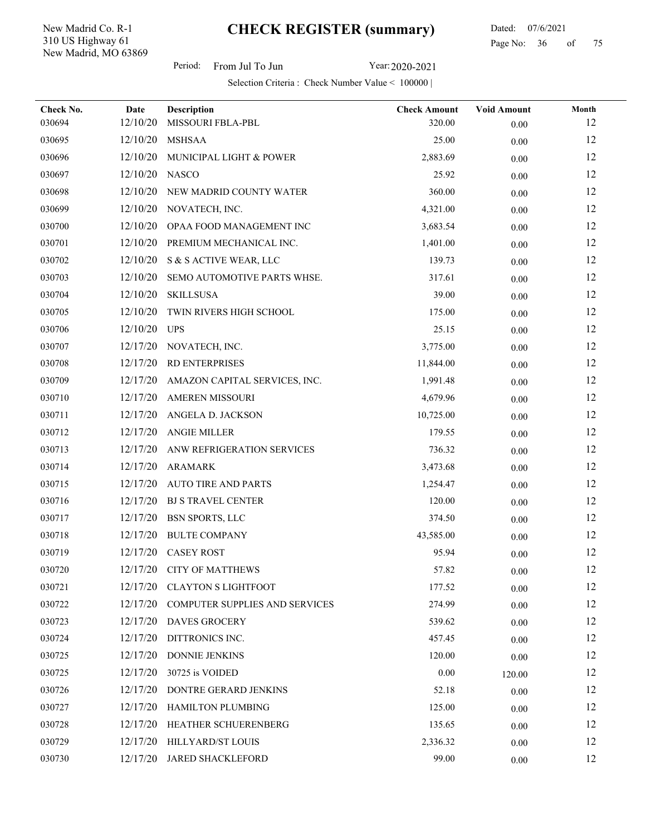New Madrid, MO 63869 310 US Highway 61 New Madrid Co. R-1

 Dated: 07/6/2021 Page No: 36 of

Period: From Jul To Jun Year: 2020-2021

| Check No. | <b>Date</b> | Description                           | <b>Check Amount</b> | <b>Void Amount</b> | Month |
|-----------|-------------|---------------------------------------|---------------------|--------------------|-------|
| 030694    | 12/10/20    | MISSOURI FBLA-PBL                     | 320.00              | 0.00               | 12    |
| 030695    | 12/10/20    | <b>MSHSAA</b>                         | 25.00               | 0.00               | 12    |
| 030696    | 12/10/20    | MUNICIPAL LIGHT & POWER               | 2,883.69            | $0.00\,$           | 12    |
| 030697    | 12/10/20    | <b>NASCO</b>                          | 25.92               | $0.00\,$           | 12    |
| 030698    | 12/10/20    | NEW MADRID COUNTY WATER               | 360.00              | 0.00               | 12    |
| 030699    | 12/10/20    | NOVATECH, INC.                        | 4,321.00            | 0.00               | 12    |
| 030700    | 12/10/20    | OPAA FOOD MANAGEMENT INC              | 3,683.54            | 0.00               | 12    |
| 030701    | 12/10/20    | PREMIUM MECHANICAL INC.               | 1,401.00            | 0.00               | 12    |
| 030702    | 12/10/20    | S & S ACTIVE WEAR, LLC                | 139.73              | 0.00               | 12    |
| 030703    | 12/10/20    | SEMO AUTOMOTIVE PARTS WHSE.           | 317.61              | $0.00\,$           | 12    |
| 030704    | 12/10/20    | <b>SKILLSUSA</b>                      | 39.00               | 0.00               | 12    |
| 030705    | 12/10/20    | TWIN RIVERS HIGH SCHOOL               | 175.00              | 0.00               | 12    |
| 030706    | 12/10/20    | <b>UPS</b>                            | 25.15               | 0.00               | 12    |
| 030707    | 12/17/20    | NOVATECH, INC.                        | 3,775.00            | 0.00               | 12    |
| 030708    | 12/17/20    | <b>RD ENTERPRISES</b>                 | 11,844.00           | 0.00               | 12    |
| 030709    | 12/17/20    | AMAZON CAPITAL SERVICES, INC.         | 1,991.48            | 0.00               | 12    |
| 030710    | 12/17/20    | <b>AMEREN MISSOURI</b>                | 4,679.96            | 0.00               | 12    |
| 030711    | 12/17/20    | ANGELA D. JACKSON                     | 10,725.00           | $0.00\,$           | 12    |
| 030712    | 12/17/20    | <b>ANGIE MILLER</b>                   | 179.55              | 0.00               | 12    |
| 030713    | 12/17/20    | ANW REFRIGERATION SERVICES            | 736.32              | 0.00               | 12    |
| 030714    | 12/17/20    | ARAMARK                               | 3,473.68            | $0.00\,$           | 12    |
| 030715    | 12/17/20    | <b>AUTO TIRE AND PARTS</b>            | 1,254.47            | 0.00               | 12    |
| 030716    | 12/17/20    | <b>BJ S TRAVEL CENTER</b>             | 120.00              | 0.00               | 12    |
| 030717    | 12/17/20    | <b>BSN SPORTS, LLC</b>                | 374.50              | 0.00               | 12    |
| 030718    | 12/17/20    | <b>BULTE COMPANY</b>                  | 43,585.00           | $0.00\,$           | 12    |
| 030719    | 12/17/20    | <b>CASEY ROST</b>                     | 95.94               | $0.00\,$           | 12    |
| 030720    | 12/17/20    | <b>CITY OF MATTHEWS</b>               | 57.82               | 0.00               | 12    |
| 030721    | 12/17/20    | <b>CLAYTON S LIGHTFOOT</b>            | 177.52              | $0.00\,$           | 12    |
| 030722    | 12/17/20    | <b>COMPUTER SUPPLIES AND SERVICES</b> | 274.99              | 0.00               | 12    |
| 030723    | 12/17/20    | <b>DAVES GROCERY</b>                  | 539.62              | 0.00               | 12    |
| 030724    | 12/17/20    | DITTRONICS INC.                       | 457.45              | 0.00               | 12    |
| 030725    | 12/17/20    | <b>DONNIE JENKINS</b>                 | 120.00              | 0.00               | 12    |
| 030725    | 12/17/20    | 30725 is VOIDED                       | 0.00                | 120.00             | 12    |
| 030726    | 12/17/20    | DONTRE GERARD JENKINS                 | 52.18               | 0.00               | 12    |
| 030727    | 12/17/20    | <b>HAMILTON PLUMBING</b>              | 125.00              | 0.00               | 12    |
| 030728    | 12/17/20    | HEATHER SCHUERENBERG                  | 135.65              | 0.00               | 12    |
| 030729    | 12/17/20    | HILLYARD/ST LOUIS                     | 2,336.32            | 0.00               | 12    |
| 030730    | 12/17/20    | JARED SHACKLEFORD                     | 99.00               | 0.00               | 12    |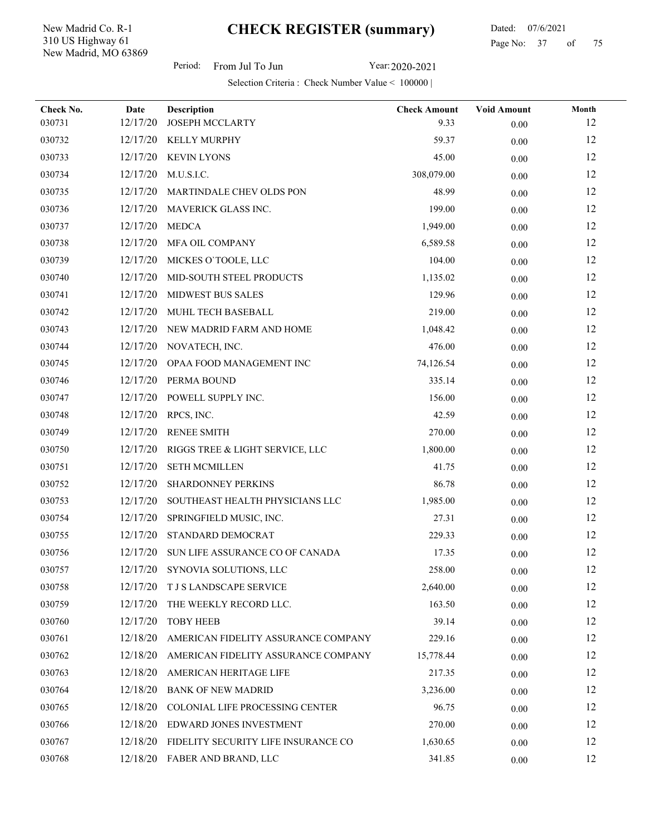New Madrid, MO 63869 310 US Highway 61 New Madrid Co. R-1

 Dated: 07/6/2021 Page No: 37 of

Period: From Jul To Jun Year: 2020-2021

| Check No.<br>030731 | Date<br>12/17/20 | Description<br>JOSEPH MCCLARTY           | <b>Check Amount</b><br>9.33 | <b>Void Amount</b><br>$0.00\,$ | Month<br>12 |
|---------------------|------------------|------------------------------------------|-----------------------------|--------------------------------|-------------|
| 030732              | 12/17/20         | KELLY MURPHY                             | 59.37                       | $0.00\,$                       | 12          |
| 030733              | 12/17/20         | <b>KEVIN LYONS</b>                       | 45.00                       | 0.00                           | 12          |
| 030734              | 12/17/20         | M.U.S.I.C.                               | 308,079.00                  | 0.00                           | 12          |
| 030735              | 12/17/20         | MARTINDALE CHEV OLDS PON                 | 48.99                       | 0.00                           | 12          |
| 030736              | 12/17/20         | MAVERICK GLASS INC.                      | 199.00                      | $0.00\,$                       | 12          |
| 030737              | 12/17/20         | <b>MEDCA</b>                             | 1,949.00                    | 0.00                           | 12          |
| 030738              | 12/17/20         | MFA OIL COMPANY                          | 6,589.58                    | 0.00                           | 12          |
| 030739              | 12/17/20         | MICKES O'TOOLE, LLC                      | 104.00                      | 0.00                           | 12          |
| 030740              | 12/17/20         | MID-SOUTH STEEL PRODUCTS                 | 1,135.02                    | 0.00                           | 12          |
| 030741              | 12/17/20         | MIDWEST BUS SALES                        | 129.96                      | 0.00                           | 12          |
| 030742              | 12/17/20         | MUHL TECH BASEBALL                       | 219.00                      | 0.00                           | 12          |
| 030743              | 12/17/20         | NEW MADRID FARM AND HOME                 | 1,048.42                    | 0.00                           | 12          |
| 030744              | 12/17/20         | NOVATECH, INC.                           | 476.00                      | 0.00                           | 12          |
| 030745              | 12/17/20         | OPAA FOOD MANAGEMENT INC                 | 74,126.54                   | 0.00                           | 12          |
| 030746              | 12/17/20         | PERMA BOUND                              | 335.14                      | 0.00                           | 12          |
| 030747              | 12/17/20         | POWELL SUPPLY INC.                       | 156.00                      | 0.00                           | 12          |
| 030748              | 12/17/20         | RPCS, INC.                               | 42.59                       | 0.00                           | 12          |
| 030749              | 12/17/20         | <b>RENEE SMITH</b>                       | 270.00                      | 0.00                           | 12          |
| 030750              | 12/17/20         | RIGGS TREE & LIGHT SERVICE, LLC          | 1,800.00                    | 0.00                           | 12          |
| 030751              | 12/17/20         | <b>SETH MCMILLEN</b>                     | 41.75                       | 0.00                           | 12          |
| 030752              | 12/17/20         | SHARDONNEY PERKINS                       | 86.78                       | $0.00\,$                       | 12          |
| 030753              | 12/17/20         | SOUTHEAST HEALTH PHYSICIANS LLC          | 1,985.00                    | 0.00                           | 12          |
| 030754              | 12/17/20         | SPRINGFIELD MUSIC, INC.                  | 27.31                       | 0.00                           | 12          |
| 030755              | 12/17/20         | STANDARD DEMOCRAT                        | 229.33                      | 0.00                           | 12          |
| 030756              |                  | 12/17/20 SUN LIFE ASSURANCE CO OF CANADA | 17.35                       | 0.00                           | 12          |
| 030757              |                  | 12/17/20 SYNOVIA SOLUTIONS, LLC          | 258.00                      | $0.00\,$                       | 12          |
| 030758              | 12/17/20         | T J S LANDSCAPE SERVICE                  | 2,640.00                    | 0.00                           | 12          |
| 030759              | 12/17/20         | THE WEEKLY RECORD LLC.                   | 163.50                      | $0.00\,$                       | 12          |
| 030760              | 12/17/20         | <b>TOBY HEEB</b>                         | 39.14                       | 0.00                           | 12          |
| 030761              | 12/18/20         | AMERICAN FIDELITY ASSURANCE COMPANY      | 229.16                      | 0.00                           | 12          |
| 030762              | 12/18/20         | AMERICAN FIDELITY ASSURANCE COMPANY      | 15,778.44                   | 0.00                           | 12          |
| 030763              | 12/18/20         | AMERICAN HERITAGE LIFE                   | 217.35                      | 0.00                           | 12          |
| 030764              | 12/18/20         | <b>BANK OF NEW MADRID</b>                | 3,236.00                    | 0.00                           | 12          |
| 030765              | 12/18/20         | COLONIAL LIFE PROCESSING CENTER          | 96.75                       | 0.00                           | 12          |
| 030766              | 12/18/20         | EDWARD JONES INVESTMENT                  | 270.00                      | 0.00                           | 12          |
| 030767              | 12/18/20         | FIDELITY SECURITY LIFE INSURANCE CO      | 1,630.65                    | $0.00\,$                       | 12          |
| 030768              | 12/18/20         | FABER AND BRAND, LLC                     | 341.85                      | $0.00\,$                       | 12          |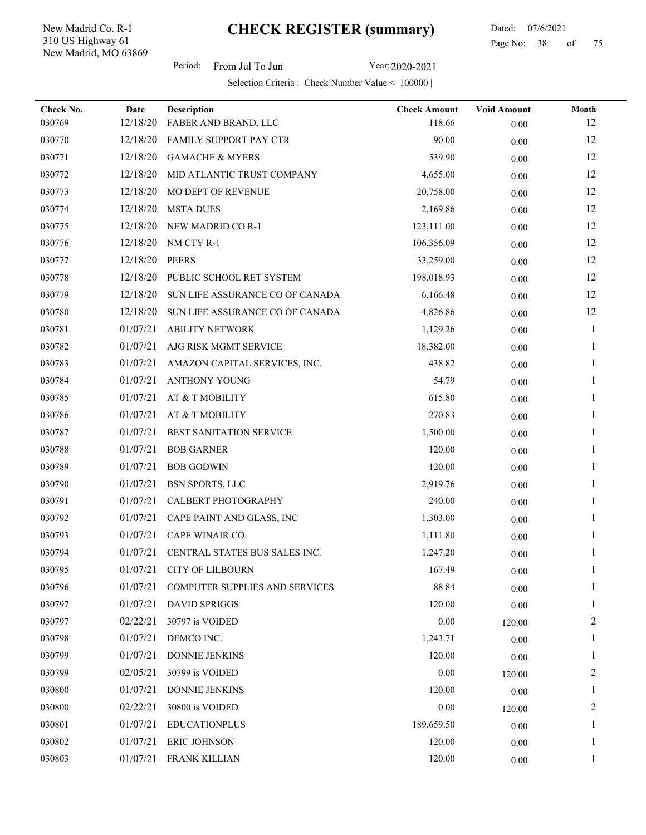New Madrid, MO 63869 310 US Highway 61 New Madrid Co. R-1

 Dated: 07/6/2021 Page No: 38 of

Period: From Jul To Jun Year: 2020-2021

| Check No. | Date     | Description                     | <b>Check Amount</b> | <b>Void Amount</b> | Month |
|-----------|----------|---------------------------------|---------------------|--------------------|-------|
| 030769    | 12/18/20 | FABER AND BRAND, LLC            | 118.66              | 0.00               | 12    |
| 030770    | 12/18/20 | FAMILY SUPPORT PAY CTR          | 90.00               | 0.00               | 12    |
| 030771    | 12/18/20 | <b>GAMACHE &amp; MYERS</b>      | 539.90              | 0.00               | 12    |
| 030772    | 12/18/20 | MID ATLANTIC TRUST COMPANY      | 4,655.00            | 0.00               | 12    |
| 030773    | 12/18/20 | MO DEPT OF REVENUE              | 20,758.00           | 0.00               | 12    |
| 030774    | 12/18/20 | <b>MSTA DUES</b>                | 2,169.86            | 0.00               | 12    |
| 030775    | 12/18/20 | NEW MADRID CO R-1               | 123,111.00          | 0.00               | 12    |
| 030776    | 12/18/20 | NM CTY R-1                      | 106,356.09          | 0.00               | 12    |
| 030777    | 12/18/20 | <b>PEERS</b>                    | 33,259.00           | 0.00               | 12    |
| 030778    | 12/18/20 | PUBLIC SCHOOL RET SYSTEM        | 198,018.93          | 0.00               | 12    |
| 030779    | 12/18/20 | SUN LIFE ASSURANCE CO OF CANADA | 6,166.48            | 0.00               | 12    |
| 030780    | 12/18/20 | SUN LIFE ASSURANCE CO OF CANADA | 4,826.86            | 0.00               | 12    |
| 030781    | 01/07/21 | <b>ABILITY NETWORK</b>          | 1,129.26            | 0.00               | 1     |
| 030782    | 01/07/21 | AJG RISK MGMT SERVICE           | 18,382.00           | 0.00               |       |
| 030783    | 01/07/21 | AMAZON CAPITAL SERVICES, INC.   | 438.82              | 0.00               |       |
| 030784    | 01/07/21 | ANTHONY YOUNG                   | 54.79               | 0.00               |       |
| 030785    | 01/07/21 | AT & T MOBILITY                 | 615.80              | 0.00               |       |
| 030786    | 01/07/21 | AT & T MOBILITY                 | 270.83              | 0.00               |       |
| 030787    | 01/07/21 | <b>BEST SANITATION SERVICE</b>  | 1,500.00            | 0.00               |       |
| 030788    | 01/07/21 | <b>BOB GARNER</b>               | 120.00              | 0.00               |       |
| 030789    | 01/07/21 | <b>BOB GODWIN</b>               | 120.00              | 0.00               |       |
| 030790    | 01/07/21 | <b>BSN SPORTS, LLC</b>          | 2,919.76            | 0.00               |       |
| 030791    | 01/07/21 | CALBERT PHOTOGRAPHY             | 240.00              | 0.00               |       |
| 030792    | 01/07/21 | CAPE PAINT AND GLASS, INC       | 1,303.00            | 0.00               |       |
| 030793    | 01/07/21 | CAPE WINAIR CO.                 | 1,111.80            | 0.00               |       |
| 030794    | 01/07/21 | CENTRAL STATES BUS SALES INC.   | 1,247.20            | 0.00               |       |
| 030795    |          | 01/07/21 CITY OF LILBOURN       | 167.49              | 0.00               | 1     |
| 030796    | 01/07/21 | COMPUTER SUPPLIES AND SERVICES  | 88.84               | 0.00               | 1     |
| 030797    | 01/07/21 | <b>DAVID SPRIGGS</b>            | 120.00              | 0.00               | T     |
| 030797    | 02/22/21 | 30797 is VOIDED                 | 0.00                | 120.00             | 2     |
| 030798    | 01/07/21 | DEMCO INC.                      | 1,243.71            | 0.00               | 1     |
| 030799    | 01/07/21 | <b>DONNIE JENKINS</b>           | 120.00              | 0.00               |       |
| 030799    | 02/05/21 | 30799 is VOIDED                 | 0.00                | 120.00             | 2     |
| 030800    | 01/07/21 | <b>DONNIE JENKINS</b>           | 120.00              | 0.00               |       |
| 030800    | 02/22/21 | 30800 is VOIDED                 | 0.00                | 120.00             | 2     |
| 030801    | 01/07/21 | <b>EDUCATIONPLUS</b>            | 189,659.50          | 0.00               |       |
| 030802    | 01/07/21 | <b>ERIC JOHNSON</b>             | 120.00              | 0.00               |       |
| 030803    | 01/07/21 | FRANK KILLIAN                   | 120.00              | $0.00\,$           | 1     |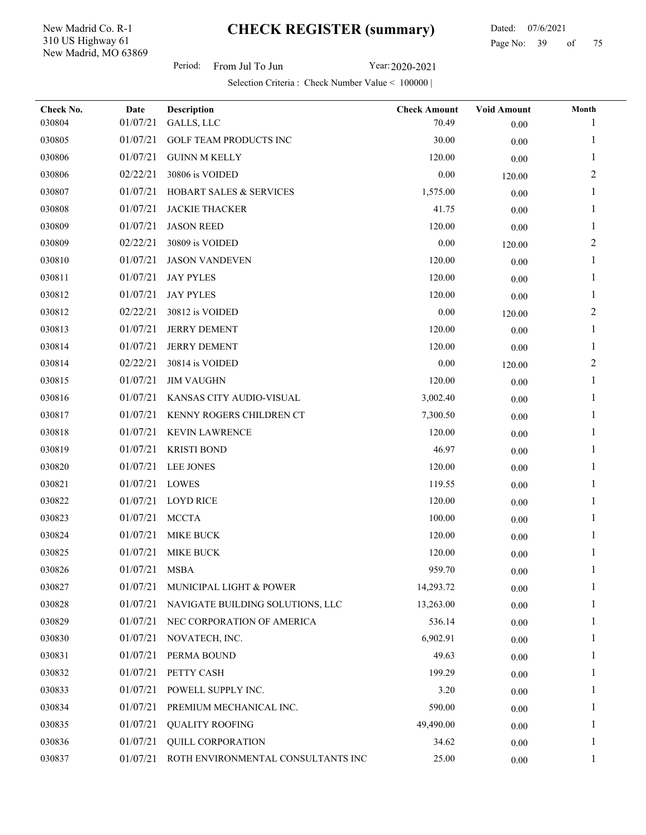New Madrid, MO 63869 310 US Highway 61 New Madrid Co. R-1

l,

Period: From Jul To Jun Year: 2020-2021

| Check No. | Date     | <b>Description</b>                 | <b>Check Amount</b> | <b>Void Amount</b> | Month |
|-----------|----------|------------------------------------|---------------------|--------------------|-------|
| 030804    | 01/07/21 | GALLS, LLC                         | 70.49               | $0.00\,$           |       |
| 030805    | 01/07/21 | GOLF TEAM PRODUCTS INC             | 30.00               | 0.00               | 1     |
| 030806    | 01/07/21 | <b>GUINN M KELLY</b>               | 120.00              | 0.00               |       |
| 030806    | 02/22/21 | 30806 is VOIDED                    | 0.00                | 120.00             | 2     |
| 030807    | 01/07/21 | <b>HOBART SALES &amp; SERVICES</b> | 1,575.00            | 0.00               |       |
| 030808    | 01/07/21 | <b>JACKIE THACKER</b>              | 41.75               | 0.00               |       |
| 030809    | 01/07/21 | <b>JASON REED</b>                  | 120.00              | 0.00               |       |
| 030809    | 02/22/21 | 30809 is VOIDED                    | 0.00                | 120.00             | 2     |
| 030810    | 01/07/21 | <b>JASON VANDEVEN</b>              | 120.00              | 0.00               |       |
| 030811    | 01/07/21 | <b>JAY PYLES</b>                   | 120.00              | 0.00               | 1     |
| 030812    | 01/07/21 | <b>JAY PYLES</b>                   | 120.00              | 0.00               | 1     |
| 030812    | 02/22/21 | 30812 is VOIDED                    | $0.00\,$            | 120.00             | 2     |
| 030813    | 01/07/21 | <b>JERRY DEMENT</b>                | 120.00              | 0.00               | 1     |
| 030814    | 01/07/21 | <b>JERRY DEMENT</b>                | 120.00              | $0.00\,$           |       |
| 030814    | 02/22/21 | 30814 is VOIDED                    | 0.00                | 120.00             | 2     |
| 030815    | 01/07/21 | <b>JIM VAUGHN</b>                  | 120.00              | 0.00               | 1     |
| 030816    | 01/07/21 | KANSAS CITY AUDIO-VISUAL           | 3,002.40            | 0.00               |       |
| 030817    | 01/07/21 | KENNY ROGERS CHILDREN CT           | 7,300.50            | 0.00               | 1     |
| 030818    | 01/07/21 | <b>KEVIN LAWRENCE</b>              | 120.00              | 0.00               |       |
| 030819    | 01/07/21 | <b>KRISTI BOND</b>                 | 46.97               | 0.00               |       |
| 030820    | 01/07/21 | <b>LEE JONES</b>                   | 120.00              | 0.00               |       |
| 030821    | 01/07/21 | LOWES                              | 119.55              | 0.00               |       |
| 030822    | 01/07/21 | <b>LOYD RICE</b>                   | 120.00              | 0.00               |       |
| 030823    | 01/07/21 | <b>MCCTA</b>                       | 100.00              | 0.00               |       |
| 030824    | 01/07/21 | MIKE BUCK                          | 120.00              | 0.00               |       |
| 030825    | 01/07/21 | MIKE BUCK                          | 120.00              | 0.00               | 1     |
| 030826    | 01/07/21 | MSBA                               | 959.70              | 0.00               |       |
| 030827    | 01/07/21 | MUNICIPAL LIGHT & POWER            | 14,293.72           | 0.00               | 1     |
| 030828    | 01/07/21 | NAVIGATE BUILDING SOLUTIONS, LLC   | 13,263.00           | 0.00               |       |
| 030829    | 01/07/21 | NEC CORPORATION OF AMERICA         | 536.14              | 0.00               |       |
| 030830    | 01/07/21 | NOVATECH, INC.                     | 6,902.91            | 0.00               |       |
| 030831    | 01/07/21 | PERMA BOUND                        | 49.63               | 0.00               |       |
| 030832    | 01/07/21 | PETTY CASH                         | 199.29              | 0.00               |       |
| 030833    | 01/07/21 | POWELL SUPPLY INC.                 | 3.20                | 0.00               |       |
| 030834    | 01/07/21 | PREMIUM MECHANICAL INC.            | 590.00              | 0.00               |       |
| 030835    | 01/07/21 | <b>QUALITY ROOFING</b>             | 49,490.00           | 0.00               |       |
| 030836    | 01/07/21 | <b>QUILL CORPORATION</b>           | 34.62               | 0.00               |       |
| 030837    | 01/07/21 | ROTH ENVIRONMENTAL CONSULTANTS INC | 25.00               | $0.00\,$           | 1     |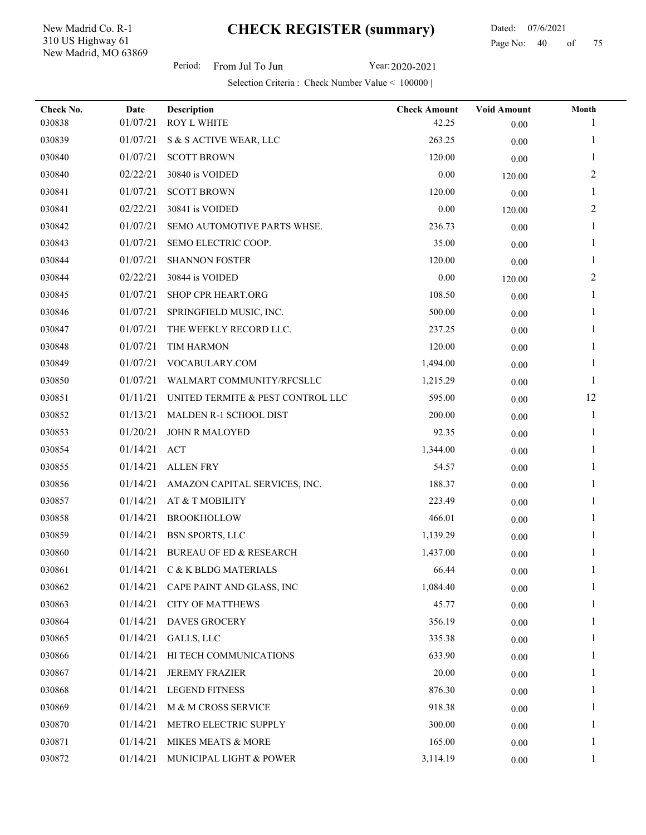New Madrid, MO 63869 310 US Highway 61 New Madrid Co. R-1

l,

Period: From Jul To Jun Year: 2020-2021

| Check No.<br>030838 | Date<br>01/07/21 | Description<br>ROY L WHITE         | <b>Check Amount</b><br>42.25 | <b>Void Amount</b><br>0.00 | Month        |
|---------------------|------------------|------------------------------------|------------------------------|----------------------------|--------------|
| 030839              | 01/07/21         | S & S ACTIVE WEAR, LLC             | 263.25                       | 0.00                       | 1            |
| 030840              | 01/07/21         | <b>SCOTT BROWN</b>                 | 120.00                       | 0.00                       |              |
| 030840              | 02/22/21         | 30840 is VOIDED                    | 0.00                         | 120.00                     | 2            |
| 030841              | 01/07/21         | <b>SCOTT BROWN</b>                 | 120.00                       | 0.00                       | 1            |
| 030841              | 02/22/21         | 30841 is VOIDED                    | 0.00                         | 120.00                     | 2            |
| 030842              | 01/07/21         | SEMO AUTOMOTIVE PARTS WHSE.        | 236.73                       | 0.00                       | 1            |
| 030843              | 01/07/21         | SEMO ELECTRIC COOP.                | 35.00                        | 0.00                       | 1            |
| 030844              | 01/07/21         | <b>SHANNON FOSTER</b>              | 120.00                       | 0.00                       | 1            |
| 030844              | 02/22/21         | 30844 is VOIDED                    | 0.00                         | 120.00                     | 2            |
| 030845              | 01/07/21         | SHOP CPR HEART.ORG                 | 108.50                       | 0.00                       |              |
| 030846              | 01/07/21         | SPRINGFIELD MUSIC, INC.            | 500.00                       | 0.00                       | 1            |
| 030847              | 01/07/21         | THE WEEKLY RECORD LLC.             | 237.25                       | 0.00                       |              |
| 030848              | 01/07/21         | TIM HARMON                         | 120.00                       | 0.00                       | $\mathbf{I}$ |
| 030849              | 01/07/21         | VOCABULARY.COM                     | 1,494.00                     | 0.00                       | 1            |
| 030850              | 01/07/21         | WALMART COMMUNITY/RFCSLLC          | 1,215.29                     | 0.00                       | 1            |
| 030851              | 01/11/21         | UNITED TERMITE & PEST CONTROL LLC  | 595.00                       | 0.00                       | 12           |
| 030852              | 01/13/21         | MALDEN R-1 SCHOOL DIST             | 200.00                       | 0.00                       | 1            |
| 030853              | 01/20/21         | JOHN R MALOYED                     | 92.35                        | 0.00                       |              |
| 030854              | 01/14/21         | ACT                                | 1,344.00                     | 0.00                       |              |
| 030855              | 01/14/21         | <b>ALLEN FRY</b>                   | 54.57                        | 0.00                       |              |
| 030856              | 01/14/21         | AMAZON CAPITAL SERVICES, INC.      | 188.37                       | 0.00                       |              |
| 030857              | 01/14/21         | AT & T MOBILITY                    | 223.49                       | 0.00                       | 1            |
| 030858              | 01/14/21         | <b>BROOKHOLLOW</b>                 | 466.01                       | 0.00                       |              |
| 030859              | 01/14/21         | <b>BSN SPORTS, LLC</b>             | 1,139.29                     | 0.00                       | 1            |
| 030860              | 01/14/21         | <b>BUREAU OF ED &amp; RESEARCH</b> | 1,437.00                     | 0.00                       | 1            |
| 030861              |                  | 01/14/21 C & K BLDG MATERIALS      | 66.44                        | 0.00                       |              |
| 030862              | 01/14/21         | CAPE PAINT AND GLASS, INC          | 1,084.40                     | 0.00                       |              |
| 030863              | 01/14/21         | <b>CITY OF MATTHEWS</b>            | 45.77                        | 0.00                       |              |
| 030864              | 01/14/21         | <b>DAVES GROCERY</b>               | 356.19                       | 0.00                       |              |
| 030865              | 01/14/21         | GALLS, LLC                         | 335.38                       | 0.00                       |              |
| 030866              | 01/14/21         | HI TECH COMMUNICATIONS             | 633.90                       | 0.00                       |              |
| 030867              | 01/14/21         | <b>JEREMY FRAZIER</b>              | 20.00                        | 0.00                       |              |
| 030868              | 01/14/21         | <b>LEGEND FITNESS</b>              | 876.30                       | 0.00                       |              |
| 030869              | 01/14/21         | M & M CROSS SERVICE                | 918.38                       | 0.00                       |              |
| 030870              | 01/14/21         | METRO ELECTRIC SUPPLY              | 300.00                       | 0.00                       |              |
| 030871              | 01/14/21         | MIKES MEATS & MORE                 | 165.00                       | 0.00                       | 1            |
| 030872              | 01/14/21         | MUNICIPAL LIGHT & POWER            | 3,114.19                     | $0.00\,$                   | 1            |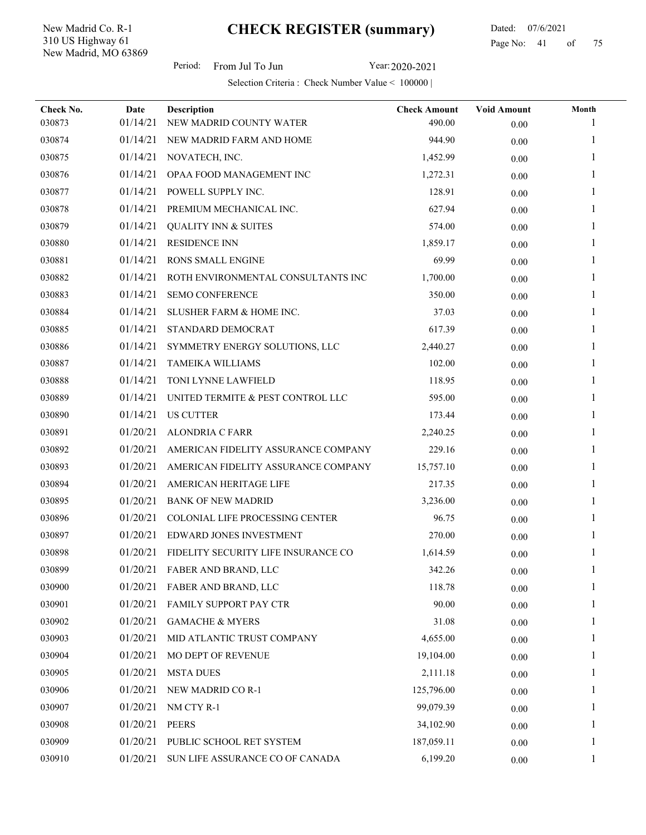New Madrid, MO 63869 310 US Highway 61 New Madrid Co. R-1

Period: From Jul To Jun Year: 2020-2021

| Check No.<br>030873 | Date<br>01/14/21 | Description<br>NEW MADRID COUNTY WATER | <b>Check Amount</b><br>490.00 | <b>Void Amount</b> | Month |
|---------------------|------------------|----------------------------------------|-------------------------------|--------------------|-------|
| 030874              | 01/14/21         | NEW MADRID FARM AND HOME               | 944.90                        | 0.00               | 1     |
| 030875              | 01/14/21         |                                        |                               | 0.00               | 1     |
|                     |                  | NOVATECH, INC.                         | 1,452.99                      | 0.00               |       |
| 030876              | 01/14/21         | OPAA FOOD MANAGEMENT INC               | 1,272.31                      | 0.00               | 1     |
| 030877              | 01/14/21         | POWELL SUPPLY INC.                     | 128.91                        | 0.00               |       |
| 030878              | 01/14/21         | PREMIUM MECHANICAL INC.                | 627.94                        | 0.00               | 1     |
| 030879              | 01/14/21         | <b>QUALITY INN &amp; SUITES</b>        | 574.00                        | 0.00               | 1     |
| 030880              | 01/14/21         | <b>RESIDENCE INN</b>                   | 1,859.17                      | 0.00               |       |
| 030881              | 01/14/21         | <b>RONS SMALL ENGINE</b>               | 69.99                         | 0.00               | 1     |
| 030882              | 01/14/21         | ROTH ENVIRONMENTAL CONSULTANTS INC     | 1,700.00                      | 0.00               |       |
| 030883              | 01/14/21         | <b>SEMO CONFERENCE</b>                 | 350.00                        | 0.00               |       |
| 030884              | 01/14/21         | SLUSHER FARM & HOME INC.               | 37.03                         | 0.00               |       |
| 030885              | 01/14/21         | STANDARD DEMOCRAT                      | 617.39                        | 0.00               | 1     |
| 030886              | 01/14/21         | SYMMETRY ENERGY SOLUTIONS, LLC         | 2,440.27                      | 0.00               | 1     |
| 030887              | 01/14/21         | <b>TAMEIKA WILLIAMS</b>                | 102.00                        | 0.00               | 1     |
| 030888              | 01/14/21         | TONI LYNNE LAWFIELD                    | 118.95                        | 0.00               | 1     |
| 030889              | 01/14/21         | UNITED TERMITE & PEST CONTROL LLC      | 595.00                        | 0.00               |       |
| 030890              | 01/14/21         | <b>US CUTTER</b>                       | 173.44                        | 0.00               | 1     |
| 030891              | 01/20/21         | ALONDRIA C FARR                        | 2,240.25                      | 0.00               |       |
| 030892              | 01/20/21         | AMERICAN FIDELITY ASSURANCE COMPANY    | 229.16                        | 0.00               | 1     |
| 030893              | 01/20/21         | AMERICAN FIDELITY ASSURANCE COMPANY    | 15,757.10                     | 0.00               |       |
| 030894              | 01/20/21         | AMERICAN HERITAGE LIFE                 | 217.35                        | 0.00               | 1     |
| 030895              | 01/20/21         | <b>BANK OF NEW MADRID</b>              | 3,236.00                      | 0.00               | 1     |
| 030896              | 01/20/21         | <b>COLONIAL LIFE PROCESSING CENTER</b> | 96.75                         | 0.00               |       |
| 030897              | 01/20/21         | EDWARD JONES INVESTMENT                | 270.00                        | 0.00               |       |
| 030898              | 01/20/21         | FIDELITY SECURITY LIFE INSURANCE CO    | 1,614.59                      | 0.00               |       |
| 030899              |                  | 01/20/21 FABER AND BRAND, LLC          | 342.26                        | $0.00\,$           |       |
| 030900              | 01/20/21         | FABER AND BRAND, LLC                   | 118.78                        | 0.00               | 1     |
| 030901              | 01/20/21         | FAMILY SUPPORT PAY CTR                 | 90.00                         | $0.00\,$           |       |
| 030902              | 01/20/21         | <b>GAMACHE &amp; MYERS</b>             | 31.08                         | 0.00               | 1     |
| 030903              | 01/20/21         | MID ATLANTIC TRUST COMPANY             | 4,655.00                      | 0.00               |       |
| 030904              | 01/20/21         | <b>MO DEPT OF REVENUE</b>              | 19,104.00                     | 0.00               |       |
| 030905              | 01/20/21         | <b>MSTA DUES</b>                       | 2,111.18                      | $0.00\,$           | 1     |
| 030906              | 01/20/21         | NEW MADRID CO R-1                      | 125,796.00                    | $0.00\,$           |       |
| 030907              | 01/20/21         | NM CTY R-1                             | 99,079.39                     | $0.00\,$           |       |
| 030908              | 01/20/21         | <b>PEERS</b>                           | 34,102.90                     | 0.00               |       |
| 030909              | 01/20/21         | PUBLIC SCHOOL RET SYSTEM               | 187,059.11                    | 0.00               | 1     |
| 030910              | 01/20/21         | SUN LIFE ASSURANCE CO OF CANADA        | 6,199.20                      | $0.00\,$           | 1     |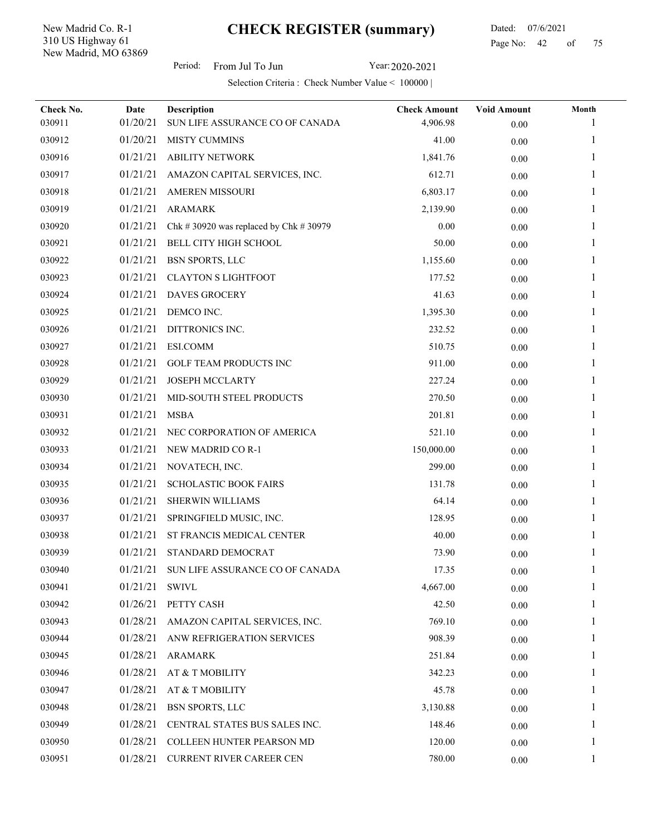New Madrid, MO 63869 310 US Highway 61 New Madrid Co. R-1

l,

Period: From Jul To Jun Year: 2020-2021

| Check No. | Date     | Description                             | <b>Check Amount</b> | <b>Void Amount</b> | Month |
|-----------|----------|-----------------------------------------|---------------------|--------------------|-------|
| 030911    | 01/20/21 | SUN LIFE ASSURANCE CO OF CANADA         | 4,906.98            | 0.00               |       |
| 030912    | 01/20/21 | MISTY CUMMINS                           | 41.00               | 0.00               | 1     |
| 030916    | 01/21/21 | <b>ABILITY NETWORK</b>                  | 1,841.76            | 0.00               |       |
| 030917    | 01/21/21 | AMAZON CAPITAL SERVICES, INC.           | 612.71              | $0.00\,$           | 1     |
| 030918    | 01/21/21 | AMEREN MISSOURI                         | 6,803.17            | 0.00               |       |
| 030919    | 01/21/21 | <b>ARAMARK</b>                          | 2,139.90            | 0.00               |       |
| 030920    | 01/21/21 | Chk # 30920 was replaced by Chk # 30979 | 0.00                | 0.00               | 1     |
| 030921    | 01/21/21 | BELL CITY HIGH SCHOOL                   | 50.00               | 0.00               | T     |
| 030922    | 01/21/21 | <b>BSN SPORTS, LLC</b>                  | 1,155.60            | 0.00               |       |
| 030923    | 01/21/21 | <b>CLAYTON S LIGHTFOOT</b>              | 177.52              | 0.00               |       |
| 030924    | 01/21/21 | <b>DAVES GROCERY</b>                    | 41.63               | $0.00\,$           |       |
| 030925    | 01/21/21 | DEMCO INC.                              | 1,395.30            | 0.00               |       |
| 030926    | 01/21/21 | DITTRONICS INC.                         | 232.52              | 0.00               |       |
| 030927    | 01/21/21 | ESI.COMM                                | 510.75              | 0.00               |       |
| 030928    | 01/21/21 | GOLF TEAM PRODUCTS INC                  | 911.00              | 0.00               | 1     |
| 030929    | 01/21/21 | <b>JOSEPH MCCLARTY</b>                  | 227.24              | 0.00               | 1     |
| 030930    | 01/21/21 | MID-SOUTH STEEL PRODUCTS                | 270.50              | 0.00               |       |
| 030931    | 01/21/21 | <b>MSBA</b>                             | 201.81              | $0.00\,$           | 1     |
| 030932    | 01/21/21 | NEC CORPORATION OF AMERICA              | 521.10              | 0.00               |       |
| 030933    | 01/21/21 | NEW MADRID CO R-1                       | 150,000.00          | 0.00               |       |
| 030934    | 01/21/21 | NOVATECH, INC.                          | 299.00              | 0.00               |       |
| 030935    | 01/21/21 | <b>SCHOLASTIC BOOK FAIRS</b>            | 131.78              | 0.00               |       |
| 030936    | 01/21/21 | SHERWIN WILLIAMS                        | 64.14               | 0.00               |       |
| 030937    | 01/21/21 | SPRINGFIELD MUSIC, INC.                 | 128.95              | 0.00               |       |
| 030938    | 01/21/21 | ST FRANCIS MEDICAL CENTER               | 40.00               | $0.00\,$           |       |
| 030939    | 01/21/21 | STANDARD DEMOCRAT                       | 73.90               | 0.00               | 1     |
| 030940    | 01/21/21 | SUN LIFE ASSURANCE CO OF CANADA         | 17.35               | 0.00               |       |
| 030941    | 01/21/21 | SWIVL                                   | 4,667.00            | 0.00               | 1     |
| 030942    | 01/26/21 | PETTY CASH                              | 42.50               | 0.00               |       |
| 030943    | 01/28/21 | AMAZON CAPITAL SERVICES, INC.           | 769.10              | 0.00               |       |
| 030944    | 01/28/21 | ANW REFRIGERATION SERVICES              | 908.39              | 0.00               |       |
| 030945    | 01/28/21 | <b>ARAMARK</b>                          | 251.84              | 0.00               |       |
| 030946    | 01/28/21 | AT & T MOBILITY                         | 342.23              | 0.00               |       |
| 030947    | 01/28/21 | AT & T MOBILITY                         | 45.78               | 0.00               |       |
| 030948    | 01/28/21 | <b>BSN SPORTS, LLC</b>                  | 3,130.88            | 0.00               |       |
| 030949    | 01/28/21 | CENTRAL STATES BUS SALES INC.           | 148.46              | 0.00               |       |
| 030950    | 01/28/21 | <b>COLLEEN HUNTER PEARSON MD</b>        | 120.00              | 0.00               | T     |
| 030951    | 01/28/21 | CURRENT RIVER CAREER CEN                | 780.00              | $0.00\,$           | 1     |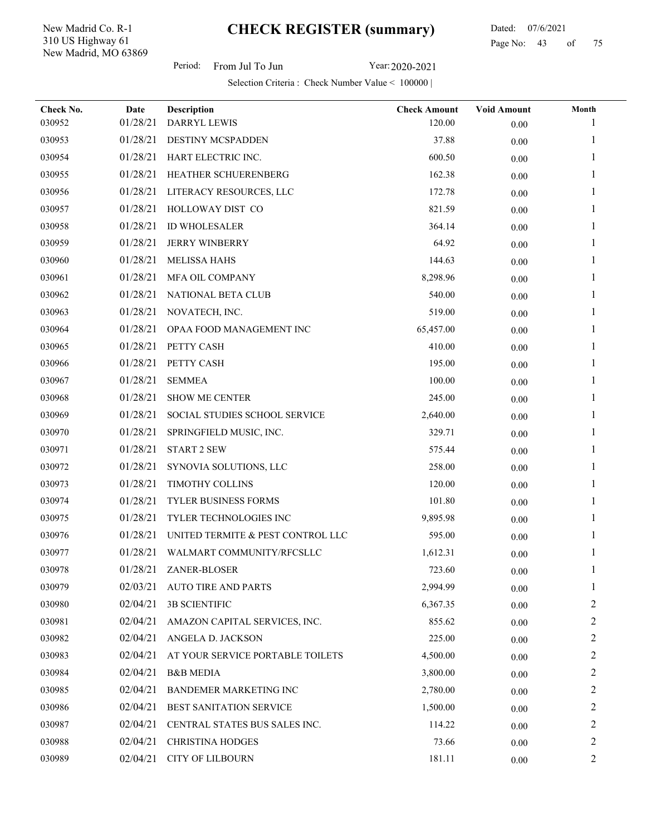New Madrid, MO 63869 310 US Highway 61 New Madrid Co. R-1

l,

Period: From Jul To Jun Year: 2020-2021

| Check No. | Date     | Description                       | <b>Check Amount</b> | <b>Void Amount</b> | Month          |
|-----------|----------|-----------------------------------|---------------------|--------------------|----------------|
| 030952    | 01/28/21 | <b>DARRYL LEWIS</b>               | 120.00              | $0.00\,$           |                |
| 030953    | 01/28/21 | <b>DESTINY MCSPADDEN</b>          | 37.88               | 0.00               | 1              |
| 030954    | 01/28/21 | HART ELECTRIC INC.                | 600.50              | 0.00               |                |
| 030955    | 01/28/21 | HEATHER SCHUERENBERG              | 162.38              | 0.00               |                |
| 030956    | 01/28/21 | LITERACY RESOURCES, LLC           | 172.78              | 0.00               |                |
| 030957    | 01/28/21 | HOLLOWAY DIST CO                  | 821.59              | 0.00               |                |
| 030958    | 01/28/21 | <b>ID WHOLESALER</b>              | 364.14              | 0.00               |                |
| 030959    | 01/28/21 | <b>JERRY WINBERRY</b>             | 64.92               | 0.00               | 1              |
| 030960    | 01/28/21 | <b>MELISSA HAHS</b>               | 144.63              | 0.00               |                |
| 030961    | 01/28/21 | MFA OIL COMPANY                   | 8,298.96            | 0.00               | 1              |
| 030962    | 01/28/21 | NATIONAL BETA CLUB                | 540.00              | 0.00               |                |
| 030963    | 01/28/21 | NOVATECH, INC.                    | 519.00              | $0.00\,$           |                |
| 030964    | 01/28/21 | OPAA FOOD MANAGEMENT INC          | 65,457.00           | 0.00               |                |
| 030965    | 01/28/21 | PETTY CASH                        | 410.00              | 0.00               |                |
| 030966    | 01/28/21 | PETTY CASH                        | 195.00              | 0.00               | 1              |
| 030967    | 01/28/21 | <b>SEMMEA</b>                     | 100.00              | 0.00               |                |
| 030968    | 01/28/21 | <b>SHOW ME CENTER</b>             | 245.00              | 0.00               | 1              |
| 030969    | 01/28/21 | SOCIAL STUDIES SCHOOL SERVICE     | 2,640.00            | 0.00               | 1              |
| 030970    | 01/28/21 | SPRINGFIELD MUSIC, INC.           | 329.71              | 0.00               |                |
| 030971    | 01/28/21 | <b>START 2 SEW</b>                | 575.44              | 0.00               | 1              |
| 030972    | 01/28/21 | SYNOVIA SOLUTIONS, LLC            | 258.00              | 0.00               | 1              |
| 030973    | 01/28/21 | TIMOTHY COLLINS                   | 120.00              | 0.00               |                |
| 030974    | 01/28/21 | TYLER BUSINESS FORMS              | 101.80              | 0.00               |                |
| 030975    | 01/28/21 | TYLER TECHNOLOGIES INC            | 9,895.98            | 0.00               |                |
| 030976    | 01/28/21 | UNITED TERMITE & PEST CONTROL LLC | 595.00              | 0.00               |                |
| 030977    | 01/28/21 | WALMART COMMUNITY/RFCSLLC         | 1,612.31            | 0.00               |                |
| 030978    | 01/28/21 | ZANER-BLOSER                      | 723.60              | 0.00               |                |
| 030979    | 02/03/21 | <b>AUTO TIRE AND PARTS</b>        | 2,994.99            | 0.00               | 1              |
| 030980    | 02/04/21 | <b>3B SCIENTIFIC</b>              | 6,367.35            | $0.00\,$           | 2              |
| 030981    | 02/04/21 | AMAZON CAPITAL SERVICES, INC.     | 855.62              | 0.00               | 2              |
| 030982    | 02/04/21 | ANGELA D. JACKSON                 | 225.00              | 0.00               | $\overline{c}$ |
| 030983    | 02/04/21 | AT YOUR SERVICE PORTABLE TOILETS  | 4,500.00            | 0.00               | 2              |
| 030984    | 02/04/21 | <b>B&amp;B MEDIA</b>              | 3,800.00            | 0.00               | 2              |
| 030985    | 02/04/21 | <b>BANDEMER MARKETING INC</b>     | 2,780.00            | 0.00               | 2              |
| 030986    | 02/04/21 | BEST SANITATION SERVICE           | 1,500.00            | $0.00\,$           | 2              |
| 030987    | 02/04/21 | CENTRAL STATES BUS SALES INC.     | 114.22              | 0.00               | 2              |
| 030988    | 02/04/21 | <b>CHRISTINA HODGES</b>           | 73.66               | 0.00               | 2              |
| 030989    | 02/04/21 | <b>CITY OF LILBOURN</b>           | 181.11              | $0.00\,$           | 2              |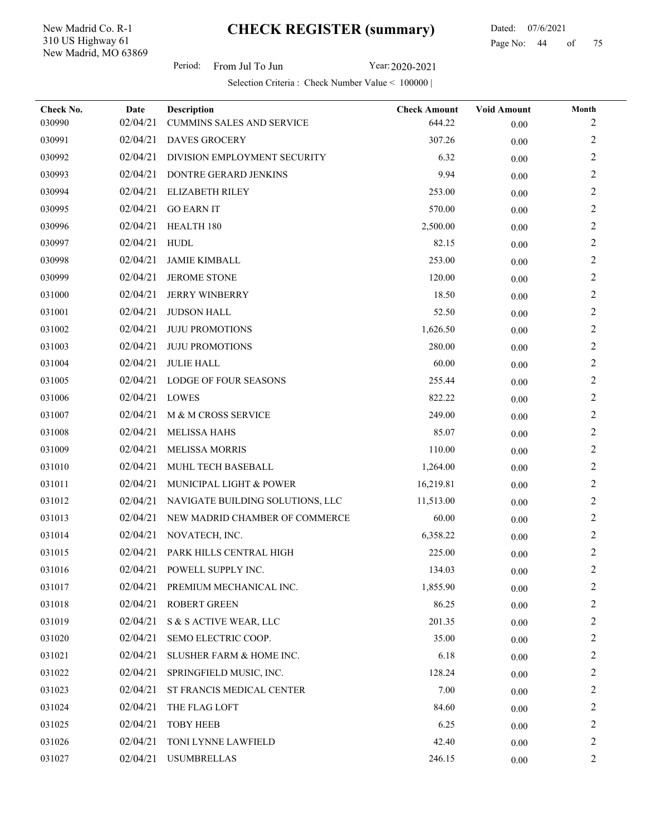New Madrid, MO 63869 310 US Highway 61 New Madrid Co. R-1

l,

Period: From Jul To Jun Year: 2020-2021

| Check No. | Date     | Description                      | <b>Check Amount</b> | <b>Void Amount</b> | Month          |
|-----------|----------|----------------------------------|---------------------|--------------------|----------------|
| 030990    | 02/04/21 | <b>CUMMINS SALES AND SERVICE</b> | 644.22              | $0.00\,$           | 2              |
| 030991    | 02/04/21 | <b>DAVES GROCERY</b>             | 307.26              | 0.00               | 2              |
| 030992    | 02/04/21 | DIVISION EMPLOYMENT SECURITY     | 6.32                | 0.00               | 2              |
| 030993    | 02/04/21 | DONTRE GERARD JENKINS            | 9.94                | $0.00\,$           | $\overline{c}$ |
| 030994    | 02/04/21 | ELIZABETH RILEY                  | 253.00              | 0.00               | 2              |
| 030995    | 02/04/21 | <b>GO EARN IT</b>                | 570.00              | 0.00               | 2              |
| 030996    | 02/04/21 | HEALTH <sub>180</sub>            | 2,500.00            | 0.00               | $\overline{c}$ |
| 030997    | 02/04/21 | <b>HUDL</b>                      | 82.15               | 0.00               | 2              |
| 030998    | 02/04/21 | <b>JAMIE KIMBALL</b>             | 253.00              | 0.00               | 2              |
| 030999    | 02/04/21 | <b>JEROME STONE</b>              | 120.00              | 0.00               | $\overline{c}$ |
| 031000    | 02/04/21 | <b>JERRY WINBERRY</b>            | 18.50               | $0.00\,$           | 2              |
| 031001    | 02/04/21 | <b>JUDSON HALL</b>               | 52.50               | $0.00\,$           | 2              |
| 031002    | 02/04/21 | <b>JUJU PROMOTIONS</b>           | 1,626.50            | 0.00               | 2              |
| 031003    | 02/04/21 | <b>JUJU PROMOTIONS</b>           | 280.00              | 0.00               | 2              |
| 031004    | 02/04/21 | <b>JULIE HALL</b>                | 60.00               | 0.00               | 2              |
| 031005    | 02/04/21 | LODGE OF FOUR SEASONS            | 255.44              | 0.00               | 2              |
| 031006    | 02/04/21 | LOWES                            | 822.22              | 0.00               | 2              |
| 031007    | 02/04/21 | M & M CROSS SERVICE              | 249.00              | $0.00\,$           | $\overline{c}$ |
| 031008    | 02/04/21 | MELISSA HAHS                     | 85.07               | 0.00               | 2              |
| 031009    | 02/04/21 | <b>MELISSA MORRIS</b>            | 110.00              | $0.00\,$           | 2              |
| 031010    | 02/04/21 | MUHL TECH BASEBALL               | 1,264.00            | 0.00               | $\overline{c}$ |
| 031011    | 02/04/21 | MUNICIPAL LIGHT & POWER          | 16,219.81           | 0.00               | 2              |
| 031012    | 02/04/21 | NAVIGATE BUILDING SOLUTIONS, LLC | 11,513.00           | 0.00               | 2              |
| 031013    | 02/04/21 | NEW MADRID CHAMBER OF COMMERCE   | 60.00               | 0.00               | $\overline{c}$ |
| 031014    | 02/04/21 | NOVATECH, INC.                   | 6,358.22            | $0.00\,$           | 2              |
| 031015    | 02/04/21 | PARK HILLS CENTRAL HIGH          | 225.00              | $0.00\,$           | 2              |
| 031016    | 02/04/21 | POWELL SUPPLY INC.               | 134.03              | $0.00\,$           | 2              |
| 031017    | 02/04/21 | PREMIUM MECHANICAL INC.          | 1,855.90            | 0.00               | $\overline{c}$ |
| 031018    | 02/04/21 | <b>ROBERT GREEN</b>              | 86.25               | $0.00\,$           | 2              |
| 031019    | 02/04/21 | S & S ACTIVE WEAR, LLC           | 201.35              | 0.00               | 2              |
| 031020    | 02/04/21 | SEMO ELECTRIC COOP.              | 35.00               | 0.00               | 2              |
| 031021    | 02/04/21 | SLUSHER FARM & HOME INC.         | 6.18                | 0.00               | 2              |
| 031022    | 02/04/21 | SPRINGFIELD MUSIC, INC.          | 128.24              | $0.00\,$           | 2              |
| 031023    | 02/04/21 | ST FRANCIS MEDICAL CENTER        | 7.00                | 0.00               | 2              |
| 031024    | 02/04/21 | THE FLAG LOFT                    | 84.60               | 0.00               | 2              |
| 031025    | 02/04/21 | <b>TOBY HEEB</b>                 | 6.25                | 0.00               | 2              |
| 031026    | 02/04/21 | TONI LYNNE LAWFIELD              | 42.40               | 0.00               | 2              |
| 031027    | 02/04/21 | <b>USUMBRELLAS</b>               | 246.15              | $0.00\,$           | 2              |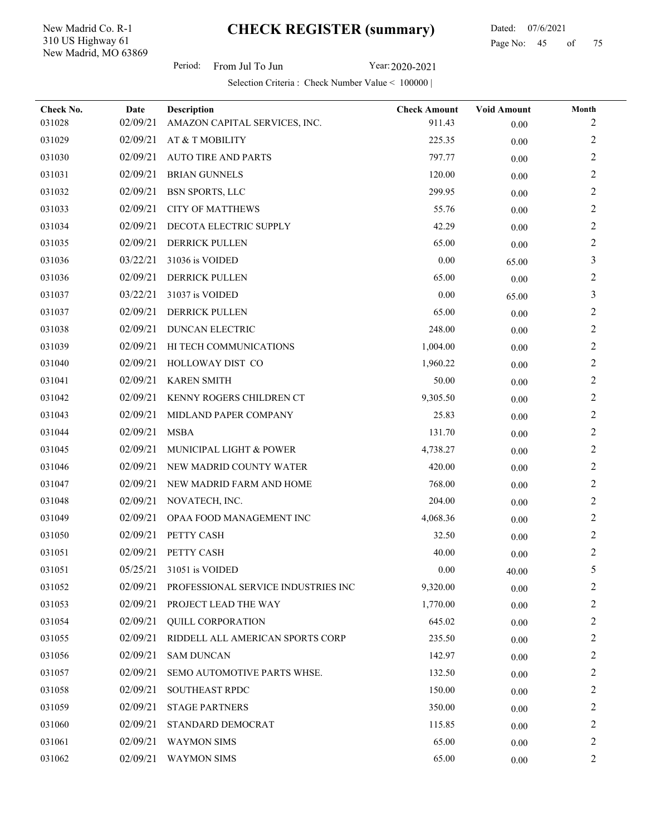New Madrid, MO 63869 310 US Highway 61 New Madrid Co. R-1

 Dated: 07/6/2021 Page No: 45 of

Period: From Jul To Jun Year: 2020-2021

| Check No. | Date     | <b>Description</b>                  | <b>Check Amount</b> | <b>Void Amount</b> | Month          |
|-----------|----------|-------------------------------------|---------------------|--------------------|----------------|
| 031028    | 02/09/21 | AMAZON CAPITAL SERVICES, INC.       | 911.43              | 0.00               | 2              |
| 031029    | 02/09/21 | AT & T MOBILITY                     | 225.35              | 0.00               | 2              |
| 031030    | 02/09/21 | <b>AUTO TIRE AND PARTS</b>          | 797.77              | 0.00               | 2              |
| 031031    | 02/09/21 | <b>BRIAN GUNNELS</b>                | 120.00              | 0.00               | 2              |
| 031032    | 02/09/21 | <b>BSN SPORTS, LLC</b>              | 299.95              | 0.00               | 2              |
| 031033    | 02/09/21 | <b>CITY OF MATTHEWS</b>             | 55.76               | $0.00\,$           | $\overline{2}$ |
| 031034    | 02/09/21 | DECOTA ELECTRIC SUPPLY              | 42.29               | 0.00               | 2              |
| 031035    | 02/09/21 | DERRICK PULLEN                      | 65.00               | 0.00               | 2              |
| 031036    | 03/22/21 | 31036 is VOIDED                     | 0.00                | 65.00              | 3              |
| 031036    | 02/09/21 | DERRICK PULLEN                      | 65.00               | 0.00               | 2              |
| 031037    | 03/22/21 | 31037 is VOIDED                     | 0.00                | 65.00              | 3              |
| 031037    | 02/09/21 | DERRICK PULLEN                      | 65.00               | 0.00               | $\overline{c}$ |
| 031038    | 02/09/21 | <b>DUNCAN ELECTRIC</b>              | 248.00              | 0.00               | 2              |
| 031039    | 02/09/21 | HI TECH COMMUNICATIONS              | 1,004.00            | $0.00\,$           | 2              |
| 031040    | 02/09/21 | HOLLOWAY DIST CO                    | 1,960.22            | 0.00               | 2              |
| 031041    | 02/09/21 | <b>KAREN SMITH</b>                  | 50.00               | 0.00               | 2              |
| 031042    | 02/09/21 | KENNY ROGERS CHILDREN CT            | 9,305.50            | $0.00\,$           | $\overline{2}$ |
| 031043    | 02/09/21 | MIDLAND PAPER COMPANY               | 25.83               | 0.00               | 2              |
| 031044    | 02/09/21 | <b>MSBA</b>                         | 131.70              | 0.00               | 2              |
| 031045    | 02/09/21 | MUNICIPAL LIGHT & POWER             | 4,738.27            | 0.00               | $\overline{2}$ |
| 031046    | 02/09/21 | NEW MADRID COUNTY WATER             | 420.00              | 0.00               | 2              |
| 031047    | 02/09/21 | NEW MADRID FARM AND HOME            | 768.00              | $0.00\,$           | 2              |
| 031048    | 02/09/21 | NOVATECH, INC.                      | 204.00              | 0.00               | $\overline{c}$ |
| 031049    | 02/09/21 | OPAA FOOD MANAGEMENT INC            | 4,068.36            | 0.00               | 2              |
| 031050    | 02/09/21 | PETTY CASH                          | 32.50               | 0.00               | 2              |
| 031051    | 02/09/21 | PETTY CASH                          | 40.00               | 0.00               | $\overline{c}$ |
| 031051    |          | 05/25/21 31051 is VOIDED            | 0.00                | 40.00              | 5              |
| 031052    | 02/09/21 | PROFESSIONAL SERVICE INDUSTRIES INC | 9,320.00            | $0.00\,$           | 2              |
| 031053    | 02/09/21 | PROJECT LEAD THE WAY                | 1,770.00            | $0.00\,$           | 2              |
| 031054    | 02/09/21 | <b>QUILL CORPORATION</b>            | 645.02              | 0.00               | $\overline{c}$ |
| 031055    | 02/09/21 | RIDDELL ALL AMERICAN SPORTS CORP    | 235.50              | 0.00               | 2              |
| 031056    | 02/09/21 | <b>SAM DUNCAN</b>                   | 142.97              | 0.00               | 2              |
| 031057    | 02/09/21 | SEMO AUTOMOTIVE PARTS WHSE.         | 132.50              | 0.00               | $\overline{c}$ |
| 031058    | 02/09/21 | <b>SOUTHEAST RPDC</b>               | 150.00              | 0.00               | 2              |
| 031059    | 02/09/21 | <b>STAGE PARTNERS</b>               | 350.00              | 0.00               | 2              |
| 031060    | 02/09/21 | STANDARD DEMOCRAT                   | 115.85              | $0.00\,$           | 2              |
| 031061    | 02/09/21 | <b>WAYMON SIMS</b>                  | 65.00               | $0.00\,$           | 2              |
| 031062    | 02/09/21 | <b>WAYMON SIMS</b>                  | 65.00               | $0.00\,$           | $\overline{2}$ |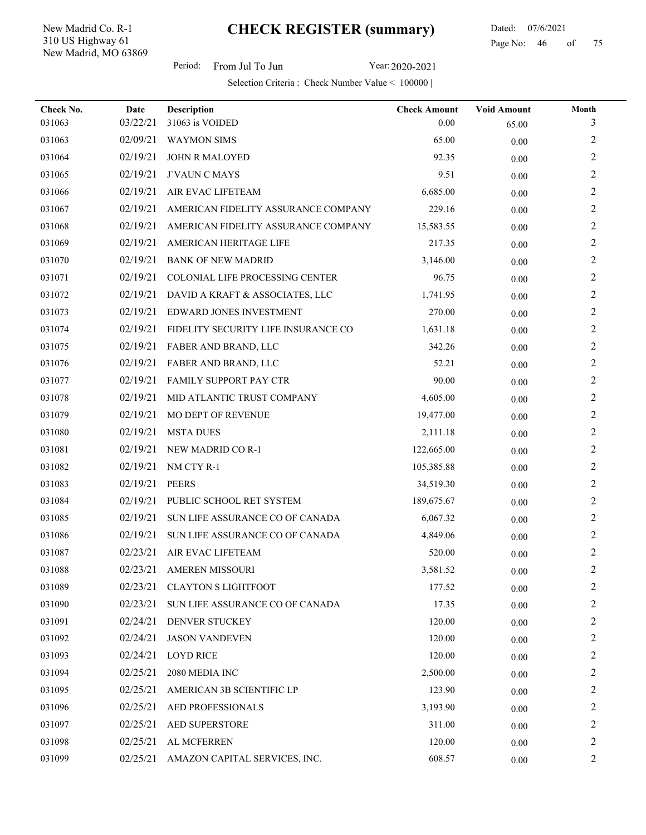New Madrid, MO 63869 310 US Highway 61 New Madrid Co. R-1

l,

Period: From Jul To Jun Year: 2020-2021

| Check No. | <b>Date</b> | Description                         | <b>Check Amount</b> | <b>Void Amount</b> | Month                   |
|-----------|-------------|-------------------------------------|---------------------|--------------------|-------------------------|
| 031063    | 03/22/21    | 31063 is VOIDED                     | $0.00\,$            | 65.00              | 3                       |
| 031063    | 02/09/21    | <b>WAYMON SIMS</b>                  | 65.00               | 0.00               | 2                       |
| 031064    | 02/19/21    | <b>JOHN R MALOYED</b>               | 92.35               | 0.00               | 2                       |
| 031065    | 02/19/21    | <b>J'VAUN C MAYS</b>                | 9.51                | 0.00               | 2                       |
| 031066    | 02/19/21    | AIR EVAC LIFETEAM                   | 6,685.00            | 0.00               | $\overline{c}$          |
| 031067    | 02/19/21    | AMERICAN FIDELITY ASSURANCE COMPANY | 229.16              | 0.00               | $\overline{c}$          |
| 031068    | 02/19/21    | AMERICAN FIDELITY ASSURANCE COMPANY | 15,583.55           | 0.00               | $\overline{c}$          |
| 031069    | 02/19/21    | AMERICAN HERITAGE LIFE              | 217.35              | 0.00               | $\overline{c}$          |
| 031070    | 02/19/21    | <b>BANK OF NEW MADRID</b>           | 3,146.00            | 0.00               | 2                       |
| 031071    | 02/19/21    | COLONIAL LIFE PROCESSING CENTER     | 96.75               | 0.00               | $\overline{c}$          |
| 031072    | 02/19/21    | DAVID A KRAFT & ASSOCIATES, LLC     | 1,741.95            | 0.00               | $\overline{c}$          |
| 031073    | 02/19/21    | EDWARD JONES INVESTMENT             | 270.00              | $0.00\,$           | $\overline{c}$          |
| 031074    | 02/19/21    | FIDELITY SECURITY LIFE INSURANCE CO | 1,631.18            | 0.00               | $\overline{c}$          |
| 031075    | 02/19/21    | FABER AND BRAND, LLC                | 342.26              | 0.00               | 2                       |
| 031076    | 02/19/21    | FABER AND BRAND, LLC                | 52.21               | 0.00               | $\overline{c}$          |
| 031077    | 02/19/21    | FAMILY SUPPORT PAY CTR              | 90.00               | 0.00               | $\overline{c}$          |
| 031078    | 02/19/21    | MID ATLANTIC TRUST COMPANY          | 4,605.00            | 0.00               | $\overline{c}$          |
| 031079    | 02/19/21    | <b>MO DEPT OF REVENUE</b>           | 19,477.00           | 0.00               | $\overline{c}$          |
| 031080    | 02/19/21    | <b>MSTA DUES</b>                    | 2,111.18            | 0.00               | $\overline{c}$          |
| 031081    | 02/19/21    | NEW MADRID CO R-1                   | 122,665.00          | $0.00\,$           | $\overline{c}$          |
| 031082    | 02/19/21    | NM CTY R-1                          | 105,385.88          | 0.00               | $\overline{c}$          |
| 031083    | 02/19/21    | <b>PEERS</b>                        | 34,519.30           | 0.00               | $\overline{c}$          |
| 031084    | 02/19/21    | PUBLIC SCHOOL RET SYSTEM            | 189,675.67          | 0.00               | 2                       |
| 031085    | 02/19/21    | SUN LIFE ASSURANCE CO OF CANADA     | 6,067.32            | 0.00               | $\overline{c}$          |
| 031086    | 02/19/21    | SUN LIFE ASSURANCE CO OF CANADA     | 4,849.06            | $0.00\,$           | 2                       |
| 031087    | 02/23/21    | AIR EVAC LIFETEAM                   | 520.00              | 0.00               | $\overline{c}$          |
| 031088    | 02/23/21    | <b>AMEREN MISSOURI</b>              | 3,581.52            | 0.00               | 2                       |
| 031089    | 02/23/21    | <b>CLAYTON S LIGHTFOOT</b>          | 177.52              | 0.00               | $\overline{c}$          |
| 031090    | 02/23/21    | SUN LIFE ASSURANCE CO OF CANADA     | 17.35               | $0.00\,$           | 2                       |
| 031091    | 02/24/21    | DENVER STUCKEY                      | 120.00              | 0.00               | 2                       |
| 031092    | 02/24/21    | <b>JASON VANDEVEN</b>               | 120.00              | 0.00               | $\overline{\mathbf{c}}$ |
| 031093    | 02/24/21    | <b>LOYD RICE</b>                    | 120.00              | 0.00               | 2                       |
| 031094    | 02/25/21    | 2080 MEDIA INC                      | 2,500.00            | $0.00\,$           | 2                       |
| 031095    | 02/25/21    | <b>AMERICAN 3B SCIENTIFIC LP</b>    | 123.90              | 0.00               | 2                       |
| 031096    | 02/25/21    | AED PROFESSIONALS                   | 3,193.90            | $0.00\,$           | 2                       |
| 031097    | 02/25/21    | AED SUPERSTORE                      | 311.00              | 0.00               | $\overline{c}$          |
| 031098    | 02/25/21    | AL MCFERREN                         | 120.00              | 0.00               | 2                       |
| 031099    | 02/25/21    | AMAZON CAPITAL SERVICES, INC.       | 608.57              | $0.00\,$           | 2                       |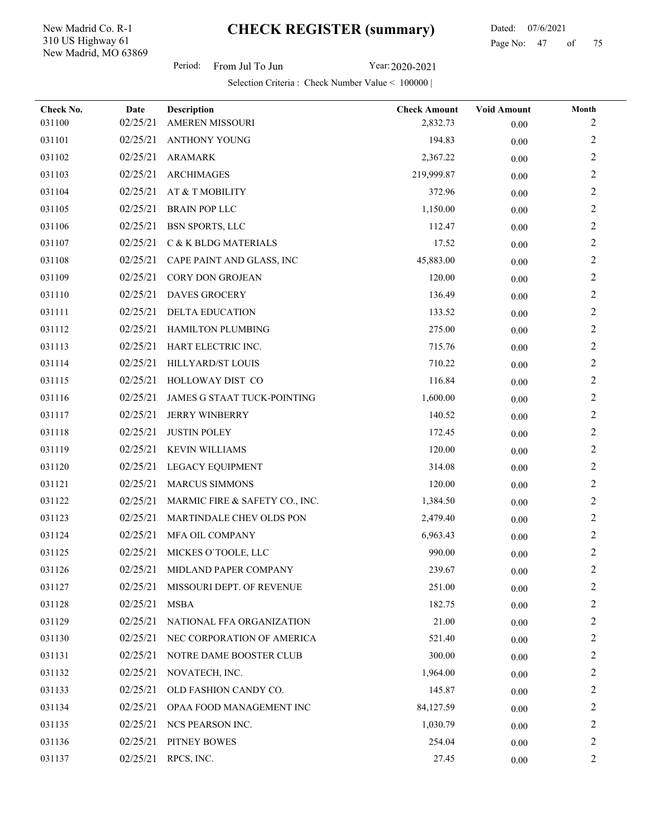New Madrid, MO 63869 310 US Highway 61 New Madrid Co. R-1

## Dated: 07/6/2021 Page No: 47 of

Period: From Jul To Jun Year: 2020-2021

| Check No.<br>031100 | Date<br>02/25/21 | Description<br>AMEREN MISSOURI | <b>Check Amount</b><br>2,832.73 | <b>Void Amount</b><br>0.00 | Month<br>$\overline{c}$ |
|---------------------|------------------|--------------------------------|---------------------------------|----------------------------|-------------------------|
| 031101              | 02/25/21         | ANTHONY YOUNG                  | 194.83                          |                            | 2                       |
| 031102              | 02/25/21         | ARAMARK                        | 2,367.22                        | $0.00\,$                   | $\overline{c}$          |
| 031103              | 02/25/21         | <b>ARCHIMAGES</b>              | 219,999.87                      | $0.00\,$                   | $\overline{c}$          |
| 031104              | 02/25/21         | AT & T MOBILITY                | 372.96                          | 0.00<br>0.00               | $\overline{c}$          |
| 031105              | 02/25/21         | <b>BRAIN POP LLC</b>           | 1,150.00                        | 0.00                       | $\overline{c}$          |
| 031106              | 02/25/21         | <b>BSN SPORTS, LLC</b>         | 112.47                          |                            | $\overline{c}$          |
| 031107              | 02/25/21         | C & K BLDG MATERIALS           | 17.52                           | 0.00                       | $\overline{c}$          |
| 031108              | 02/25/21         | CAPE PAINT AND GLASS, INC      | 45,883.00                       | 0.00<br>0.00               | $\overline{c}$          |
| 031109              | 02/25/21         | <b>CORY DON GROJEAN</b>        | 120.00                          |                            | $\overline{c}$          |
| 031110              | 02/25/21         | <b>DAVES GROCERY</b>           | 136.49                          | 0.00<br>0.00               | 2                       |
| 031111              | 02/25/21         | <b>DELTA EDUCATION</b>         | 133.52                          | 0.00                       | $\overline{c}$          |
| 031112              | 02/25/21         | <b>HAMILTON PLUMBING</b>       | 275.00                          | 0.00                       | $\overline{c}$          |
| 031113              | 02/25/21         | HART ELECTRIC INC.             | 715.76                          | 0.00                       | 2                       |
| 031114              | 02/25/21         | HILLYARD/ST LOUIS              | 710.22                          | 0.00                       | $\overline{c}$          |
| 031115              | 02/25/21         | HOLLOWAY DIST CO               | 116.84                          | 0.00                       | $\overline{c}$          |
| 031116              | 02/25/21         | JAMES G STAAT TUCK-POINTING    | 1,600.00                        | $0.00\,$                   | $\overline{c}$          |
| 031117              | 02/25/21         | <b>JERRY WINBERRY</b>          | 140.52                          | 0.00                       | $\overline{c}$          |
| 031118              | 02/25/21         | <b>JUSTIN POLEY</b>            | 172.45                          | 0.00                       | $\overline{c}$          |
| 031119              | 02/25/21         | <b>KEVIN WILLIAMS</b>          | 120.00                          | 0.00                       | $\overline{c}$          |
| 031120              | 02/25/21         | LEGACY EQUIPMENT               | 314.08                          | 0.00                       | 2                       |
| 031121              | 02/25/21         | <b>MARCUS SIMMONS</b>          | 120.00                          | 0.00                       | $\overline{c}$          |
| 031122              | 02/25/21         | MARMIC FIRE & SAFETY CO., INC. | 1,384.50                        | 0.00                       | $\boldsymbol{2}$        |
| 031123              | 02/25/21         | MARTINDALE CHEV OLDS PON       | 2,479.40                        | $0.00\,$                   | $\overline{c}$          |
| 031124              | 02/25/21         | MFA OIL COMPANY                | 6,963.43                        | $0.00\,$                   | 2                       |
| 031125              | 02/25/21         | MICKES O'TOOLE, LLC            | 990.00                          | 0.00                       | $\overline{c}$          |
| 031126              |                  | 02/25/21 MIDLAND PAPER COMPANY | 239.67                          | 0.00                       | 2                       |
| 031127              | 02/25/21         | MISSOURI DEPT. OF REVENUE      | 251.00                          | $0.00\,$                   | $\overline{c}$          |
| 031128              | 02/25/21         | MSBA                           | 182.75                          | 0.00                       | $\overline{c}$          |
| 031129              | 02/25/21         | NATIONAL FFA ORGANIZATION      | 21.00                           | 0.00                       | $\overline{c}$          |
| 031130              | 02/25/21         | NEC CORPORATION OF AMERICA     | 521.40                          | 0.00                       | $\overline{c}$          |
| 031131              | 02/25/21         | NOTRE DAME BOOSTER CLUB        | 300.00                          | 0.00                       | 2                       |
| 031132              | 02/25/21         | NOVATECH, INC.                 | 1,964.00                        | 0.00                       | $\boldsymbol{2}$        |
| 031133              | 02/25/21         | OLD FASHION CANDY CO.          | 145.87                          | 0.00                       | $\overline{c}$          |
| 031134              | 02/25/21         | OPAA FOOD MANAGEMENT INC       | 84,127.59                       | $0.00\,$                   | $\overline{c}$          |
| 031135              | 02/25/21         | NCS PEARSON INC.               | 1,030.79                        | 0.00                       | $\overline{c}$          |
| 031136              | 02/25/21         | PITNEY BOWES                   | 254.04                          | $0.00\,$                   | $\overline{c}$          |
| 031137              | 02/25/21         | RPCS, INC.                     | 27.45                           | $0.00\,$                   | $\overline{c}$          |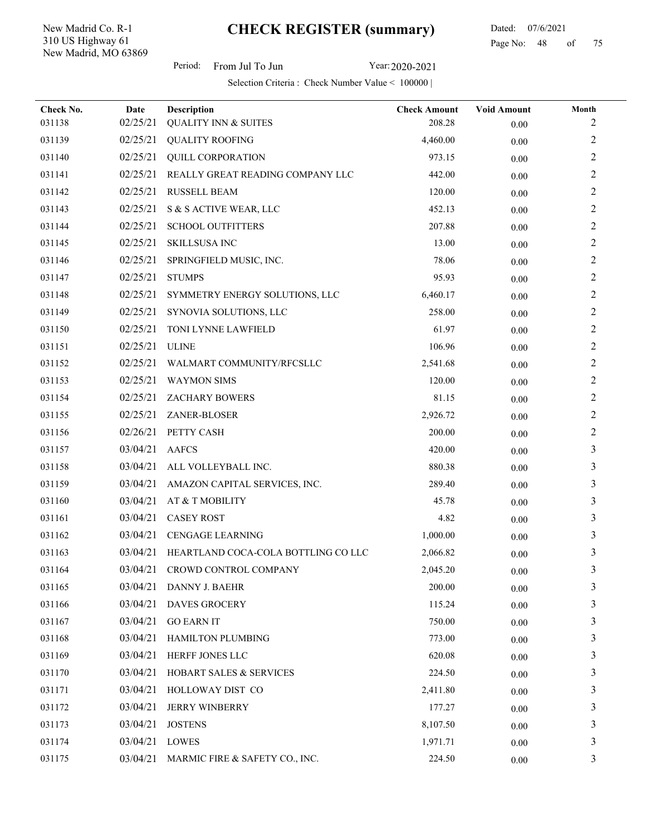New Madrid, MO 63869 310 US Highway 61 New Madrid Co. R-1

 Dated: 07/6/2021 Page No: 48 of

Period: From Jul To Jun Year: 2020-2021

| Check No.<br>031138 | Date<br>02/25/21 | <b>Description</b><br><b>QUALITY INN &amp; SUITES</b> | <b>Check Amount</b><br>208.28 | <b>Void Amount</b> | Month<br>2          |
|---------------------|------------------|-------------------------------------------------------|-------------------------------|--------------------|---------------------|
| 031139              | 02/25/21         | <b>QUALITY ROOFING</b>                                | 4,460.00                      | 0.00               | 2                   |
| 031140              | 02/25/21         | <b>QUILL CORPORATION</b>                              | 973.15                        | 0.00               | $\overline{c}$      |
| 031141              | 02/25/21         | REALLY GREAT READING COMPANY LLC                      | 442.00                        | 0.00               | 2                   |
| 031142              | 02/25/21         | <b>RUSSELL BEAM</b>                                   | 120.00                        | 0.00               | 2                   |
| 031143              | 02/25/21         | S & S ACTIVE WEAR, LLC                                | 452.13                        | 0.00               | 2                   |
| 031144              | 02/25/21         | <b>SCHOOL OUTFITTERS</b>                              | 207.88                        | $0.00\,$           |                     |
|                     |                  |                                                       |                               | 0.00               | 2                   |
| 031145              | 02/25/21         | <b>SKILLSUSA INC</b>                                  | 13.00                         | $0.00\,$           | 2<br>$\overline{2}$ |
| 031146              | 02/25/21         | SPRINGFIELD MUSIC, INC.                               | 78.06                         | 0.00               |                     |
| 031147              | 02/25/21         | <b>STUMPS</b>                                         | 95.93                         | 0.00               | 2                   |
| 031148              | 02/25/21         | SYMMETRY ENERGY SOLUTIONS, LLC                        | 6,460.17                      | 0.00               | 2                   |
| 031149              | 02/25/21         | SYNOVIA SOLUTIONS, LLC                                | 258.00                        | 0.00               | $\overline{c}$      |
| 031150              | 02/25/21         | TONI LYNNE LAWFIELD                                   | 61.97                         | 0.00               | 2                   |
| 031151              | 02/25/21         | <b>ULINE</b>                                          | 106.96                        | $0.00\,$           | 2                   |
| 031152              | 02/25/21         | WALMART COMMUNITY/RFCSLLC                             | 2,541.68                      | 0.00               | 2                   |
| 031153              | 02/25/21         | <b>WAYMON SIMS</b>                                    | 120.00                        | 0.00               | 2                   |
| 031154              | 02/25/21         | <b>ZACHARY BOWERS</b>                                 | 81.15                         | 0.00               | 2                   |
| 031155              | 02/25/21         | ZANER-BLOSER                                          | 2,926.72                      | 0.00               | 2                   |
| 031156              | 02/26/21         | PETTY CASH                                            | 200.00                        | 0.00               | 2                   |
| 031157              | 03/04/21         | <b>AAFCS</b>                                          | 420.00                        | 0.00               | 3                   |
| 031158              | 03/04/21         | ALL VOLLEYBALL INC.                                   | 880.38                        | 0.00               | 3                   |
| 031159              | 03/04/21         | AMAZON CAPITAL SERVICES, INC.                         | 289.40                        | $0.00\,$           | 3                   |
| 031160              | 03/04/21         | AT & T MOBILITY                                       | 45.78                         | 0.00               | 3                   |
| 031161              | 03/04/21         | <b>CASEY ROST</b>                                     | 4.82                          | 0.00               | 3                   |
| 031162              | 03/04/21         | CENGAGE LEARNING                                      | 1,000.00                      | 0.00               | 3                   |
| 031163              | 03/04/21         | HEARTLAND COCA-COLA BOTTLING CO LLC                   | 2,066.82                      | 0.00               | 3                   |
| 031164              |                  | 03/04/21 CROWD CONTROL COMPANY                        | 2,045.20                      | $0.00\,$           | 3                   |
| 031165              | 03/04/21         | DANNY J. BAEHR                                        | 200.00                        | $0.00\,$           | 3                   |
| 031166              | 03/04/21         | <b>DAVES GROCERY</b>                                  | 115.24                        | $0.00\,$           | 3                   |
| 031167              | 03/04/21         | <b>GO EARN IT</b>                                     | 750.00                        | 0.00               | 3                   |
| 031168              | 03/04/21         | <b>HAMILTON PLUMBING</b>                              | 773.00                        | 0.00               | 3                   |
| 031169              | 03/04/21         | HERFF JONES LLC                                       | 620.08                        | 0.00               | 3                   |
| 031170              | 03/04/21         | <b>HOBART SALES &amp; SERVICES</b>                    | 224.50                        | 0.00               | 3                   |
| 031171              | 03/04/21         | HOLLOWAY DIST CO                                      | 2,411.80                      | 0.00               | 3                   |
| 031172              | 03/04/21         | <b>JERRY WINBERRY</b>                                 | 177.27                        | 0.00               | 3                   |
| 031173              | 03/04/21         | <b>JOSTENS</b>                                        | 8,107.50                      | $0.00\,$           | 3                   |
| 031174              | 03/04/21         | LOWES                                                 | 1,971.71                      | $0.00\,$           | 3                   |
| 031175              | 03/04/21         | MARMIC FIRE & SAFETY CO., INC.                        | 224.50                        | $0.00\,$           | 3                   |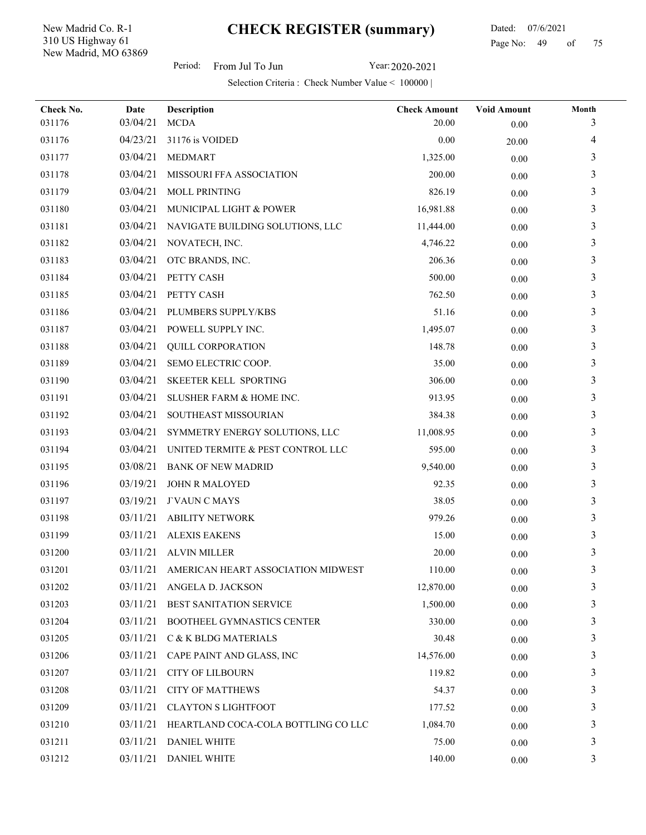New Madrid, MO 63869 310 US Highway 61 New Madrid Co. R-1

Period: From Jul To Jun Year: 2020-2021

| Check No.<br>031176 | Date<br>03/04/21 | <b>Description</b><br><b>MCDA</b>           | <b>Check Amount</b><br>20.00 | <b>Void Amount</b> | Month<br>3 |
|---------------------|------------------|---------------------------------------------|------------------------------|--------------------|------------|
| 031176              | 04/23/21         | 31176 is VOIDED                             | 0.00                         | 0.00               | 4          |
| 031177              | 03/04/21         | MEDMART                                     | 1,325.00                     | 20.00<br>0.00      | 3          |
| 031178              | 03/04/21         | MISSOURI FFA ASSOCIATION                    | 200.00                       | 0.00               | 3          |
| 031179              | 03/04/21         | <b>MOLL PRINTING</b>                        | 826.19                       | 0.00               | 3          |
| 031180              | 03/04/21         | MUNICIPAL LIGHT & POWER                     | 16,981.88                    | $0.00\,$           | 3          |
| 031181              | 03/04/21         | NAVIGATE BUILDING SOLUTIONS, LLC            | 11,444.00                    | 0.00               | 3          |
| 031182              | 03/04/21         | NOVATECH, INC.                              | 4,746.22                     | $0.00\,$           | 3          |
| 031183              | 03/04/21         | OTC BRANDS, INC.                            | 206.36                       | 0.00               | 3          |
| 031184              | 03/04/21         | PETTY CASH                                  | 500.00                       | 0.00               | 3          |
| 031185              | 03/04/21         | PETTY CASH                                  | 762.50                       | 0.00               | 3          |
| 031186              | 03/04/21         | PLUMBERS SUPPLY/KBS                         | 51.16                        | 0.00               | 3          |
| 031187              | 03/04/21         | POWELL SUPPLY INC.                          | 1,495.07                     | 0.00               | 3          |
| 031188              | 03/04/21         | QUILL CORPORATION                           | 148.78                       | $0.00\,$           | 3          |
| 031189              | 03/04/21         | SEMO ELECTRIC COOP.                         | 35.00                        | 0.00               | 3          |
| 031190              | 03/04/21         | SKEETER KELL SPORTING                       | 306.00                       | 0.00               | 3          |
| 031191              | 03/04/21         | SLUSHER FARM & HOME INC.                    | 913.95                       | $0.00\,$           | 3          |
| 031192              | 03/04/21         | SOUTHEAST MISSOURIAN                        | 384.38                       | 0.00               | 3          |
| 031193              | 03/04/21         | SYMMETRY ENERGY SOLUTIONS, LLC              | 11,008.95                    | 0.00               | 3          |
| 031194              | 03/04/21         | UNITED TERMITE & PEST CONTROL LLC           | 595.00                       | 0.00               | 3          |
| 031195              | 03/08/21         | <b>BANK OF NEW MADRID</b>                   | 9,540.00                     | 0.00               | 3          |
| 031196              | 03/19/21         | JOHN R MALOYED                              | 92.35                        | $0.00\,$           | 3          |
| 031197              | 03/19/21         | <b>J'VAUN C MAYS</b>                        | 38.05                        | 0.00               | 3          |
| 031198              | 03/11/21         | <b>ABILITY NETWORK</b>                      | 979.26                       | 0.00               | 3          |
| 031199              | 03/11/21         | <b>ALEXIS EAKENS</b>                        | 15.00                        | 0.00               | 3          |
| 031200              | 03/11/21         | <b>ALVIN MILLER</b>                         | 20.00                        | 0.00               | 3          |
| 031201              |                  | 03/11/21 AMERICAN HEART ASSOCIATION MIDWEST | 110.00                       | $0.00\,$           | 3          |
| 031202              | 03/11/21         | ANGELA D. JACKSON                           | 12,870.00                    | $0.00\,$           | 3          |
| 031203              | 03/11/21         | BEST SANITATION SERVICE                     | 1,500.00                     | $0.00\,$           | 3          |
| 031204              | 03/11/21         | <b>BOOTHEEL GYMNASTICS CENTER</b>           | 330.00                       | 0.00               | 3          |
| 031205              | 03/11/21         | C & K BLDG MATERIALS                        | 30.48                        | 0.00               | 3          |
| 031206              | 03/11/21         | CAPE PAINT AND GLASS, INC                   | 14,576.00                    | 0.00               | 3          |
| 031207              | 03/11/21         | <b>CITY OF LILBOURN</b>                     | 119.82                       | 0.00               | 3          |
| 031208              | 03/11/21         | <b>CITY OF MATTHEWS</b>                     | 54.37                        | 0.00               | 3          |
| 031209              | 03/11/21         | <b>CLAYTON S LIGHTFOOT</b>                  | 177.52                       | $0.00\,$           | 3          |
| 031210              | 03/11/21         | HEARTLAND COCA-COLA BOTTLING CO LLC         | 1,084.70                     | $0.00\,$           | 3          |
| 031211              | 03/11/21         | <b>DANIEL WHITE</b>                         | 75.00                        | $0.00\,$           | 3          |
| 031212              | 03/11/21         | <b>DANIEL WHITE</b>                         | 140.00                       | $0.00\,$           | 3          |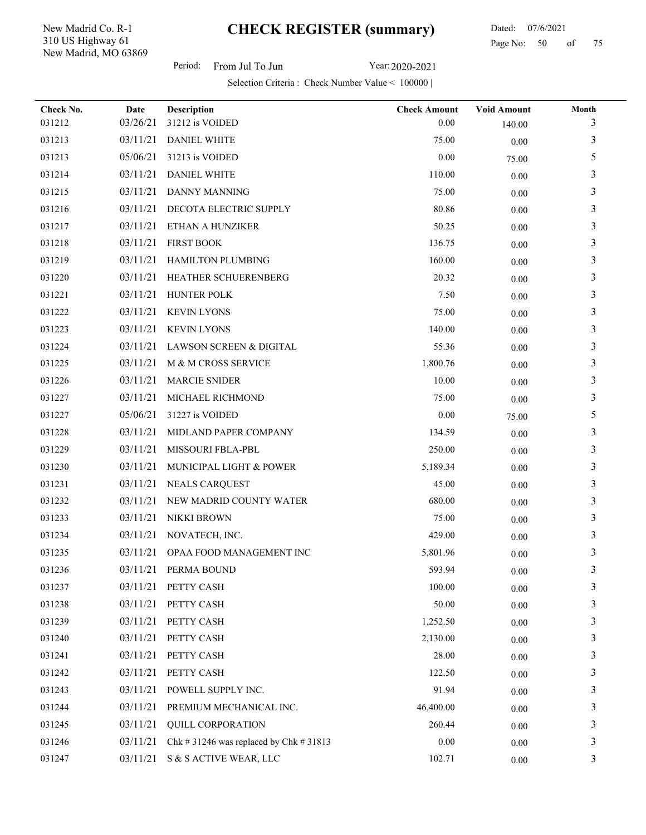New Madrid, MO 63869 310 US Highway 61 New Madrid Co. R-1

Period: From Jul To Jun Year: 2020-2021

| Check No. | <b>Date</b> | Description                             | <b>Check Amount</b> | <b>Void Amount</b> | Month |
|-----------|-------------|-----------------------------------------|---------------------|--------------------|-------|
| 031212    | 03/26/21    | 31212 is VOIDED                         | 0.00                | 140.00             | 3     |
| 031213    | 03/11/21    | <b>DANIEL WHITE</b>                     | 75.00               | 0.00               | 3     |
| 031213    | 05/06/21    | 31213 is VOIDED                         | 0.00                | 75.00              | 5     |
| 031214    | 03/11/21    | <b>DANIEL WHITE</b>                     | 110.00              | 0.00               | 3     |
| 031215    | 03/11/21    | DANNY MANNING                           | 75.00               | $0.00\,$           | 3     |
| 031216    | 03/11/21    | DECOTA ELECTRIC SUPPLY                  | 80.86               | $0.00\,$           | 3     |
| 031217    | 03/11/21    | ETHAN A HUNZIKER                        | 50.25               | 0.00               | 3     |
| 031218    | 03/11/21    | <b>FIRST BOOK</b>                       | 136.75              | 0.00               | 3     |
| 031219    | 03/11/21    | <b>HAMILTON PLUMBING</b>                | 160.00              | 0.00               | 3     |
| 031220    | 03/11/21    | HEATHER SCHUERENBERG                    | 20.32               | 0.00               | 3     |
| 031221    | 03/11/21    | HUNTER POLK                             | 7.50                | 0.00               | 3     |
| 031222    | 03/11/21    | <b>KEVIN LYONS</b>                      | 75.00               | $0.00\,$           | 3     |
| 031223    | 03/11/21    | <b>KEVIN LYONS</b>                      | 140.00              | 0.00               | 3     |
| 031224    | 03/11/21    | LAWSON SCREEN & DIGITAL                 | 55.36               | $0.00\,$           | 3     |
| 031225    | 03/11/21    | M & M CROSS SERVICE                     | 1,800.76            | $0.00\,$           | 3     |
| 031226    | 03/11/21    | <b>MARCIE SNIDER</b>                    | 10.00               | 0.00               | 3     |
| 031227    | 03/11/21    | MICHAEL RICHMOND                        | 75.00               | 0.00               | 3     |
| 031227    | 05/06/21    | 31227 is VOIDED                         | 0.00                | 75.00              | 5     |
| 031228    | 03/11/21    | MIDLAND PAPER COMPANY                   | 134.59              | 0.00               | 3     |
| 031229    | 03/11/21    | MISSOURI FBLA-PBL                       | 250.00              | $0.00\,$           | 3     |
| 031230    | 03/11/21    | MUNICIPAL LIGHT & POWER                 | 5,189.34            | 0.00               | 3     |
| 031231    | 03/11/21    | <b>NEALS CARQUEST</b>                   | 45.00               | 0.00               | 3     |
| 031232    | 03/11/21    | NEW MADRID COUNTY WATER                 | 680.00              | $0.00\,$           | 3     |
| 031233    | 03/11/21    | NIKKI BROWN                             | 75.00               | 0.00               | 3     |
| 031234    | 03/11/21    | NOVATECH, INC.                          | 429.00              | $0.00\,$           | 3     |
| 031235    | 03/11/21    | OPAA FOOD MANAGEMENT INC                | 5,801.96            | 0.00               | 3     |
| 031236    | 03/11/21    | PERMA BOUND                             | 593.94              | 0.00               | 3     |
| 031237    | 03/11/21    | PETTY CASH                              | 100.00              | 0.00               | 3     |
| 031238    | 03/11/21    | PETTY CASH                              | 50.00               | $0.00\,$           | 3     |
| 031239    | 03/11/21    | PETTY CASH                              | 1,252.50            | $0.00\,$           | 3     |
| 031240    | 03/11/21    | PETTY CASH                              | 2,130.00            | $0.00\,$           | 3     |
| 031241    | 03/11/21    | PETTY CASH                              | 28.00               | $0.00\,$           | 3     |
| 031242    | 03/11/21    | PETTY CASH                              | 122.50              | $0.00\,$           | 3     |
| 031243    | 03/11/21    | POWELL SUPPLY INC.                      | 91.94               | $0.00\,$           | 3     |
| 031244    | 03/11/21    | PREMIUM MECHANICAL INC.                 | 46,400.00           | $0.00\,$           | 3     |
| 031245    | 03/11/21    | <b>QUILL CORPORATION</b>                | 260.44              | $0.00\,$           | 3     |
| 031246    | 03/11/21    | Chk # 31246 was replaced by Chk # 31813 | 0.00                | $0.00\,$           | 3     |
| 031247    | 03/11/21    | S & S ACTIVE WEAR, LLC                  | 102.71              | $0.00\,$           | 3     |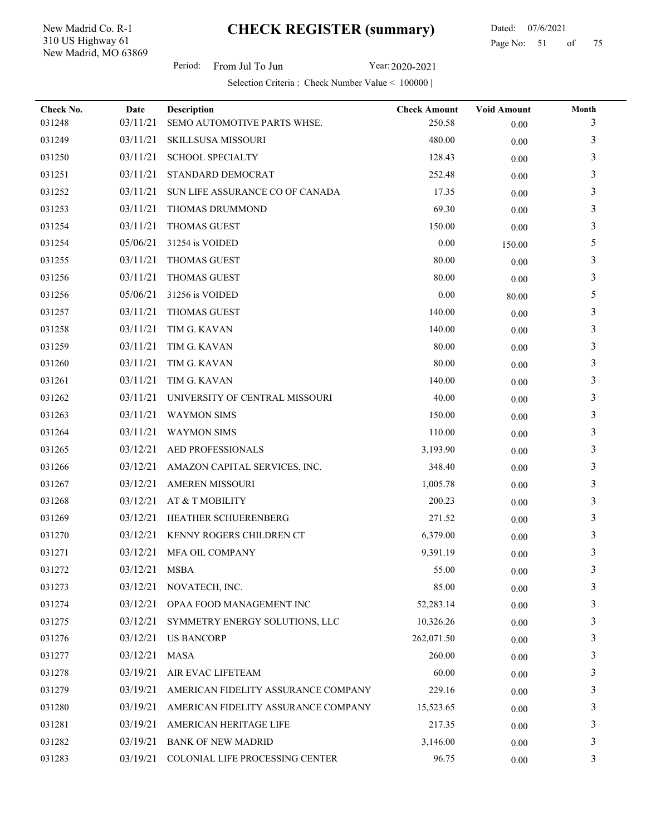New Madrid, MO 63869 310 US Highway 61 New Madrid Co. R-1

Period: From Jul To Jun Year: 2020-2021

| Check No.<br>031248 | Date<br>03/11/21 | Description<br>SEMO AUTOMOTIVE PARTS WHSE. | <b>Check Amount</b><br>250.58 | <b>Void Amount</b> | Month<br>3 |
|---------------------|------------------|--------------------------------------------|-------------------------------|--------------------|------------|
| 031249              | 03/11/21         | <b>SKILLSUSA MISSOURI</b>                  | 480.00                        | 0.00               | 3          |
| 031250              | 03/11/21         | <b>SCHOOL SPECIALTY</b>                    | 128.43                        | $0.00\,$           | 3          |
| 031251              | 03/11/21         | STANDARD DEMOCRAT                          | 252.48                        | $0.00\,$           | 3          |
| 031252              | 03/11/21         | SUN LIFE ASSURANCE CO OF CANADA            | 17.35                         | 0.00               | 3          |
| 031253              | 03/11/21         | THOMAS DRUMMOND                            | 69.30                         | 0.00               | 3          |
| 031254              | 03/11/21         | <b>THOMAS GUEST</b>                        | 150.00                        | $0.00\,$           | 3          |
| 031254              | 05/06/21         | 31254 is VOIDED                            | 0.00                          | 0.00               | 5          |
| 031255              | 03/11/21         | <b>THOMAS GUEST</b>                        | 80.00                         | 150.00<br>0.00     | 3          |
| 031256              | 03/11/21         | <b>THOMAS GUEST</b>                        | 80.00                         | 0.00               | 3          |
| 031256              | 05/06/21         | 31256 is VOIDED                            | 0.00                          | 80.00              | 5          |
| 031257              | 03/11/21         | <b>THOMAS GUEST</b>                        | 140.00                        | 0.00               | 3          |
| 031258              | 03/11/21         | TIM G. KAVAN                               | 140.00                        | 0.00               | 3          |
| 031259              | 03/11/21         | TIM G. KAVAN                               | 80.00                         | 0.00               | 3          |
| 031260              | 03/11/21         | TIM G. KAVAN                               | 80.00                         | 0.00               | 3          |
| 031261              | 03/11/21         | TIM G. KAVAN                               | 140.00                        | 0.00               | 3          |
| 031262              | 03/11/21         | UNIVERSITY OF CENTRAL MISSOURI             | 40.00                         | $0.00\,$           | 3          |
| 031263              | 03/11/21         | <b>WAYMON SIMS</b>                         | 150.00                        | 0.00               | 3          |
| 031264              | 03/11/21         | <b>WAYMON SIMS</b>                         | 110.00                        | 0.00               | 3          |
| 031265              | 03/12/21         | AED PROFESSIONALS                          | 3,193.90                      | $0.00\,$           | 3          |
| 031266              | 03/12/21         | AMAZON CAPITAL SERVICES, INC.              | 348.40                        | 0.00               | 3          |
| 031267              | 03/12/21         | <b>AMEREN MISSOURI</b>                     | 1,005.78                      | 0.00               | 3          |
| 031268              | 03/12/21         | AT & T MOBILITY                            | 200.23                        | 0.00               | 3          |
| 031269              | 03/12/21         | HEATHER SCHUERENBERG                       | 271.52                        | 0.00               | 3          |
| 031270              | 03/12/21         | KENNY ROGERS CHILDREN CT                   | 6,379.00                      | $0.00\,$           | 3          |
| 031271              | 03/12/21         | MFA OIL COMPANY                            | 9,391.19                      | 0.00               | 3          |
| 031272              | 03/12/21 MSBA    |                                            | 55.00                         | 0.00               | 3          |
| 031273              | 03/12/21         | NOVATECH, INC.                             | 85.00                         | $0.00\,$           | 3          |
| 031274              | 03/12/21         | OPAA FOOD MANAGEMENT INC                   | 52,283.14                     | 0.00               | 3          |
| 031275              | 03/12/21         | SYMMETRY ENERGY SOLUTIONS, LLC             | 10,326.26                     | 0.00               | 3          |
| 031276              | 03/12/21         | <b>US BANCORP</b>                          | 262,071.50                    | 0.00               | 3          |
| 031277              | 03/12/21         | MASA                                       | 260.00                        | $0.00\,$           | 3          |
| 031278              | 03/19/21         | <b>AIR EVAC LIFETEAM</b>                   | 60.00                         | 0.00               | 3          |
| 031279              | 03/19/21         | AMERICAN FIDELITY ASSURANCE COMPANY        | 229.16                        | 0.00               | 3          |
| 031280              | 03/19/21         | AMERICAN FIDELITY ASSURANCE COMPANY        | 15,523.65                     | $0.00\,$           | 3          |
| 031281              | 03/19/21         | AMERICAN HERITAGE LIFE                     | 217.35                        | 0.00               | 3          |
| 031282              | 03/19/21         | <b>BANK OF NEW MADRID</b>                  | 3,146.00                      | 0.00               | 3          |
| 031283              | 03/19/21         | COLONIAL LIFE PROCESSING CENTER            | 96.75                         | $0.00\,$           | 3          |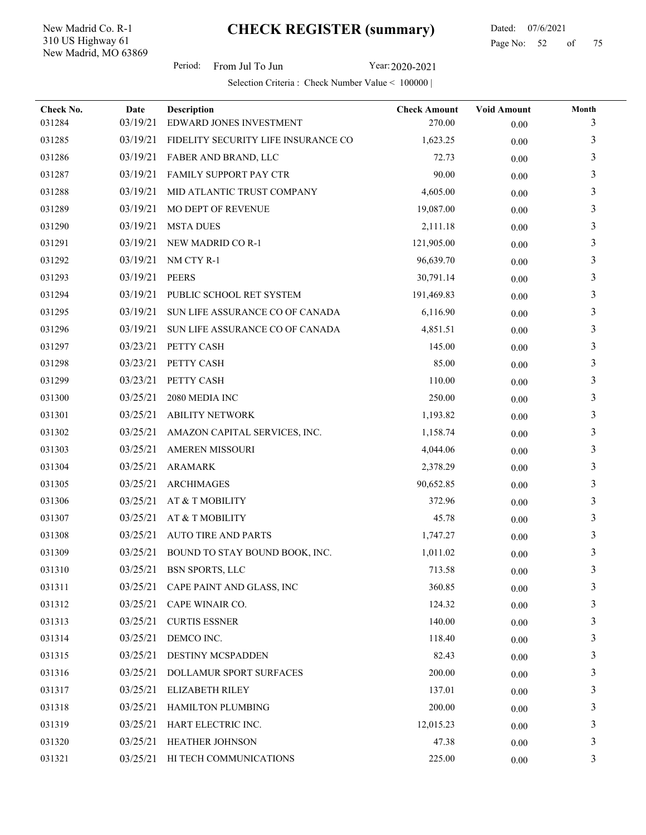New Madrid, MO 63869 310 US Highway 61 New Madrid Co. R-1

 Dated: 07/6/2021 Page No: 52 of

Period: From Jul To Jun Year: 2020-2021

| Check No.<br>031284 | Date<br>03/19/21 | Description<br>EDWARD JONES INVESTMENT | <b>Check Amount</b><br>270.00 | <b>Void Amount</b><br>0.00 | Month<br>3     |
|---------------------|------------------|----------------------------------------|-------------------------------|----------------------------|----------------|
| 031285              | 03/19/21         | FIDELITY SECURITY LIFE INSURANCE CO    | 1,623.25                      | $0.00\,$                   | 3              |
| 031286              | 03/19/21         | FABER AND BRAND, LLC                   | 72.73                         | $0.00\,$                   | 3              |
| 031287              | 03/19/21         | FAMILY SUPPORT PAY CTR                 | 90.00                         | 0.00                       | 3              |
| 031288              | 03/19/21         | MID ATLANTIC TRUST COMPANY             | 4,605.00                      | 0.00                       | 3              |
| 031289              | 03/19/21         | MO DEPT OF REVENUE                     | 19,087.00                     | 0.00                       | 3              |
| 031290              | 03/19/21         | <b>MSTA DUES</b>                       | 2,111.18                      | 0.00                       | 3              |
| 031291              | 03/19/21         | NEW MADRID CO R-1                      | 121,905.00                    | 0.00                       | 3              |
| 031292              | 03/19/21         | NM CTY R-1                             | 96,639.70                     | 0.00                       | 3              |
| 031293              | 03/19/21         | <b>PEERS</b>                           | 30,791.14                     | 0.00                       | 3              |
| 031294              | 03/19/21         | PUBLIC SCHOOL RET SYSTEM               | 191,469.83                    | 0.00                       | 3              |
| 031295              | 03/19/21         | SUN LIFE ASSURANCE CO OF CANADA        | 6,116.90                      | 0.00                       | 3              |
| 031296              | 03/19/21         | SUN LIFE ASSURANCE CO OF CANADA        | 4,851.51                      | 0.00                       | 3              |
| 031297              | 03/23/21         | PETTY CASH                             | 145.00                        | 0.00                       | 3              |
| 031298              | 03/23/21         | PETTY CASH                             | 85.00                         | 0.00                       | 3              |
| 031299              | 03/23/21         | PETTY CASH                             | 110.00                        | 0.00                       | 3              |
| 031300              | 03/25/21         | 2080 MEDIA INC                         | 250.00                        | 0.00                       | 3              |
| 031301              | 03/25/21         | <b>ABILITY NETWORK</b>                 | 1,193.82                      | 0.00                       | 3              |
| 031302              | 03/25/21         | AMAZON CAPITAL SERVICES, INC.          | 1,158.74                      | 0.00                       | 3              |
| 031303              | 03/25/21         | <b>AMEREN MISSOURI</b>                 | 4,044.06                      | 0.00                       | 3              |
| 031304              | 03/25/21         | ARAMARK                                | 2,378.29                      | 0.00                       | 3              |
| 031305              | 03/25/21         | <b>ARCHIMAGES</b>                      | 90,652.85                     | 0.00                       | 3              |
| 031306              | 03/25/21         | AT & T MOBILITY                        | 372.96                        | 0.00                       | 3              |
| 031307              | 03/25/21         | AT & T MOBILITY                        | 45.78                         | $0.00\,$                   | 3              |
| 031308              | 03/25/21         | <b>AUTO TIRE AND PARTS</b>             | 1,747.27                      | 0.00                       | 3              |
| 031309              | 03/25/21         | BOUND TO STAY BOUND BOOK, INC.         | 1,011.02                      | 0.00                       | 3              |
| 031310              |                  | 03/25/21 BSN SPORTS, LLC               | 713.58                        | 0.00                       | 3              |
| 031311              | 03/25/21         | CAPE PAINT AND GLASS, INC              | 360.85                        | 0.00                       | 3              |
| 031312              | 03/25/21         | CAPE WINAIR CO.                        | 124.32                        | 0.00                       | 3              |
| 031313              | 03/25/21         | <b>CURTIS ESSNER</b>                   | 140.00                        | 0.00                       | $\mathfrak{Z}$ |
| 031314              | 03/25/21         | DEMCO INC.                             | 118.40                        | 0.00                       | 3              |
| 031315              | 03/25/21         | DESTINY MCSPADDEN                      | 82.43                         | 0.00                       | 3              |
| 031316              | 03/25/21         | <b>DOLLAMUR SPORT SURFACES</b>         | 200.00                        | 0.00                       | $\mathfrak{Z}$ |
| 031317              | 03/25/21         | <b>ELIZABETH RILEY</b>                 | 137.01                        | 0.00                       | 3              |
| 031318              | 03/25/21         | HAMILTON PLUMBING                      | 200.00                        | $0.00\,$                   | 3              |
| 031319              | 03/25/21         | HART ELECTRIC INC.                     | 12,015.23                     | 0.00                       | 3              |
| 031320              | 03/25/21         | HEATHER JOHNSON                        | 47.38                         | 0.00                       | 3              |
| 031321              |                  | 03/25/21 HI TECH COMMUNICATIONS        | 225.00                        | $0.00\,$                   | 3              |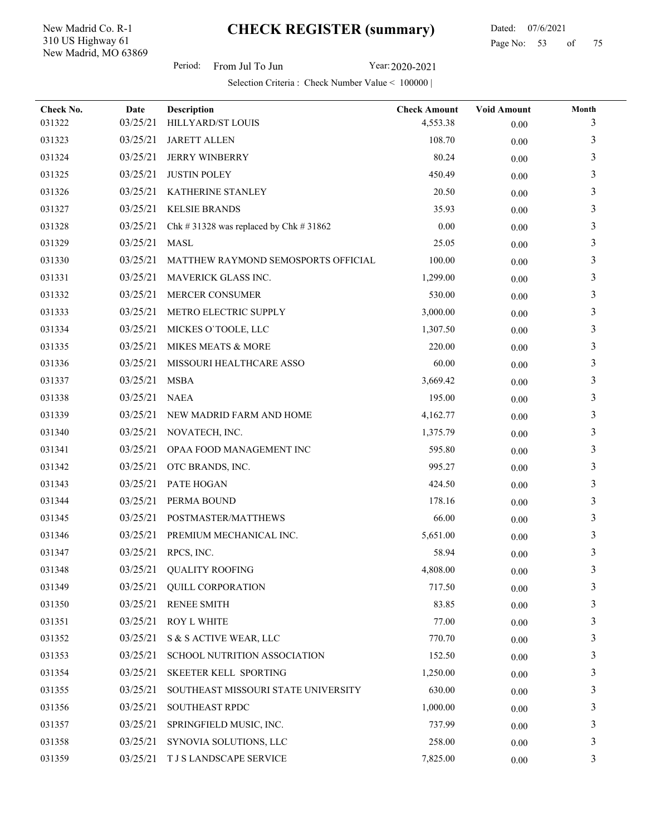New Madrid, MO 63869 310 US Highway 61 New Madrid Co. R-1

 Dated: 07/6/2021 Page No: 53 of

Period: From Jul To Jun Year: 2020-2021

| Check No. | Date     | Description                             | <b>Check Amount</b> | <b>Void Amount</b> | Month          |
|-----------|----------|-----------------------------------------|---------------------|--------------------|----------------|
| 031322    | 03/25/21 | HILLYARD/ST LOUIS                       | 4,553.38            | 0.00               | 3              |
| 031323    | 03/25/21 | <b>JARETT ALLEN</b>                     | 108.70              | 0.00               | 3              |
| 031324    | 03/25/21 | <b>JERRY WINBERRY</b>                   | 80.24               | 0.00               | 3              |
| 031325    | 03/25/21 | <b>JUSTIN POLEY</b>                     | 450.49              | $0.00\,$           | 3              |
| 031326    | 03/25/21 | KATHERINE STANLEY                       | 20.50               | 0.00               | 3              |
| 031327    | 03/25/21 | <b>KELSIE BRANDS</b>                    | 35.93               | 0.00               | 3              |
| 031328    | 03/25/21 | Chk # 31328 was replaced by Chk # 31862 | 0.00                | $0.00\,$           | 3              |
| 031329    | 03/25/21 | <b>MASL</b>                             | 25.05               | 0.00               | 3              |
| 031330    | 03/25/21 | MATTHEW RAYMOND SEMOSPORTS OFFICIAL     | 100.00              | $0.00\,$           | 3              |
| 031331    | 03/25/21 | MAVERICK GLASS INC.                     | 1,299.00            | 0.00               | 3              |
| 031332    | 03/25/21 | MERCER CONSUMER                         | 530.00              | 0.00               | 3              |
| 031333    | 03/25/21 | METRO ELECTRIC SUPPLY                   | 3,000.00            | 0.00               | 3              |
| 031334    | 03/25/21 | MICKES O'TOOLE, LLC                     | 1,307.50            | 0.00               | $\mathfrak{Z}$ |
| 031335    | 03/25/21 | MIKES MEATS & MORE                      | 220.00              | 0.00               | 3              |
| 031336    | 03/25/21 | MISSOURI HEALTHCARE ASSO                | 60.00               | 0.00               | 3              |
| 031337    | 03/25/21 | <b>MSBA</b>                             | 3,669.42            | $0.00\,$           | 3              |
| 031338    | 03/25/21 | <b>NAEA</b>                             | 195.00              | $0.00\,$           | 3              |
| 031339    | 03/25/21 | NEW MADRID FARM AND HOME                | 4,162.77            | $0.00\,$           | 3              |
| 031340    | 03/25/21 | NOVATECH, INC.                          | 1,375.79            | 0.00               | 3              |
| 031341    | 03/25/21 | OPAA FOOD MANAGEMENT INC                | 595.80              | 0.00               | 3              |
| 031342    | 03/25/21 | OTC BRANDS, INC.                        | 995.27              | $0.00\,$           | 3              |
| 031343    | 03/25/21 | PATE HOGAN                              | 424.50              | 0.00               | 3              |
| 031344    | 03/25/21 | PERMA BOUND                             | 178.16              | 0.00               | 3              |
| 031345    | 03/25/21 | POSTMASTER/MATTHEWS                     | 66.00               | $0.00\,$           | 3              |
| 031346    | 03/25/21 | PREMIUM MECHANICAL INC.                 | 5,651.00            | 0.00               | 3              |
| 031347    | 03/25/21 | RPCS, INC.                              | 58.94               | $0.00\,$           | 3              |
| 031348    | 03/25/21 | <b>QUALITY ROOFING</b>                  | 4,808.00            | $0.00\,$           | 3              |
| 031349    | 03/25/21 | <b>QUILL CORPORATION</b>                | 717.50              | $0.00\,$           | $\mathfrak{Z}$ |
| 031350    | 03/25/21 | <b>RENEE SMITH</b>                      | 83.85               | 0.00               | 3              |
| 031351    | 03/25/21 | <b>ROY L WHITE</b>                      | 77.00               | $0.00\,$           | 3              |
| 031352    | 03/25/21 | S & S ACTIVE WEAR, LLC                  | 770.70              | $0.00\,$           | 3              |
| 031353    | 03/25/21 | SCHOOL NUTRITION ASSOCIATION            | 152.50              | $0.00\,$           | 3              |
| 031354    | 03/25/21 | SKEETER KELL SPORTING                   | 1,250.00            | 0.00               | 3              |
| 031355    | 03/25/21 | SOUTHEAST MISSOURI STATE UNIVERSITY     | 630.00              | $0.00\,$           | 3              |
| 031356    | 03/25/21 | SOUTHEAST RPDC                          | 1,000.00            | 0.00               | 3              |
| 031357    | 03/25/21 | SPRINGFIELD MUSIC, INC.                 | 737.99              | $0.00\,$           | 3              |
| 031358    | 03/25/21 | SYNOVIA SOLUTIONS, LLC                  | 258.00              | $0.00\,$           | 3              |
| 031359    | 03/25/21 | T J S LANDSCAPE SERVICE                 | 7,825.00            | $0.00\,$           | 3              |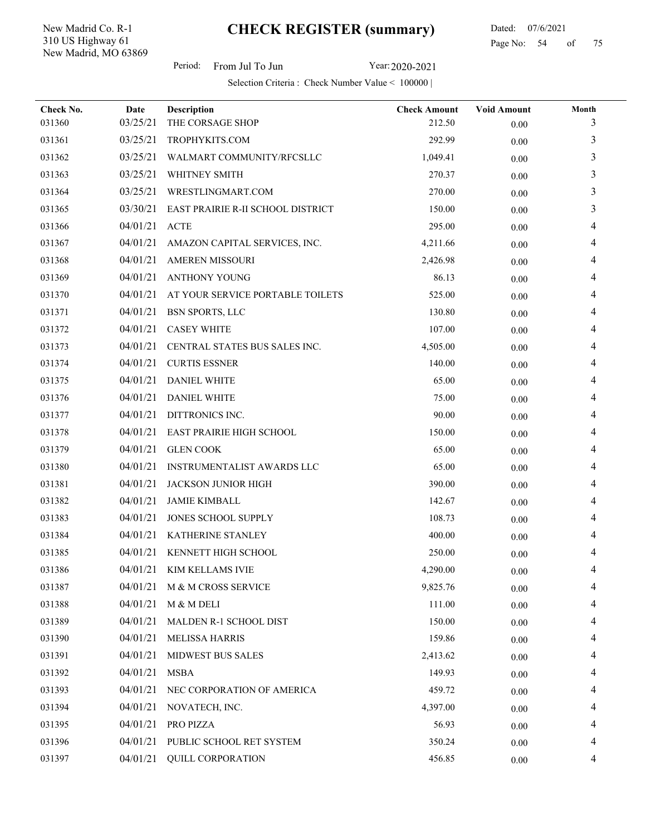New Madrid, MO 63869 310 US Highway 61 New Madrid Co. R-1

 Dated: 07/6/2021 Page No: 54 of

Period: From Jul To Jun Year: 2020-2021

| Check No.<br>031360 | Date<br>03/25/21 | <b>Description</b><br>THE CORSAGE SHOP   | <b>Check Amount</b><br>212.50 | <b>Void Amount</b><br>0.00 | Month<br>3 |
|---------------------|------------------|------------------------------------------|-------------------------------|----------------------------|------------|
| 031361              | 03/25/21         | TROPHYKITS.COM                           | 292.99                        | 0.00                       | 3          |
| 031362              | 03/25/21         | WALMART COMMUNITY/RFCSLLC                | 1,049.41                      | 0.00                       | 3          |
| 031363              | 03/25/21         | WHITNEY SMITH                            | 270.37                        | 0.00                       | 3          |
| 031364              | 03/25/21         | WRESTLINGMART.COM                        | 270.00                        | 0.00                       | 3          |
| 031365              | 03/30/21         | <b>EAST PRAIRIE R-II SCHOOL DISTRICT</b> | 150.00                        | $0.00\,$                   | 3          |
| 031366              | 04/01/21         | <b>ACTE</b>                              | 295.00                        | 0.00                       | 4          |
| 031367              | 04/01/21         | AMAZON CAPITAL SERVICES, INC.            | 4,211.66                      | $0.00\,$                   | 4          |
| 031368              | 04/01/21         | <b>AMEREN MISSOURI</b>                   | 2,426.98                      | 0.00                       | 4          |
| 031369              | 04/01/21         | ANTHONY YOUNG                            | 86.13                         | 0.00                       | 4          |
| 031370              | 04/01/21         | AT YOUR SERVICE PORTABLE TOILETS         | 525.00                        | 0.00                       | 4          |
| 031371              | 04/01/21         | BSN SPORTS, LLC                          | 130.80                        | 0.00                       | 4          |
| 031372              | 04/01/21         | <b>CASEY WHITE</b>                       | 107.00                        | 0.00                       | 4          |
| 031373              | 04/01/21         | CENTRAL STATES BUS SALES INC.            | 4,505.00                      | $0.00\,$                   | 4          |
| 031374              | 04/01/21         | <b>CURTIS ESSNER</b>                     | 140.00                        | 0.00                       | 4          |
| 031375              | 04/01/21         | DANIEL WHITE                             | 65.00                         | 0.00                       | 4          |
| 031376              | 04/01/21         | <b>DANIEL WHITE</b>                      | 75.00                         | 0.00                       | 4          |
| 031377              | 04/01/21         | DITTRONICS INC.                          | 90.00                         | 0.00                       | 4          |
| 031378              | 04/01/21         | EAST PRAIRIE HIGH SCHOOL                 | 150.00                        | 0.00                       | 4          |
| 031379              | 04/01/21         | <b>GLEN COOK</b>                         | 65.00                         | 0.00                       |            |
| 031380              | 04/01/21         | INSTRUMENTALIST AWARDS LLC               | 65.00                         | 0.00                       | 4          |
| 031381              | 04/01/21         | JACKSON JUNIOR HIGH                      | 390.00                        | $0.00\,$                   | 4          |
| 031382              | 04/01/21         | <b>JAMIE KIMBALL</b>                     | 142.67                        | 0.00                       | 4          |
| 031383              | 04/01/21         | JONES SCHOOL SUPPLY                      | 108.73                        | 0.00                       |            |
| 031384              | 04/01/21         | KATHERINE STANLEY                        | 400.00                        | 0.00                       | 4          |
| 031385              | 04/01/21         | KENNETT HIGH SCHOOL                      | 250.00                        | 0.00                       | 4          |
| 031386              |                  | 04/01/21 KIM KELLAMS IVIE                | 4,290.00                      | $0.00\,$                   | 4          |
| 031387              | 04/01/21         | M & M CROSS SERVICE                      | 9,825.76                      | $0.00\,$                   | 4          |
| 031388              | 04/01/21         | M & M DELI                               | 111.00                        | $0.00\,$                   | 4          |
| 031389              | 04/01/21         | MALDEN R-1 SCHOOL DIST                   | 150.00                        | 0.00                       | 4          |
| 031390              | 04/01/21         | <b>MELISSA HARRIS</b>                    | 159.86                        | 0.00                       | 4          |
| 031391              | 04/01/21         | MIDWEST BUS SALES                        | 2,413.62                      | 0.00                       | 4          |
| 031392              | 04/01/21         | MSBA                                     | 149.93                        | 0.00                       | 4          |
| 031393              | 04/01/21         | NEC CORPORATION OF AMERICA               | 459.72                        | 0.00                       | 4          |
| 031394              | 04/01/21         | NOVATECH, INC.                           | 4,397.00                      | $0.00\,$                   | 4          |
| 031395              | 04/01/21         | PRO PIZZA                                | 56.93                         | $0.00\,$                   | 4          |
| 031396              | 04/01/21         | PUBLIC SCHOOL RET SYSTEM                 | 350.24                        | $0.00\,$                   | 4          |
| 031397              | 04/01/21         | <b>QUILL CORPORATION</b>                 | 456.85                        | $0.00\,$                   | 4          |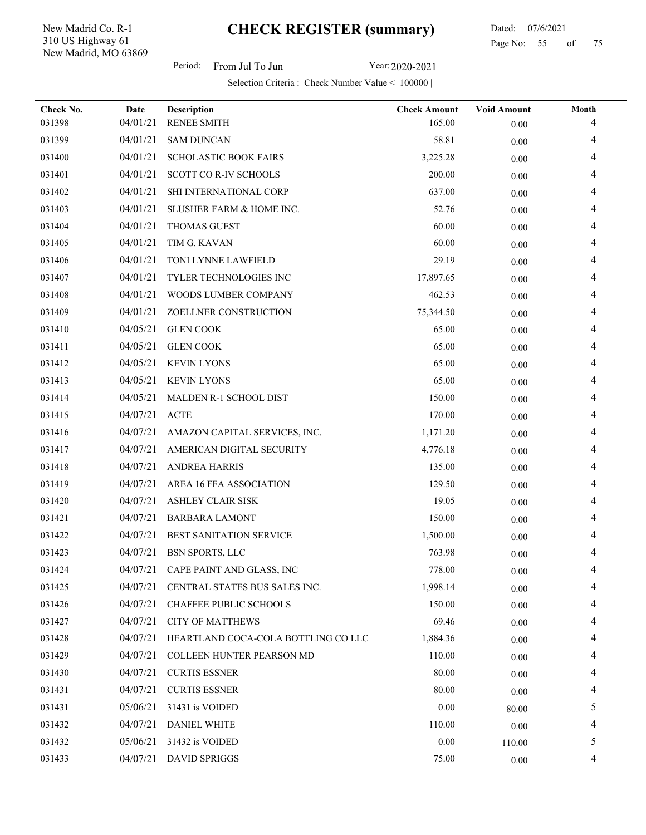New Madrid, MO 63869 310 US Highway 61 New Madrid Co. R-1

Period: From Jul To Jun Year: 2020-2021

| Check No.<br>031398 | Date<br>04/01/21 | Description<br><b>RENEE SMITH</b>   | <b>Check Amount</b><br>165.00 | <b>Void Amount</b>   | Month<br>4 |
|---------------------|------------------|-------------------------------------|-------------------------------|----------------------|------------|
| 031399              | 04/01/21         | <b>SAM DUNCAN</b>                   | 58.81                         | 0.00                 |            |
| 031400              | 04/01/21         | <b>SCHOLASTIC BOOK FAIRS</b>        | 3,225.28                      | 0.00                 | 4          |
| 031401              | 04/01/21         | SCOTT CO R-IV SCHOOLS               | 200.00                        | 0.00                 |            |
| 031402              | 04/01/21         | SHI INTERNATIONAL CORP              | 637.00                        | 0.00                 |            |
| 031403              | 04/01/21         | SLUSHER FARM & HOME INC.            | 52.76                         | 0.00                 |            |
| 031404              | 04/01/21         | <b>THOMAS GUEST</b>                 | 60.00                         | $0.00\,$             |            |
| 031405              | 04/01/21         | TIM G. KAVAN                        | 60.00                         | 0.00                 | 4          |
| 031406              | 04/01/21         | TONI LYNNE LAWFIELD                 | 29.19                         | $0.00\,$<br>$0.00\,$ |            |
| 031407              | 04/01/21         | TYLER TECHNOLOGIES INC              | 17,897.65                     | 0.00                 |            |
| 031408              | 04/01/21         | WOODS LUMBER COMPANY                | 462.53                        | 0.00                 |            |
| 031409              | 04/01/21         | ZOELLNER CONSTRUCTION               | 75,344.50                     | 0.00                 |            |
| 031410              | 04/05/21         | <b>GLEN COOK</b>                    | 65.00                         | 0.00                 |            |
| 031411              | 04/05/21         | <b>GLEN COOK</b>                    | 65.00                         | $0.00\,$             |            |
| 031412              | 04/05/21         | <b>KEVIN LYONS</b>                  | 65.00                         | 0.00                 | 4          |
| 031413              | 04/05/21         | <b>KEVIN LYONS</b>                  | 65.00                         | 0.00                 |            |
| 031414              | 04/05/21         | MALDEN R-1 SCHOOL DIST              | 150.00                        | $0.00\,$             |            |
| 031415              | 04/07/21         | <b>ACTE</b>                         | 170.00                        | 0.00                 |            |
| 031416              | 04/07/21         | AMAZON CAPITAL SERVICES, INC.       | 1,171.20                      | 0.00                 | 4          |
| 031417              | 04/07/21         | AMERICAN DIGITAL SECURITY           | 4,776.18                      | 0.00                 |            |
| 031418              | 04/07/21         | <b>ANDREA HARRIS</b>                | 135.00                        | 0.00                 |            |
| 031419              | 04/07/21         | AREA 16 FFA ASSOCIATION             | 129.50                        | $0.00\,$             |            |
| 031420              | 04/07/21         | ASHLEY CLAIR SISK                   | 19.05                         | $0.00\,$             |            |
| 031421              | 04/07/21         | <b>BARBARA LAMONT</b>               | 150.00                        | 0.00                 |            |
| 031422              | 04/07/21         | BEST SANITATION SERVICE             | 1,500.00                      | $0.00\,$             |            |
| 031423              | 04/07/21         | <b>BSN SPORTS, LLC</b>              | 763.98                        | $0.00\,$             | 4          |
| 031424              |                  | 04/07/21 CAPE PAINT AND GLASS, INC  | $778.00\,$                    | $0.00\,$             | 4          |
| 031425              | 04/07/21         | CENTRAL STATES BUS SALES INC.       | 1,998.14                      | $0.00\,$             | 4          |
| 031426              | 04/07/21         | CHAFFEE PUBLIC SCHOOLS              | 150.00                        | $0.00\,$             | 4          |
| 031427              | 04/07/21         | <b>CITY OF MATTHEWS</b>             | 69.46                         | 0.00                 | 4          |
| 031428              | 04/07/21         | HEARTLAND COCA-COLA BOTTLING CO LLC | 1,884.36                      | 0.00                 |            |
| 031429              | 04/07/21         | <b>COLLEEN HUNTER PEARSON MD</b>    | 110.00                        | 0.00                 | 4          |
| 031430              | 04/07/21         | <b>CURTIS ESSNER</b>                | 80.00                         | 0.00                 | 4          |
| 031431              | 04/07/21         | <b>CURTIS ESSNER</b>                | 80.00                         | 0.00                 |            |
| 031431              | 05/06/21         | 31431 is VOIDED                     | 0.00                          | 80.00                | 5          |
| 031432              | 04/07/21         | <b>DANIEL WHITE</b>                 | 110.00                        | $0.00\,$             |            |
| 031432              | 05/06/21         | 31432 is VOIDED                     | 0.00                          | 110.00               | 5          |
| 031433              | 04/07/21         | DAVID SPRIGGS                       | 75.00                         | $0.00\,$             | 4          |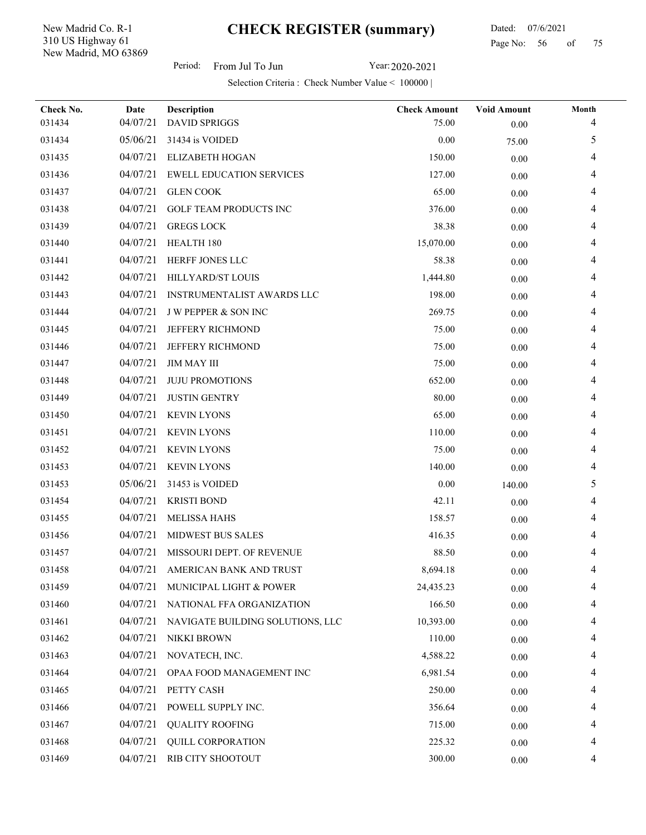New Madrid, MO 63869 310 US Highway 61 New Madrid Co. R-1

Period: From Jul To Jun Year: 2020-2021

| Check No. | Date     | Description                      | <b>Check Amount</b> | <b>Void Amount</b> | Month |
|-----------|----------|----------------------------------|---------------------|--------------------|-------|
| 031434    | 04/07/21 | <b>DAVID SPRIGGS</b>             | 75.00               | 0.00               | 4     |
| 031434    | 05/06/21 | 31434 is VOIDED                  | 0.00                | 75.00              | 5     |
| 031435    | 04/07/21 | ELIZABETH HOGAN                  | 150.00              | 0.00               | 4     |
| 031436    | 04/07/21 | <b>EWELL EDUCATION SERVICES</b>  | 127.00              | 0.00               | 4     |
| 031437    | 04/07/21 | <b>GLEN COOK</b>                 | 65.00               | 0.00               |       |
| 031438    | 04/07/21 | <b>GOLF TEAM PRODUCTS INC</b>    | 376.00              | $0.00\,$           |       |
| 031439    | 04/07/21 | <b>GREGS LOCK</b>                | 38.38               | 0.00               |       |
| 031440    | 04/07/21 | HEALTH 180                       | 15,070.00           | $0.00\,$           |       |
| 031441    | 04/07/21 | HERFF JONES LLC                  | 58.38               | $0.00\,$           |       |
| 031442    | 04/07/21 | HILLYARD/ST LOUIS                | 1,444.80            | 0.00               |       |
| 031443    | 04/07/21 | INSTRUMENTALIST AWARDS LLC       | 198.00              | 0.00               | 4     |
| 031444    | 04/07/21 | <b>JW PEPPER &amp; SON INC</b>   | 269.75              | 0.00               |       |
| 031445    | 04/07/21 | JEFFERY RICHMOND                 | 75.00               | 0.00               |       |
| 031446    | 04/07/21 | JEFFERY RICHMOND                 | 75.00               | $0.00\,$           |       |
| 031447    | 04/07/21 | <b>JIM MAY III</b>               | 75.00               | 0.00               |       |
| 031448    | 04/07/21 | <b>JUJU PROMOTIONS</b>           | 652.00              | 0.00               |       |
| 031449    | 04/07/21 | <b>JUSTIN GENTRY</b>             | 80.00               | $0.00\,$           |       |
| 031450    | 04/07/21 | <b>KEVIN LYONS</b>               | 65.00               | 0.00               |       |
| 031451    | 04/07/21 | <b>KEVIN LYONS</b>               | 110.00              | 0.00               | 4     |
| 031452    | 04/07/21 | <b>KEVIN LYONS</b>               | 75.00               | 0.00               | 4     |
| 031453    | 04/07/21 | <b>KEVIN LYONS</b>               | 140.00              | 0.00               | 4     |
| 031453    | 05/06/21 | 31453 is VOIDED                  | 0.00                | 140.00             | 5     |
| 031454    | 04/07/21 | <b>KRISTI BOND</b>               | 42.11               | $0.00\,$           |       |
| 031455    | 04/07/21 | <b>MELISSA HAHS</b>              | 158.57              | $0.00\,$           |       |
| 031456    | 04/07/21 | MIDWEST BUS SALES                | 416.35              | $0.00\,$           |       |
| 031457    | 04/07/21 | MISSOURI DEPT. OF REVENUE        | 88.50               | $0.00\,$           |       |
| 031458    |          | 04/07/21 AMERICAN BANK AND TRUST | 8,694.18            | $0.00\,$           |       |
| 031459    | 04/07/21 | MUNICIPAL LIGHT & POWER          | 24,435.23           | $0.00\,$           | 4     |
| 031460    | 04/07/21 | NATIONAL FFA ORGANIZATION        | 166.50              | $0.00\,$           |       |
| 031461    | 04/07/21 | NAVIGATE BUILDING SOLUTIONS, LLC | 10,393.00           | $0.00\,$           | 4     |
| 031462    | 04/07/21 | NIKKI BROWN                      | 110.00              | 0.00               |       |
| 031463    | 04/07/21 | NOVATECH, INC.                   | 4,588.22            | 0.00               | 4     |
| 031464    | 04/07/21 | OPAA FOOD MANAGEMENT INC         | 6,981.54            | 0.00               | 4     |
| 031465    | 04/07/21 | PETTY CASH                       | 250.00              | 0.00               |       |
| 031466    | 04/07/21 | POWELL SUPPLY INC.               | 356.64              | $0.00\,$           | 4     |
| 031467    | 04/07/21 | <b>QUALITY ROOFING</b>           | 715.00              | $0.00\,$           | 4     |
| 031468    | 04/07/21 | QUILL CORPORATION                | 225.32              | $0.00\,$           | 4     |
| 031469    | 04/07/21 | RIB CITY SHOOTOUT                | 300.00              | $0.00\,$           | 4     |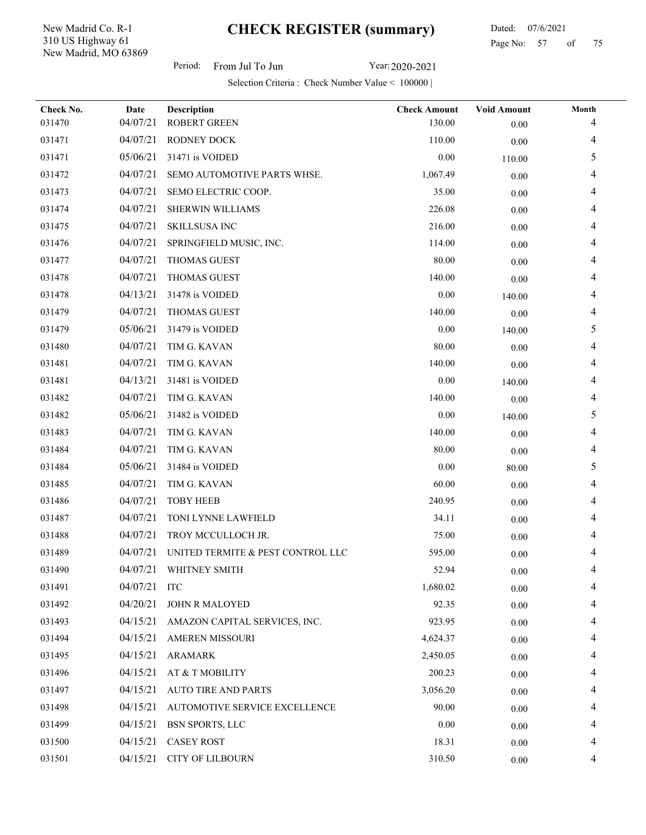New Madrid, MO 63869 310 US Highway 61 New Madrid Co. R-1

Period: From Jul To Jun Year: 2020-2021

| Check No.<br>031470 | Date<br>04/07/21 | Description<br>ROBERT GREEN       | <b>Check Amount</b><br>130.00 | <b>Void Amount</b><br>0.00 | Month<br>4 |
|---------------------|------------------|-----------------------------------|-------------------------------|----------------------------|------------|
| 031471              | 04/07/21         | RODNEY DOCK                       | 110.00                        | 0.00                       | 4          |
| 031471              | 05/06/21         | 31471 is VOIDED                   | $0.00\,$                      | 110.00                     | 5          |
| 031472              | 04/07/21         | SEMO AUTOMOTIVE PARTS WHSE.       | 1,067.49                      | 0.00                       |            |
| 031473              | 04/07/21         | SEMO ELECTRIC COOP.               | 35.00                         | 0.00                       |            |
| 031474              | 04/07/21         | SHERWIN WILLIAMS                  | 226.08                        | 0.00                       |            |
| 031475              | 04/07/21         | SKILLSUSA INC                     | 216.00                        | 0.00                       |            |
| 031476              | 04/07/21         | SPRINGFIELD MUSIC, INC.           | 114.00                        | 0.00                       | 4          |
| 031477              | 04/07/21         | <b>THOMAS GUEST</b>               | 80.00                         | 0.00                       |            |
| 031478              | 04/07/21         | <b>THOMAS GUEST</b>               | 140.00                        | 0.00                       | 4          |
| 031478              | 04/13/21         | 31478 is VOIDED                   | $0.00\,$                      | 140.00                     | 4          |
| 031479              | 04/07/21         | <b>THOMAS GUEST</b>               | 140.00                        | 0.00                       |            |
| 031479              | 05/06/21         | 31479 is VOIDED                   | 0.00                          | 140.00                     | 5          |
| 031480              | 04/07/21         | TIM G. KAVAN                      | 80.00                         | 0.00                       | 4          |
| 031481              | 04/07/21         | TIM G. KAVAN                      | 140.00                        | 0.00                       | 4          |
| 031481              | 04/13/21         | 31481 is VOIDED                   | 0.00                          | 140.00                     |            |
| 031482              | 04/07/21         | TIM G. KAVAN                      | 140.00                        | 0.00                       | 4          |
| 031482              | 05/06/21         | 31482 is VOIDED                   | 0.00                          | 140.00                     | 5          |
| 031483              | 04/07/21         | TIM G. KAVAN                      | 140.00                        | 0.00                       | 4          |
| 031484              | 04/07/21         | TIM G. KAVAN                      | 80.00                         | 0.00                       | 4          |
| 031484              | 05/06/21         | 31484 is VOIDED                   | 0.00                          | 80.00                      | 5          |
| 031485              | 04/07/21         | TIM G. KAVAN                      | 60.00                         | 0.00                       | 4          |
| 031486              | 04/07/21         | <b>TOBY HEEB</b>                  | 240.95                        | 0.00                       |            |
| 031487              | 04/07/21         | TONI LYNNE LAWFIELD               | 34.11                         | 0.00                       |            |
| 031488              | 04/07/21         | TROY MCCULLOCH JR.                | 75.00                         | 0.00                       |            |
| 031489              | 04/07/21         | UNITED TERMITE & PEST CONTROL LLC | 595.00                        | $0.00\,$                   | 4          |
| 031490              |                  | 04/07/21 WHITNEY SMITH            | 52.94                         | 0.00                       |            |
| 031491              | 04/07/21         | <b>ITC</b>                        | 1,680.02                      | 0.00                       | 4          |
| 031492              | 04/20/21         | JOHN R MALOYED                    | 92.35                         | 0.00                       | 4          |
| 031493              | 04/15/21         | AMAZON CAPITAL SERVICES, INC.     | 923.95                        | $0.00\,$                   |            |
| 031494              | 04/15/21         | AMEREN MISSOURI                   | 4,624.37                      | 0.00                       |            |
| 031495              | 04/15/21         | ARAMARK                           | 2,450.05                      | 0.00                       |            |
| 031496              | 04/15/21         | AT & T MOBILITY                   | 200.23                        | 0.00                       | 4          |
| 031497              | 04/15/21         | <b>AUTO TIRE AND PARTS</b>        | 3,056.20                      | 0.00                       |            |
| 031498              | 04/15/21         | AUTOMOTIVE SERVICE EXCELLENCE     | 90.00                         | $0.00\,$                   |            |
| 031499              | 04/15/21         | <b>BSN SPORTS, LLC</b>            | 0.00                          | $0.00\,$                   |            |
| 031500              | 04/15/21         | <b>CASEY ROST</b>                 | 18.31                         | $0.00\,$                   | 4          |
| 031501              | 04/15/21         | <b>CITY OF LILBOURN</b>           | 310.50                        | $0.00\,$                   | 4          |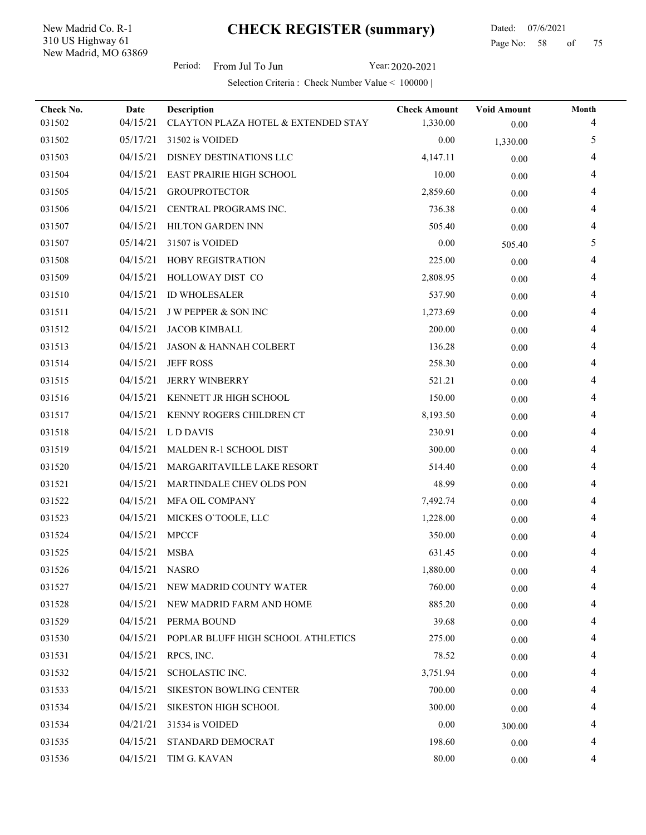New Madrid, MO 63869 310 US Highway 61 New Madrid Co. R-1

 Dated: 07/6/2021 Page No: 58 of

Period: From Jul To Jun Year: 2020-2021

| Check No.<br>031502 | Date<br>04/15/21 | Description<br><b>CLAYTON PLAZA HOTEL &amp; EXTENDED STAY</b> | <b>Check Amount</b><br>1,330.00 | <b>Void Amount</b><br>0.00 | Month<br>4 |
|---------------------|------------------|---------------------------------------------------------------|---------------------------------|----------------------------|------------|
| 031502              | 05/17/21         | 31502 is VOIDED                                               | 0.00                            | 1,330.00                   | 5          |
| 031503              | 04/15/21         | DISNEY DESTINATIONS LLC                                       | 4,147.11                        | $0.00\,$                   | 4          |
| 031504              | 04/15/21         | <b>EAST PRAIRIE HIGH SCHOOL</b>                               | 10.00                           | 0.00                       |            |
| 031505              | 04/15/21         | <b>GROUPROTECTOR</b>                                          | 2,859.60                        | 0.00                       |            |
| 031506              | 04/15/21         | CENTRAL PROGRAMS INC.                                         | 736.38                          | $0.00\,$                   |            |
| 031507              | 04/15/21         | HILTON GARDEN INN                                             | 505.40                          | 0.00                       | 4          |
| 031507              | 05/14/21         | 31507 is VOIDED                                               | 0.00                            | 505.40                     | 5          |
| 031508              | 04/15/21         | HOBY REGISTRATION                                             | 225.00                          | 0.00                       | 4          |
| 031509              | 04/15/21         | HOLLOWAY DIST CO                                              | 2,808.95                        | 0.00                       |            |
| 031510              | 04/15/21         | <b>ID WHOLESALER</b>                                          | 537.90                          | 0.00                       |            |
| 031511              | 04/15/21         | J W PEPPER & SON INC                                          | 1,273.69                        | 0.00                       |            |
| 031512              | 04/15/21         | <b>JACOB KIMBALL</b>                                          | 200.00                          | 0.00                       |            |
| 031513              | 04/15/21         | JASON & HANNAH COLBERT                                        | 136.28                          | $0.00\,$                   | 4          |
| 031514              | 04/15/21         | <b>JEFF ROSS</b>                                              | 258.30                          | 0.00                       | 4          |
| 031515              | 04/15/21         | <b>JERRY WINBERRY</b>                                         | 521.21                          | 0.00                       |            |
| 031516              | 04/15/21         | KENNETT JR HIGH SCHOOL                                        | 150.00                          | $0.00\,$                   |            |
| 031517              | 04/15/21         | KENNY ROGERS CHILDREN CT                                      | 8,193.50                        | 0.00                       |            |
| 031518              | 04/15/21         | L D DAVIS                                                     | 230.91                          | 0.00                       | 4          |
| 031519              | 04/15/21         | MALDEN R-1 SCHOOL DIST                                        | 300.00                          | 0.00                       |            |
| 031520              | 04/15/21         | MARGARITAVILLE LAKE RESORT                                    | 514.40                          | 0.00                       |            |
| 031521              | 04/15/21         | MARTINDALE CHEV OLDS PON                                      | 48.99                           | $0.00\,$                   | 4          |
| 031522              | 04/15/21         | MFA OIL COMPANY                                               | 7,492.74                        | $0.00\,$                   |            |
| 031523              | 04/15/21         | MICKES O'TOOLE, LLC                                           | 1,228.00                        | 0.00                       |            |
| 031524              | 04/15/21         | <b>MPCCF</b>                                                  | 350.00                          | $0.00\,$                   |            |
| 031525              | 04/15/21         | <b>MSBA</b>                                                   | 631.45                          | $0.00\,$                   | 4          |
| 031526              | 04/15/21 NASRO   |                                                               | 1,880.00                        | $0.00\,$                   |            |
| 031527              | 04/15/21         | NEW MADRID COUNTY WATER                                       | 760.00                          | 0.00                       | 4          |
| 031528              | 04/15/21         | NEW MADRID FARM AND HOME                                      | 885.20                          | $0.00\,$                   |            |
| 031529              | 04/15/21         | PERMA BOUND                                                   | 39.68                           | 0.00                       |            |
| 031530              | 04/15/21         | POPLAR BLUFF HIGH SCHOOL ATHLETICS                            | 275.00                          | 0.00                       |            |
| 031531              | 04/15/21         | RPCS, INC.                                                    | 78.52                           | 0.00                       |            |
| 031532              | 04/15/21         | SCHOLASTIC INC.                                               | 3,751.94                        | 0.00                       | 4          |
| 031533              | 04/15/21         | <b>SIKESTON BOWLING CENTER</b>                                | 700.00                          | 0.00                       |            |
| 031534              | 04/15/21         | <b>SIKESTON HIGH SCHOOL</b>                                   | 300.00                          | $0.00\,$                   |            |
| 031534              | 04/21/21         | 31534 is VOIDED                                               | 0.00                            | 300.00                     |            |
| 031535              | 04/15/21         | STANDARD DEMOCRAT                                             | 198.60                          | 0.00                       | 4          |
| 031536              | 04/15/21         | TIM G. KAVAN                                                  | 80.00                           | $0.00\,$                   | 4          |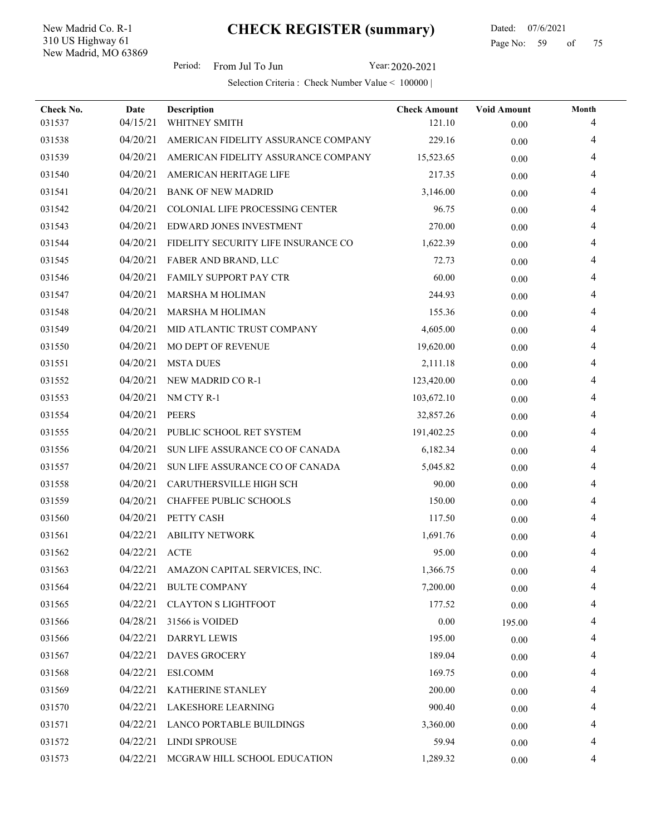New Madrid, MO 63869 310 US Highway 61 New Madrid Co. R-1

 Dated: 07/6/2021 Page No: 59 of

| Check No.<br>031537 | Date<br>04/15/21 | Description<br>WHITNEY SMITH           | <b>Check Amount</b><br>121.10 | <b>Void Amount</b><br>0.00 | Month<br>4 |
|---------------------|------------------|----------------------------------------|-------------------------------|----------------------------|------------|
| 031538              | 04/20/21         | AMERICAN FIDELITY ASSURANCE COMPANY    | 229.16                        | 0.00                       | 4          |
| 031539              | 04/20/21         | AMERICAN FIDELITY ASSURANCE COMPANY    | 15,523.65                     | 0.00                       | 4          |
| 031540              | 04/20/21         | AMERICAN HERITAGE LIFE                 | 217.35                        | 0.00                       |            |
| 031541              | 04/20/21         | <b>BANK OF NEW MADRID</b>              | 3,146.00                      | 0.00                       |            |
| 031542              | 04/20/21         | COLONIAL LIFE PROCESSING CENTER        | 96.75                         | $0.00\,$                   |            |
| 031543              | 04/20/21         | EDWARD JONES INVESTMENT                | 270.00                        | 0.00                       | 4          |
| 031544              | 04/20/21         | FIDELITY SECURITY LIFE INSURANCE CO    | 1,622.39                      | 0.00                       | 4          |
| 031545              | 04/20/21         | FABER AND BRAND, LLC                   | 72.73                         | 0.00                       |            |
| 031546              | 04/20/21         | FAMILY SUPPORT PAY CTR                 | 60.00                         | 0.00                       |            |
| 031547              | 04/20/21         | MARSHA M HOLIMAN                       | 244.93                        | 0.00                       |            |
| 031548              | 04/20/21         | <b>MARSHA M HOLIMAN</b>                | 155.36                        | 0.00                       |            |
| 031549              | 04/20/21         | MID ATLANTIC TRUST COMPANY             | 4,605.00                      | 0.00                       |            |
| 031550              | 04/20/21         | MO DEPT OF REVENUE                     | 19,620.00                     | $0.00\,$                   | 4          |
| 031551              | 04/20/21         | <b>MSTA DUES</b>                       | 2,111.18                      | 0.00                       | 4          |
| 031552              | 04/20/21         | NEW MADRID CO R-1                      | 123,420.00                    | 0.00                       |            |
| 031553              | 04/20/21         | NM CTY R-1                             | 103,672.10                    | 0.00                       |            |
| 031554              | 04/20/21         | <b>PEERS</b>                           | 32,857.26                     | 0.00                       |            |
| 031555              | 04/20/21         | PUBLIC SCHOOL RET SYSTEM               | 191,402.25                    | 0.00                       | 4          |
| 031556              | 04/20/21         | SUN LIFE ASSURANCE CO OF CANADA        | 6,182.34                      | 0.00                       |            |
| 031557              | 04/20/21         | SUN LIFE ASSURANCE CO OF CANADA        | 5,045.82                      | 0.00                       |            |
| 031558              | 04/20/21         | CARUTHERSVILLE HIGH SCH                | 90.00                         | 0.00                       | 4          |
| 031559              | 04/20/21         | CHAFFEE PUBLIC SCHOOLS                 | 150.00                        | 0.00                       |            |
| 031560              | 04/20/21         | PETTY CASH                             | 117.50                        | 0.00                       |            |
| 031561              | 04/22/21         | <b>ABILITY NETWORK</b>                 | 1,691.76                      | 0.00                       |            |
| 031562              | 04/22/21         | <b>ACTE</b>                            | 95.00                         | $0.00\,$                   | 4          |
| 031563              |                  | 04/22/21 AMAZON CAPITAL SERVICES, INC. | 1,366.75                      | $0.00\,$                   | 4          |
| 031564              | 04/22/21         | <b>BULTE COMPANY</b>                   | 7,200.00                      | $0.00\,$                   | 4          |
| 031565              | 04/22/21         | <b>CLAYTON S LIGHTFOOT</b>             | 177.52                        | $0.00\,$                   | 4          |
| 031566              | 04/28/21         | 31566 is VOIDED                        | 0.00                          | 195.00                     | 4          |
| 031566              | 04/22/21         | DARRYL LEWIS                           | 195.00                        | 0.00                       |            |
| 031567              | 04/22/21         | DAVES GROCERY                          | 189.04                        | 0.00                       | 4          |
| 031568              | 04/22/21         | ESI.COMM                               | 169.75                        | 0.00                       | 4          |
| 031569              | 04/22/21         | KATHERINE STANLEY                      | 200.00                        | 0.00                       |            |
| 031570              | 04/22/21         | <b>LAKESHORE LEARNING</b>              | 900.40                        | $0.00\,$                   |            |
| 031571              | 04/22/21         | <b>LANCO PORTABLE BUILDINGS</b>        | 3,360.00                      | $0.00\,$                   |            |
| 031572              | 04/22/21         | <b>LINDI SPROUSE</b>                   | 59.94                         | $0.00\,$                   | 4          |
| 031573              | 04/22/21         | MCGRAW HILL SCHOOL EDUCATION           | 1,289.32                      | $0.00\,$                   | 4          |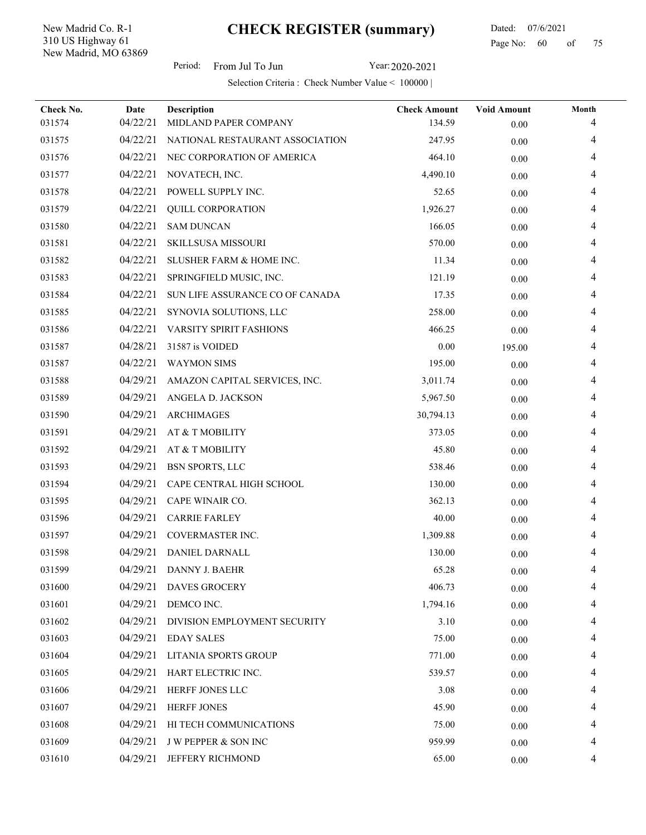New Madrid, MO 63869 310 US Highway 61 New Madrid Co. R-1

 Dated: 07/6/2021 Page No: 60 of

Period: From Jul To Jun Year: 2020-2021

| Check No. | Date     | Description                     | <b>Check Amount</b> | <b>Void Amount</b> | Month |
|-----------|----------|---------------------------------|---------------------|--------------------|-------|
| 031574    | 04/22/21 | MIDLAND PAPER COMPANY           | 134.59              | 0.00               |       |
| 031575    | 04/22/21 | NATIONAL RESTAURANT ASSOCIATION | 247.95              | 0.00               | 4     |
| 031576    | 04/22/21 | NEC CORPORATION OF AMERICA      | 464.10              | 0.00               | 4     |
| 031577    | 04/22/21 | NOVATECH, INC.                  | 4,490.10            | $0.00\,$           | 4     |
| 031578    | 04/22/21 | POWELL SUPPLY INC.              | 52.65               | $0.00\,$           | 4     |
| 031579    | 04/22/21 | <b>QUILL CORPORATION</b>        | 1,926.27            | 0.00               | 4     |
| 031580    | 04/22/21 | <b>SAM DUNCAN</b>               | 166.05              | 0.00               | 4     |
| 031581    | 04/22/21 | <b>SKILLSUSA MISSOURI</b>       | 570.00              | 0.00               | 4     |
| 031582    | 04/22/21 | SLUSHER FARM & HOME INC.        | 11.34               | 0.00               | 4     |
| 031583    | 04/22/21 | SPRINGFIELD MUSIC, INC.         | 121.19              | $0.00\,$           | 4     |
| 031584    | 04/22/21 | SUN LIFE ASSURANCE CO OF CANADA | 17.35               | 0.00               | 4     |
| 031585    | 04/22/21 | SYNOVIA SOLUTIONS, LLC          | 258.00              | $0.00\,$           | 4     |
| 031586    | 04/22/21 | VARSITY SPIRIT FASHIONS         | 466.25              | $0.00\,$           | 4     |
| 031587    | 04/28/21 | 31587 is VOIDED                 | 0.00                | 195.00             | 4     |
| 031587    | 04/22/21 | <b>WAYMON SIMS</b>              | 195.00              | 0.00               | 4     |
| 031588    | 04/29/21 | AMAZON CAPITAL SERVICES, INC.   | 3,011.74            | 0.00               | 4     |
| 031589    | 04/29/21 | ANGELA D. JACKSON               | 5,967.50            | 0.00               | 4     |
| 031590    | 04/29/21 | <b>ARCHIMAGES</b>               | 30,794.13           | $0.00\,$           | 4     |
| 031591    | 04/29/21 | AT & T MOBILITY                 | 373.05              | 0.00               | 4     |
| 031592    | 04/29/21 | AT & T MOBILITY                 | 45.80               | $0.00\,$           | 4     |
| 031593    | 04/29/21 | <b>BSN SPORTS, LLC</b>          | 538.46              | 0.00               | 4     |
| 031594    | 04/29/21 | CAPE CENTRAL HIGH SCHOOL        | 130.00              | 0.00               | 4     |
| 031595    | 04/29/21 | CAPE WINAIR CO.                 | 362.13              | 0.00               | 4     |
| 031596    | 04/29/21 | <b>CARRIE FARLEY</b>            | 40.00               | 0.00               |       |
| 031597    | 04/29/21 | COVERMASTER INC.                | 1,309.88            | 0.00               |       |
| 031598    | 04/29/21 | <b>DANIEL DARNALL</b>           | 130.00              | 0.00               | 4     |
| 031599    | 04/29/21 | DANNY J. BAEHR                  | 65.28               | $0.00\,$           | 4     |
| 031600    | 04/29/21 | <b>DAVES GROCERY</b>            | 406.73              | 0.00               | 4     |
| 031601    | 04/29/21 | DEMCO INC.                      | 1,794.16            | 0.00               |       |
| 031602    | 04/29/21 | DIVISION EMPLOYMENT SECURITY    | 3.10                | 0.00               |       |
| 031603    | 04/29/21 | <b>EDAY SALES</b>               | 75.00               | 0.00               |       |
| 031604    | 04/29/21 | LITANIA SPORTS GROUP            | 771.00              | 0.00               |       |
| 031605    | 04/29/21 | HART ELECTRIC INC.              | 539.57              | 0.00               |       |
| 031606    | 04/29/21 | HERFF JONES LLC                 | 3.08                | 0.00               |       |
| 031607    | 04/29/21 | <b>HERFF JONES</b>              | 45.90               | 0.00               |       |
| 031608    | 04/29/21 | HI TECH COMMUNICATIONS          | 75.00               | 0.00               |       |
| 031609    | 04/29/21 | <b>J W PEPPER &amp; SON INC</b> | 959.99              | 0.00               | 4     |
| 031610    | 04/29/21 | JEFFERY RICHMOND                | 65.00               | 0.00               | 4     |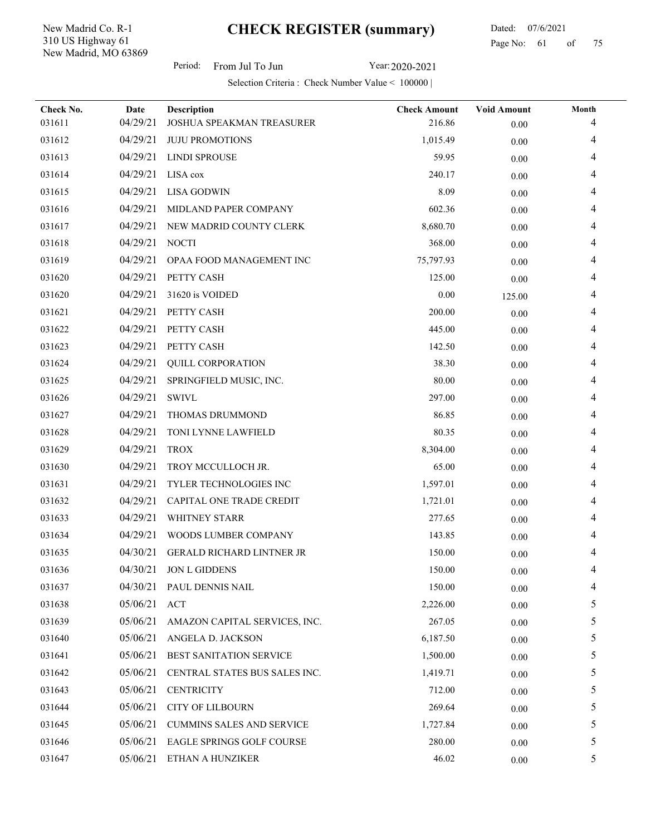New Madrid, MO 63869 310 US Highway 61 New Madrid Co. R-1

 Dated: 07/6/2021 Page No: 61 of

Period: From Jul To Jun Year: 2020-2021

| Check No. | Date     | <b>Description</b>               | <b>Check Amount</b> | <b>Void Amount</b> | Month |
|-----------|----------|----------------------------------|---------------------|--------------------|-------|
| 031611    | 04/29/21 | JOSHUA SPEAKMAN TREASURER        | 216.86              | 0.00               | 4     |
| 031612    | 04/29/21 | <b>JUJU PROMOTIONS</b>           | 1,015.49            | 0.00               | 4     |
| 031613    | 04/29/21 | <b>LINDI SPROUSE</b>             | 59.95               | 0.00               | 4     |
| 031614    | 04/29/21 | LISA cox                         | 240.17              | 0.00               |       |
| 031615    | 04/29/21 | <b>LISA GODWIN</b>               | 8.09                | 0.00               | 4     |
| 031616    | 04/29/21 | MIDLAND PAPER COMPANY            | 602.36              | 0.00               |       |
| 031617    | 04/29/21 | NEW MADRID COUNTY CLERK          | 8,680.70            | $0.00\,$           | 4     |
| 031618    | 04/29/21 | <b>NOCTI</b>                     | 368.00              | 0.00               | 4     |
| 031619    | 04/29/21 | OPAA FOOD MANAGEMENT INC         | 75,797.93           | 0.00               |       |
| 031620    | 04/29/21 | PETTY CASH                       | 125.00              | 0.00               | 4     |
| 031620    | 04/29/21 | 31620 is VOIDED                  | 0.00                | 125.00             |       |
| 031621    | 04/29/21 | PETTY CASH                       | 200.00              | 0.00               | 4     |
| 031622    | 04/29/21 | PETTY CASH                       | 445.00              | 0.00               |       |
| 031623    | 04/29/21 | PETTY CASH                       | 142.50              | 0.00               | 4     |
| 031624    | 04/29/21 | <b>QUILL CORPORATION</b>         | 38.30               | 0.00               | 4     |
| 031625    | 04/29/21 | SPRINGFIELD MUSIC, INC.          | 80.00               | 0.00               | 4     |
| 031626    | 04/29/21 | <b>SWIVL</b>                     | 297.00              | 0.00               | 4     |
| 031627    | 04/29/21 | THOMAS DRUMMOND                  | 86.85               | 0.00               |       |
| 031628    | 04/29/21 | TONI LYNNE LAWFIELD              | 80.35               | 0.00               | 4     |
| 031629    | 04/29/21 | <b>TROX</b>                      | 8,304.00            | 0.00               |       |
| 031630    | 04/29/21 | TROY MCCULLOCH JR.               | 65.00               | $0.00\,$           |       |
| 031631    | 04/29/21 | TYLER TECHNOLOGIES INC           | 1,597.01            | 0.00               | 4     |
| 031632    | 04/29/21 | CAPITAL ONE TRADE CREDIT         | 1,721.01            | $0.00\,$           |       |
| 031633    | 04/29/21 | WHITNEY STARR                    | 277.65              | 0.00               | 4     |
| 031634    | 04/29/21 | WOODS LUMBER COMPANY             | 143.85              | 0.00               |       |
| 031635    | 04/30/21 | <b>GERALD RICHARD LINTNER JR</b> | 150.00              | 0.00               | 4     |
| 031636    | 04/30/21 | <b>JON L GIDDENS</b>             | 150.00              | 0.00               | 4     |
| 031637    | 04/30/21 | PAUL DENNIS NAIL                 | 150.00              | $0.00\,$           | 4     |
| 031638    | 05/06/21 | ACT                              | 2,226.00            | 0.00               | 5     |
| 031639    | 05/06/21 | AMAZON CAPITAL SERVICES, INC.    | 267.05              | 0.00               | 5     |
| 031640    | 05/06/21 | ANGELA D. JACKSON                | 6,187.50            | 0.00               | 5.    |
| 031641    | 05/06/21 | BEST SANITATION SERVICE          | 1,500.00            | 0.00               | 5     |
| 031642    | 05/06/21 | CENTRAL STATES BUS SALES INC.    | 1,419.71            | 0.00               | 5     |
| 031643    | 05/06/21 | <b>CENTRICITY</b>                | 712.00              | 0.00               | 5     |
| 031644    | 05/06/21 | <b>CITY OF LILBOURN</b>          | 269.64              | 0.00               | 5     |
| 031645    | 05/06/21 | <b>CUMMINS SALES AND SERVICE</b> | 1,727.84            | 0.00               | 5     |
| 031646    | 05/06/21 | EAGLE SPRINGS GOLF COURSE        | 280.00              | 0.00               | 5     |
| 031647    | 05/06/21 | ETHAN A HUNZIKER                 | 46.02               | $0.00\,$           | 5     |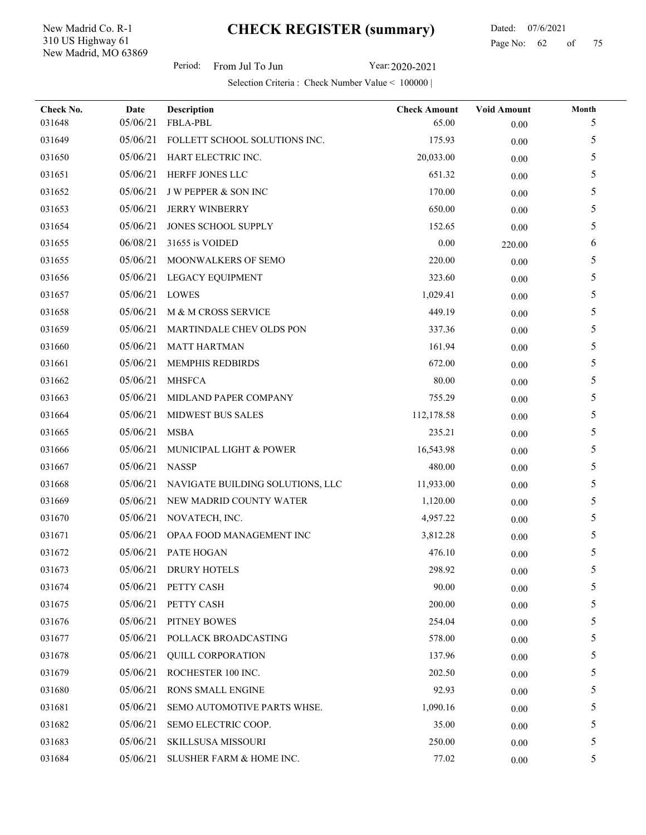New Madrid, MO 63869 310 US Highway 61 New Madrid Co. R-1

 Dated: 07/6/2021 Page No: 62 of

Period: From Jul To Jun Year: 2020-2021

| Check No. | Date     | Description                      | <b>Check Amount</b> | <b>Void Amount</b> | Month |
|-----------|----------|----------------------------------|---------------------|--------------------|-------|
| 031648    | 05/06/21 | FBLA-PBL                         | 65.00               | 0.00               | 5     |
| 031649    | 05/06/21 | FOLLETT SCHOOL SOLUTIONS INC.    | 175.93              | 0.00               | 5     |
| 031650    | 05/06/21 | HART ELECTRIC INC.               | 20,033.00           | 0.00               | 5     |
| 031651    | 05/06/21 | HERFF JONES LLC                  | 651.32              | 0.00               | 5     |
| 031652    | 05/06/21 | <b>J W PEPPER &amp; SON INC</b>  | 170.00              | 0.00               | 5     |
| 031653    | 05/06/21 | <b>JERRY WINBERRY</b>            | 650.00              | 0.00               | 5     |
| 031654    | 05/06/21 | JONES SCHOOL SUPPLY              | 152.65              | 0.00               | 5     |
| 031655    | 06/08/21 | 31655 is VOIDED                  | 0.00                | 220.00             | 6     |
| 031655    | 05/06/21 | MOONWALKERS OF SEMO              | 220.00              | 0.00               | 5     |
| 031656    | 05/06/21 | LEGACY EQUIPMENT                 | 323.60              | $0.00\,$           | 5     |
| 031657    | 05/06/21 | LOWES                            | 1,029.41            | 0.00               | 5     |
| 031658    | 05/06/21 | M & M CROSS SERVICE              | 449.19              | 0.00               | 5     |
| 031659    | 05/06/21 | MARTINDALE CHEV OLDS PON         | 337.36              | 0.00               | 5     |
| 031660    | 05/06/21 | <b>MATT HARTMAN</b>              | 161.94              | 0.00               | 5     |
| 031661    | 05/06/21 | MEMPHIS REDBIRDS                 | 672.00              | 0.00               | 5     |
| 031662    | 05/06/21 | <b>MHSFCA</b>                    | 80.00               | $0.00\,$           | 5     |
| 031663    | 05/06/21 | MIDLAND PAPER COMPANY            | 755.29              | $0.00\,$           | 5     |
| 031664    | 05/06/21 | MIDWEST BUS SALES                | 112,178.58          | 0.00               | 5     |
| 031665    | 05/06/21 | <b>MSBA</b>                      | 235.21              | 0.00               | 5     |
| 031666    | 05/06/21 | MUNICIPAL LIGHT & POWER          | 16,543.98           | 0.00               | 5     |
| 031667    | 05/06/21 | <b>NASSP</b>                     | 480.00              | $0.00\,$           | 5     |
| 031668    | 05/06/21 | NAVIGATE BUILDING SOLUTIONS, LLC | 11,933.00           | 0.00               | 5     |
| 031669    | 05/06/21 | NEW MADRID COUNTY WATER          | 1,120.00            | 0.00               | 5     |
| 031670    | 05/06/21 | NOVATECH, INC.                   | 4,957.22            | $0.00\,$           | 5     |
| 031671    | 05/06/21 | OPAA FOOD MANAGEMENT INC         | 3,812.28            | 0.00               | 5     |
| 031672    | 05/06/21 | PATE HOGAN                       | 476.10              | $0.00\,$           | 5     |
| 031673    | 05/06/21 | <b>DRURY HOTELS</b>              | 298.92              | 0.00               | 5     |
| 031674    | 05/06/21 | PETTY CASH                       | 90.00               | 0.00               | 5     |
| 031675    | 05/06/21 | PETTY CASH                       | 200.00              | 0.00               | 5     |
| 031676    | 05/06/21 | PITNEY BOWES                     | 254.04              | $0.00\,$           | 5     |
| 031677    | 05/06/21 | POLLACK BROADCASTING             | 578.00              | $0.00\,$           | 5     |
| 031678    | 05/06/21 | <b>QUILL CORPORATION</b>         | 137.96              | 0.00               | 5     |
| 031679    | 05/06/21 | ROCHESTER 100 INC.               | 202.50              | 0.00               | 5     |
| 031680    | 05/06/21 | RONS SMALL ENGINE                | 92.93               | 0.00               | 5     |
| 031681    | 05/06/21 | SEMO AUTOMOTIVE PARTS WHSE.      | 1,090.16            | 0.00               | 5     |
| 031682    | 05/06/21 | SEMO ELECTRIC COOP.              | 35.00               | 0.00               | 5     |
| 031683    | 05/06/21 | SKILLSUSA MISSOURI               | 250.00              | $0.00\,$           | 5     |
| 031684    | 05/06/21 | SLUSHER FARM & HOME INC.         | 77.02               | $0.00\,$           | 5     |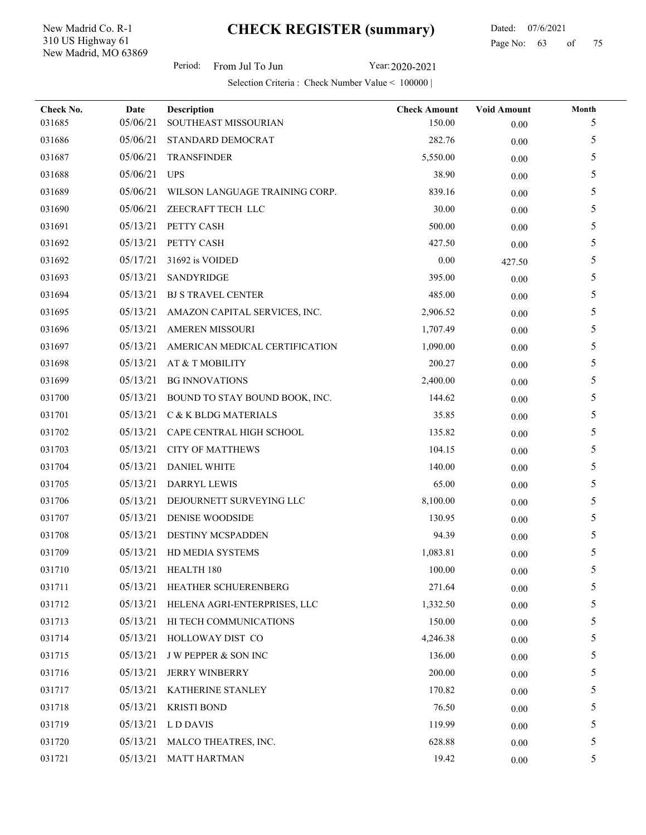New Madrid, MO 63869 310 US Highway 61 New Madrid Co. R-1

l,

 Dated: 07/6/2021 Page No: 63 of

Period: From Jul To Jun Year: 2020-2021

| Check No. | Date     | Description                     | <b>Check Amount</b> | <b>Void Amount</b> | Month |
|-----------|----------|---------------------------------|---------------------|--------------------|-------|
| 031685    | 05/06/21 | SOUTHEAST MISSOURIAN            | 150.00              | 0.00               | 5     |
| 031686    | 05/06/21 | STANDARD DEMOCRAT               | 282.76              | 0.00               | 5     |
| 031687    | 05/06/21 | <b>TRANSFINDER</b>              | 5,550.00            | 0.00               | 5     |
| 031688    | 05/06/21 | <b>UPS</b>                      | 38.90               | 0.00               | 5     |
| 031689    | 05/06/21 | WILSON LANGUAGE TRAINING CORP.  | 839.16              | 0.00               | 5     |
| 031690    | 05/06/21 | ZEECRAFT TECH LLC               | 30.00               | 0.00               | 5     |
| 031691    | 05/13/21 | PETTY CASH                      | 500.00              | $0.00\,$           | 5     |
| 031692    | 05/13/21 | PETTY CASH                      | 427.50              | 0.00               | 5     |
| 031692    | 05/17/21 | 31692 is VOIDED                 | $0.00\,$            | 427.50             | 5     |
| 031693    | 05/13/21 | SANDYRIDGE                      | 395.00              | 0.00               | 5     |
| 031694    | 05/13/21 | <b>BJ S TRAVEL CENTER</b>       | 485.00              | 0.00               | 5     |
| 031695    | 05/13/21 | AMAZON CAPITAL SERVICES, INC.   | 2,906.52            | 0.00               | 5     |
| 031696    | 05/13/21 | AMEREN MISSOURI                 | 1,707.49            | 0.00               | 5     |
| 031697    | 05/13/21 | AMERICAN MEDICAL CERTIFICATION  | 1,090.00            | $0.00\,$           | 5     |
| 031698    | 05/13/21 | AT & T MOBILITY                 | 200.27              | $0.00\,$           | 5     |
| 031699    | 05/13/21 | <b>BG INNOVATIONS</b>           | 2,400.00            | 0.00               | 5     |
| 031700    | 05/13/21 | BOUND TO STAY BOUND BOOK, INC.  | 144.62              | 0.00               | 5     |
| 031701    | 05/13/21 | C & K BLDG MATERIALS            | 35.85               | $0.00\,$           | 5     |
| 031702    | 05/13/21 | CAPE CENTRAL HIGH SCHOOL        | 135.82              | 0.00               | 5     |
| 031703    | 05/13/21 | <b>CITY OF MATTHEWS</b>         | 104.15              | 0.00               | 5     |
| 031704    | 05/13/21 | <b>DANIEL WHITE</b>             | 140.00              | $0.00\,$           | 5     |
| 031705    | 05/13/21 | DARRYL LEWIS                    | 65.00               | 0.00               | 5     |
| 031706    | 05/13/21 | DEJOURNETT SURVEYING LLC        | 8,100.00            | $0.00\,$           | 5     |
| 031707    | 05/13/21 | DENISE WOODSIDE                 | 130.95              | 0.00               | 5     |
| 031708    | 05/13/21 | <b>DESTINY MCSPADDEN</b>        | 94.39               | 0.00               | 5     |
| 031709    | 05/13/21 | HD MEDIA SYSTEMS                | 1,083.81            | 0.00               | 5     |
| 031710    | 05/13/21 | HEALTH 180                      | 100.00              | 0.00               | 5     |
| 031711    | 05/13/21 | HEATHER SCHUERENBERG            | 271.64              | 0.00               | 5     |
| 031712    | 05/13/21 | HELENA AGRI-ENTERPRISES, LLC    | 1,332.50            | $0.00\,$           | 5     |
| 031713    | 05/13/21 | HI TECH COMMUNICATIONS          | 150.00              | $0.00\,$           | 5     |
| 031714    | 05/13/21 | HOLLOWAY DIST CO                | 4,246.38            | $0.00\,$           | 5     |
| 031715    | 05/13/21 | <b>J W PEPPER &amp; SON INC</b> | 136.00              | $0.00\,$           | 5     |
| 031716    | 05/13/21 | <b>JERRY WINBERRY</b>           | 200.00              | $0.00\,$           | 5     |
| 031717    | 05/13/21 | KATHERINE STANLEY               | 170.82              | 0.00               | 5     |
| 031718    | 05/13/21 | <b>KRISTI BOND</b>              | 76.50               | 0.00               | 5     |
| 031719    | 05/13/21 | L D DAVIS                       | 119.99              | $0.00\,$           | 5     |
| 031720    | 05/13/21 | MALCO THEATRES, INC.            | 628.88              | $0.00\,$           | 5     |
| 031721    | 05/13/21 | <b>MATT HARTMAN</b>             | 19.42               | $0.00\,$           | 5     |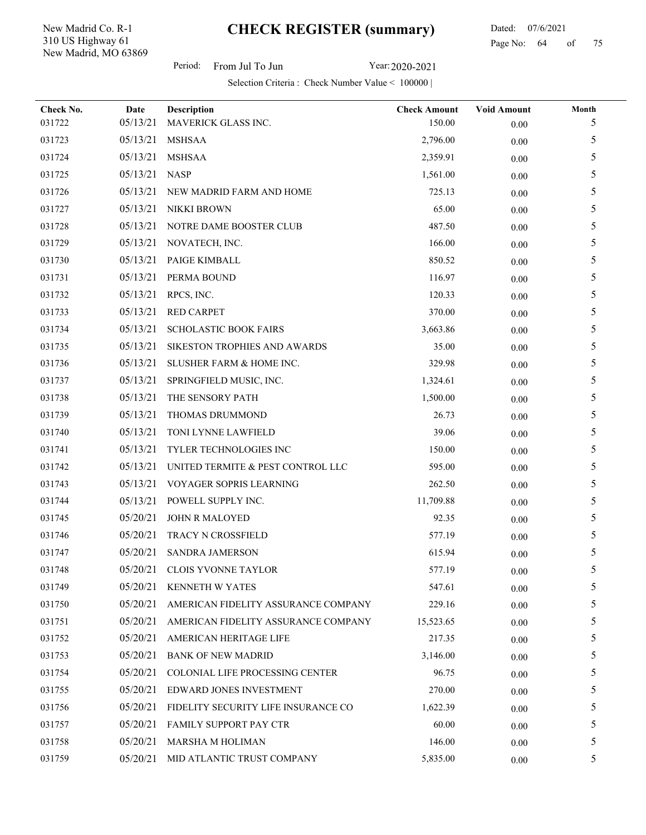New Madrid, MO 63869 310 US Highway 61 New Madrid Co. R-1

 Dated: 07/6/2021 Page No: 64 of

Period: From Jul To Jun Year: 2020-2021

| Check No. | Date     | Description                         | <b>Check Amount</b> | <b>Void Amount</b> | Month |
|-----------|----------|-------------------------------------|---------------------|--------------------|-------|
| 031722    | 05/13/21 | MAVERICK GLASS INC.                 | 150.00              | 0.00               | 5     |
| 031723    | 05/13/21 | <b>MSHSAA</b>                       | 2,796.00            | 0.00               | 5     |
| 031724    | 05/13/21 | <b>MSHSAA</b>                       | 2,359.91            | 0.00               | 5     |
| 031725    | 05/13/21 | <b>NASP</b>                         | 1,561.00            | 0.00               | 5     |
| 031726    | 05/13/21 | NEW MADRID FARM AND HOME            | 725.13              | 0.00               | 5     |
| 031727    | 05/13/21 | NIKKI BROWN                         | 65.00               | 0.00               | 5     |
| 031728    | 05/13/21 | NOTRE DAME BOOSTER CLUB             | 487.50              | $0.00\,$           | 5     |
| 031729    | 05/13/21 | NOVATECH, INC.                      | 166.00              | 0.00               | 5     |
| 031730    | 05/13/21 | PAIGE KIMBALL                       | 850.52              | $0.00\,$           | 5     |
| 031731    | 05/13/21 | PERMA BOUND                         | 116.97              | 0.00               | 5     |
| 031732    | 05/13/21 | RPCS, INC.                          | 120.33              | 0.00               | 5     |
| 031733    | 05/13/21 | <b>RED CARPET</b>                   | 370.00              | $0.00\,$           | 5     |
| 031734    | 05/13/21 | <b>SCHOLASTIC BOOK FAIRS</b>        | 3,663.86            | 0.00               | 5     |
| 031735    | 05/13/21 | SIKESTON TROPHIES AND AWARDS        | 35.00               | 0.00               | 5     |
| 031736    | 05/13/21 | SLUSHER FARM & HOME INC.            | 329.98              | 0.00               | 5     |
| 031737    | 05/13/21 | SPRINGFIELD MUSIC, INC.             | 1,324.61            | $0.00\,$           | 5     |
| 031738    | 05/13/21 | THE SENSORY PATH                    | 1,500.00            | $0.00\,$           | 5     |
| 031739    | 05/13/21 | THOMAS DRUMMOND                     | 26.73               | $0.00\,$           | 5     |
| 031740    | 05/13/21 | TONI LYNNE LAWFIELD                 | 39.06               | 0.00               | 5     |
| 031741    | 05/13/21 | <b>TYLER TECHNOLOGIES INC</b>       | 150.00              | 0.00               | 5     |
| 031742    | 05/13/21 | UNITED TERMITE & PEST CONTROL LLC   | 595.00              | $0.00\,$           | 5     |
| 031743    | 05/13/21 | VOYAGER SOPRIS LEARNING             | 262.50              | 0.00               | 5     |
| 031744    | 05/13/21 | POWELL SUPPLY INC.                  | 11,709.88           | $0.00\,$           | 5     |
| 031745    | 05/20/21 | JOHN R MALOYED                      | 92.35               | $0.00\,$           | 5     |
| 031746    | 05/20/21 | TRACY N CROSSFIELD                  | 577.19              | 0.00               | 5     |
| 031747    | 05/20/21 | SANDRA JAMERSON                     | 615.94              | $0.00\,$           | 5     |
| 031748    | 05/20/21 | <b>CLOIS YVONNE TAYLOR</b>          | 577.19              | 0.00               | 5     |
| 031749    | 05/20/21 | KENNETH W YATES                     | 547.61              | 0.00               | 5     |
| 031750    | 05/20/21 | AMERICAN FIDELITY ASSURANCE COMPANY | 229.16              | 0.00               | 5     |
| 031751    | 05/20/21 | AMERICAN FIDELITY ASSURANCE COMPANY | 15,523.65           | 0.00               | 5     |
| 031752    | 05/20/21 | AMERICAN HERITAGE LIFE              | 217.35              | 0.00               | 5     |
| 031753    | 05/20/21 | <b>BANK OF NEW MADRID</b>           | 3,146.00            | 0.00               | 5     |
| 031754    | 05/20/21 | COLONIAL LIFE PROCESSING CENTER     | 96.75               | 0.00               | 5     |
| 031755    | 05/20/21 | EDWARD JONES INVESTMENT             | 270.00              | 0.00               | 5     |
| 031756    | 05/20/21 | FIDELITY SECURITY LIFE INSURANCE CO | 1,622.39            | 0.00               | 5     |
| 031757    | 05/20/21 | FAMILY SUPPORT PAY CTR              | 60.00               | 0.00               | 5     |
| 031758    | 05/20/21 | <b>MARSHA M HOLIMAN</b>             | 146.00              | 0.00               | 5     |
| 031759    | 05/20/21 | MID ATLANTIC TRUST COMPANY          | 5,835.00            | 0.00               | 5     |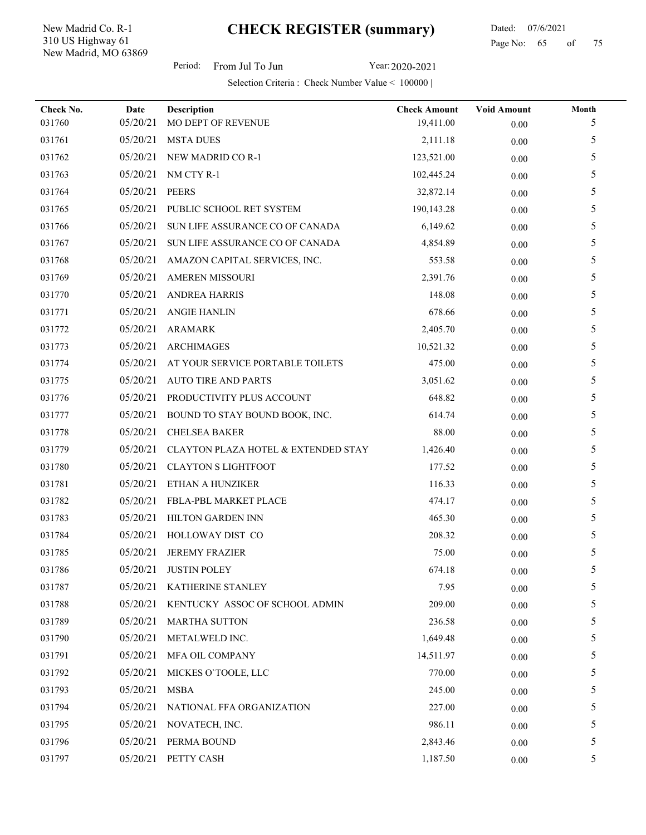New Madrid, MO 63869 310 US Highway 61 New Madrid Co. R-1

l,

 Dated: 07/6/2021 Page No: 65 of

Period: From Jul To Jun Year: 2020-2021

| Check No. | Date     | Description                         | <b>Check Amount</b> | <b>Void Amount</b> | Month |
|-----------|----------|-------------------------------------|---------------------|--------------------|-------|
| 031760    | 05/20/21 | MO DEPT OF REVENUE                  | 19,411.00           | 0.00               | 5     |
| 031761    | 05/20/21 | <b>MSTA DUES</b>                    | 2,111.18            | 0.00               | 5     |
| 031762    | 05/20/21 | <b>NEW MADRID CO R-1</b>            | 123,521.00          | 0.00               | 5     |
| 031763    | 05/20/21 | NM CTY R-1                          | 102,445.24          | 0.00               | 5     |
| 031764    | 05/20/21 | <b>PEERS</b>                        | 32,872.14           | 0.00               | 5     |
| 031765    | 05/20/21 | PUBLIC SCHOOL RET SYSTEM            | 190,143.28          | 0.00               | 5     |
| 031766    | 05/20/21 | SUN LIFE ASSURANCE CO OF CANADA     | 6,149.62            | $0.00\,$           | 5     |
| 031767    | 05/20/21 | SUN LIFE ASSURANCE CO OF CANADA     | 4,854.89            | 0.00               | 5     |
| 031768    | 05/20/21 | AMAZON CAPITAL SERVICES, INC.       | 553.58              | 0.00               | 5     |
| 031769    | 05/20/21 | AMEREN MISSOURI                     | 2,391.76            | 0.00               | 5     |
| 031770    | 05/20/21 | <b>ANDREA HARRIS</b>                | 148.08              | 0.00               | 5     |
| 031771    | 05/20/21 | <b>ANGIE HANLIN</b>                 | 678.66              | 0.00               | 5     |
| 031772    | 05/20/21 | <b>ARAMARK</b>                      | 2,405.70            | 0.00               | 5     |
| 031773    | 05/20/21 | <b>ARCHIMAGES</b>                   | 10,521.32           | $0.00\,$           | 5     |
| 031774    | 05/20/21 | AT YOUR SERVICE PORTABLE TOILETS    | 475.00              | $0.00\,$           | 5     |
| 031775    | 05/20/21 | <b>AUTO TIRE AND PARTS</b>          | 3,051.62            | 0.00               | 5     |
| 031776    | 05/20/21 | PRODUCTIVITY PLUS ACCOUNT           | 648.82              | 0.00               | 5     |
| 031777    | 05/20/21 | BOUND TO STAY BOUND BOOK, INC.      | 614.74              | 0.00               | 5     |
| 031778    | 05/20/21 | <b>CHELSEA BAKER</b>                | 88.00               | 0.00               | 5     |
| 031779    | 05/20/21 | CLAYTON PLAZA HOTEL & EXTENDED STAY | 1,426.40            | 0.00               | 5     |
| 031780    | 05/20/21 | <b>CLAYTON S LIGHTFOOT</b>          | 177.52              | $0.00\,$           | 5     |
| 031781    | 05/20/21 | ETHAN A HUNZIKER                    | 116.33              | 0.00               | 5     |
| 031782    | 05/20/21 | FBLA-PBL MARKET PLACE               | 474.17              | 0.00               | 5     |
| 031783    | 05/20/21 | HILTON GARDEN INN                   | 465.30              | 0.00               | 5     |
| 031784    | 05/20/21 | HOLLOWAY DIST CO                    | 208.32              | 0.00               | 5     |
| 031785    | 05/20/21 | <b>JEREMY FRAZIER</b>               | 75.00               | 0.00               | 5     |
| 031786    | 05/20/21 | <b>JUSTIN POLEY</b>                 | 674.18              | $0.00\,$           | 5     |
| 031787    | 05/20/21 | KATHERINE STANLEY                   | 7.95                | 0.00               | 5     |
| 031788    | 05/20/21 | KENTUCKY ASSOC OF SCHOOL ADMIN      | 209.00              | $0.00\,$           | 5     |
| 031789    | 05/20/21 | <b>MARTHA SUTTON</b>                | 236.58              | $0.00\,$           | 5     |
| 031790    | 05/20/21 | METALWELD INC.                      | 1,649.48            | 0.00               | 5     |
| 031791    | 05/20/21 | MFA OIL COMPANY                     | 14,511.97           | $0.00\,$           | 5     |
| 031792    | 05/20/21 | MICKES O'TOOLE, LLC                 | 770.00              | $0.00\,$           | 5     |
| 031793    | 05/20/21 | <b>MSBA</b>                         | 245.00              | 0.00               | 5     |
| 031794    | 05/20/21 | NATIONAL FFA ORGANIZATION           | 227.00              | 0.00               | 5     |
| 031795    | 05/20/21 | NOVATECH, INC.                      | 986.11              | $0.00\,$           | 5     |
| 031796    | 05/20/21 | PERMA BOUND                         | 2,843.46            | $0.00\,$           | 5     |
| 031797    | 05/20/21 | PETTY CASH                          | 1,187.50            | $0.00\,$           | 5     |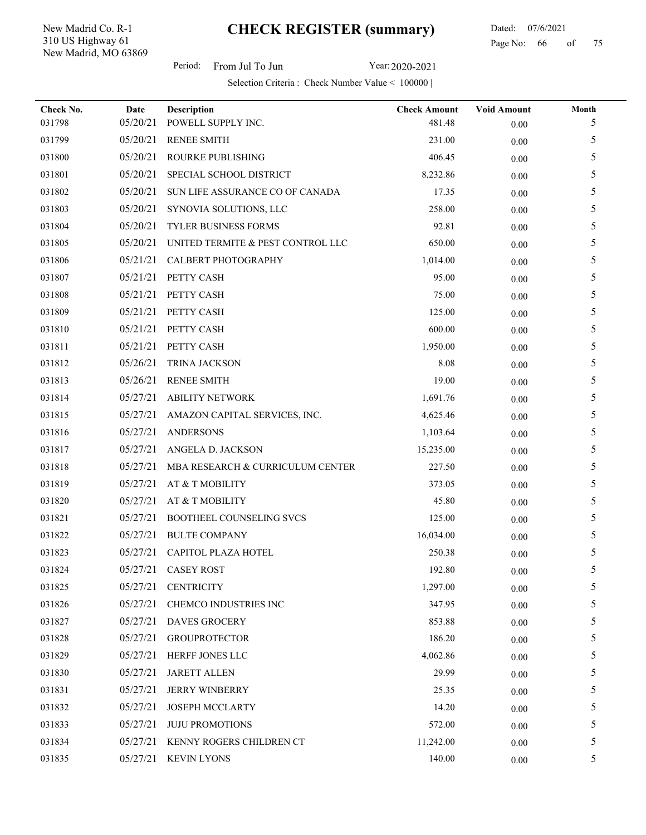New Madrid, MO 63869 310 US Highway 61 New Madrid Co. R-1

l,

 Dated: 07/6/2021 Page No: 66 of

Period: From Jul To Jun Year: 2020-2021

| Check No. | Date     | Description                       | <b>Check Amount</b> | <b>Void Amount</b> | Month |
|-----------|----------|-----------------------------------|---------------------|--------------------|-------|
| 031798    | 05/20/21 | POWELL SUPPLY INC.                | 481.48              | 0.00               | 5     |
| 031799    | 05/20/21 | <b>RENEE SMITH</b>                | 231.00              | 0.00               | 5     |
| 031800    | 05/20/21 | ROURKE PUBLISHING                 | 406.45              | 0.00               | 5     |
| 031801    | 05/20/21 | SPECIAL SCHOOL DISTRICT           | 8,232.86            | $0.00\,$           | 5     |
| 031802    | 05/20/21 | SUN LIFE ASSURANCE CO OF CANADA   | 17.35               | 0.00               | 5     |
| 031803    | 05/20/21 | SYNOVIA SOLUTIONS, LLC            | 258.00              | 0.00               | 5     |
| 031804    | 05/20/21 | TYLER BUSINESS FORMS              | 92.81               | 0.00               | 5     |
| 031805    | 05/20/21 | UNITED TERMITE & PEST CONTROL LLC | 650.00              | 0.00               | 5     |
| 031806    | 05/21/21 | CALBERT PHOTOGRAPHY               | 1,014.00            | 0.00               | 5     |
| 031807    | 05/21/21 | PETTY CASH                        | 95.00               | 0.00               | 5     |
| 031808    | 05/21/21 | PETTY CASH                        | 75.00               | $0.00\,$           | 5     |
| 031809    | 05/21/21 | PETTY CASH                        | 125.00              | $0.00\,$           | 5     |
| 031810    | 05/21/21 | PETTY CASH                        | 600.00              | 0.00               | 5     |
| 031811    | 05/21/21 | PETTY CASH                        | 1,950.00            | 0.00               | 5     |
| 031812    | 05/26/21 | TRINA JACKSON                     | 8.08                | 0.00               | 5     |
| 031813    | 05/26/21 | <b>RENEE SMITH</b>                | 19.00               | 0.00               | 5     |
| 031814    | 05/27/21 | <b>ABILITY NETWORK</b>            | 1,691.76            | 0.00               | 5     |
| 031815    | 05/27/21 | AMAZON CAPITAL SERVICES, INC.     | 4,625.46            | $0.00\,$           | 5     |
| 031816    | 05/27/21 | <b>ANDERSONS</b>                  | 1,103.64            | 0.00               | 5     |
| 031817    | 05/27/21 | ANGELA D. JACKSON                 | 15,235.00           | $0.00\,$           | 5     |
| 031818    | 05/27/21 | MBA RESEARCH & CURRICULUM CENTER  | 227.50              | 0.00               | 5     |
| 031819    | 05/27/21 | AT & T MOBILITY                   | 373.05              | 0.00               | 5     |
| 031820    | 05/27/21 | AT & T MOBILITY                   | 45.80               | 0.00               | 5     |
| 031821    | 05/27/21 | BOOTHEEL COUNSELING SVCS          | 125.00              | 0.00               | 5     |
| 031822    | 05/27/21 | <b>BULTE COMPANY</b>              | 16,034.00           | $0.00\,$           | 5     |
| 031823    | 05/27/21 | CAPITOL PLAZA HOTEL               | 250.38              | 0.00               | 5     |
| 031824    | 05/27/21 | <b>CASEY ROST</b>                 | 192.80              | 0.00               | 5     |
| 031825    | 05/27/21 | <b>CENTRICITY</b>                 | 1,297.00            | 0.00               | 5     |
| 031826    | 05/27/21 | <b>CHEMCO INDUSTRIES INC</b>      | 347.95              | 0.00               | 5     |
| 031827    | 05/27/21 | DAVES GROCERY                     | 853.88              | 0.00               | 5     |
| 031828    | 05/27/21 | <b>GROUPROTECTOR</b>              | 186.20              | 0.00               | 5     |
| 031829    | 05/27/21 | HERFF JONES LLC                   | 4,062.86            | 0.00               | 5     |
| 031830    | 05/27/21 | <b>JARETT ALLEN</b>               | 29.99               | $0.00\,$           | 5     |
| 031831    | 05/27/21 | <b>JERRY WINBERRY</b>             | 25.35               | 0.00               | 5     |
| 031832    | 05/27/21 | <b>JOSEPH MCCLARTY</b>            | 14.20               | 0.00               | 5     |
| 031833    | 05/27/21 | JUJU PROMOTIONS                   | 572.00              | 0.00               | 5     |
| 031834    | 05/27/21 | KENNY ROGERS CHILDREN CT          | 11,242.00           | 0.00               | 5     |
| 031835    | 05/27/21 | <b>KEVIN LYONS</b>                | 140.00              | $0.00\,$           | 5     |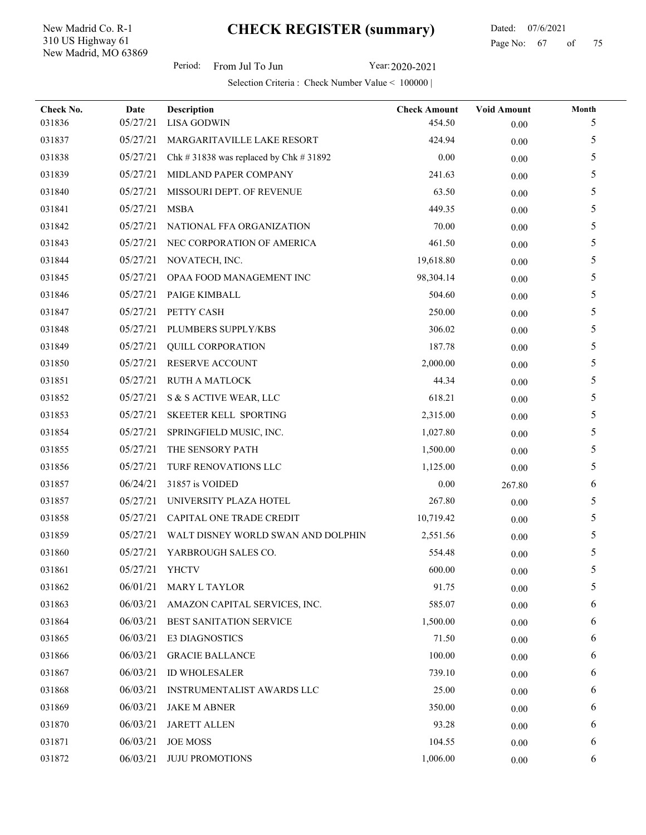New Madrid, MO 63869 310 US Highway 61 New Madrid Co. R-1

l,

## Dated: 07/6/2021 Page No: 67 of

Period: From Jul To Jun Year: 2020-2021

| Check No. | Date     | <b>Description</b>                      | <b>Check Amount</b> | <b>Void Amount</b> | Month |
|-----------|----------|-----------------------------------------|---------------------|--------------------|-------|
| 031836    | 05/27/21 | <b>LISA GODWIN</b>                      | 454.50              | $0.00\,$           | 5     |
| 031837    | 05/27/21 | MARGARITAVILLE LAKE RESORT              | 424.94              | 0.00               | 5     |
| 031838    | 05/27/21 | Chk # 31838 was replaced by Chk # 31892 | 0.00                | 0.00               | 5     |
| 031839    | 05/27/21 | MIDLAND PAPER COMPANY                   | 241.63              | 0.00               | 5     |
| 031840    | 05/27/21 | MISSOURI DEPT. OF REVENUE               | 63.50               | 0.00               | 5     |
| 031841    | 05/27/21 | <b>MSBA</b>                             | 449.35              | 0.00               | 5     |
| 031842    | 05/27/21 | NATIONAL FFA ORGANIZATION               | 70.00               | 0.00               | 5     |
| 031843    | 05/27/21 | NEC CORPORATION OF AMERICA              | 461.50              | 0.00               | 5     |
| 031844    | 05/27/21 | NOVATECH, INC.                          | 19,618.80           | 0.00               | 5     |
| 031845    | 05/27/21 | OPAA FOOD MANAGEMENT INC                | 98,304.14           | 0.00               | 5     |
| 031846    | 05/27/21 | PAIGE KIMBALL                           | 504.60              | 0.00               | 5     |
| 031847    | 05/27/21 | PETTY CASH                              | 250.00              | $0.00\,$           | 5     |
| 031848    | 05/27/21 | PLUMBERS SUPPLY/KBS                     | 306.02              | 0.00               | 5     |
| 031849    | 05/27/21 | QUILL CORPORATION                       | 187.78              | 0.00               | 5     |
| 031850    | 05/27/21 | RESERVE ACCOUNT                         | 2,000.00            | 0.00               | 5     |
| 031851    | 05/27/21 | <b>RUTH A MATLOCK</b>                   | 44.34               | 0.00               | 5     |
| 031852    | 05/27/21 | S & S ACTIVE WEAR, LLC                  | 618.21              | 0.00               | 5     |
| 031853    | 05/27/21 | SKEETER KELL SPORTING                   | 2,315.00            | 0.00               | 5     |
| 031854    | 05/27/21 | SPRINGFIELD MUSIC, INC.                 | 1,027.80            | 0.00               | 5     |
| 031855    | 05/27/21 | THE SENSORY PATH                        | 1,500.00            | $0.00\,$           | 5     |
| 031856    | 05/27/21 | TURF RENOVATIONS LLC                    | 1,125.00            | $0.00\,$           | 5     |
| 031857    | 06/24/21 | 31857 is VOIDED                         | 0.00                | 267.80             | 6     |
| 031857    | 05/27/21 | UNIVERSITY PLAZA HOTEL                  | 267.80              | 0.00               | 5     |
| 031858    | 05/27/21 | CAPITAL ONE TRADE CREDIT                | 10,719.42           | 0.00               | 5     |
| 031859    | 05/27/21 | WALT DISNEY WORLD SWAN AND DOLPHIN      | 2,551.56            | 0.00               | 5     |
| 031860    | 05/27/21 | YARBROUGH SALES CO.                     | 554.48              | 0.00               | 5     |
| 031861    | 05/27/21 | YHCTV                                   | 600.00              | 0.00               | 5     |
| 031862    | 06/01/21 | MARY L TAYLOR                           | 91.75               | 0.00               | 5     |
| 031863    | 06/03/21 | AMAZON CAPITAL SERVICES, INC.           | 585.07              | 0.00               | 6     |
| 031864    | 06/03/21 | BEST SANITATION SERVICE                 | 1,500.00            | 0.00               | 6     |
| 031865    | 06/03/21 | E3 DIAGNOSTICS                          | 71.50               | 0.00               | 6     |
| 031866    | 06/03/21 | <b>GRACIE BALLANCE</b>                  | 100.00              | 0.00               | 6     |
| 031867    | 06/03/21 | <b>ID WHOLESALER</b>                    | 739.10              | 0.00               | 6     |
| 031868    | 06/03/21 | INSTRUMENTALIST AWARDS LLC              | 25.00               | 0.00               | 6     |
| 031869    | 06/03/21 | <b>JAKE M ABNER</b>                     | 350.00              | 0.00               | 6     |
| 031870    | 06/03/21 | <b>JARETT ALLEN</b>                     | 93.28               | 0.00               | 6     |
| 031871    | 06/03/21 | <b>JOE MOSS</b>                         | 104.55              | 0.00               | 6     |
| 031872    | 06/03/21 | <b>JUJU PROMOTIONS</b>                  | 1,006.00            | $0.00\,$           | 6     |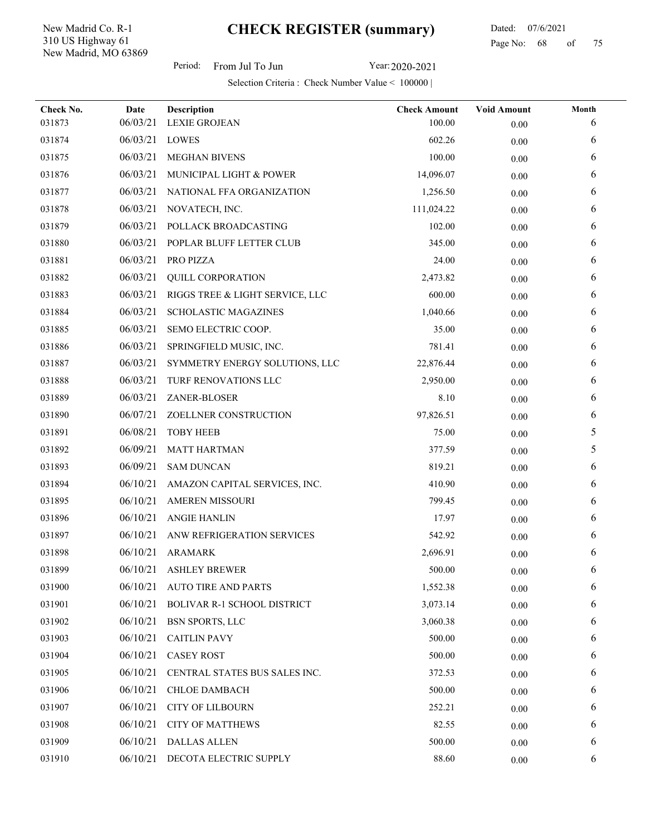New Madrid, MO 63869 310 US Highway 61 New Madrid Co. R-1

l,

Period: From Jul To Jun Year: 2020-2021

| Check No. | Date     | Description                     | <b>Check Amount</b> | <b>Void Amount</b> | Month |
|-----------|----------|---------------------------------|---------------------|--------------------|-------|
| 031873    | 06/03/21 | <b>LEXIE GROJEAN</b>            | 100.00              | 0.00               | 6     |
| 031874    | 06/03/21 | LOWES                           | 602.26              | 0.00               | 6     |
| 031875    | 06/03/21 | <b>MEGHAN BIVENS</b>            | 100.00              | 0.00               | 6     |
| 031876    | 06/03/21 | MUNICIPAL LIGHT & POWER         | 14,096.07           | 0.00               | 6     |
| 031877    | 06/03/21 | NATIONAL FFA ORGANIZATION       | 1,256.50            | 0.00               | 6     |
| 031878    | 06/03/21 | NOVATECH, INC.                  | 111,024.22          | $0.00\,$           | 6     |
| 031879    | 06/03/21 | POLLACK BROADCASTING            | 102.00              | $0.00\,$           | 6     |
| 031880    | 06/03/21 | POPLAR BLUFF LETTER CLUB        | 345.00              | 0.00               | 6     |
| 031881    | 06/03/21 | PRO PIZZA                       | 24.00               | $0.00\,$           | 6     |
| 031882    | 06/03/21 | <b>QUILL CORPORATION</b>        | 2,473.82            | 0.00               | 6     |
| 031883    | 06/03/21 | RIGGS TREE & LIGHT SERVICE, LLC | 600.00              | 0.00               | 6     |
| 031884    | 06/03/21 | <b>SCHOLASTIC MAGAZINES</b>     | 1,040.66            | $0.00\,$           | 6     |
| 031885    | 06/03/21 | SEMO ELECTRIC COOP.             | 35.00               | 0.00               | 6     |
| 031886    | 06/03/21 | SPRINGFIELD MUSIC, INC.         | 781.41              | 0.00               | 6     |
| 031887    | 06/03/21 | SYMMETRY ENERGY SOLUTIONS, LLC  | 22,876.44           | $0.00\,$           | 6     |
| 031888    | 06/03/21 | TURF RENOVATIONS LLC            | 2,950.00            | 0.00               | 6     |
| 031889    | 06/03/21 | ZANER-BLOSER                    | 8.10                | $0.00\,$           | 6     |
| 031890    | 06/07/21 | ZOELLNER CONSTRUCTION           | 97,826.51           | 0.00               | 6     |
| 031891    | 06/08/21 | <b>TOBY HEEB</b>                | 75.00               | 0.00               | 5     |
| 031892    | 06/09/21 | <b>MATT HARTMAN</b>             | 377.59              | 0.00               | 5     |
| 031893    | 06/09/21 | <b>SAM DUNCAN</b>               | 819.21              | $0.00\,$           | 6     |
| 031894    | 06/10/21 | AMAZON CAPITAL SERVICES, INC.   | 410.90              | 0.00               | 6     |
| 031895    | 06/10/21 | <b>AMEREN MISSOURI</b>          | 799.45              | $0.00\,$           | 6     |
| 031896    | 06/10/21 | <b>ANGIE HANLIN</b>             | 17.97               | $0.00\,$           | 6     |
| 031897    | 06/10/21 | ANW REFRIGERATION SERVICES      | 542.92              | 0.00               | 6     |
| 031898    | 06/10/21 | <b>ARAMARK</b>                  | 2,696.91            | 0.00               | 6     |
| 031899    | 06/10/21 | <b>ASHLEY BREWER</b>            | 500.00              | $0.00\,$           | 6     |
| 031900    | 06/10/21 | <b>AUTO TIRE AND PARTS</b>      | 1,552.38            | 0.00               | 6     |
| 031901    | 06/10/21 | BOLIVAR R-1 SCHOOL DISTRICT     | 3,073.14            | 0.00               | 6     |
| 031902    | 06/10/21 | <b>BSN SPORTS, LLC</b>          | 3,060.38            | $0.00\,$           | 6     |
| 031903    | 06/10/21 | <b>CAITLIN PAVY</b>             | 500.00              | 0.00               | 6     |
| 031904    | 06/10/21 | <b>CASEY ROST</b>               | 500.00              | 0.00               | 6     |
| 031905    | 06/10/21 | CENTRAL STATES BUS SALES INC.   | 372.53              | 0.00               | 6     |
| 031906    | 06/10/21 | <b>CHLOE DAMBACH</b>            | 500.00              | 0.00               | 6     |
| 031907    | 06/10/21 | <b>CITY OF LILBOURN</b>         | 252.21              | 0.00               | 6     |
| 031908    | 06/10/21 | <b>CITY OF MATTHEWS</b>         | 82.55               | 0.00               | 6     |
| 031909    | 06/10/21 | <b>DALLAS ALLEN</b>             | 500.00              | $0.00\,$           | 6     |
| 031910    | 06/10/21 | DECOTA ELECTRIC SUPPLY          | 88.60               | $0.00\,$           | 6     |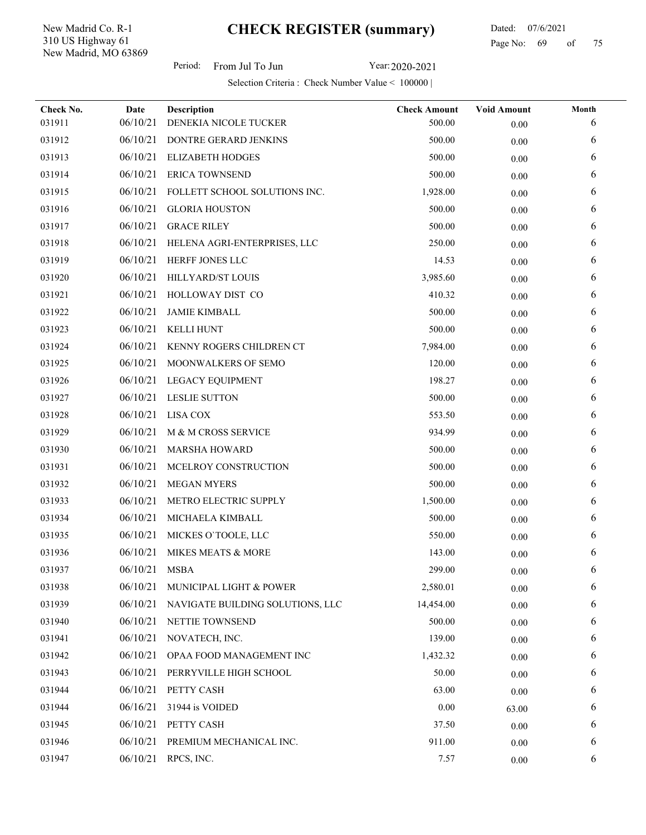New Madrid, MO 63869 310 US Highway 61 New Madrid Co. R-1

 Dated: 07/6/2021 Page No: 69 of

Period: From Jul To Jun Year: 2020-2021

| Check No. | Date          | Description                      | <b>Check Amount</b> | <b>Void Amount</b> | Month |
|-----------|---------------|----------------------------------|---------------------|--------------------|-------|
| 031911    | 06/10/21      | DENEKIA NICOLE TUCKER            | 500.00              | 0.00               | 6     |
| 031912    | 06/10/21      | DONTRE GERARD JENKINS            | 500.00              | 0.00               | 6     |
| 031913    | 06/10/21      | <b>ELIZABETH HODGES</b>          | 500.00              | 0.00               | 6     |
| 031914    | 06/10/21      | <b>ERICA TOWNSEND</b>            | 500.00              | 0.00               | 6     |
| 031915    | 06/10/21      | FOLLETT SCHOOL SOLUTIONS INC.    | 1,928.00            | 0.00               | 6     |
| 031916    | 06/10/21      | <b>GLORIA HOUSTON</b>            | 500.00              | $0.00\,$           | 6     |
| 031917    | 06/10/21      | <b>GRACE RILEY</b>               | 500.00              | 0.00               | 6     |
| 031918    | 06/10/21      | HELENA AGRI-ENTERPRISES, LLC     | 250.00              | 0.00               | 6     |
| 031919    | 06/10/21      | HERFF JONES LLC                  | 14.53               | 0.00               | 6     |
| 031920    | 06/10/21      | HILLYARD/ST LOUIS                | 3,985.60            | 0.00               | 6     |
| 031921    | 06/10/21      | HOLLOWAY DIST CO                 | 410.32              | 0.00               | 6     |
| 031922    | 06/10/21      | <b>JAMIE KIMBALL</b>             | 500.00              | 0.00               | 6     |
| 031923    | 06/10/21      | <b>KELLI HUNT</b>                | 500.00              | 0.00               | 6     |
| 031924    | 06/10/21      | KENNY ROGERS CHILDREN CT         | 7,984.00            | $0.00\,$           | 6     |
| 031925    | 06/10/21      | MOONWALKERS OF SEMO              | 120.00              | 0.00               | 6     |
| 031926    | 06/10/21      | LEGACY EQUIPMENT                 | 198.27              | 0.00               | 6     |
| 031927    | 06/10/21      | <b>LESLIE SUTTON</b>             | 500.00              | $0.00\,$           | 6     |
| 031928    | 06/10/21      | LISA COX                         | 553.50              | 0.00               | 6     |
| 031929    | 06/10/21      | M & M CROSS SERVICE              | 934.99              | 0.00               | 6     |
| 031930    | 06/10/21      | <b>MARSHA HOWARD</b>             | 500.00              | 0.00               | 6     |
| 031931    | 06/10/21      | MCELROY CONSTRUCTION             | 500.00              | $0.00\,$           | 6     |
| 031932    | 06/10/21      | <b>MEGAN MYERS</b>               | 500.00              | $0.00\,$           | 6     |
| 031933    | 06/10/21      | METRO ELECTRIC SUPPLY            | 1,500.00            | 0.00               | 6     |
| 031934    | 06/10/21      | MICHAELA KIMBALL                 | 500.00              | 0.00               | 6     |
| 031935    | 06/10/21      | MICKES O'TOOLE, LLC              | 550.00              | $0.00\,$           | 6     |
| 031936    | 06/10/21      | MIKES MEATS & MORE               | 143.00              | $0.00\,$           | 6     |
| 031937    | 06/10/21 MSBA |                                  | 299.00              | $0.00\,$           | 6     |
| 031938    | 06/10/21      | MUNICIPAL LIGHT & POWER          | 2,580.01            | $0.00\,$           | 6     |
| 031939    | 06/10/21      | NAVIGATE BUILDING SOLUTIONS, LLC | 14,454.00           | $0.00\,$           | 6     |
| 031940    | 06/10/21      | NETTIE TOWNSEND                  | 500.00              | 0.00               | 6     |
| 031941    | 06/10/21      | NOVATECH, INC.                   | 139.00              | 0.00               | 6     |
| 031942    | 06/10/21      | OPAA FOOD MANAGEMENT INC         | 1,432.32            | 0.00               | 6     |
| 031943    | 06/10/21      | PERRYVILLE HIGH SCHOOL           | 50.00               | 0.00               | 6     |
| 031944    | 06/10/21      | PETTY CASH                       | 63.00               | 0.00               | 6     |
| 031944    | 06/16/21      | 31944 is VOIDED                  | 0.00                | 63.00              | 6     |
| 031945    | 06/10/21      | PETTY CASH                       | 37.50               | $0.00\,$           | 6     |
| 031946    | 06/10/21      | PREMIUM MECHANICAL INC.          | 911.00              | $0.00\,$           | 6     |
| 031947    | 06/10/21      | RPCS, INC.                       | 7.57                | $0.00\,$           | 6     |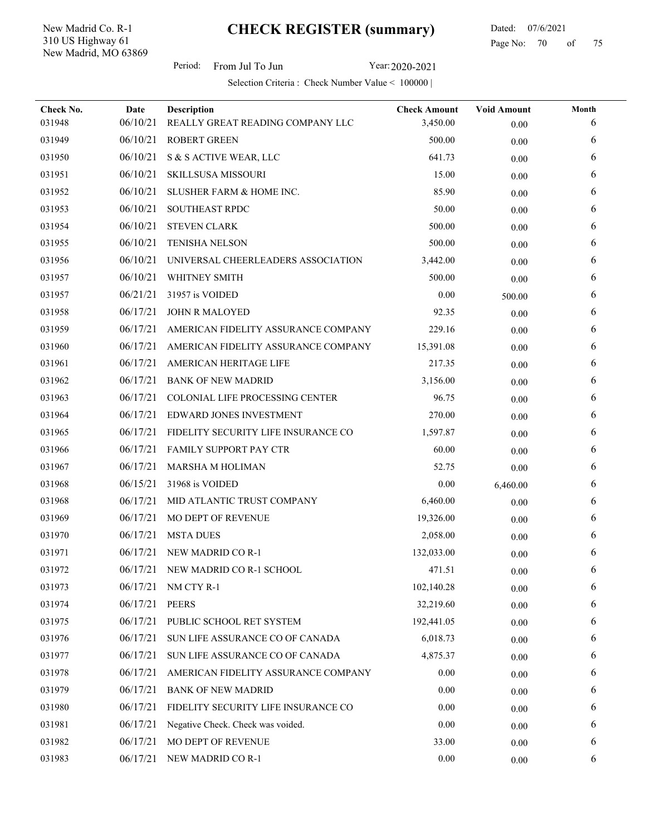New Madrid, MO 63869 310 US Highway 61 New Madrid Co. R-1

 Dated: 07/6/2021 Page No: 70 of

Period: From Jul To Jun Year: 2020-2021

| Check No.<br>031948 | Date<br>06/10/21 | Description<br>REALLY GREAT READING COMPANY LLC | <b>Check Amount</b><br>3,450.00 | <b>Void Amount</b><br>0.00 | Month<br>6 |
|---------------------|------------------|-------------------------------------------------|---------------------------------|----------------------------|------------|
| 031949              | 06/10/21         | <b>ROBERT GREEN</b>                             | 500.00                          | 0.00                       | 6          |
| 031950              | 06/10/21         | S & S ACTIVE WEAR, LLC                          | 641.73                          | 0.00                       | 6          |
| 031951              | 06/10/21         | SKILLSUSA MISSOURI                              | 15.00                           | 0.00                       | 6          |
| 031952              | 06/10/21         | SLUSHER FARM & HOME INC.                        | 85.90                           | 0.00                       | 6          |
| 031953              | 06/10/21         | SOUTHEAST RPDC                                  | 50.00                           | 0.00                       | 6          |
| 031954              | 06/10/21         | <b>STEVEN CLARK</b>                             | 500.00                          | 0.00                       | 6          |
| 031955              | 06/10/21         | <b>TENISHA NELSON</b>                           | 500.00                          | 0.00                       | 6          |
| 031956              | 06/10/21         | UNIVERSAL CHEERLEADERS ASSOCIATION              | 3,442.00                        | 0.00                       | 6          |
| 031957              | 06/10/21         | WHITNEY SMITH                                   | 500.00                          | 0.00                       | 6          |
| 031957              | 06/21/21         | 31957 is VOIDED                                 | 0.00                            | 500.00                     | 6          |
| 031958              | 06/17/21         | <b>JOHN R MALOYED</b>                           | 92.35                           | 0.00                       | 6          |
| 031959              | 06/17/21         | AMERICAN FIDELITY ASSURANCE COMPANY             | 229.16                          | 0.00                       | 6          |
| 031960              | 06/17/21         | AMERICAN FIDELITY ASSURANCE COMPANY             | 15,391.08                       | 0.00                       | 6          |
| 031961              | 06/17/21         | AMERICAN HERITAGE LIFE                          | 217.35                          | 0.00                       | 6          |
| 031962              | 06/17/21         | <b>BANK OF NEW MADRID</b>                       | 3,156.00                        | 0.00                       | 6          |
| 031963              | 06/17/21         | COLONIAL LIFE PROCESSING CENTER                 | 96.75                           | 0.00                       | 6          |
| 031964              | 06/17/21         | EDWARD JONES INVESTMENT                         | 270.00                          | 0.00                       | 6          |
| 031965              | 06/17/21         | FIDELITY SECURITY LIFE INSURANCE CO             | 1,597.87                        | 0.00                       | 6          |
| 031966              | 06/17/21         | FAMILY SUPPORT PAY CTR                          | 60.00                           | 0.00                       | 6          |
| 031967              | 06/17/21         | MARSHA M HOLIMAN                                | 52.75                           | 0.00                       | 6          |
| 031968              | 06/15/21         | 31968 is VOIDED                                 | 0.00                            | 6,460.00                   | 6          |
| 031968              | 06/17/21         | MID ATLANTIC TRUST COMPANY                      | 6,460.00                        | 0.00                       | 6          |
| 031969              | 06/17/21         | MO DEPT OF REVENUE                              | 19,326.00                       | 0.00                       | 6          |
| 031970              | 06/17/21         | <b>MSTA DUES</b>                                | 2,058.00                        | 0.00                       | 6          |
| 031971              | 06/17/21         | NEW MADRID CO R-1                               | 132,033.00                      | 0.00                       | 6          |
| 031972              |                  | 06/17/21 NEW MADRID CO R-1 SCHOOL               | 471.51                          | 0.00                       | 6          |
| 031973              | 06/17/21         | NM CTY R-1                                      | 102,140.28                      | 0.00                       | 6          |
| 031974              | 06/17/21         | <b>PEERS</b>                                    | 32,219.60                       | 0.00                       | 6          |
| 031975              | 06/17/21         | PUBLIC SCHOOL RET SYSTEM                        | 192,441.05                      | 0.00                       | 6          |
| 031976              | 06/17/21         | SUN LIFE ASSURANCE CO OF CANADA                 | 6,018.73                        | 0.00                       | 6          |
| 031977              | 06/17/21         | SUN LIFE ASSURANCE CO OF CANADA                 | 4,875.37                        | 0.00                       | 6          |
| 031978              | 06/17/21         | AMERICAN FIDELITY ASSURANCE COMPANY             | 0.00                            | 0.00                       | 6          |
| 031979              | 06/17/21         | <b>BANK OF NEW MADRID</b>                       | 0.00                            | 0.00                       | 6          |
| 031980              | 06/17/21         | FIDELITY SECURITY LIFE INSURANCE CO             | 0.00                            | $0.00\,$                   | 6          |
| 031981              | 06/17/21         | Negative Check. Check was voided.               | 0.00                            | 0.00                       | 6          |
| 031982              | 06/17/21         | MO DEPT OF REVENUE                              | 33.00                           | 0.00                       | 6          |
| 031983              | 06/17/21         | NEW MADRID CO R-1                               | $0.00\,$                        | $0.00\,$                   | 6          |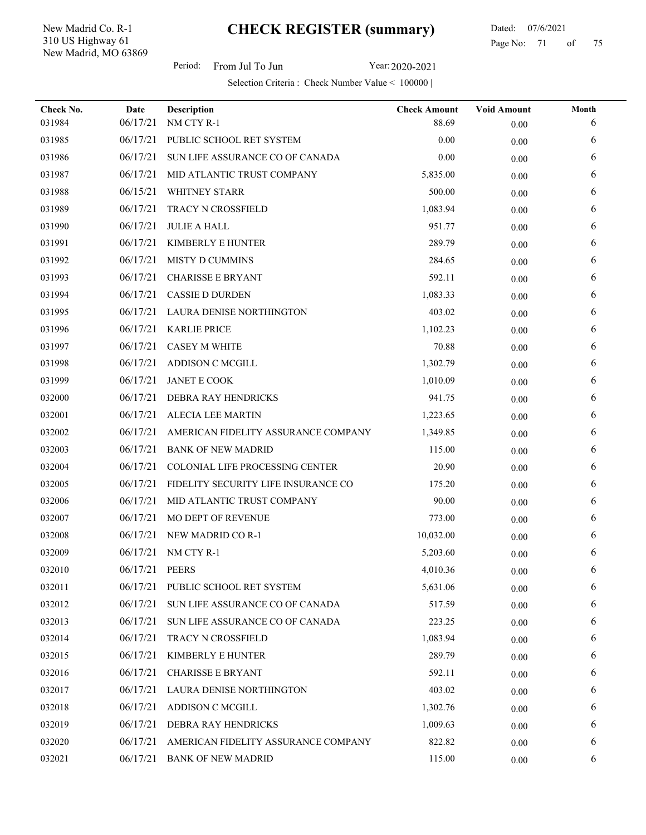New Madrid, MO 63869 310 US Highway 61 New Madrid Co. R-1

l,

Period: From Jul To Jun Year: 2020-2021

| Check No. | Date     | Description                         | <b>Check Amount</b> | <b>Void Amount</b> | Month |
|-----------|----------|-------------------------------------|---------------------|--------------------|-------|
| 031984    | 06/17/21 | NM CTY R-1                          | 88.69               | 0.00               | 6     |
| 031985    | 06/17/21 | PUBLIC SCHOOL RET SYSTEM            | 0.00                | 0.00               | 6     |
| 031986    | 06/17/21 | SUN LIFE ASSURANCE CO OF CANADA     | 0.00                | 0.00               | 6     |
| 031987    | 06/17/21 | MID ATLANTIC TRUST COMPANY          | 5,835.00            | 0.00               | 6     |
| 031988    | 06/15/21 | WHITNEY STARR                       | 500.00              | 0.00               | 6     |
| 031989    | 06/17/21 | <b>TRACY N CROSSFIELD</b>           | 1,083.94            | 0.00               | 6     |
| 031990    | 06/17/21 | <b>JULIE A HALL</b>                 | 951.77              | 0.00               | 6     |
| 031991    | 06/17/21 | KIMBERLY E HUNTER                   | 289.79              | 0.00               | 6     |
| 031992    | 06/17/21 | MISTY D CUMMINS                     | 284.65              | 0.00               | 6     |
| 031993    | 06/17/21 | <b>CHARISSE E BRYANT</b>            | 592.11              | 0.00               | 6     |
| 031994    | 06/17/21 | <b>CASSIE D DURDEN</b>              | 1,083.33            | 0.00               | 6     |
| 031995    | 06/17/21 | LAURA DENISE NORTHINGTON            | 403.02              | 0.00               | 6     |
| 031996    | 06/17/21 | <b>KARLIE PRICE</b>                 | 1,102.23            | 0.00               | 6     |
| 031997    | 06/17/21 | <b>CASEY M WHITE</b>                | 70.88               | 0.00               | 6     |
| 031998    | 06/17/21 | ADDISON C MCGILL                    | 1,302.79            | 0.00               | 6     |
| 031999    | 06/17/21 | JANET E COOK                        | 1,010.09            | 0.00               | 6     |
| 032000    | 06/17/21 | DEBRA RAY HENDRICKS                 | 941.75              | 0.00               | 6     |
| 032001    | 06/17/21 | ALECIA LEE MARTIN                   | 1,223.65            | 0.00               | 6     |
| 032002    | 06/17/21 | AMERICAN FIDELITY ASSURANCE COMPANY | 1,349.85            | 0.00               | 6     |
| 032003    | 06/17/21 | <b>BANK OF NEW MADRID</b>           | 115.00              | 0.00               | 6     |
| 032004    | 06/17/21 | COLONIAL LIFE PROCESSING CENTER     | 20.90               | 0.00               | 6     |
| 032005    | 06/17/21 | FIDELITY SECURITY LIFE INSURANCE CO | 175.20              | 0.00               | 6     |
| 032006    | 06/17/21 | MID ATLANTIC TRUST COMPANY          | 90.00               | 0.00               | 6     |
| 032007    | 06/17/21 | MO DEPT OF REVENUE                  | 773.00              | 0.00               | 6     |
| 032008    | 06/17/21 | NEW MADRID CO R-1                   | 10,032.00           | 0.00               | 6     |
| 032009    | 06/17/21 | NM CTY R-1                          | 5,203.60            | 0.00               | 6     |
| 032010    | 06/17/21 | <b>PEERS</b>                        | 4,010.36            | 0.00               | 6     |
| 032011    | 06/17/21 | PUBLIC SCHOOL RET SYSTEM            | 5,631.06            | 0.00               | 6     |
| 032012    | 06/17/21 | SUN LIFE ASSURANCE CO OF CANADA     | 517.59              | 0.00               | 6     |
| 032013    | 06/17/21 | SUN LIFE ASSURANCE CO OF CANADA     | 223.25              | 0.00               | 6     |
| 032014    | 06/17/21 | TRACY N CROSSFIELD                  | 1,083.94            | 0.00               | 6     |
| 032015    | 06/17/21 | KIMBERLY E HUNTER                   | 289.79              | 0.00               | 6     |
| 032016    | 06/17/21 | <b>CHARISSE E BRYANT</b>            | 592.11              | 0.00               | 6     |
| 032017    | 06/17/21 | LAURA DENISE NORTHINGTON            | 403.02              | 0.00               | 6     |
| 032018    | 06/17/21 | ADDISON C MCGILL                    | 1,302.76            | 0.00               | 6     |
| 032019    | 06/17/21 | DEBRA RAY HENDRICKS                 | 1,009.63            | 0.00               | 6     |
| 032020    | 06/17/21 | AMERICAN FIDELITY ASSURANCE COMPANY | 822.82              | 0.00               | 6     |
| 032021    | 06/17/21 | <b>BANK OF NEW MADRID</b>           | 115.00              | $0.00\,$           | 6     |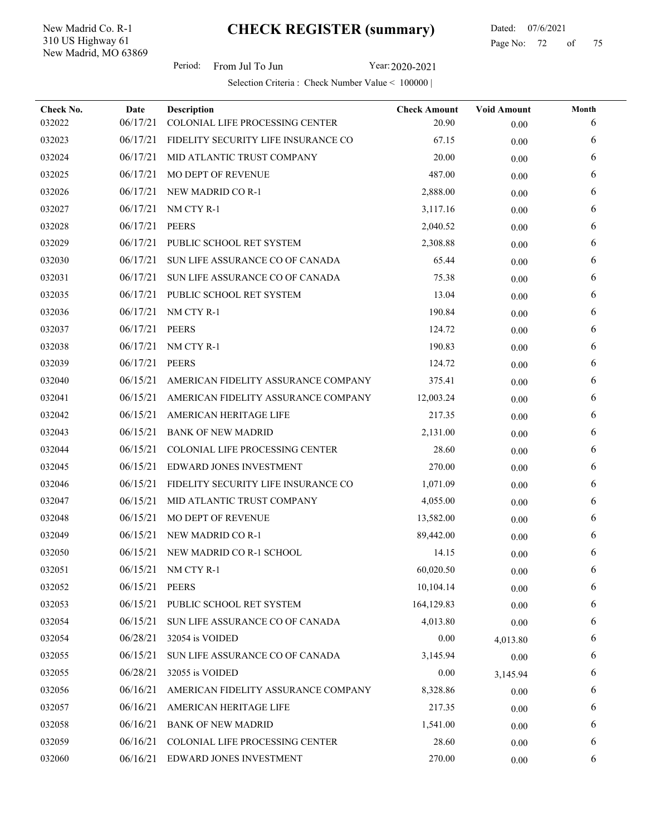New Madrid, MO 63869 310 US Highway 61 New Madrid Co. R-1

l,

 Dated: 07/6/2021 Page No: 72 of

Period: From Jul To Jun Year: 2020-2021

| Check No. | Date           | <b>Description</b>                  | <b>Check Amount</b> | <b>Void Amount</b> | Month |
|-----------|----------------|-------------------------------------|---------------------|--------------------|-------|
| 032022    | 06/17/21       | COLONIAL LIFE PROCESSING CENTER     | 20.90               | 0.00               | 6     |
| 032023    | 06/17/21       | FIDELITY SECURITY LIFE INSURANCE CO | 67.15               | 0.00               | 6     |
| 032024    | 06/17/21       | MID ATLANTIC TRUST COMPANY          | 20.00               | 0.00               | 6     |
| 032025    | 06/17/21       | <b>MO DEPT OF REVENUE</b>           | 487.00              | 0.00               | 6     |
| 032026    | 06/17/21       | NEW MADRID CO R-1                   | 2,888.00            | 0.00               | 6     |
| 032027    | 06/17/21       | NM CTY R-1                          | 3,117.16            | 0.00               | 6     |
| 032028    | 06/17/21       | <b>PEERS</b>                        | 2,040.52            | 0.00               | 6     |
| 032029    | 06/17/21       | PUBLIC SCHOOL RET SYSTEM            | 2,308.88            | 0.00               | 6     |
| 032030    | 06/17/21       | SUN LIFE ASSURANCE CO OF CANADA     | 65.44               | 0.00               | 6     |
| 032031    | 06/17/21       | SUN LIFE ASSURANCE CO OF CANADA     | 75.38               | 0.00               | 6     |
| 032035    | 06/17/21       | PUBLIC SCHOOL RET SYSTEM            | 13.04               | 0.00               | 6     |
| 032036    | 06/17/21       | NM CTY R-1                          | 190.84              | 0.00               | 6     |
| 032037    | 06/17/21       | <b>PEERS</b>                        | 124.72              | 0.00               | 6     |
| 032038    | 06/17/21       | NM CTY R-1                          | 190.83              | 0.00               | 6     |
| 032039    | 06/17/21       | <b>PEERS</b>                        | 124.72              | 0.00               | 6     |
| 032040    | 06/15/21       | AMERICAN FIDELITY ASSURANCE COMPANY | 375.41              | 0.00               | 6     |
| 032041    | 06/15/21       | AMERICAN FIDELITY ASSURANCE COMPANY | 12,003.24           | 0.00               | 6     |
| 032042    | 06/15/21       | AMERICAN HERITAGE LIFE              | 217.35              | 0.00               | 6     |
| 032043    | 06/15/21       | <b>BANK OF NEW MADRID</b>           | 2,131.00            | 0.00               | 6     |
| 032044    | 06/15/21       | COLONIAL LIFE PROCESSING CENTER     | 28.60               | 0.00               | 6     |
| 032045    | 06/15/21       | EDWARD JONES INVESTMENT             | 270.00              | 0.00               | 6     |
| 032046    | 06/15/21       | FIDELITY SECURITY LIFE INSURANCE CO | 1,071.09            | 0.00               | 6     |
| 032047    | 06/15/21       | MID ATLANTIC TRUST COMPANY          | 4,055.00            | 0.00               | 6     |
| 032048    | 06/15/21       | <b>MO DEPT OF REVENUE</b>           | 13,582.00           | 0.00               | 6     |
| 032049    | 06/15/21       | <b>NEW MADRID CO R-1</b>            | 89,442.00           | 0.00               | 6     |
| 032050    | 06/15/21       | NEW MADRID CO R-1 SCHOOL            | 14.15               | 0.00               | 6     |
| 032051    | 06/15/21       | NM CTY R-1                          | 60,020.50           | 0.00               | 6     |
| 032052    | 06/15/21 PEERS |                                     | 10,104.14           | $0.00\,$           | 6     |
| 032053    | 06/15/21       | PUBLIC SCHOOL RET SYSTEM            | 164,129.83          | 0.00               | 6     |
| 032054    | 06/15/21       | SUN LIFE ASSURANCE CO OF CANADA     | 4,013.80            | 0.00               | 6     |
| 032054    | 06/28/21       | 32054 is VOIDED                     | 0.00                | 4,013.80           | 6     |
| 032055    | 06/15/21       | SUN LIFE ASSURANCE CO OF CANADA     | 3,145.94            | 0.00               | 6     |
| 032055    | 06/28/21       | 32055 is VOIDED                     | 0.00                | 3,145.94           | 6     |
| 032056    | 06/16/21       | AMERICAN FIDELITY ASSURANCE COMPANY | 8,328.86            | 0.00               | 6     |
| 032057    | 06/16/21       | AMERICAN HERITAGE LIFE              | 217.35              | $0.00\,$           | 6     |
| 032058    | 06/16/21       | <b>BANK OF NEW MADRID</b>           | 1,541.00            | 0.00               | 6     |
| 032059    | 06/16/21       | COLONIAL LIFE PROCESSING CENTER     | 28.60               | 0.00               | 6     |
| 032060    | 06/16/21       | EDWARD JONES INVESTMENT             | 270.00              | 0.00               | 6     |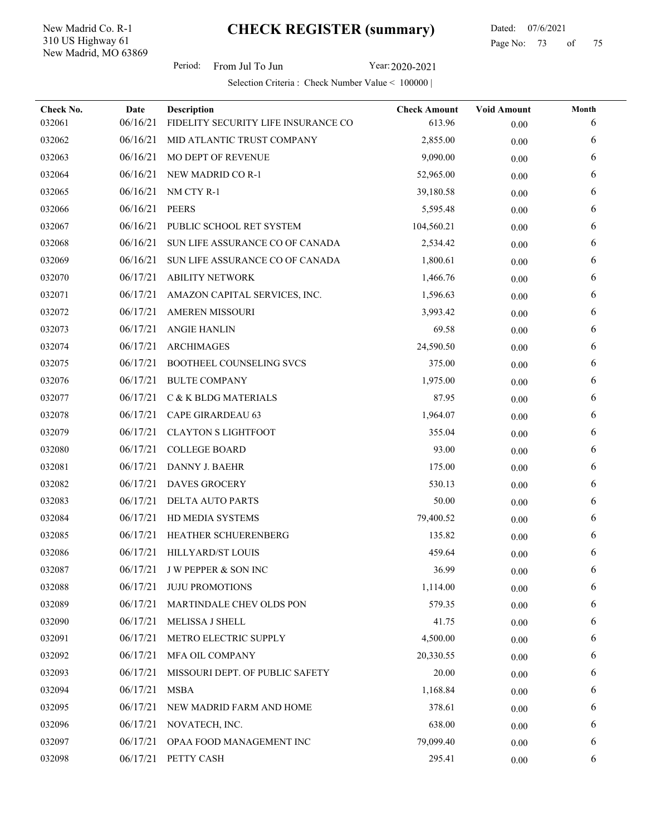New Madrid, MO 63869 310 US Highway 61 New Madrid Co. R-1

l,

 Dated: 07/6/2021 Page No: 73 of

Period: From Jul To Jun Year: 2020-2021

| Check No. | Date     | <b>Description</b>                  | <b>Check Amount</b> | <b>Void Amount</b> | Month |
|-----------|----------|-------------------------------------|---------------------|--------------------|-------|
| 032061    | 06/16/21 | FIDELITY SECURITY LIFE INSURANCE CO | 613.96              | 0.00               | 6     |
| 032062    | 06/16/21 | MID ATLANTIC TRUST COMPANY          | 2,855.00            | 0.00               | 6     |
| 032063    | 06/16/21 | <b>MO DEPT OF REVENUE</b>           | 9,090.00            | 0.00               | 6     |
| 032064    | 06/16/21 | NEW MADRID CO R-1                   | 52,965.00           | 0.00               | 6     |
| 032065    | 06/16/21 | NM CTY R-1                          | 39,180.58           | 0.00               | 6     |
| 032066    | 06/16/21 | <b>PEERS</b>                        | 5,595.48            | $0.00\,$           | 6     |
| 032067    | 06/16/21 | PUBLIC SCHOOL RET SYSTEM            | 104,560.21          | 0.00               | 6     |
| 032068    | 06/16/21 | SUN LIFE ASSURANCE CO OF CANADA     | 2,534.42            | 0.00               | 6     |
| 032069    | 06/16/21 | SUN LIFE ASSURANCE CO OF CANADA     | 1,800.61            | 0.00               | 6     |
| 032070    | 06/17/21 | <b>ABILITY NETWORK</b>              | 1,466.76            | 0.00               | 6     |
| 032071    | 06/17/21 | AMAZON CAPITAL SERVICES, INC.       | 1,596.63            | 0.00               | 6     |
| 032072    | 06/17/21 | <b>AMEREN MISSOURI</b>              | 3,993.42            | 0.00               | 6     |
| 032073    | 06/17/21 | <b>ANGIE HANLIN</b>                 | 69.58               | 0.00               | 6     |
| 032074    | 06/17/21 | <b>ARCHIMAGES</b>                   | 24,590.50           | 0.00               | 6     |
| 032075    | 06/17/21 | <b>BOOTHEEL COUNSELING SVCS</b>     | 375.00              | $0.00\,$           | 6     |
| 032076    | 06/17/21 | <b>BULTE COMPANY</b>                | 1,975.00            | 0.00               | 6     |
| 032077    | 06/17/21 | C & K BLDG MATERIALS                | 87.95               | 0.00               | 6     |
| 032078    | 06/17/21 | <b>CAPE GIRARDEAU 63</b>            | 1,964.07            | 0.00               | 6     |
| 032079    | 06/17/21 | <b>CLAYTON S LIGHTFOOT</b>          | 355.04              | 0.00               | 6     |
| 032080    | 06/17/21 | <b>COLLEGE BOARD</b>                | 93.00               | 0.00               | 6     |
| 032081    | 06/17/21 | DANNY J. BAEHR                      | 175.00              | 0.00               | 6     |
| 032082    | 06/17/21 | <b>DAVES GROCERY</b>                | 530.13              | 0.00               | 6     |
| 032083    | 06/17/21 | <b>DELTA AUTO PARTS</b>             | 50.00               | 0.00               | 6     |
| 032084    | 06/17/21 | HD MEDIA SYSTEMS                    | 79,400.52           | 0.00               | 6     |
| 032085    | 06/17/21 | HEATHER SCHUERENBERG                | 135.82              | 0.00               | 6     |
| 032086    | 06/17/21 | HILLYARD/ST LOUIS                   | 459.64              | 0.00               | 6     |
| 032087    | 06/17/21 | <b>J W PEPPER &amp; SON INC</b>     | 36.99               | $0.00\,$           | 6     |
| 032088    | 06/17/21 | <b>JUJU PROMOTIONS</b>              | 1,114.00            | 0.00               | 6     |
| 032089    | 06/17/21 | MARTINDALE CHEV OLDS PON            | 579.35              | 0.00               | 6     |
| 032090    | 06/17/21 | MELISSA J SHELL                     | 41.75               | 0.00               | 6     |
| 032091    | 06/17/21 | METRO ELECTRIC SUPPLY               | 4,500.00            | 0.00               | 6     |
| 032092    | 06/17/21 | MFA OIL COMPANY                     | 20,330.55           | 0.00               | 6     |
| 032093    | 06/17/21 | MISSOURI DEPT. OF PUBLIC SAFETY     | 20.00               | 0.00               | 6     |
| 032094    | 06/17/21 | <b>MSBA</b>                         | 1,168.84            | 0.00               | 6     |
| 032095    | 06/17/21 | NEW MADRID FARM AND HOME            | 378.61              | 0.00               | 6     |
| 032096    | 06/17/21 | NOVATECH, INC.                      | 638.00              | 0.00               | 6     |
| 032097    | 06/17/21 | OPAA FOOD MANAGEMENT INC            | 79,099.40           | 0.00               | 6     |
| 032098    | 06/17/21 | PETTY CASH                          | 295.41              | $0.00\,$           | 6     |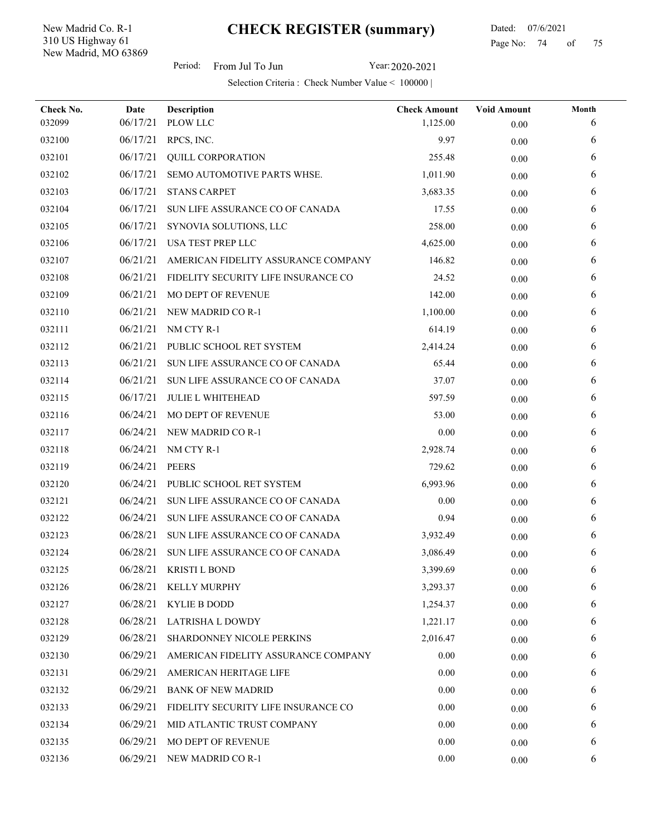New Madrid, MO 63869 310 US Highway 61 New Madrid Co. R-1

l,

### Dated: 07/6/2021 Page No: 74 of

Period: From Jul To Jun Year: 2020-2021

| Check No. | Date     | Description                         | <b>Check Amount</b> | <b>Void Amount</b> | Month |
|-----------|----------|-------------------------------------|---------------------|--------------------|-------|
| 032099    | 06/17/21 | PLOW LLC                            | 1,125.00            | 0.00               | 6     |
| 032100    | 06/17/21 | RPCS, INC.                          | 9.97                | 0.00               | 6     |
| 032101    | 06/17/21 | <b>QUILL CORPORATION</b>            | 255.48              | 0.00               | 6     |
| 032102    | 06/17/21 | SEMO AUTOMOTIVE PARTS WHSE.         | 1,011.90            | 0.00               | 6     |
| 032103    | 06/17/21 | <b>STANS CARPET</b>                 | 3,683.35            | 0.00               | 6     |
| 032104    | 06/17/21 | SUN LIFE ASSURANCE CO OF CANADA     | 17.55               | 0.00               | 6     |
| 032105    | 06/17/21 | SYNOVIA SOLUTIONS, LLC              | 258.00              | 0.00               | 6     |
| 032106    | 06/17/21 | USA TEST PREP LLC                   | 4,625.00            | 0.00               | 6     |
| 032107    | 06/21/21 | AMERICAN FIDELITY ASSURANCE COMPANY | 146.82              | 0.00               | 6     |
| 032108    | 06/21/21 | FIDELITY SECURITY LIFE INSURANCE CO | 24.52               | 0.00               | 6     |
| 032109    | 06/21/21 | <b>MO DEPT OF REVENUE</b>           | 142.00              | 0.00               | 6     |
| 032110    | 06/21/21 | NEW MADRID CO R-1                   | 1,100.00            | 0.00               | 6     |
| 032111    | 06/21/21 | NM CTY R-1                          | 614.19              | 0.00               | 6     |
| 032112    | 06/21/21 | PUBLIC SCHOOL RET SYSTEM            | 2,414.24            | 0.00               | 6     |
| 032113    | 06/21/21 | SUN LIFE ASSURANCE CO OF CANADA     | 65.44               | 0.00               | 6     |
| 032114    | 06/21/21 | SUN LIFE ASSURANCE CO OF CANADA     | 37.07               | 0.00               | 6     |
| 032115    | 06/17/21 | <b>JULIE L WHITEHEAD</b>            | 597.59              | 0.00               | 6     |
| 032116    | 06/24/21 | MO DEPT OF REVENUE                  | 53.00               | $0.00\,$           | 6     |
| 032117    | 06/24/21 | NEW MADRID CO R-1                   | 0.00                | 0.00               | 6     |
| 032118    | 06/24/21 | NM CTY R-1                          | 2,928.74            | 0.00               | 6     |
| 032119    | 06/24/21 | <b>PEERS</b>                        | 729.62              | 0.00               | 6     |
| 032120    | 06/24/21 | PUBLIC SCHOOL RET SYSTEM            | 6,993.96            | 0.00               | 6     |
| 032121    | 06/24/21 | SUN LIFE ASSURANCE CO OF CANADA     | 0.00                | 0.00               | 6     |
| 032122    | 06/24/21 | SUN LIFE ASSURANCE CO OF CANADA     | 0.94                | 0.00               | 6     |
| 032123    | 06/28/21 | SUN LIFE ASSURANCE CO OF CANADA     | 3,932.49            | 0.00               | 6     |
| 032124    | 06/28/21 | SUN LIFE ASSURANCE CO OF CANADA     | 3,086.49            | $0.00\,$           | 6     |
| 032125    | 06/28/21 | KRISTI L BOND                       | 3,399.69            | $0.00\,$           | 6     |
| 032126    |          | 06/28/21 KELLY MURPHY               | 3,293.37            | 0.00               | 6     |
| 032127    | 06/28/21 | <b>KYLIE B DODD</b>                 | 1,254.37            | 0.00               | 6     |
| 032128    | 06/28/21 | LATRISHA L DOWDY                    | 1,221.17            | 0.00               | 6     |
| 032129    | 06/28/21 | SHARDONNEY NICOLE PERKINS           | 2,016.47            | 0.00               | 6     |
| 032130    | 06/29/21 | AMERICAN FIDELITY ASSURANCE COMPANY | 0.00                | 0.00               | 6     |
| 032131    | 06/29/21 | AMERICAN HERITAGE LIFE              | 0.00                | 0.00               | 6     |
| 032132    | 06/29/21 | <b>BANK OF NEW MADRID</b>           | 0.00                | 0.00               | 6     |
| 032133    | 06/29/21 | FIDELITY SECURITY LIFE INSURANCE CO | 0.00                | 0.00               | 6     |
| 032134    | 06/29/21 | MID ATLANTIC TRUST COMPANY          | 0.00                | 0.00               | 6     |
| 032135    | 06/29/21 | <b>MO DEPT OF REVENUE</b>           | 0.00                | 0.00               | 6     |
| 032136    | 06/29/21 | NEW MADRID CO R-1                   | 0.00                | $0.00\,$           | 6     |